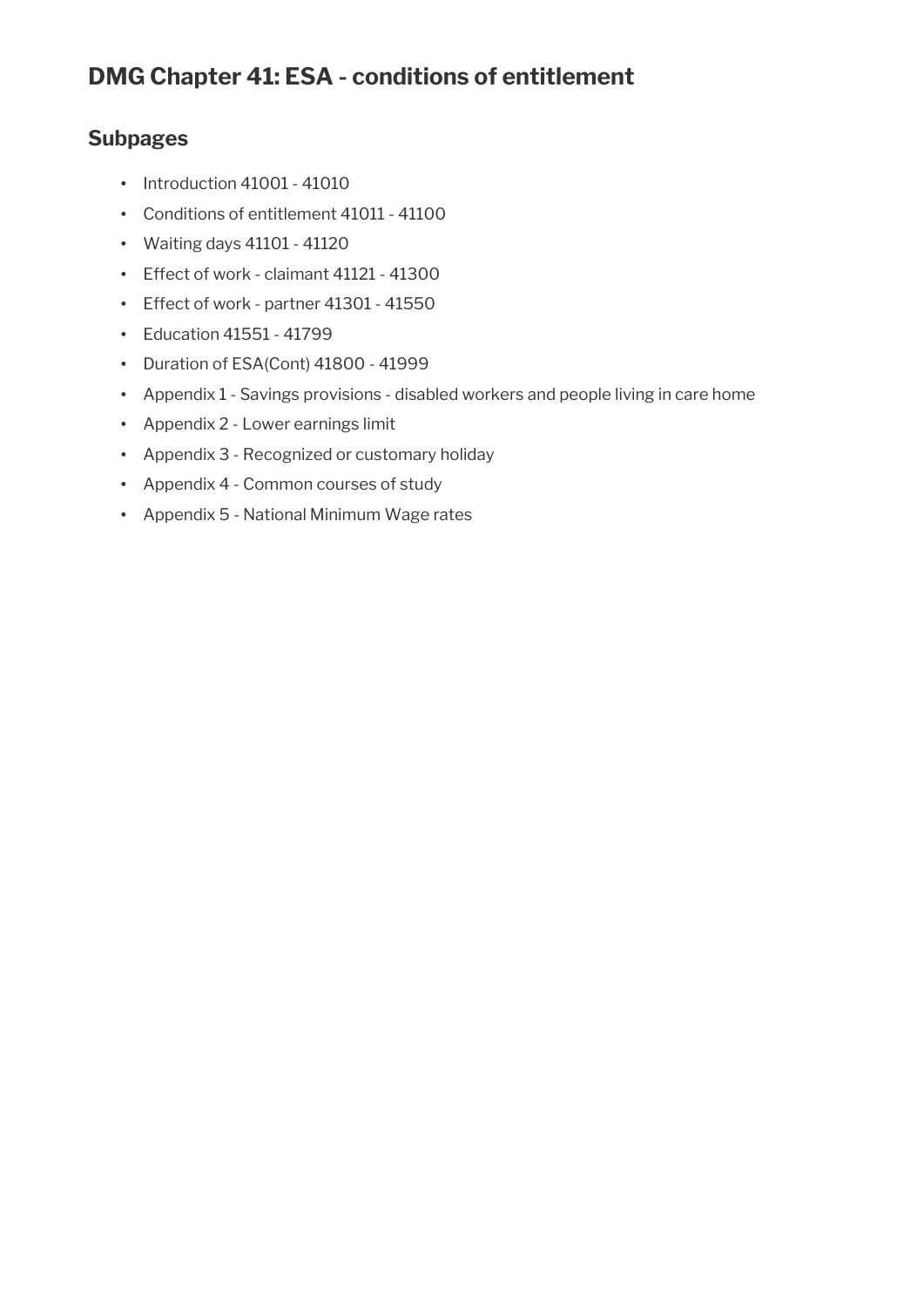# **DMG Chapter 41: ESA - conditions of entitlement**

## **Subpages**

- Introduction 41001 41010
- Conditions of entitlement 41011 41100
- Waiting days 41101 41120
- Effect of work claimant 41121 41300
- Effect of work partner 41301 41550
- Education 41551 41799
- Duration of ESA(Cont) 41800 41999
- Appendix 1 Savings provisions disabled workers and people living in care home
- Appendix 2 Lower earnings limit
- Appendix 3 Recognized or customary holiday
- Appendix 4 Common courses of study
- Appendix 5 National Minimum Wage rates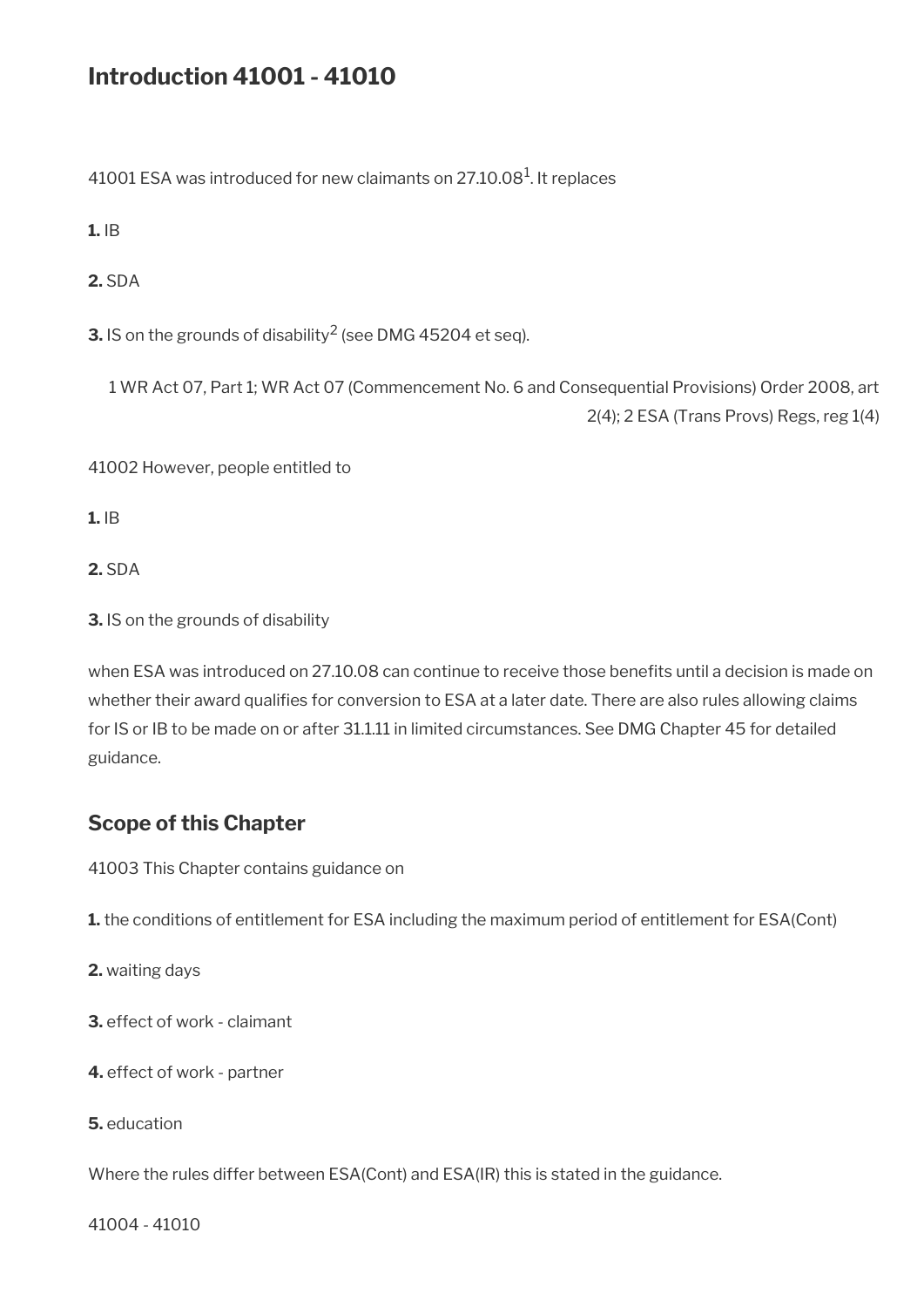# **Introduction 41001 - 41010**

41001 ESA was introduced for new claimants on 27.10.08 $^{\rm 1}$ . It replaces

**1.** IB

**2.** SDA

**3.** IS on the grounds of disability $^2$  (see DMG 45204 et seq).

1 WR Act 07, Part 1; WR Act 07 (Commencement No. 6 and Consequential Provisions) Order 2008, art 2(4); 2 ESA (Trans Provs) Regs, reg 1(4)

41002 However, people entitled to

**1.** IB

**2.** SDA

**3.** IS on the grounds of disability

when ESA was introduced on 27.10.08 can continue to receive those benefits until a decision is made on whether their award qualifies for conversion to ESA at a later date. There are also rules allowing claims for IS or IB to be made on or after 31.1.11 in limited circumstances. See DMG Chapter 45 for detailed guidance.

## **Scope of this Chapter**

41003 This Chapter contains guidance on

**1.** the conditions of entitlement for ESA including the maximum period of entitlement for ESA(Cont)

**2.** waiting days

**3.** effect of work - claimant

**4.** effect of work - partner

**5.** education

Where the rules differ between ESA(Cont) and ESA(IR) this is stated in the guidance.

41004 - 41010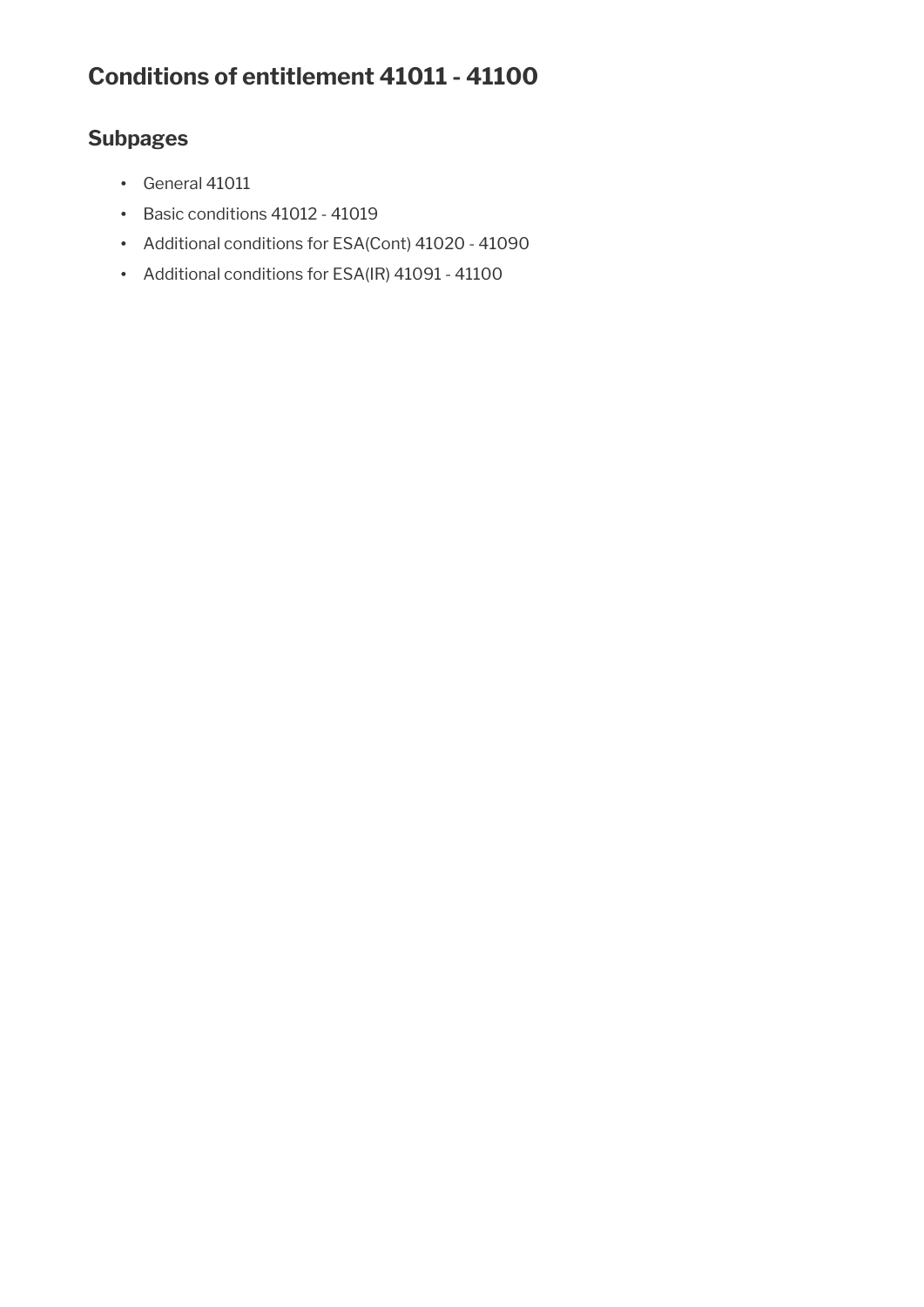# **Conditions of entitlement 41011 - 41100**

## **Subpages**

- General 41011
- Basic conditions 41012 41019
- Additional conditions for ESA(Cont) 41020 41090
- Additional conditions for ESA(IR) 41091 41100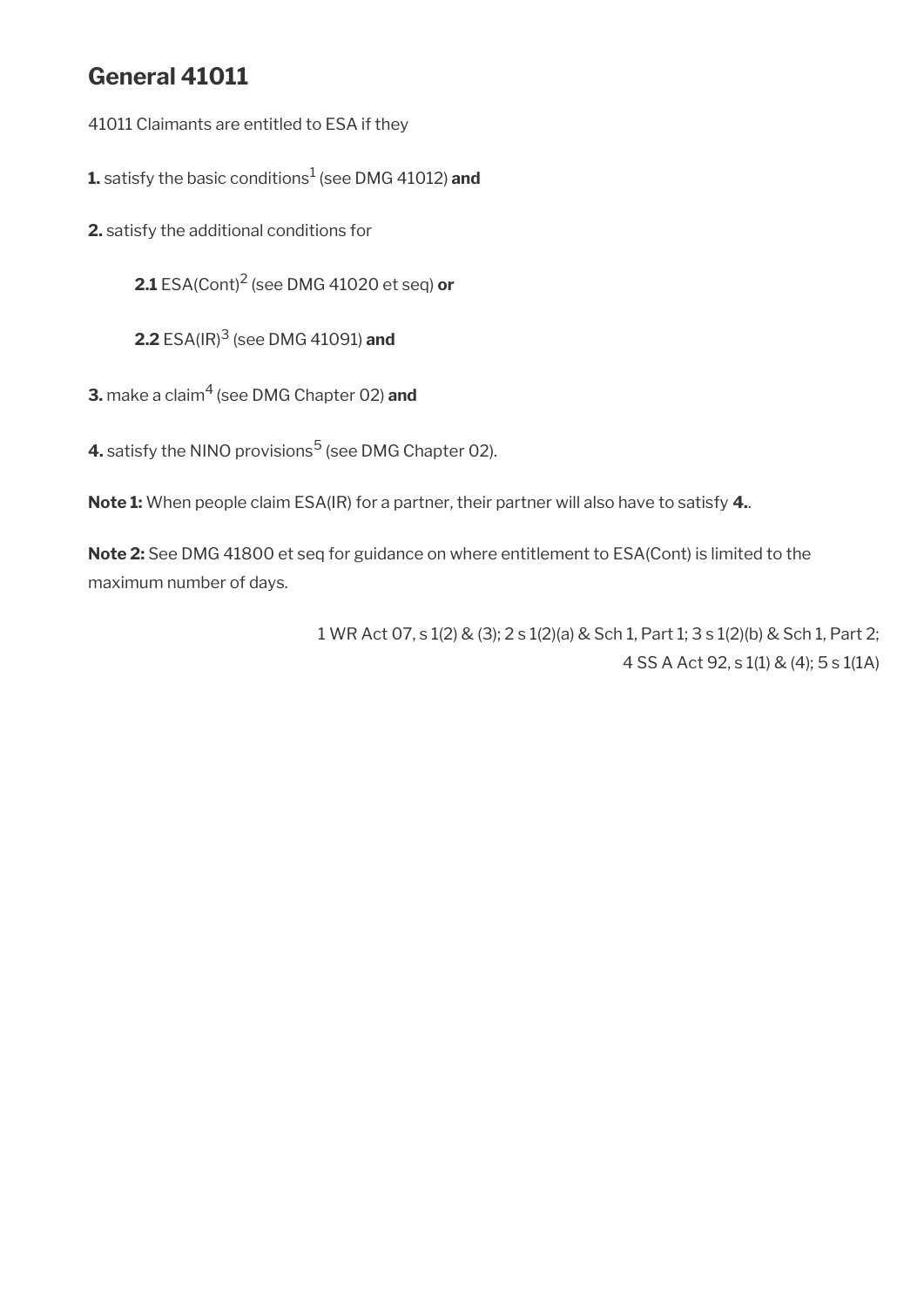# **General 41011**

41011 Claimants are entitled to ESA if they

**1.** satisfy the basic conditions<sup>1</sup> (see DMG 41012) **and** 

**2.** satisfy the additional conditions for

**2.1** ESA(Cont)<sup>2</sup> (see DMG 41020 et seq) **or**

**2.2** ESA(IR)<sup>3</sup> (see DMG 41091) **and**

**3.** make a claim4 (see DMG Chapter 02) **and**

**4.** satisfy the NINO provisions<sup>5</sup> (see DMG Chapter 02).

**Note 1:** When people claim ESA(IR) for a partner, their partner will also have to satisfy **4.**.

**Note 2:** See DMG 41800 et seq for guidance on where entitlement to ESA(Cont) is limited to the maximum number of days.

> 1 WR Act 07, s 1(2) & (3); 2 s 1(2)(a) & Sch 1, Part 1; 3 s 1(2)(b) & Sch 1, Part 2; 4 SS A Act 92, s 1(1) & (4); 5 s 1(1A)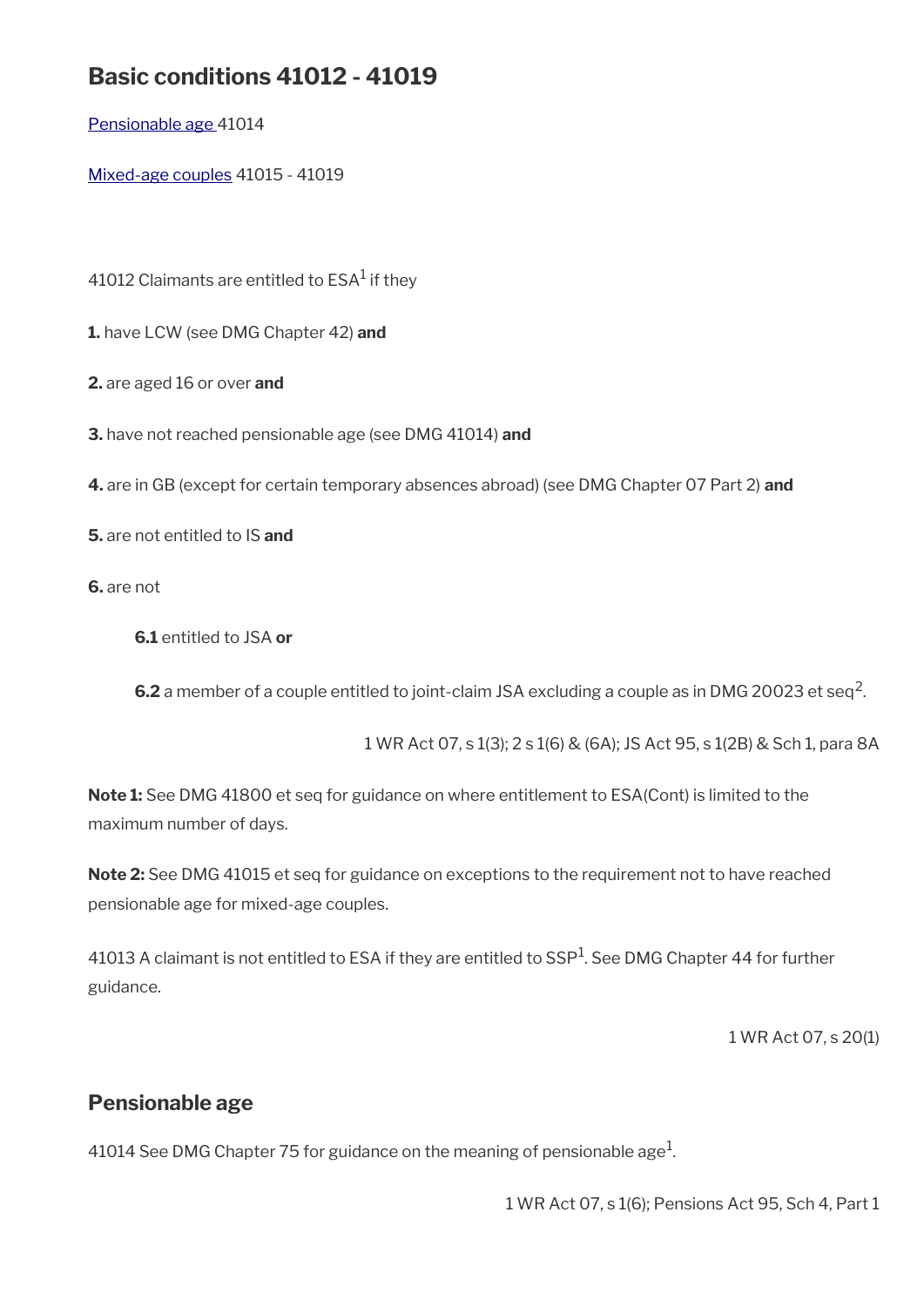# **Basic conditions 41012 - 41019**

[Pensionable age](#page-4-0) 41014

[Mixed-age couples](#page-5-0) 41015 - 41019

41012 Claimants are entitled to  $\mathsf{ESA}^1$  if they

**1.** have LCW (see DMG Chapter 42) **and**

**2.** are aged 16 or over **and**

**3.** have not reached pensionable age (see DMG 41014) **and**

**4.** are in GB (except for certain temporary absences abroad) (see DMG Chapter 07 Part 2) **and**

**5.** are not entitled to IS **and**

**6.** are not

**6.1** entitled to JSA **or**

**6.2** a member of a couple entitled to joint-claim JSA excluding a couple as in DMG 20023 et seq<sup>2</sup>.

1 WR Act 07, s 1(3); 2 s 1(6) & (6A); JS Act 95, s 1(2B) & Sch 1, para 8A

**Note 1:** See DMG 41800 et seq for guidance on where entitlement to ESA(Cont) is limited to the maximum number of days.

**Note 2:** See DMG 41015 et seq for guidance on exceptions to the requirement not to have reached pensionable age for mixed-age couples.

41013 A claimant is not entitled to ESA if they are entitled to SSP<sup>1</sup>. See DMG Chapter 44 for further guidance.

1 WR Act 07, s 20(1)

## <span id="page-4-0"></span>**Pensionable age**

41014 See DMG Chapter 75 for guidance on the meaning of pensionable age $^{\rm 1}$ .

1 WR Act 07, s 1(6); Pensions Act 95, Sch 4, Part 1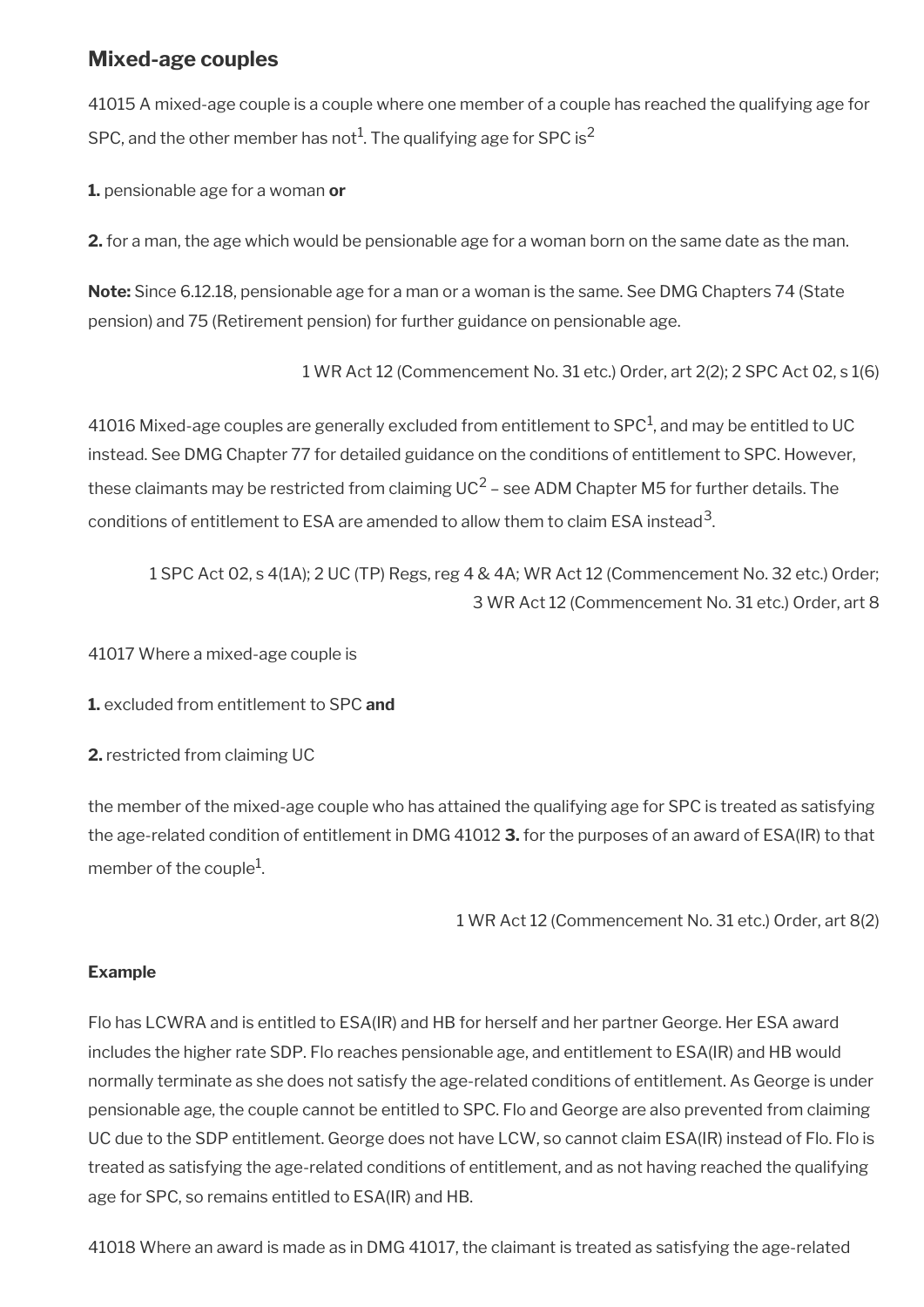## <span id="page-5-0"></span>**Mixed-age couples**

41015 A mixed-age couple is a couple where one member of a couple has reached the qualifying age for SPC, and the other member has not $^1$ . The qualifying age for SPC is $^2$ 

**1.** pensionable age for a woman **or**

**2.** for a man, the age which would be pensionable age for a woman born on the same date as the man.

**Note:** Since 6.12.18, pensionable age for a man or a woman is the same. See DMG Chapters 74 (State pension) and 75 (Retirement pension) for further guidance on pensionable age.

1 WR Act 12 (Commencement No. 31 etc.) Order, art 2(2); 2 SPC Act 02, s 1(6)

41016 Mixed-age couples are generally excluded from entitlement to SPC $^1$ , and may be entitled to UC instead. See DMG Chapter 77 for detailed guidance on the conditions of entitlement to SPC. However, these claimants may be restricted from claiming UC<sup>2</sup> – see ADM Chapter M5 for further details. The conditions of entitlement to ESA are amended to allow them to claim ESA instead $^{\rm 3}$ .

1 SPC Act 02, s 4(1A); 2 UC (TP) Regs, reg 4 & 4A; WR Act 12 (Commencement No. 32 etc.) Order; 3 WR Act 12 (Commencement No. 31 etc.) Order, art 8

41017 Where a mixed-age couple is

**1.** excluded from entitlement to SPC **and**

**2.** restricted from claiming UC

the member of the mixed-age couple who has attained the qualifying age for SPC is treated as satisfying the age-related condition of entitlement in DMG 41012 **3.** for the purposes of an award of ESA(IR) to that member of the couple<sup>1</sup>.

1 WR Act 12 (Commencement No. 31 etc.) Order, art 8(2)

#### **Example**

Flo has LCWRA and is entitled to ESA(IR) and HB for herself and her partner George. Her ESA award includes the higher rate SDP. Flo reaches pensionable age, and entitlement to ESA(IR) and HB would normally terminate as she does not satisfy the age-related conditions of entitlement. As George is under pensionable age, the couple cannot be entitled to SPC. Flo and George are also prevented from claiming UC due to the SDP entitlement. George does not have LCW, so cannot claim ESA(IR) instead of Flo. Flo is treated as satisfying the age-related conditions of entitlement, and as not having reached the qualifying age for SPC, so remains entitled to ESA(IR) and HB.

41018 Where an award is made as in DMG 41017, the claimant is treated as satisfying the age-related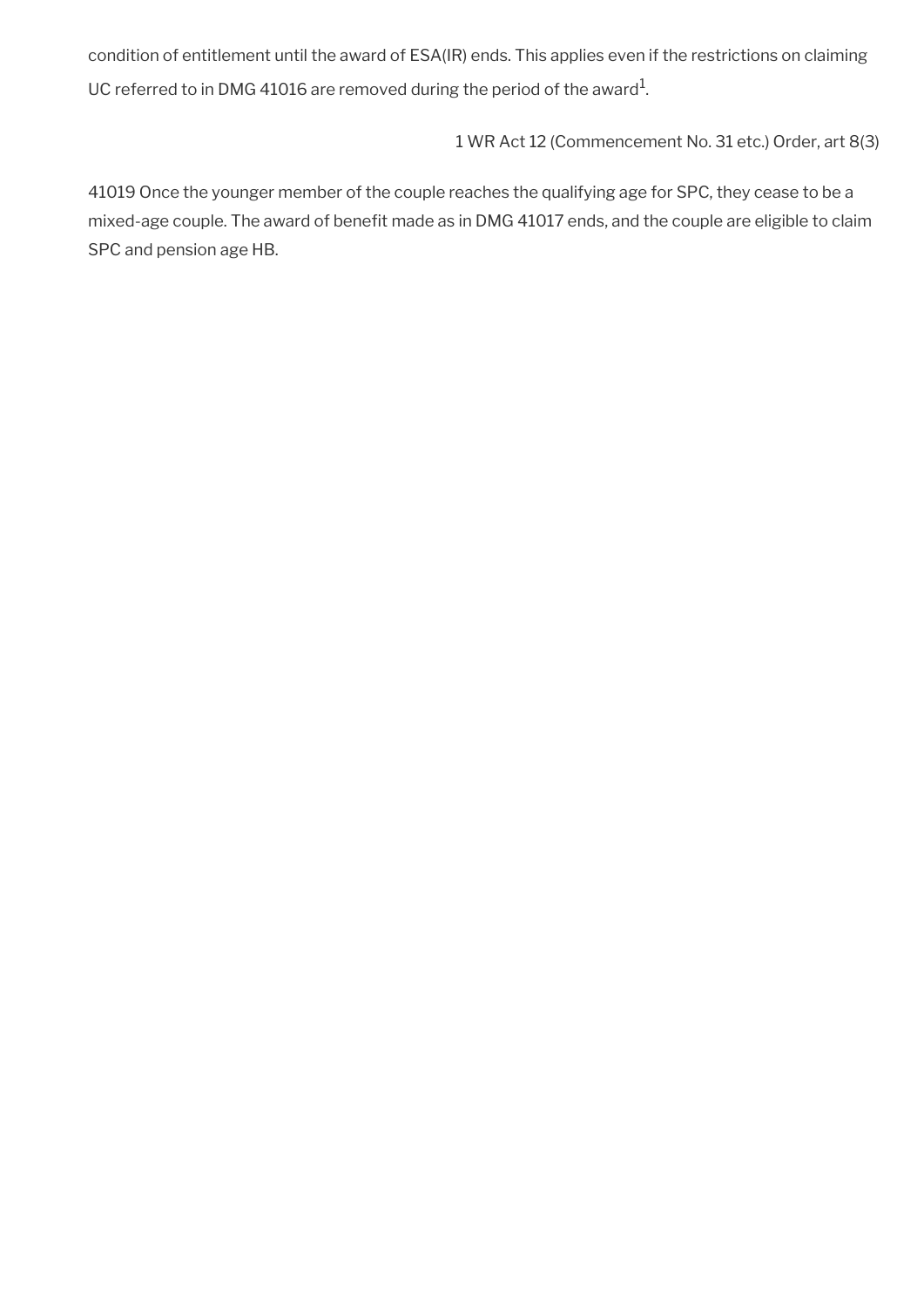condition of entitlement until the award of ESA(IR) ends. This applies even if the restrictions on claiming UC referred to in DMG 41016 are removed during the period of the award $^1$ .

1 WR Act 12 (Commencement No. 31 etc.) Order, art 8(3)

41019 Once the younger member of the couple reaches the qualifying age for SPC, they cease to be a mixed-age couple. The award of benefit made as in DMG 41017 ends, and the couple are eligible to claim SPC and pension age HB.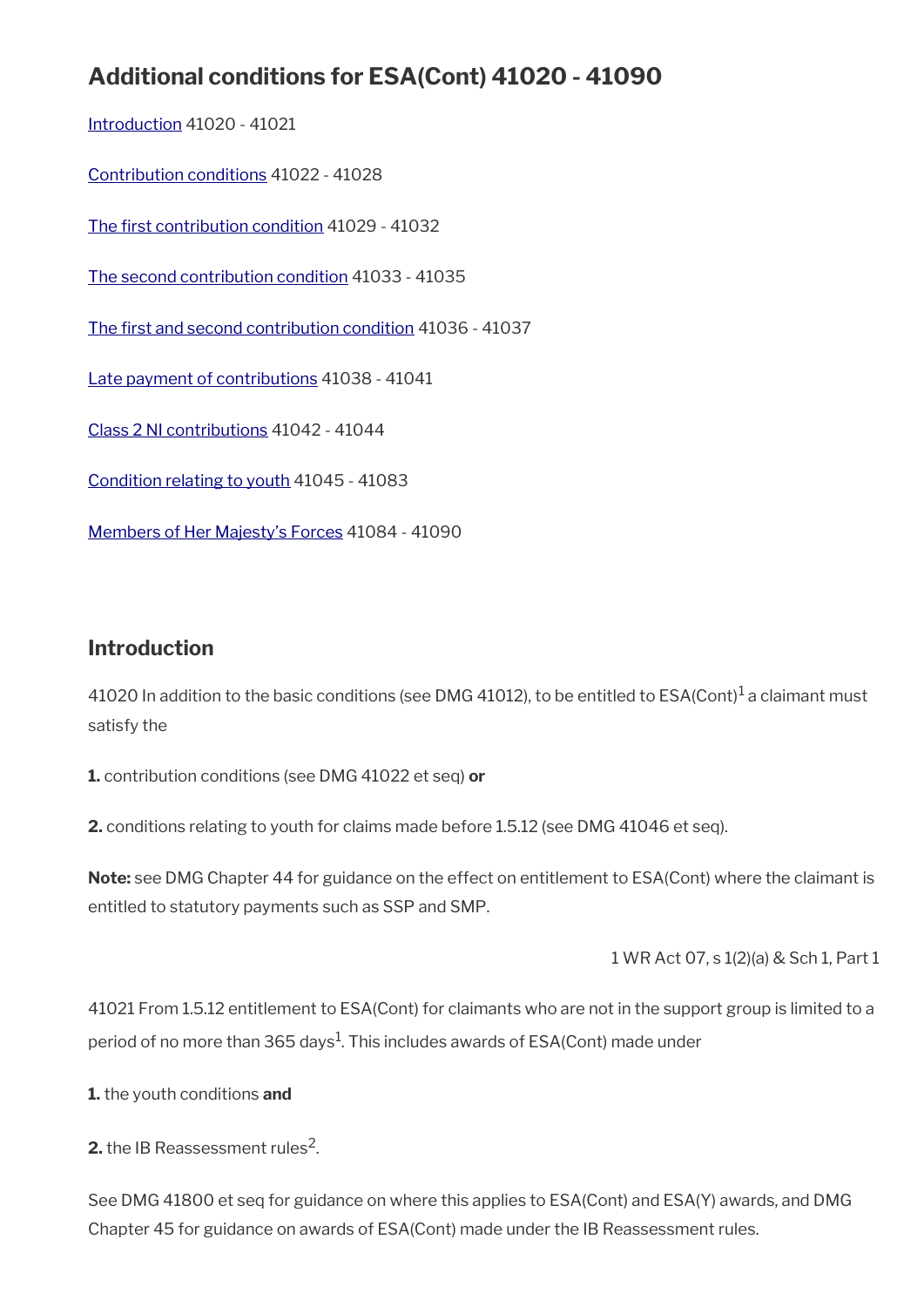# **Additional conditions for ESA(Cont) 41020 - 41090**

[Introduction](#page-7-0) 41020 - 41021 [Contribution conditions](#page-8-0) 41022 - 41028 The first contribution condition 41029 - 41032 [The second contribution condition](#page-11-0) 41033 - 41035 The first and second contribution condition 41036 - 41037 [Late payment of contributions](#page-13-0) 41038 - 41041 [Class 2 NI contributions](#page-14-0) 41042 - 41044 [Condition relating to youth](#page-15-0) 41045 - 41083 [Members of Her Majesty's Forces](#page-23-0) 41084 - 41090

## <span id="page-7-0"></span>**Introduction**

41020 In addition to the basic conditions (see DMG 41012), to be entitled to ESA(Cont) $^{\rm 1}$  a claimant must satisfy the

**1.** contribution conditions (see DMG 41022 et seq) **or**

**2.** conditions relating to youth for claims made before 1.5.12 (see DMG 41046 et seq).

**Note:** see DMG Chapter 44 for guidance on the effect on entitlement to ESA(Cont) where the claimant is entitled to statutory payments such as SSP and SMP.

1 WR Act 07, s 1(2)(a) & Sch 1, Part 1

41021 From 1.5.12 entitlement to ESA(Cont) for claimants who are not in the support group is limited to a period of no more than 365 days $^1$ . This includes awards of ESA(Cont) made under

**1.** the youth conditions **and**

**2.** the IB Reassessment rules<sup>2</sup>.

See DMG 41800 et seq for guidance on where this applies to ESA(Cont) and ESA(Y) awards, and DMG Chapter 45 for guidance on awards of ESA(Cont) made under the IB Reassessment rules.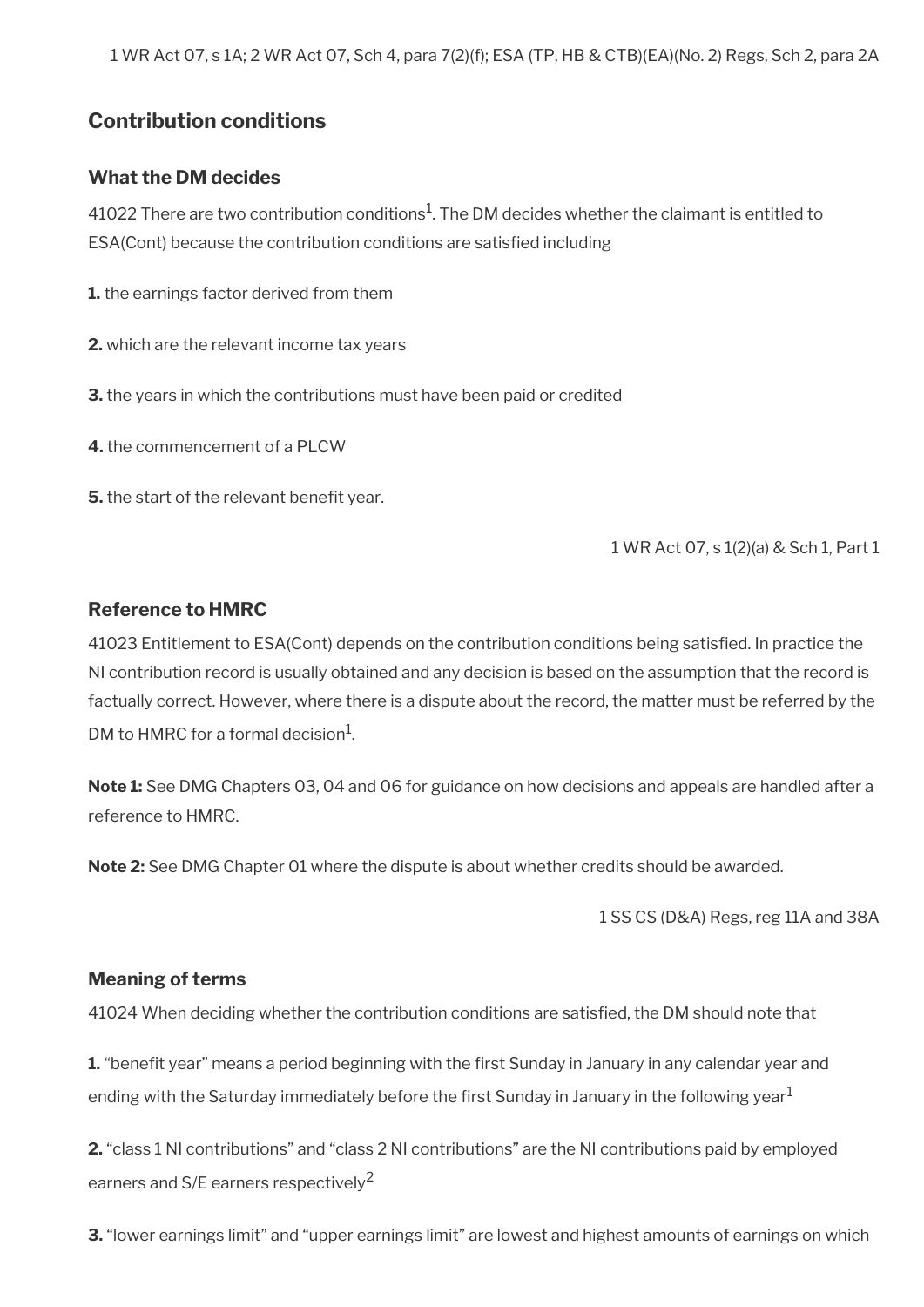1 WR Act 07, s 1A; 2 WR Act 07, Sch 4, para 7(2)(f); ESA (TP, HB & CTB)(EA)(No. 2) Regs, Sch 2, para 2A

## <span id="page-8-0"></span>**Contribution conditions**

#### **What the DM decides**

41022 There are two contribution conditions $^1$ . The DM decides whether the claimant is entitled to ESA(Cont) because the contribution conditions are satisfed including

**1.** the earnings factor derived from them

**2.** which are the relevant income tax years

**3.** the years in which the contributions must have been paid or credited

**4.** the commencement of a PLCW

**5.** the start of the relevant benefit year.

1 WR Act 07, s 1(2)(a) & Sch 1, Part 1

#### **Reference to HMRC**

41023 Entitlement to ESA(Cont) depends on the contribution conditions being satisfed. In practice the NI contribution record is usually obtained and any decision is based on the assumption that the record is factually correct. However, where there is a dispute about the record, the matter must be referred by the DM to HMRC for a formal decision $^1$ .

**Note 1:** See DMG Chapters 03, 04 and 06 for guidance on how decisions and appeals are handled after a reference to HMRC.

**Note 2:** See DMG Chapter 01 where the dispute is about whether credits should be awarded.

1 SS CS (D&A) Regs, reg 11A and 38A

#### **Meaning of terms**

41024 When deciding whether the contribution conditions are satisfed, the DM should note that

**1.** "benefit year" means a period beginning with the first Sunday in January in any calendar year and ending with the Saturday immediately before the first Sunday in January in the following year<sup>1</sup>

**2.** "class 1 NI contributions" and "class 2 NI contributions" are the NI contributions paid by employed earners and S/E earners respectively<sup>2</sup>

**3.** "lower earnings limit" and "upper earnings limit" are lowest and highest amounts of earnings on which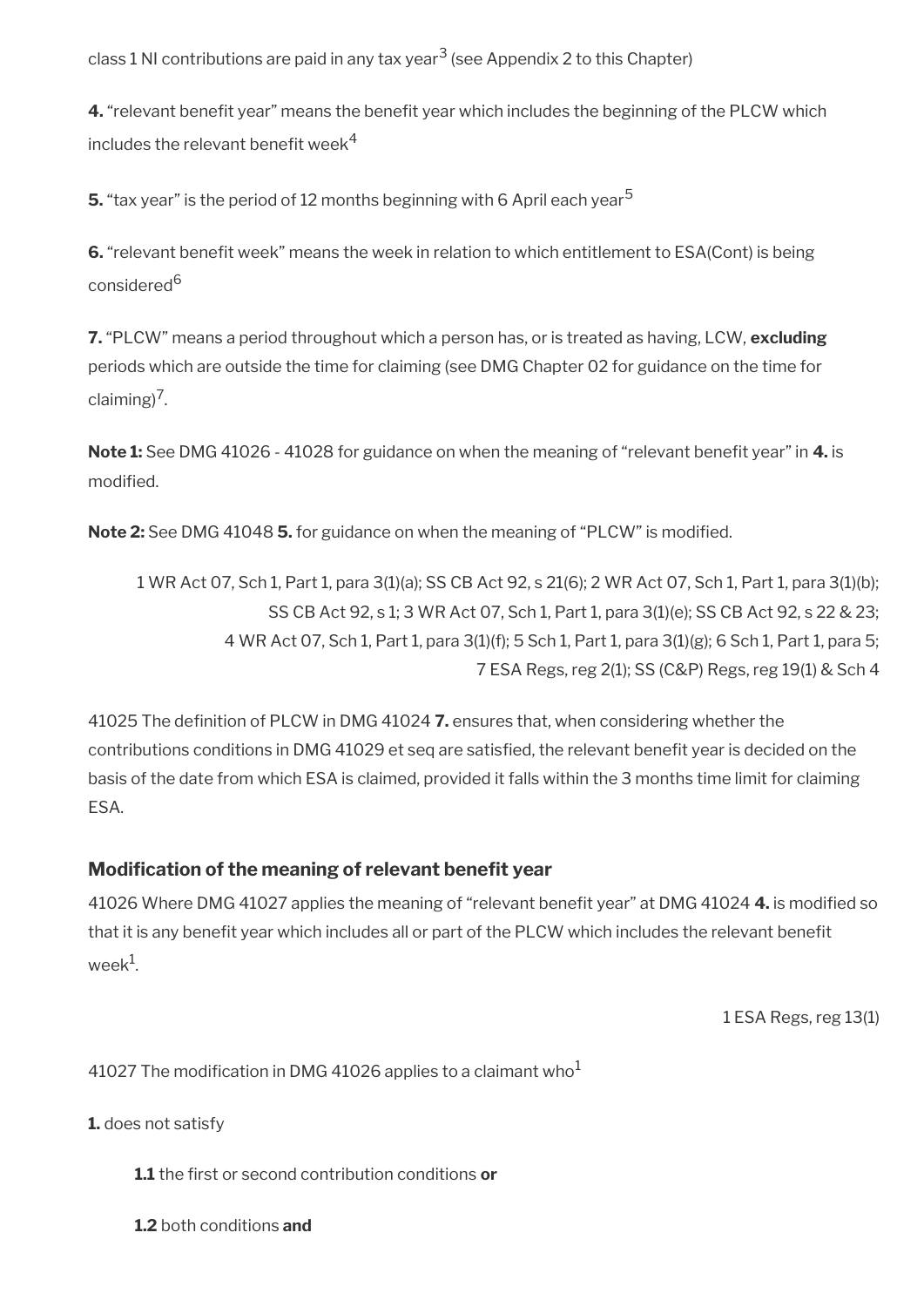class 1 NI contributions are paid in any tax year<sup>3</sup> (see Appendix 2 to this Chapter)

**4.** "relevant benefit year" means the benefit year which includes the beginning of the PLCW which includes the relevant benefit week $4$ 

**5.** "tax year" is the period of 12 months beginning with 6 April each year<sup>5</sup>

**6.** "relevant benefit week" means the week in relation to which entitlement to ESA(Cont) is being considered<sup>6</sup>

**7.** "PLCW" means a period throughout which a person has, or is treated as having, LCW, **excluding** periods which are outside the time for claiming (see DMG Chapter 02 for guidance on the time for claiming)<sup>7</sup>.

**Note 1:** See DMG 41026 - 41028 for guidance on when the meaning of "relevant benefit year" in 4. is modified.

**Note 2:** See DMG 41048 **5.** for guidance on when the meaning of "PLCW" is modifed.

1 WR Act 07, Sch 1, Part 1, para 3(1)(a); SS CB Act 92, s 21(6); 2 WR Act 07, Sch 1, Part 1, para 3(1)(b); SS CB Act 92, s 1; 3 WR Act 07, Sch 1, Part 1, para 3(1)(e); SS CB Act 92, s 22 & 23; 4 WR Act 07, Sch 1, Part 1, para 3(1)(f); 5 Sch 1, Part 1, para 3(1)(g); 6 Sch 1, Part 1, para 5; 7 ESA Regs, reg 2(1); SS (C&P) Regs, reg 19(1) & Sch 4

41025 The defnition of PLCW in DMG 41024 **7.** ensures that, when considering whether the contributions conditions in DMG 41029 et seq are satisfied, the relevant benefit year is decided on the basis of the date from which ESA is claimed, provided it falls within the 3 months time limit for claiming ESA.

### **Modification of the meaning of relevant benefit year**

41026 Where DMG 41027 applies the meaning of "relevant beneft year" at DMG 41024 **4.** is modifed so that it is any benefit year which includes all or part of the PLCW which includes the relevant benefit week $^1$ .

1 ESA Regs, reg 13(1)

41027 The modification in DMG 41026 applies to a claimant who<sup>1</sup>

**1.** does not satisfy

**1.1** the frst or second contribution conditions **or**

**1.2** both conditions **and**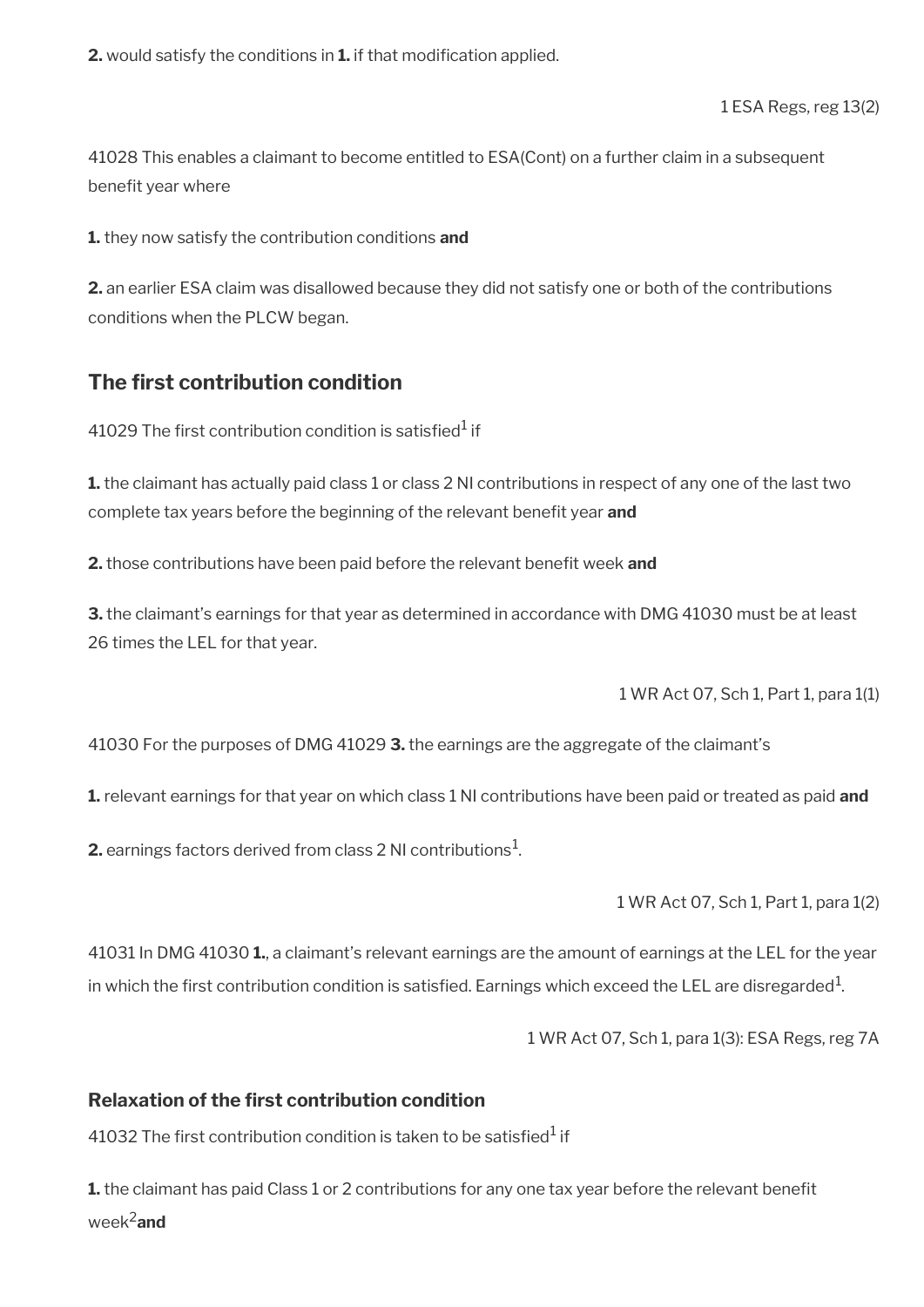**2.** would satisfy the conditions in **1.** if that modification applied.

1 ESA Regs, reg 13(2)

41028 This enables a claimant to become entitled to ESA(Cont) on a further claim in a subsequent benefit year where

**1.** they now satisfy the contribution conditions **and**

**2.** an earlier ESA claim was disallowed because they did not satisfy one or both of the contributions conditions when the PLCW began.

## <span id="page-10-0"></span>**The first contribution condition**

41029 The first contribution condition is satisfied $^{\rm 1}$  if

**1.** the claimant has actually paid class 1 or class 2 NI contributions in respect of any one of the last two complete tax years before the beginning of the relevant benefit year **and** 

**2.** those contributions have been paid before the relevant benefit week and

**3.** the claimant's earnings for that year as determined in accordance with DMG 41030 must be at least 26 times the LEL for that year.

1 WR Act 07, Sch 1, Part 1, para 1(1)

41030 For the purposes of DMG 41029 **3.** the earnings are the aggregate of the claimant's

**1.** relevant earnings for that year on which class 1 NI contributions have been paid or treated as paid **and**

**2.** earnings factors derived from class 2 NI contributions $^1$ .

1 WR Act 07, Sch 1, Part 1, para 1(2)

41031 In DMG 41030 **1.**, a claimant's relevant earnings are the amount of earnings at the LEL for the year in which the first contribution condition is satisfied. Earnings which exceed the LEL are disregarded $^1$ .

1 WR Act 07, Sch 1, para 1(3): ESA Regs, reg 7A

### **Relaxation of the frst contribution condition**

41032 The first contribution condition is taken to be satisfied $^{\rm 1}$  if

**1.** the claimant has paid Class 1 or 2 contributions for any one tax year before the relevant benefit week2**and**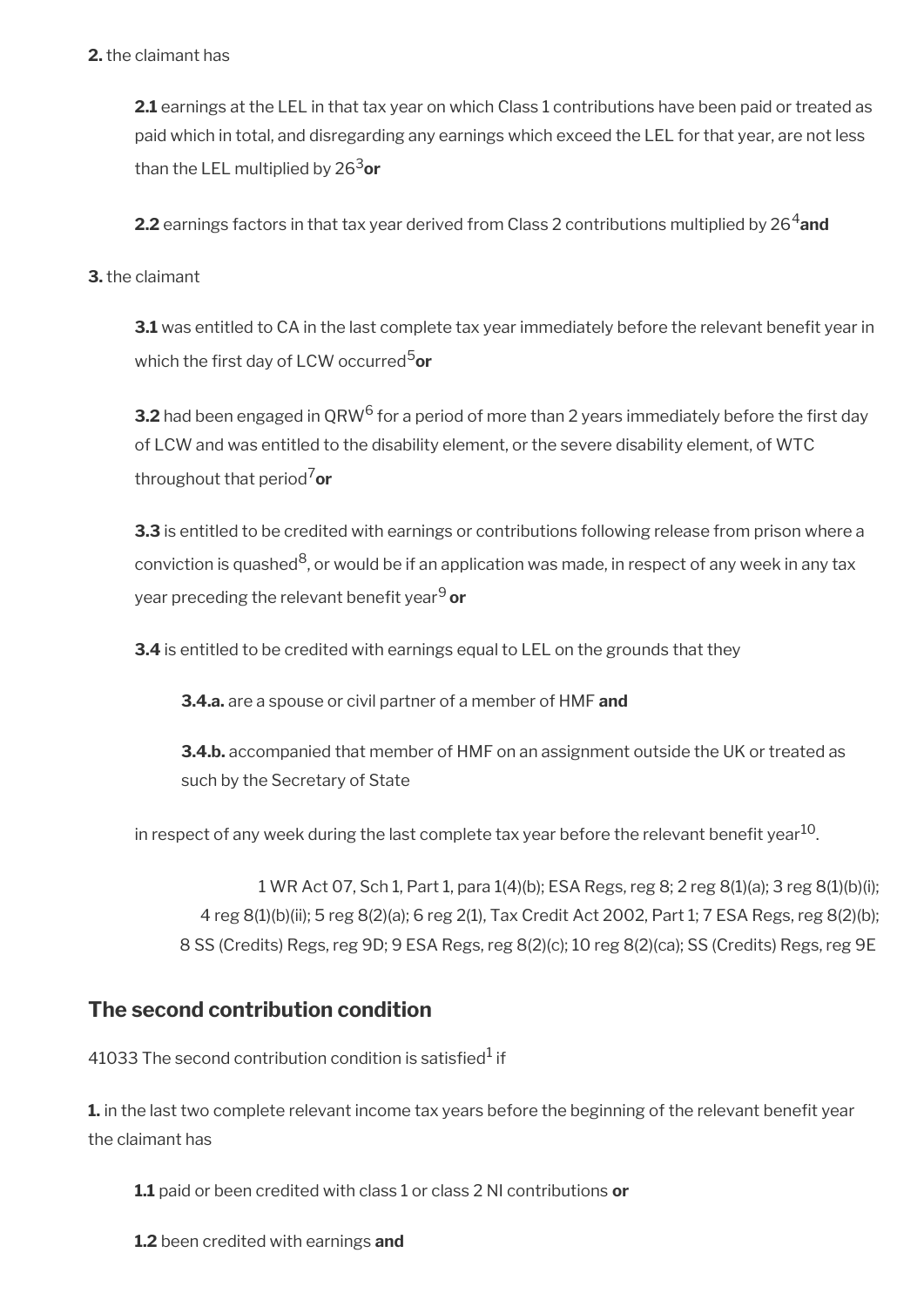#### **2.** the claimant has

**2.1** earnings at the LEL in that tax year on which Class 1 contributions have been paid or treated as paid which in total, and disregarding any earnings which exceed the LEL for that year, are not less than the LEL multiplied by 263**or**

**2.2** earnings factors in that tax year derived from Class 2 contributions multiplied by 26<sup>4</sup>and

#### **3.** the claimant

**3.1** was entitled to CA in the last complete tax year immediately before the relevant benefit year in which the first day of LCW occurred<sup>5</sup>or

**3.2** had been engaged in QRW<sup>6</sup> for a period of more than 2 years immediately before the first day of LCW and was entitled to the disability element, or the severe disability element, of WTC throughout that period7**or**

**3.3** is entitled to be credited with earnings or contributions following release from prison where a conviction is quashed $^8$ , or would be if an application was made, in respect of any week in any tax year preceding the relevant benefit year<sup>9</sup> or

**3.4** is entitled to be credited with earnings equal to LEL on the grounds that they

**3.4.a.** are a spouse or civil partner of a member of HMF **and**

**3.4.b.** accompanied that member of HMF on an assignment outside the UK or treated as such by the Secretary of State

in respect of any week during the last complete tax year before the relevant benefit year<sup>10</sup>.

1 WR Act 07, Sch 1, Part 1, para 1(4)(b); ESA Regs, reg 8; 2 reg 8(1)(a); 3 reg 8(1)(b)(i); 4 reg 8(1)(b)(ii); 5 reg 8(2)(a); 6 reg 2(1), Tax Credit Act 2002, Part 1; 7 ESA Regs, reg 8(2)(b); 8 SS (Credits) Regs, reg 9D; 9 ESA Regs, reg 8(2)(c); 10 reg 8(2)(ca); SS (Credits) Regs, reg 9E

## <span id="page-11-0"></span>**The second contribution condition**

41033 The second contribution condition is satisfied $^{\rm 1}$  if

**1.** in the last two complete relevant income tax years before the beginning of the relevant benefit year the claimant has

**1.1** paid or been credited with class 1 or class 2 NI contributions **or** 

**1.2** been credited with earnings **and**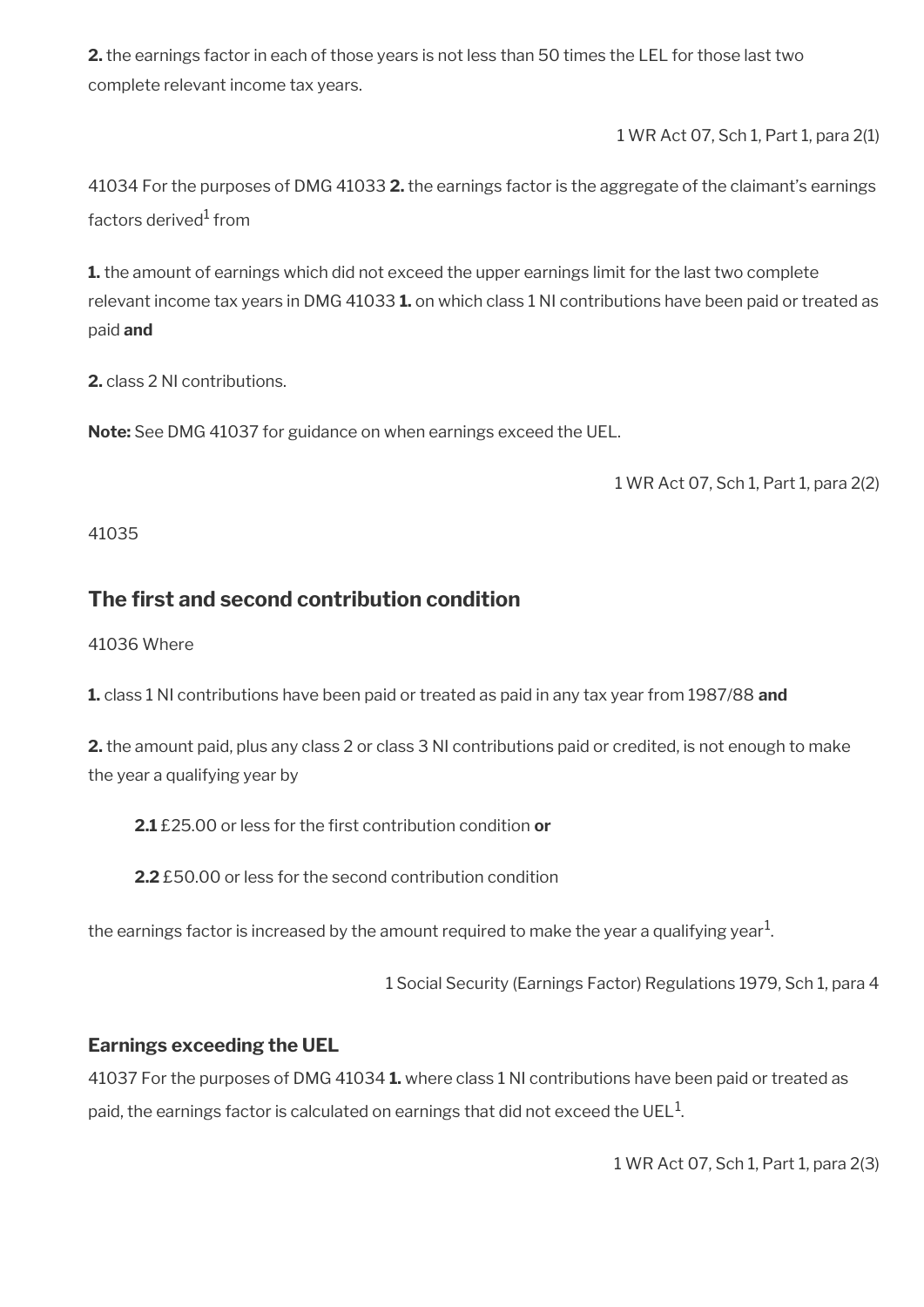**2.** the earnings factor in each of those years is not less than 50 times the LEL for those last two complete relevant income tax years.

1 WR Act 07, Sch 1, Part 1, para 2(1)

41034 For the purposes of DMG 41033 **2.** the earnings factor is the aggregate of the claimant's earnings factors derived<sup>1</sup> from

**1.** the amount of earnings which did not exceed the upper earnings limit for the last two complete relevant income tax years in DMG 41033 **1.** on which class 1 NI contributions have been paid or treated as paid **and**

**2.** class 2 NI contributions.

**Note:** See DMG 41037 for guidance on when earnings exceed the UEL.

1 WR Act 07, Sch 1, Part 1, para 2(2)

41035

## <span id="page-12-0"></span>**The frst and second contribution condition**

41036 Where

**1.** class 1 NI contributions have been paid or treated as paid in any tax year from 1987/88 **and**

**2.** the amount paid, plus any class 2 or class 3 NI contributions paid or credited, is not enough to make the year a qualifying year by

**2.1** £25.00 or less for the frst contribution condition **or**

**2.2** £50.00 or less for the second contribution condition

the earnings factor is increased by the amount required to make the year a qualifying year $^{\rm 1}$ .

1 Social Security (Earnings Factor) Regulations 1979, Sch 1, para 4

### **Earnings exceeding the UEL**

41037 For the purposes of DMG 41034 **1.** where class 1 NI contributions have been paid or treated as paid, the earnings factor is calculated on earnings that did not exceed the UEL  $^{\rm 1}$ .

1 WR Act 07, Sch 1, Part 1, para 2(3)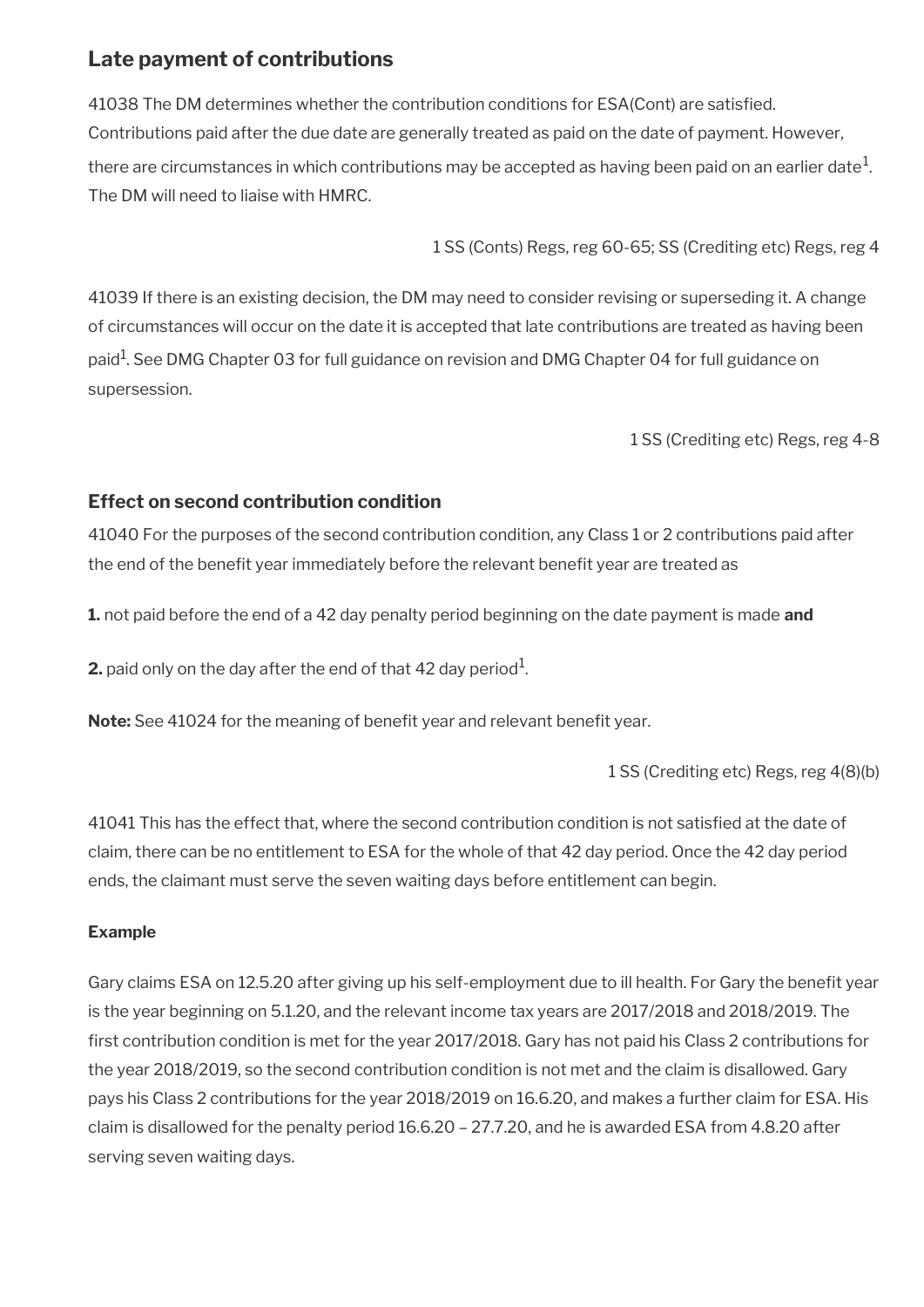## <span id="page-13-0"></span>**Late payment of contributions**

41038 The DM determines whether the contribution conditions for ESA(Cont) are satisfed. Contributions paid after the due date are generally treated as paid on the date of payment. However, there are circumstances in which contributions may be accepted as having been paid on an earlier date $^1\!$ . The DM will need to liaise with HMRC.

1 SS (Conts) Regs, reg 60-65; SS (Crediting etc) Regs, reg 4

41039 If there is an existing decision, the DM may need to consider revising or superseding it. A change of circumstances will occur on the date it is accepted that late contributions are treated as having been paid $^{\rm 1}$ . See DMG Chapter 03 for full guidance on revision and DMG Chapter 04 for full guidance on supersession.

1 SS (Crediting etc) Regs, reg 4-8

### **Effect on second contribution condition**

41040 For the purposes of the second contribution condition, any Class 1 or 2 contributions paid after the end of the benefit year immediately before the relevant benefit year are treated as

**1.** not paid before the end of a 42 day penalty period beginning on the date payment is made **and**

**2.** paid only on the day after the end of that 42 day period $^1$ .

Note: See 41024 for the meaning of benefit year and relevant benefit year.

1 SS (Crediting etc) Regs, reg 4(8)(b)

41041 This has the effect that, where the second contribution condition is not satisfed at the date of claim, there can be no entitlement to ESA for the whole of that 42 day period. Once the 42 day period ends, the claimant must serve the seven waiting days before entitlement can begin.

#### **Example**

Gary claims ESA on 12.5.20 after giving up his self-employment due to ill health. For Gary the benefit year is the year beginning on 5.1.20, and the relevant income tax years are 2017/2018 and 2018/2019. The first contribution condition is met for the year 2017/2018. Gary has not paid his Class 2 contributions for the year 2018/2019, so the second contribution condition is not met and the claim is disallowed. Gary pays his Class 2 contributions for the year 2018/2019 on 16.6.20, and makes a further claim for ESA. His claim is disallowed for the penalty period 16.6.20 – 27.7.20, and he is awarded ESA from 4.8.20 after serving seven waiting days.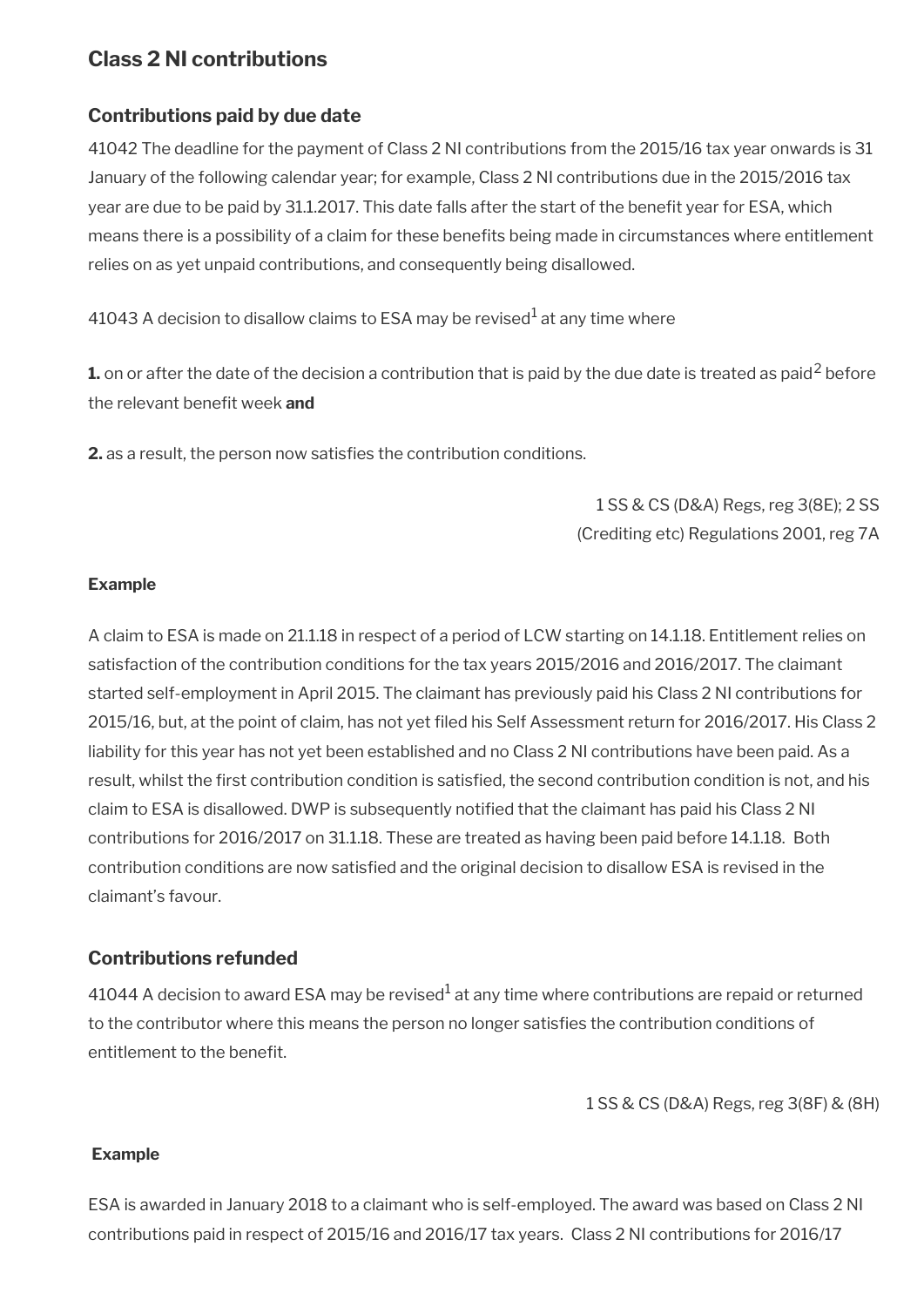## <span id="page-14-0"></span>**Class 2 NI contributions**

### **Contributions paid by due date**

41042 The deadline for the payment of Class 2 NI contributions from the 2015/16 tax year onwards is 31 January of the following calendar year; for example, Class 2 NI contributions due in the 2015/2016 tax year are due to be paid by 31.1.2017. This date falls after the start of the benefit year for ESA, which means there is a possibility of a claim for these benefts being made in circumstances where entitlement relies on as yet unpaid contributions, and consequently being disallowed.

41043 A decision to disallow claims to ESA may be revised $^{\rm 1}$  at any time where

**1.** on or after the date of the decision a contribution that is paid by the due date is treated as paid<sup>2</sup> before the relevant benefit week **and** 

**2.** as a result, the person now satisfies the contribution conditions.

1 SS & CS (D&A) Regs, reg 3(8E); 2 SS (Crediting etc) Regulations 2001, reg 7A

#### **Example**

A claim to ESA is made on 21.1.18 in respect of a period of LCW starting on 14.1.18. Entitlement relies on satisfaction of the contribution conditions for the tax years 2015/2016 and 2016/2017. The claimant started self-employment in April 2015. The claimant has previously paid his Class 2 NI contributions for 2015/16, but, at the point of claim, has not yet fled his Self Assessment return for 2016/2017. His Class 2 liability for this year has not yet been established and no Class 2 NI contributions have been paid. As a result, whilst the frst contribution condition is satisfed, the second contribution condition is not, and his claim to ESA is disallowed. DWP is subsequently notifed that the claimant has paid his Class 2 NI contributions for 2016/2017 on 31.1.18. These are treated as having been paid before 14.1.18. Both contribution conditions are now satisfed and the original decision to disallow ESA is revised in the claimant's favour.

### **Contributions refunded**

41044 A decision to award ESA may be revised $^{\rm 1}$  at any time where contributions are repaid or returned to the contributor where this means the person no longer satisfes the contribution conditions of entitlement to the benefit.

1 SS & CS (D&A) Regs, reg 3(8F) & (8H)

#### **Example**

ESA is awarded in January 2018 to a claimant who is self-employed. The award was based on Class 2 NI contributions paid in respect of 2015/16 and 2016/17 tax years. Class 2 NI contributions for 2016/17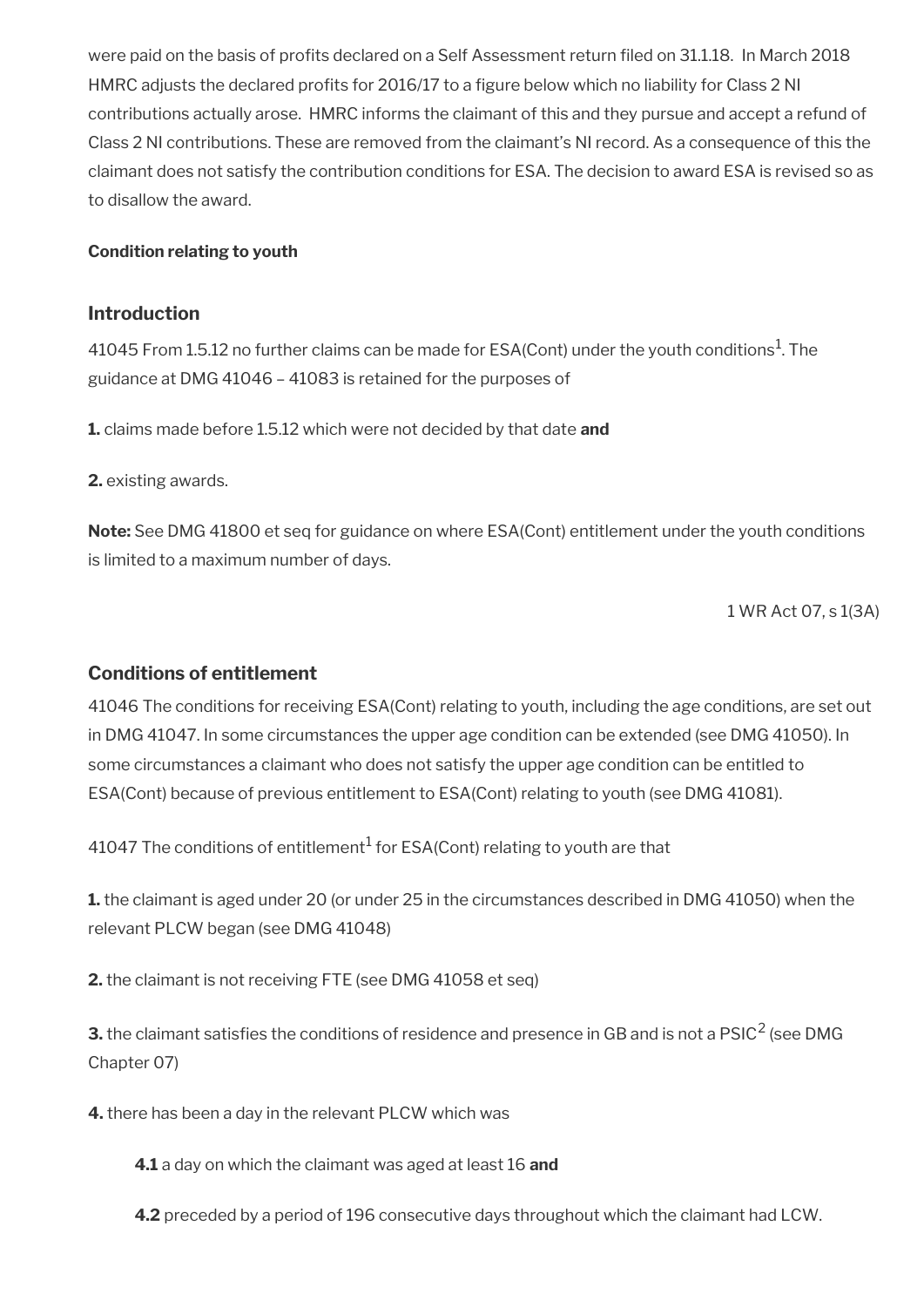were paid on the basis of profits declared on a Self Assessment return filed on 31.1.18. In March 2018 HMRC adjusts the declared profits for 2016/17 to a figure below which no liability for Class 2 NI contributions actually arose. HMRC informs the claimant of this and they pursue and accept a refund of Class 2 NI contributions. These are removed from the claimant's NI record. As a consequence of this the claimant does not satisfy the contribution conditions for ESA. The decision to award ESA is revised so as to disallow the award.

#### <span id="page-15-0"></span>**Condition relating to youth**

#### **Introduction**

41045 From 1.5.12 no further claims can be made for ESA(Cont) under the youth conditions<sup>1</sup>. The guidance at DMG 41046 – 41083 is retained for the purposes of

**1.** claims made before 1.5.12 which were not decided by that date **and**

**2.** existing awards.

**Note:** See DMG 41800 et seq for guidance on where ESA(Cont) entitlement under the youth conditions is limited to a maximum number of days.

1 WR Act 07, s 1(3A)

#### **Conditions of entitlement**

41046 The conditions for receiving ESA(Cont) relating to youth, including the age conditions, are set out in DMG 41047. In some circumstances the upper age condition can be extended (see DMG 41050). In some circumstances a claimant who does not satisfy the upper age condition can be entitled to ESA(Cont) because of previous entitlement to ESA(Cont) relating to youth (see DMG 41081).

41047 The conditions of entitlement $^1$  for ESA(Cont) relating to youth are that

**1.** the claimant is aged under 20 (or under 25 in the circumstances described in DMG 41050) when the relevant PLCW began (see DMG 41048)

**2.** the claimant is not receiving FTE (see DMG 41058 et seq)

**3.** the claimant satisfies the conditions of residence and presence in GB and is not a  $\mathsf{PSIC}^2$  (see <code>DMG</code> Chapter 07)

**4.** there has been a day in the relevant PLCW which was

**4.1** a day on which the claimant was aged at least 16 **and**

**4.2** preceded by a period of 196 consecutive days throughout which the claimant had LCW.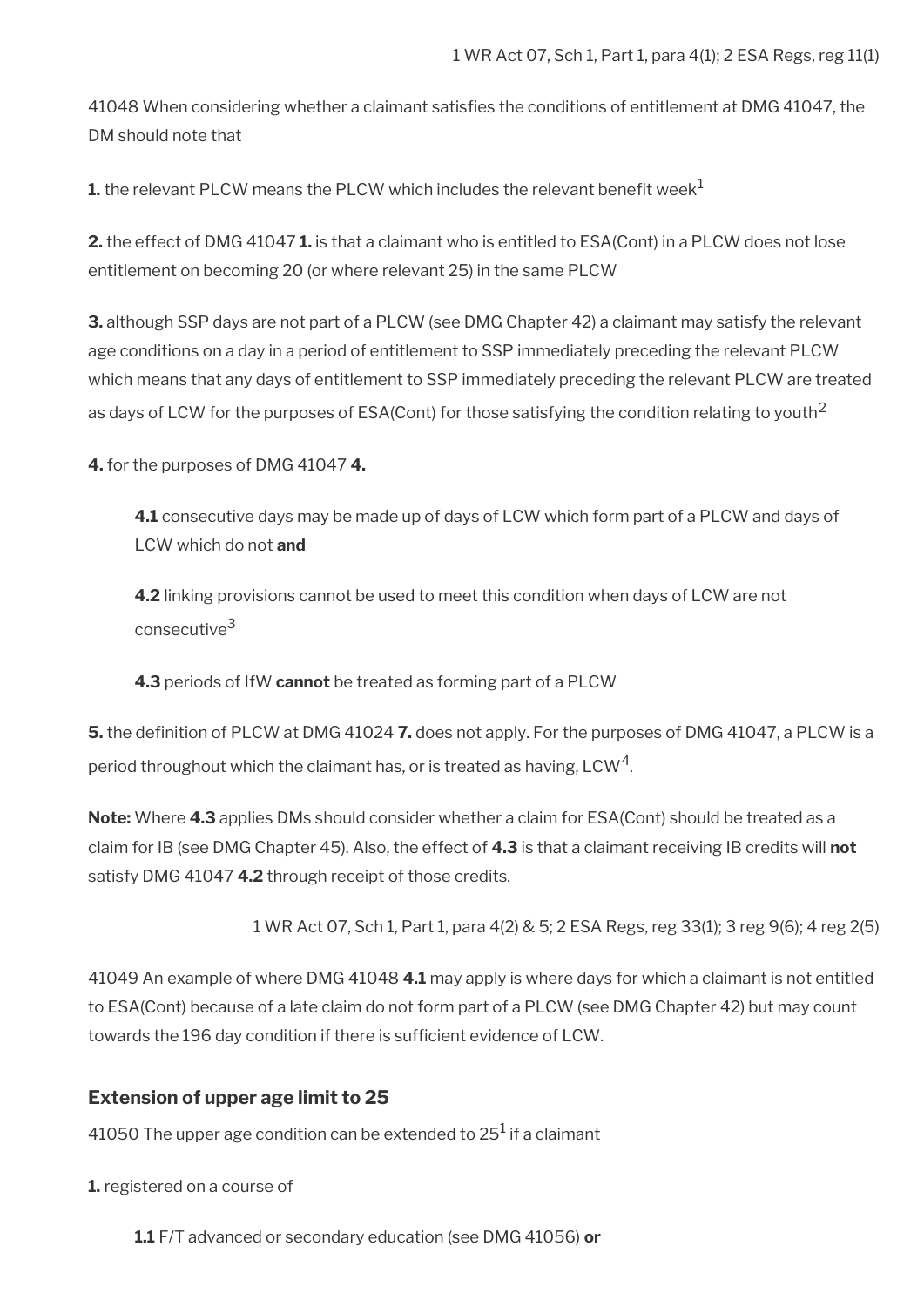41048 When considering whether a claimant satisfes the conditions of entitlement at DMG 41047, the DM should note that

**1.** the relevant PLCW means the PLCW which includes the relevant benefit week<sup>1</sup>

**2.** the effect of DMG 41047 **1.** is that a claimant who is entitled to ESA(Cont) in a PLCW does not lose entitlement on becoming 20 (or where relevant 25) in the same PLCW

**3.** although SSP days are not part of a PLCW (see DMG Chapter 42) a claimant may satisfy the relevant age conditions on a day in a period of entitlement to SSP immediately preceding the relevant PLCW which means that any days of entitlement to SSP immediately preceding the relevant PLCW are treated as days of LCW for the purposes of ESA(Cont) for those satisfying the condition relating to youth<sup>2</sup>

**4.** for the purposes of DMG 41047 **4.**

**4.1** consecutive days may be made up of days of LCW which form part of a PLCW and days of LCW which do not **and**

**4.2** linking provisions cannot be used to meet this condition when days of LCW are not consecutive<sup>3</sup>

**4.3** periods of IfW **cannot** be treated as forming part of a PLCW

**5.** the defnition of PLCW at DMG 41024 **7.** does not apply. For the purposes of DMG 41047, a PLCW is a period throughout which the claimant has, or is treated as having, LCW $^{\rm 4}$ .

**Note:** Where **4.3** applies DMs should consider whether a claim for ESA(Cont) should be treated as a claim for IB (see DMG Chapter 45). Also, the effect of **4.3** is that a claimant receiving IB credits will **not**  satisfy DMG 41047 **4.2** through receipt of those credits.

1 WR Act 07, Sch 1, Part 1, para 4(2) & 5; 2 ESA Regs, reg 33(1); 3 reg 9(6); 4 reg 2(5)

41049 An example of where DMG 41048 **4.1** may apply is where days for which a claimant is not entitled to ESA(Cont) because of a late claim do not form part of a PLCW (see DMG Chapter 42) but may count towards the 196 day condition if there is sufficient evidence of LCW.

#### **Extension of upper age limit to 25**

41050 The upper age condition can be extended to 25 $^{\rm 1}$  if a claimant

**1.** registered on a course of

**1.1** F/T advanced or secondary education (see DMG 41056) **or**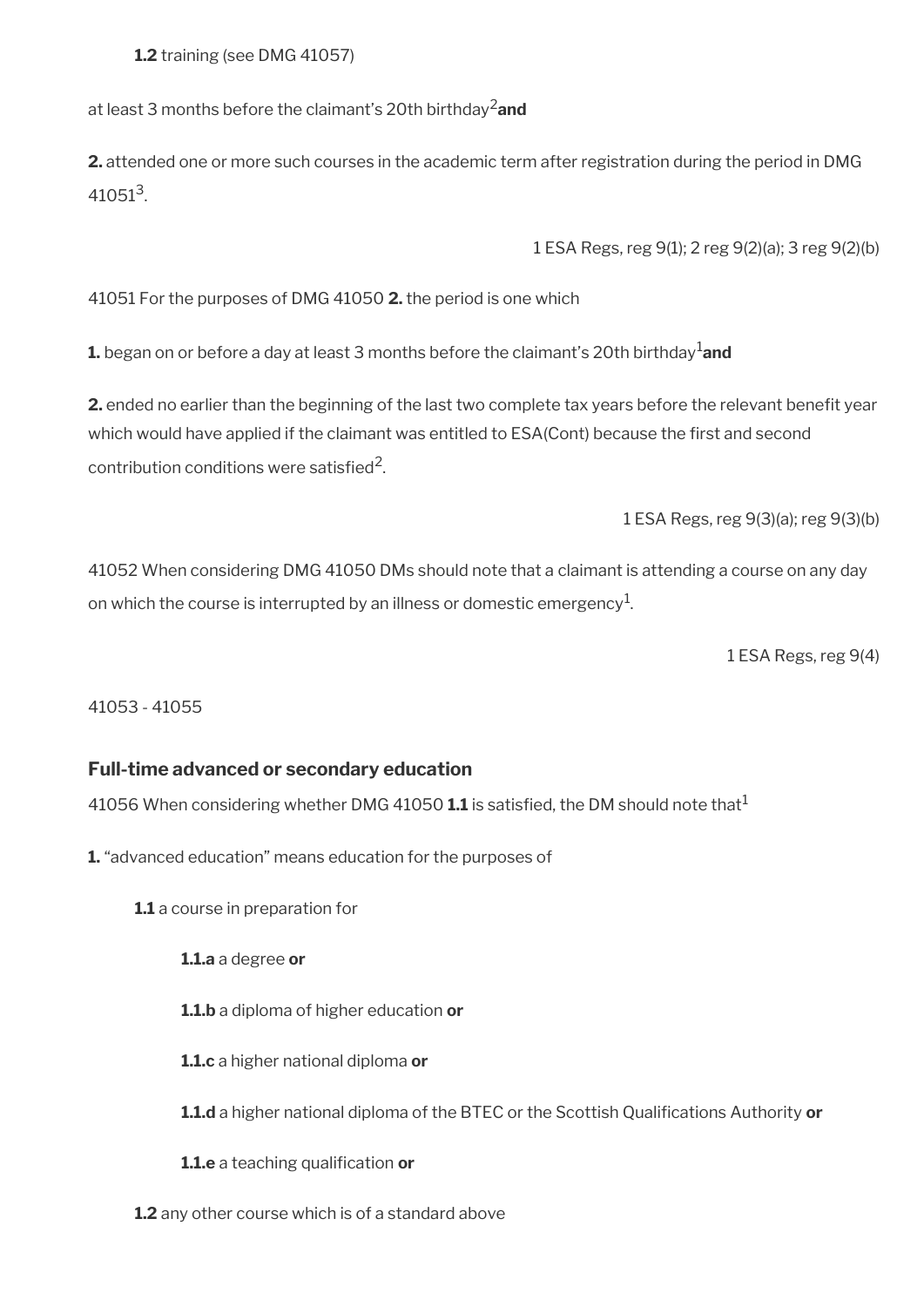**1.2** training (see DMG 41057)

at least 3 months before the claimant's 20th birthday2**and**

**2.** attended one or more such courses in the academic term after registration during the period in DMG  $41051^3$ .

1 ESA Regs, reg 9(1); 2 reg 9(2)(a); 3 reg 9(2)(b)

41051 For the purposes of DMG 41050 **2.** the period is one which

**1.** began on or before a day at least 3 months before the claimant's 20th birthday<sup>1</sup>and

2. ended no earlier than the beginning of the last two complete tax years before the relevant benefit year which would have applied if the claimant was entitled to ESA(Cont) because the first and second contribution conditions were satisfied<sup>2</sup>.

1 ESA Regs, reg 9(3)(a); reg 9(3)(b)

41052 When considering DMG 41050 DMs should note that a claimant is attending a course on any day on which the course is interrupted by an illness or domestic emergency $^{\mathrm{1}}$ .

1 ESA Regs, reg 9(4)

41053 - 41055

#### **Full-time advanced or secondary education**

41056 When considering whether DMG 41050 **1.1** is satisfed, the DM should note that<sup>1</sup>

**1.** "advanced education" means education for the purposes of

**1.1** a course in preparation for

**1.1.a** a degree **or**

**1.1.b** a diploma of higher education **or**

**1.1.c** a higher national diploma **or**

**1.1.d** a higher national diploma of the BTEC or the Scottish Qualifcations Authority **or**

**1.1.e** a teaching qualification or

**1.2** any other course which is of a standard above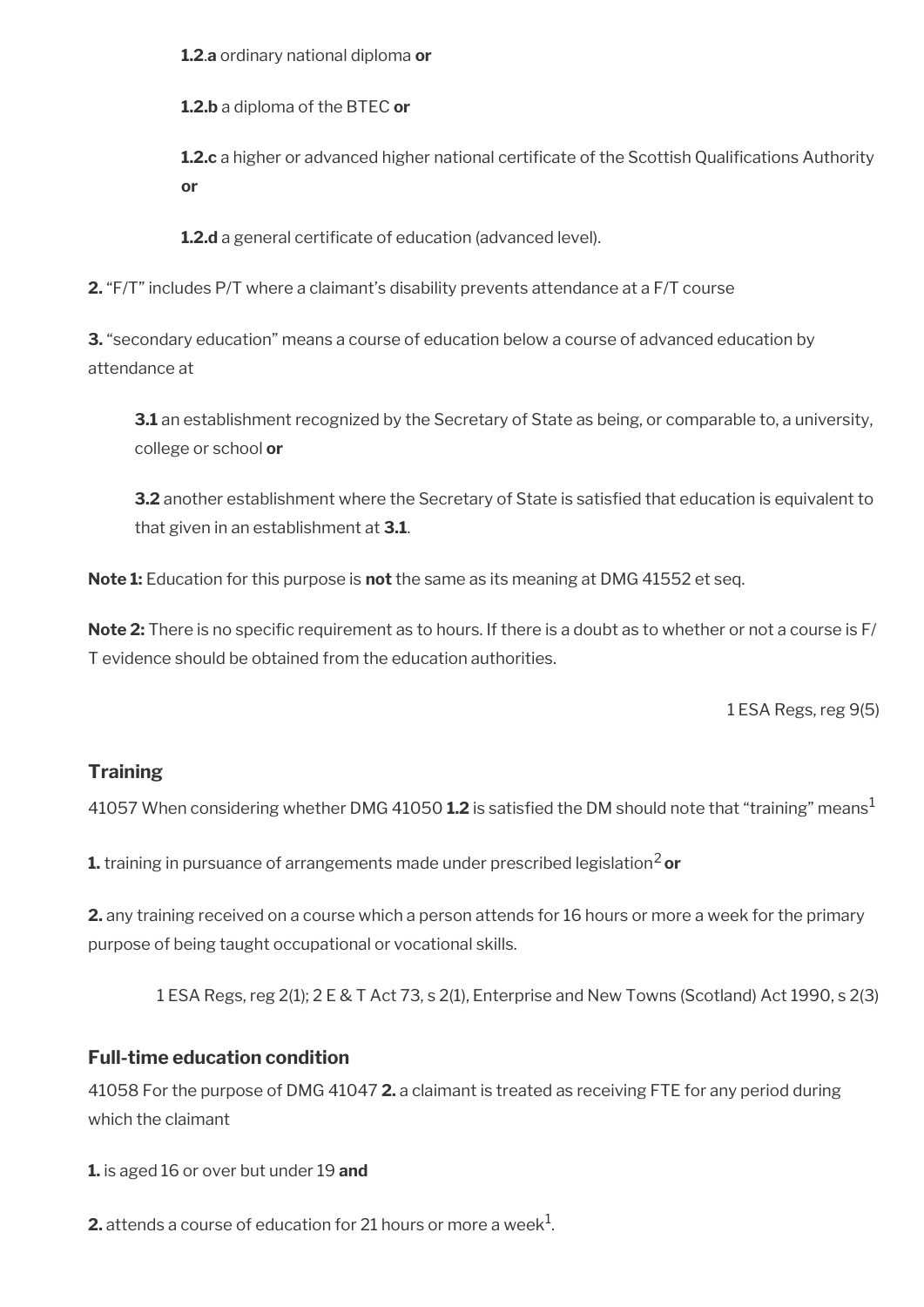**1.2**.**a** ordinary national diploma **or**

**1.2.b** a diploma of the BTEC **or**

**1.2.c** a higher or advanced higher national certificate of the Scottish Qualifications Authority **or**

**1.2.d** a general certificate of education (advanced level).

**2.** "F/T" includes P/T where a claimant's disability prevents attendance at a F/T course

**3.** "secondary education" means a course of education below a course of advanced education by attendance at

**3.1** an establishment recognized by the Secretary of State as being, or comparable to, a university, college or school **or**

**3.2** another establishment where the Secretary of State is satisfied that education is equivalent to that given in an establishment at **3.1**.

**Note 1:** Education for this purpose is **not** the same as its meaning at DMG 41552 et seq.

**Note 2:** There is no specific requirement as to hours. If there is a doubt as to whether or not a course is F/ T evidence should be obtained from the education authorities.

1 ESA Regs, reg 9(5)

## **Training**

41057 When considering whether DMG 41050 **1.2** is satisfed the DM should note that "training" means<sup>1</sup>

**1.** training in pursuance of arrangements made under prescribed legislation<sup>2</sup> or

**2.** any training received on a course which a person attends for 16 hours or more a week for the primary purpose of being taught occupational or vocational skills.

1 ESA Regs, reg 2(1); 2 E & T Act 73, s 2(1), Enterprise and New Towns (Scotland) Act 1990, s 2(3)

### **Full-time education condition**

41058 For the purpose of DMG 41047 **2.** a claimant is treated as receiving FTE for any period during which the claimant

**1.** is aged 16 or over but under 19 **and**

**2.** attends a course of education for 21 hours or more a week $^1$ .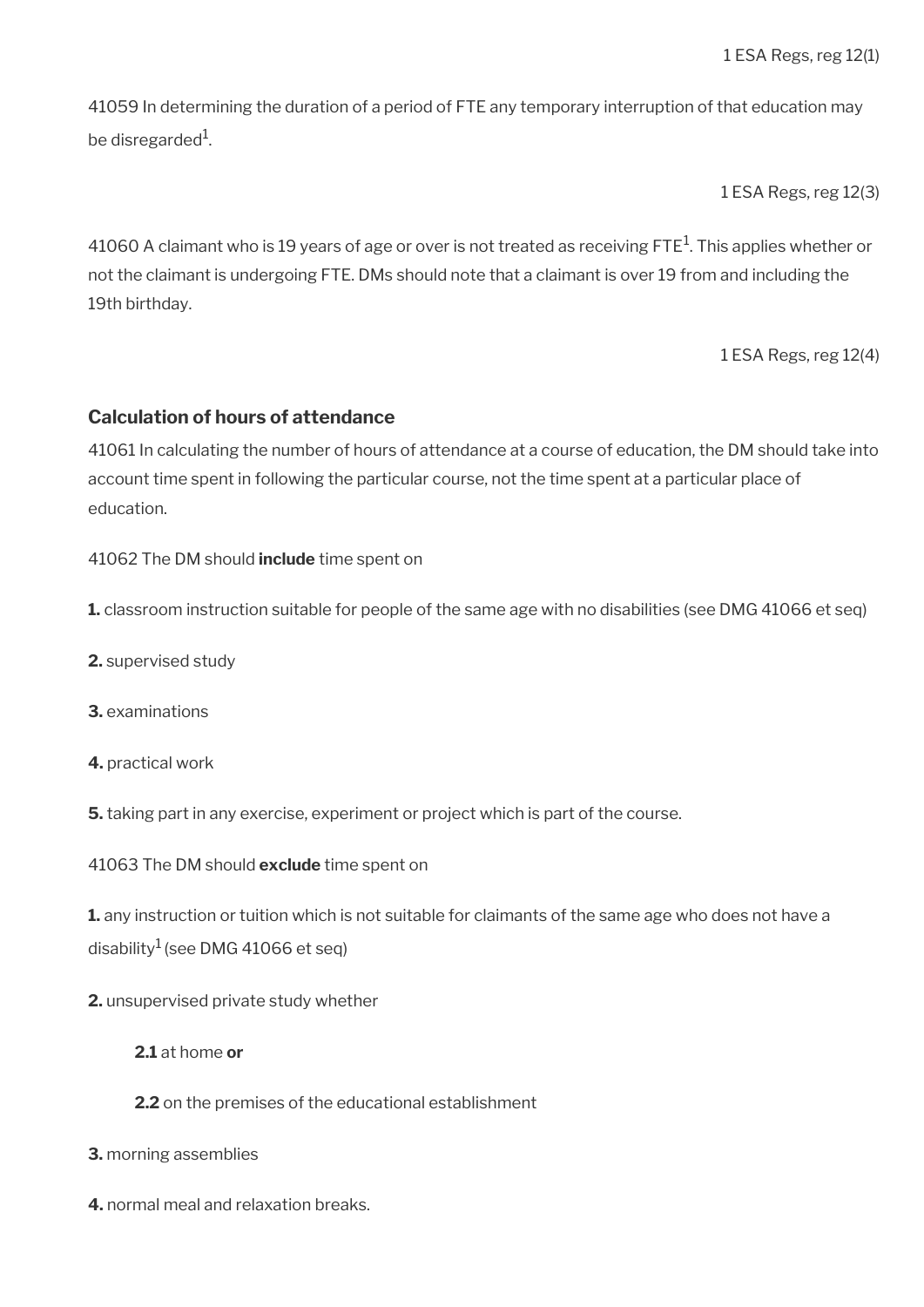41059 In determining the duration of a period of FTE any temporary interruption of that education may be disregarded $^1$ .

1 ESA Regs, reg 12(3)

41060 A claimant who is 19 years of age or over is not treated as receiving FTE $^{\rm 1}$ . This applies whether or not the claimant is undergoing FTE. DMs should note that a claimant is over 19 from and including the 19th birthday.

1 ESA Regs, reg 12(4)

#### **Calculation of hours of attendance**

41061 In calculating the number of hours of attendance at a course of education, the DM should take into account time spent in following the particular course, not the time spent at a particular place of education.

41062 The DM should **include** time spent on

**1.** classroom instruction suitable for people of the same age with no disabilities (see DMG 41066 et seq)

- **2.** supervised study
- **3.** examinations
- **4.** practical work
- **5.** taking part in any exercise, experiment or project which is part of the course.
- 41063 The DM should **exclude** time spent on

**1.** any instruction or tuition which is not suitable for claimants of the same age who does not have a disability<sup>1</sup> (see DMG 41066 et seq)

- **2.** unsupervised private study whether
	- **2.1** at home **or**
	- **2.2** on the premises of the educational establishment
- **3.** morning assemblies
- **4.** normal meal and relaxation breaks.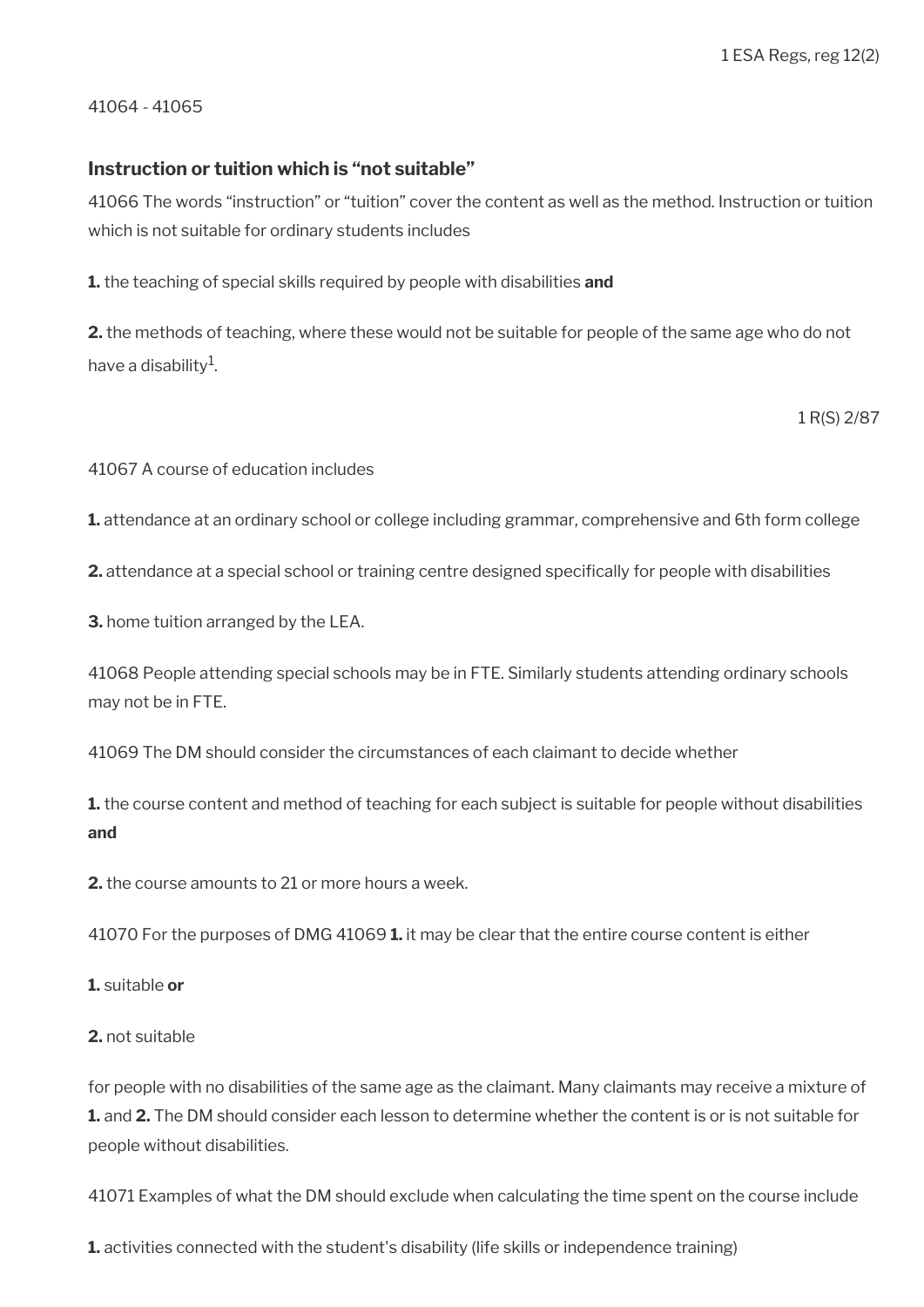41064 - 41065

#### **Instruction or tuition which is "not suitable"**

41066 The words "instruction" or "tuition" cover the content as well as the method. Instruction or tuition which is not suitable for ordinary students includes

**1.** the teaching of special skills required by people with disabilities **and** 

**2.** the methods of teaching, where these would not be suitable for people of the same age who do not have a disability $^{\rm 1}$ .

1 R(S) 2/87

41067 A course of education includes

**1.** attendance at an ordinary school or college including grammar, comprehensive and 6th form college

2. attendance at a special school or training centre designed specifically for people with disabilities

**3.** home tuition arranged by the LEA.

41068 People attending special schools may be in FTE. Similarly students attending ordinary schools may not be in FTE.

41069 The DM should consider the circumstances of each claimant to decide whether

**1.** the course content and method of teaching for each subject is suitable for people without disabilities **and** 

**2.** the course amounts to 21 or more hours a week.

41070 For the purposes of DMG 41069 **1.** it may be clear that the entire course content is either

**1.** suitable **or** 

#### **2.** not suitable

for people with no disabilities of the same age as the claimant. Many claimants may receive a mixture of **1.** and **2.** The DM should consider each lesson to determine whether the content is or is not suitable for people without disabilities.

41071 Examples of what the DM should exclude when calculating the time spent on the course include

**1.** activities connected with the student's disability (life skills or independence training)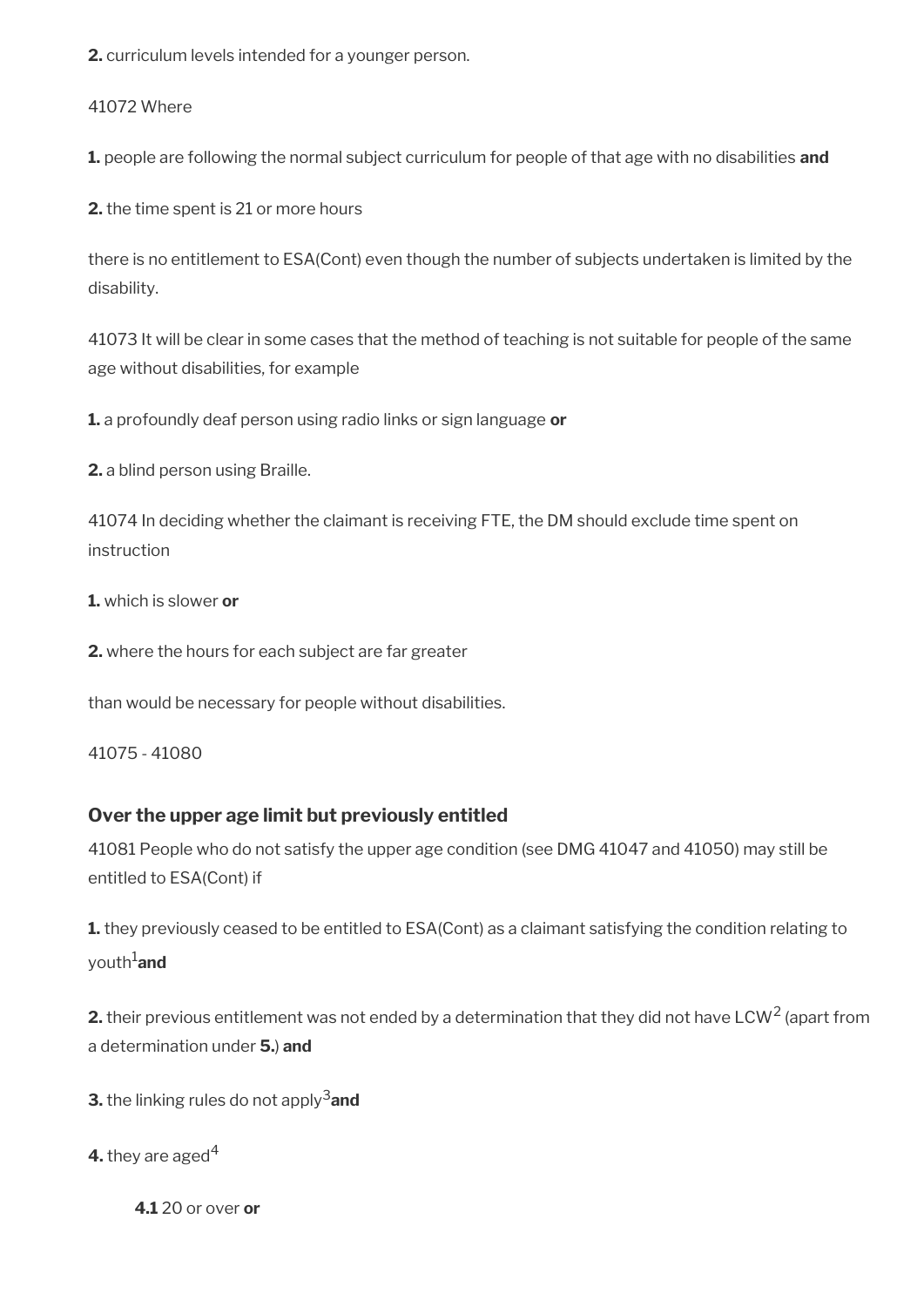**2.** curriculum levels intended for a younger person.

41072 Where

**1.** people are following the normal subject curriculum for people of that age with no disabilities **and** 

**2.** the time spent is 21 or more hours

there is no entitlement to ESA(Cont) even though the number of subjects undertaken is limited by the disability.

41073 It will be clear in some cases that the method of teaching is not suitable for people of the same age without disabilities, for example

**1.** a profoundly deaf person using radio links or sign language **or**

**2.** a blind person using Braille.

41074 In deciding whether the claimant is receiving FTE, the DM should exclude time spent on instruction

**1.** which is slower **or** 

**2.** where the hours for each subject are far greater

than would be necessary for people without disabilities.

41075 - 41080

### **Over the upper age limit but previously entitled**

41081 People who do not satisfy the upper age condition (see DMG 41047 and 41050) may still be entitled to ESA(Cont) if

**1.** they previously ceased to be entitled to ESA(Cont) as a claimant satisfying the condition relating to youth1**and**

**2.** their previous entitlement was not ended by a determination that they did not have LCW<sup>2</sup> (apart from a determination under **5.**) **and**

**3.** the linking rules do not apply<sup>3</sup> and

**4.** they are aged<sup>4</sup>

**4.1** 20 or over **or**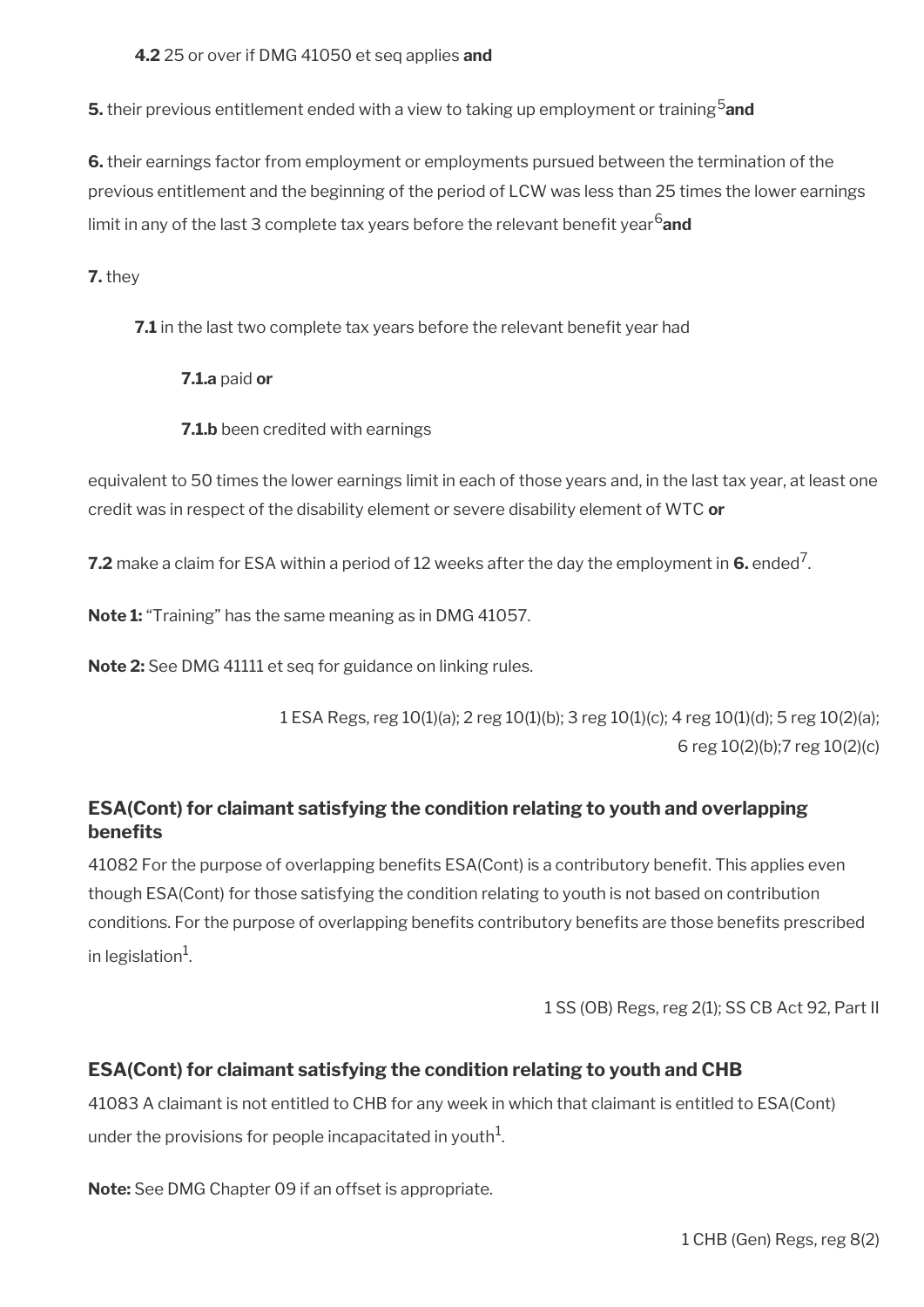#### **4.2** 25 or over if DMG 41050 et seq applies **and**

**5.** their previous entitlement ended with a view to taking up employment or training<sup>5</sup> and

**6.** their earnings factor from employment or employments pursued between the termination of the previous entitlement and the beginning of the period of LCW was less than 25 times the lower earnings limit in any of the last 3 complete tax years before the relevant benefit year<sup>6</sup>and

**7.** they

**7.1** in the last two complete tax years before the relevant benefit year had

**7.1.a** paid **or**

**7.1.b** been credited with earnings

equivalent to 50 times the lower earnings limit in each of those years and, in the last tax year, at least one credit was in respect of the disability element or severe disability element of WTC **or**

**7.2** make a claim for ESA within a period of 12 weeks after the day the employment in **6.** ended<sup>7</sup>.

**Note 1:** "Training" has the same meaning as in DMG 41057.

**Note 2:** See DMG 41111 et seq for guidance on linking rules.

1 ESA Regs, reg 10(1)(a); 2 reg 10(1)(b); 3 reg 10(1)(c); 4 reg 10(1)(d); 5 reg 10(2)(a); 6 reg 10(2)(b);7 reg 10(2)(c)

### **ESA(Cont) for claimant satisfying the condition relating to youth and overlapping benefts**

41082 For the purpose of overlapping benefits ESA(Cont) is a contributory benefit. This applies even though ESA(Cont) for those satisfying the condition relating to youth is not based on contribution conditions. For the purpose of overlapping benefits contributory benefits are those benefits prescribed in legislation $^1$ .

1 SS (OB) Regs, reg 2(1); SS CB Act 92, Part II

### **ESA(Cont) for claimant satisfying the condition relating to youth and CHB**

41083 A claimant is not entitled to CHB for any week in which that claimant is entitled to ESA(Cont) under the provisions for people incapacitated in youth $^1\!\!$ 

**Note:** See DMG Chapter 09 if an offset is appropriate.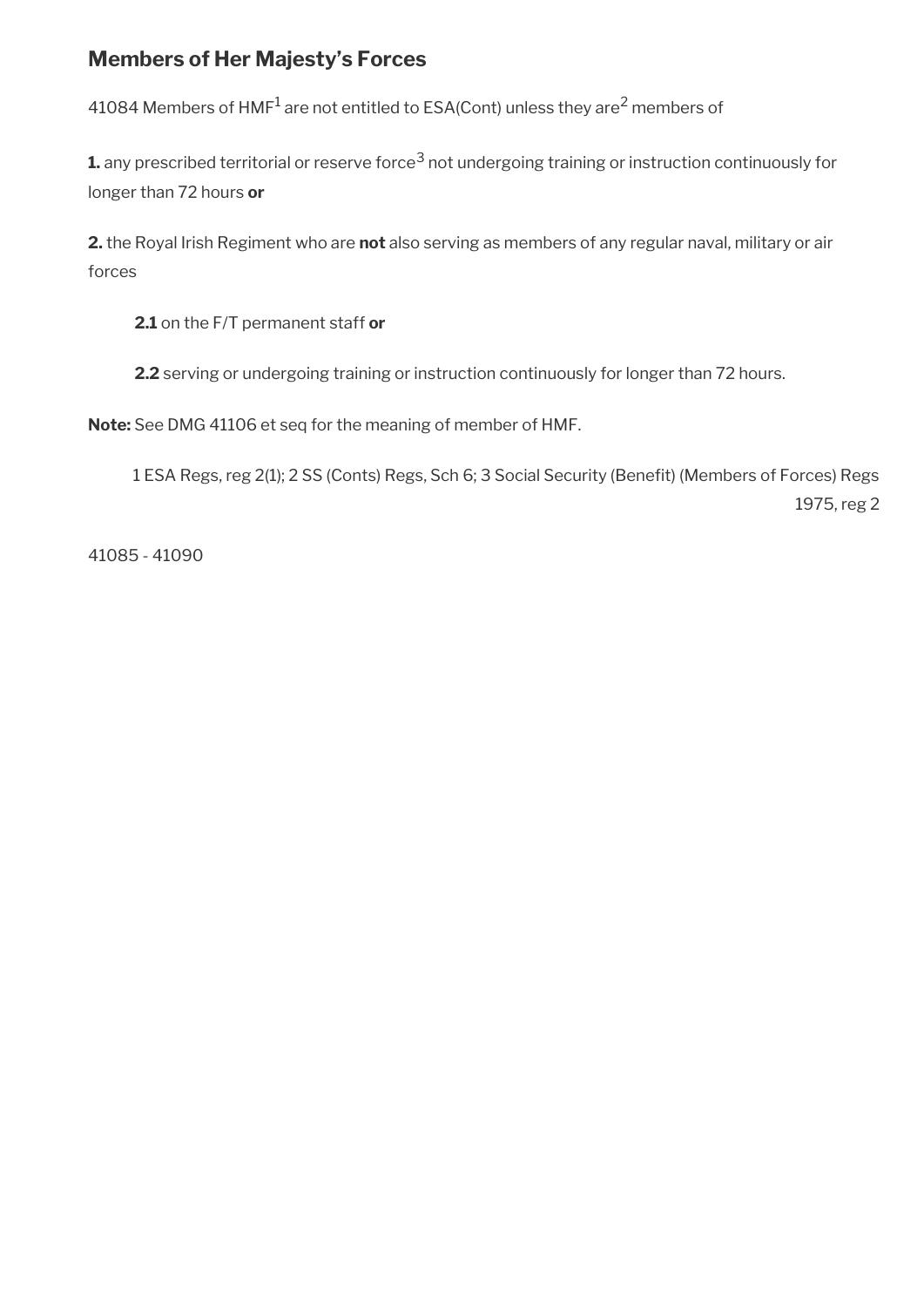## <span id="page-23-0"></span>**Members of Her Majesty's Forces**

41084 Members of HMF $^{\rm 1}$  are not entitled to ESA(Cont) unless they are $^{\rm 2}$  members of

 ${\bf 1}$  any prescribed territorial or reserve force $^3$  not undergoing training or instruction continuously for longer than 72 hours **or** 

**2.** the Royal Irish Regiment who are **not** also serving as members of any regular naval, military or air forces

**2.1** on the F/T permanent staff **or** 

**2.2** serving or undergoing training or instruction continuously for longer than 72 hours.

**Note:** See DMG 41106 et seq for the meaning of member of HMF.

1 ESA Regs, reg 2(1); 2 SS (Conts) Regs, Sch 6; 3 Social Security (Beneft) (Members of Forces) Regs 1975, reg 2

41085 - 41090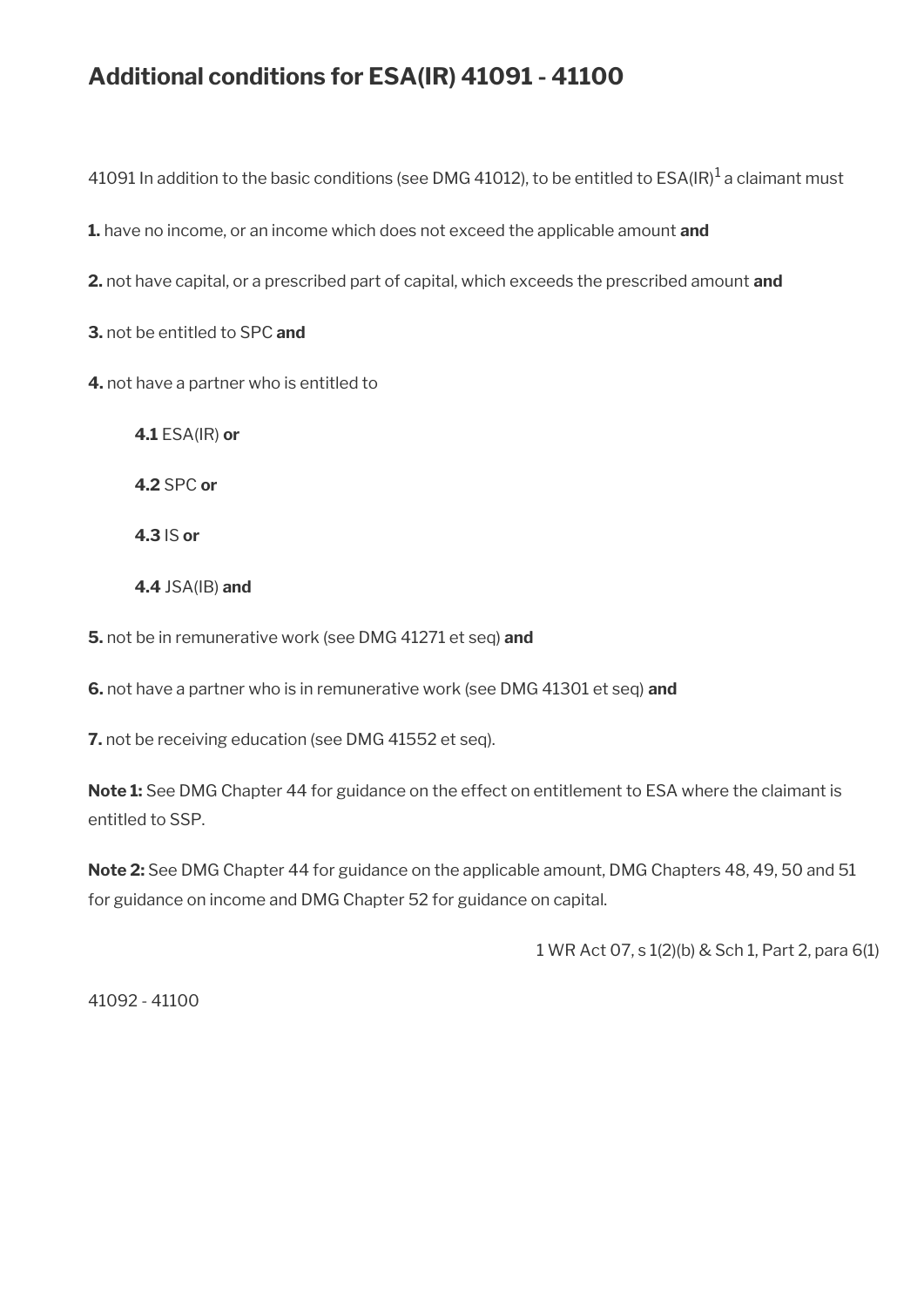# **Additional conditions for ESA(IR) 41091 - 41100**

41091 In addition to the basic conditions (see DMG 41012), to be entitled to ESA(IR) $^{\rm 1}$  a claimant must

**1.** have no income, or an income which does not exceed the applicable amount **and** 

**2.** not have capital, or a prescribed part of capital, which exceeds the prescribed amount **and**

**3.** not be entitled to SPC **and** 

**4.** not have a partner who is entitled to

**4.1** ESA(IR) **or**

**4.2** SPC **or**

**4.3** IS **or**

**4.4** JSA(IB) **and**

**5.** not be in remunerative work (see DMG 41271 et seq) **and** 

**6.** not have a partner who is in remunerative work (see DMG 41301 et seq) **and** 

**7.** not be receiving education (see DMG 41552 et seq).

**Note 1:** See DMG Chapter 44 for guidance on the effect on entitlement to ESA where the claimant is entitled to SSP.

**Note 2:** See DMG Chapter 44 for guidance on the applicable amount, DMG Chapters 48, 49, 50 and 51 for guidance on income and DMG Chapter 52 for guidance on capital.

1 WR Act 07, s 1(2)(b) & Sch 1, Part 2, para 6(1)

41092 - 41100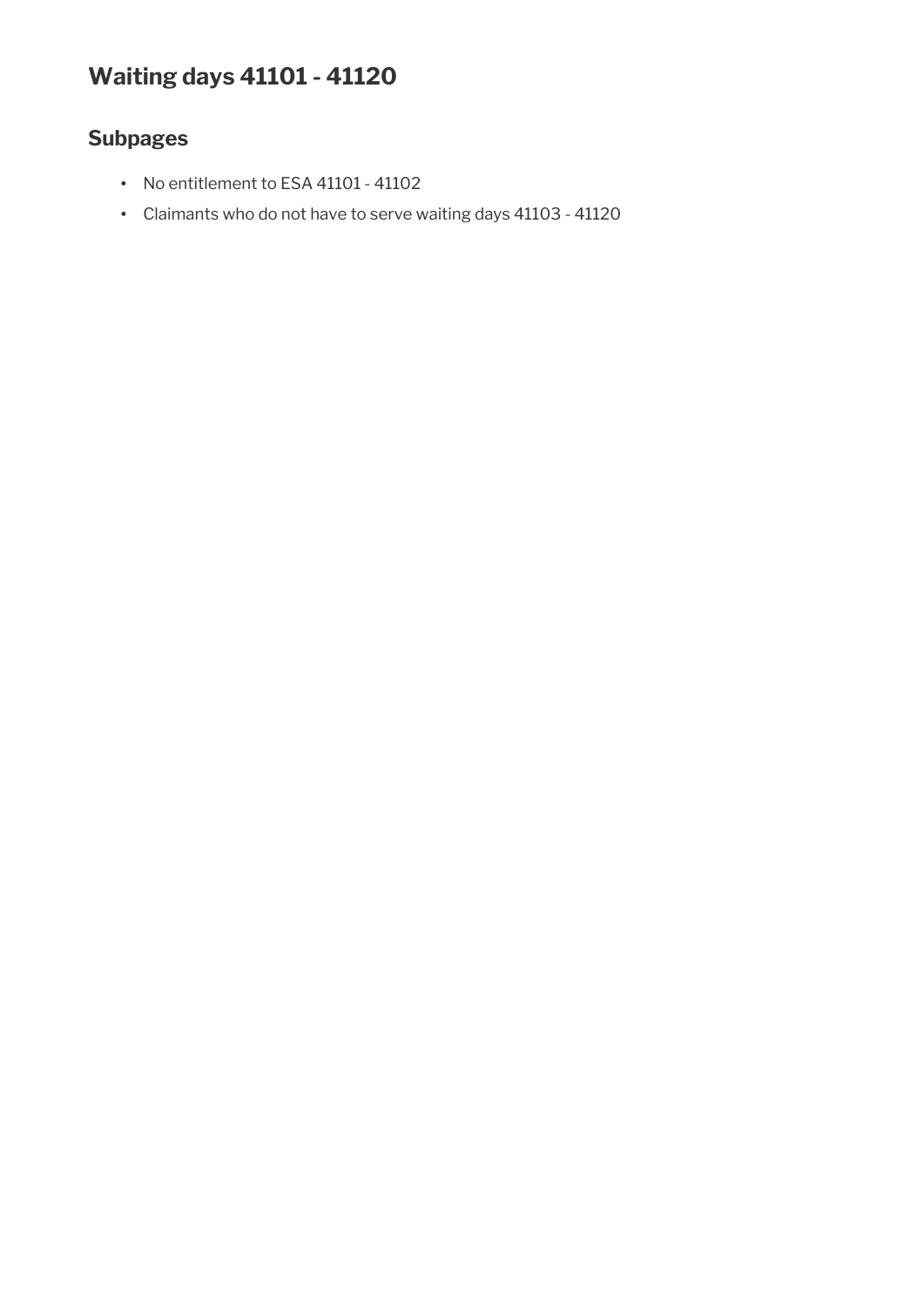# **Waiting days 41101 - 41120**

# **Subpages**

- No entitlement to ESA 41101 41102
- Claimants who do not have to serve waiting days 41103 41120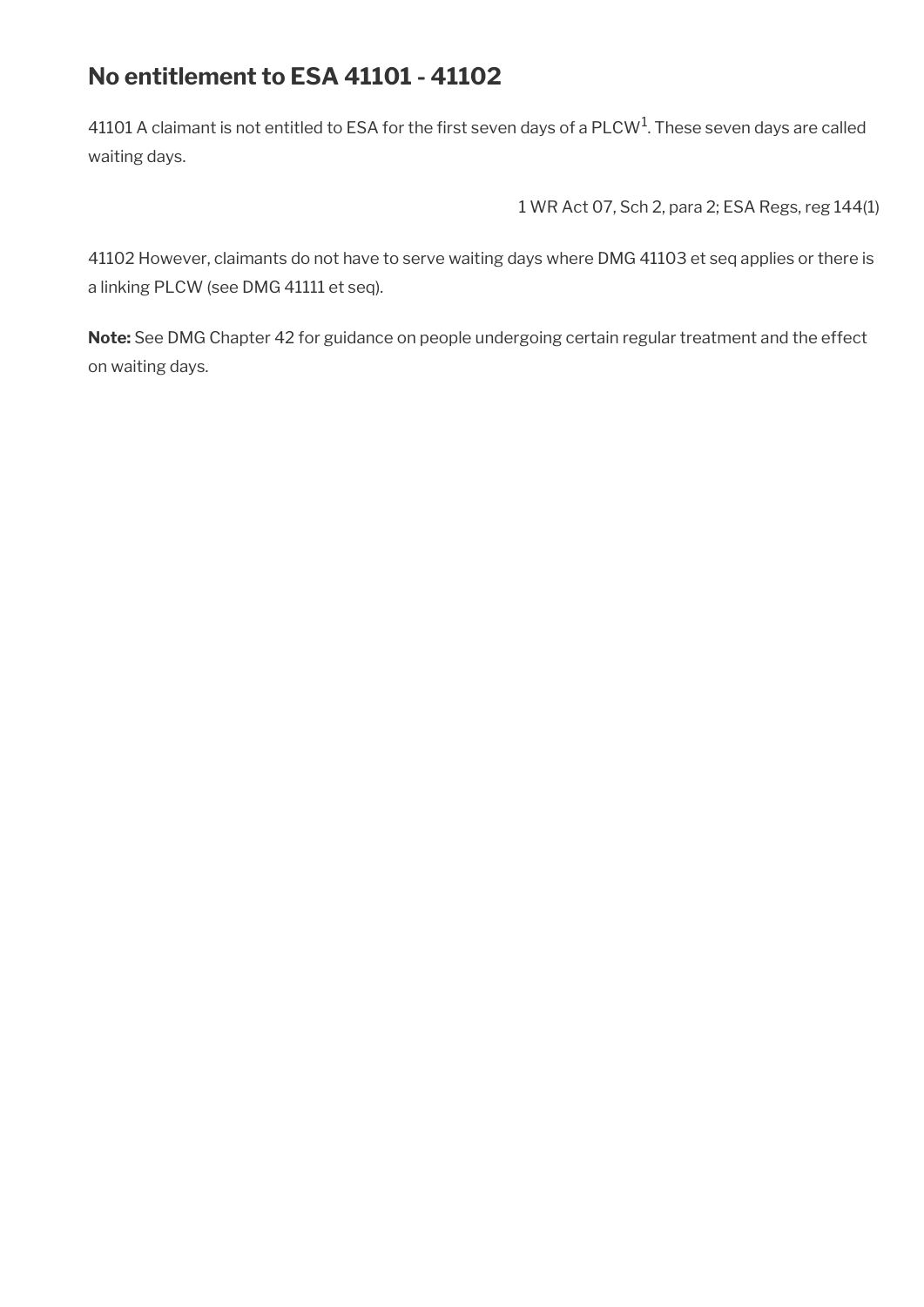# **No entitlement to ESA 41101 - 41102**

41101 A claimant is not entitled to ESA for the first seven days of a PLCW<sup>1</sup>. These seven days are called waiting days.

1 WR Act 07, Sch 2, para 2; ESA Regs, reg 144(1)

41102 However, claimants do not have to serve waiting days where DMG 41103 et seq applies or there is a linking PLCW (see DMG 41111 et seq).

**Note:** See DMG Chapter 42 for guidance on people undergoing certain regular treatment and the effect on waiting days.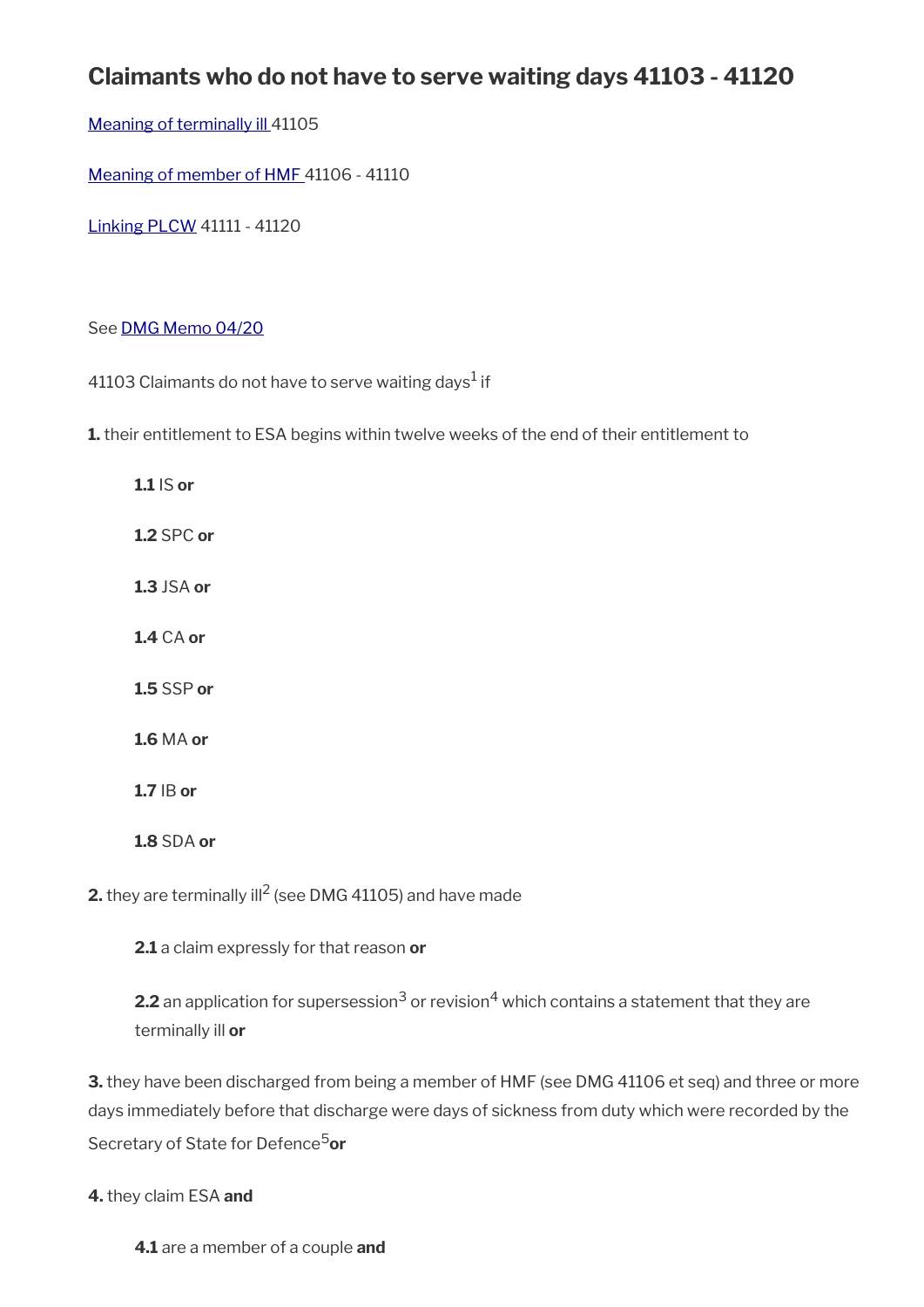# **Claimants who do not have to serve waiting days 41103 - 41120**

[Meaning of terminally ill 4](#page-29-1)1105

[Meaning of member of HMF](#page-29-0) 41106 - 41110

[Linking PLCW](#page-30-0) 41111 - 41120

#### See [DMG Memo 04/20](http://intranet.dwp.gov.uk/page/dmg-memo-0420-esa-coronavirus)

41103 Claimants do not have to serve waiting days $^1$  if

**1.** their entitlement to ESA begins within twelve weeks of the end of their entitlement to

**1.1** IS **or 1.2** SPC **or 1.3** JSA **or 1.4** CA **or 1.5** SSP **or 1.6** MA **or 1.7** IB **or 1.8** SDA **or**

**2.** they are terminally ill<sup>2</sup> (see DMG 41105) and have made

**2.1** a claim expressly for that reason **or**

**2.2** an application for supersession $^3$  or revision $^4$  which contains a statement that they are terminally ill **or**

**3.** they have been discharged from being a member of HMF (see DMG 41106 et seq) and three or more days immediately before that discharge were days of sickness from duty which were recorded by the Secretary of State for Defence<sup>5</sup>or

#### **4.** they claim ESA **and**

**4.1** are a member of a couple **and**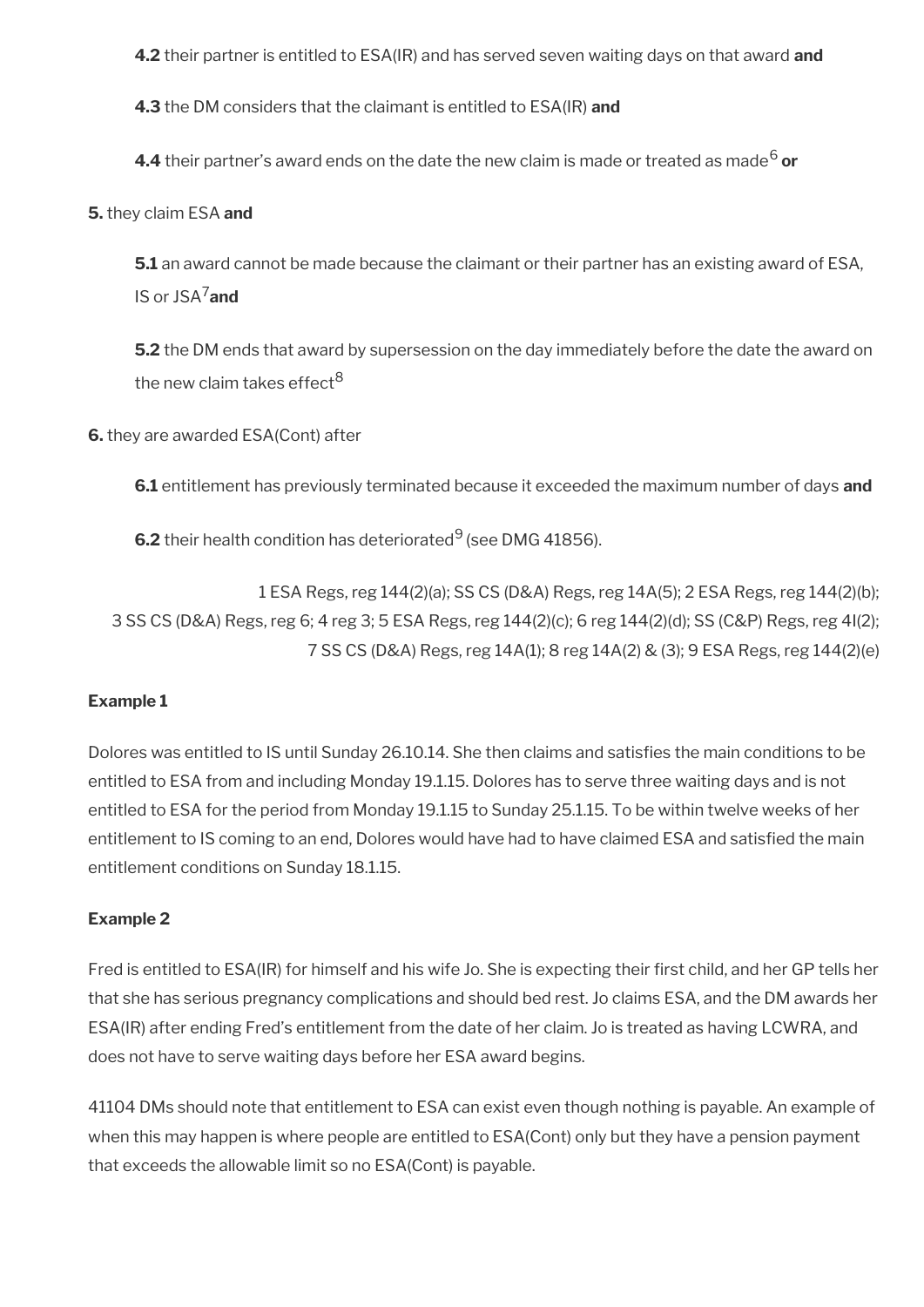**4.2** their partner is entitled to ESA(IR) and has served seven waiting days on that award **and**

**4.3** the DM considers that the claimant is entitled to ESA(IR) **and**

**4.4** their partner's award ends on the date the new claim is made or treated as made<sup>6</sup> **or** 

**5.** they claim ESA **and**

**5.1** an award cannot be made because the claimant or their partner has an existing award of ESA, IS or JSA7**and**

**5.2** the DM ends that award by supersession on the day immediately before the date the award on the new claim takes effect<sup>8</sup>

**6.** they are awarded ESA(Cont) after

**6.1** entitlement has previously terminated because it exceeded the maximum number of days **and**

**6.2** their health condition has deteriorated<sup>9</sup> (see DMG 41856).

1 ESA Regs, reg 144(2)(a); SS CS (D&A) Regs, reg 14A(5); 2 ESA Regs, reg 144(2)(b); 3 SS CS (D&A) Regs, reg 6; 4 reg 3; 5 ESA Regs, reg 144(2)(c); 6 reg 144(2)(d); SS (C&P) Regs, reg 4I(2); 7 SS CS (D&A) Regs, reg 14A(1); 8 reg 14A(2) & (3); 9 ESA Regs, reg 144(2)(e)

#### **Example 1**

Dolores was entitled to IS until Sunday 26.10.14. She then claims and satisfes the main conditions to be entitled to ESA from and including Monday 19.1.15. Dolores has to serve three waiting days and is not entitled to ESA for the period from Monday 19.1.15 to Sunday 25.1.15. To be within twelve weeks of her entitlement to IS coming to an end, Dolores would have had to have claimed ESA and satisfed the main entitlement conditions on Sunday 18.1.15.

#### **Example 2**

Fred is entitled to ESA(IR) for himself and his wife Jo. She is expecting their frst child, and her GP tells her that she has serious pregnancy complications and should bed rest. Jo claims ESA, and the DM awards her ESA(IR) after ending Fred's entitlement from the date of her claim. Jo is treated as having LCWRA, and does not have to serve waiting days before her ESA award begins.

41104 DMs should note that entitlement to ESA can exist even though nothing is payable. An example of when this may happen is where people are entitled to ESA(Cont) only but they have a pension payment that exceeds the allowable limit so no ESA(Cont) is payable.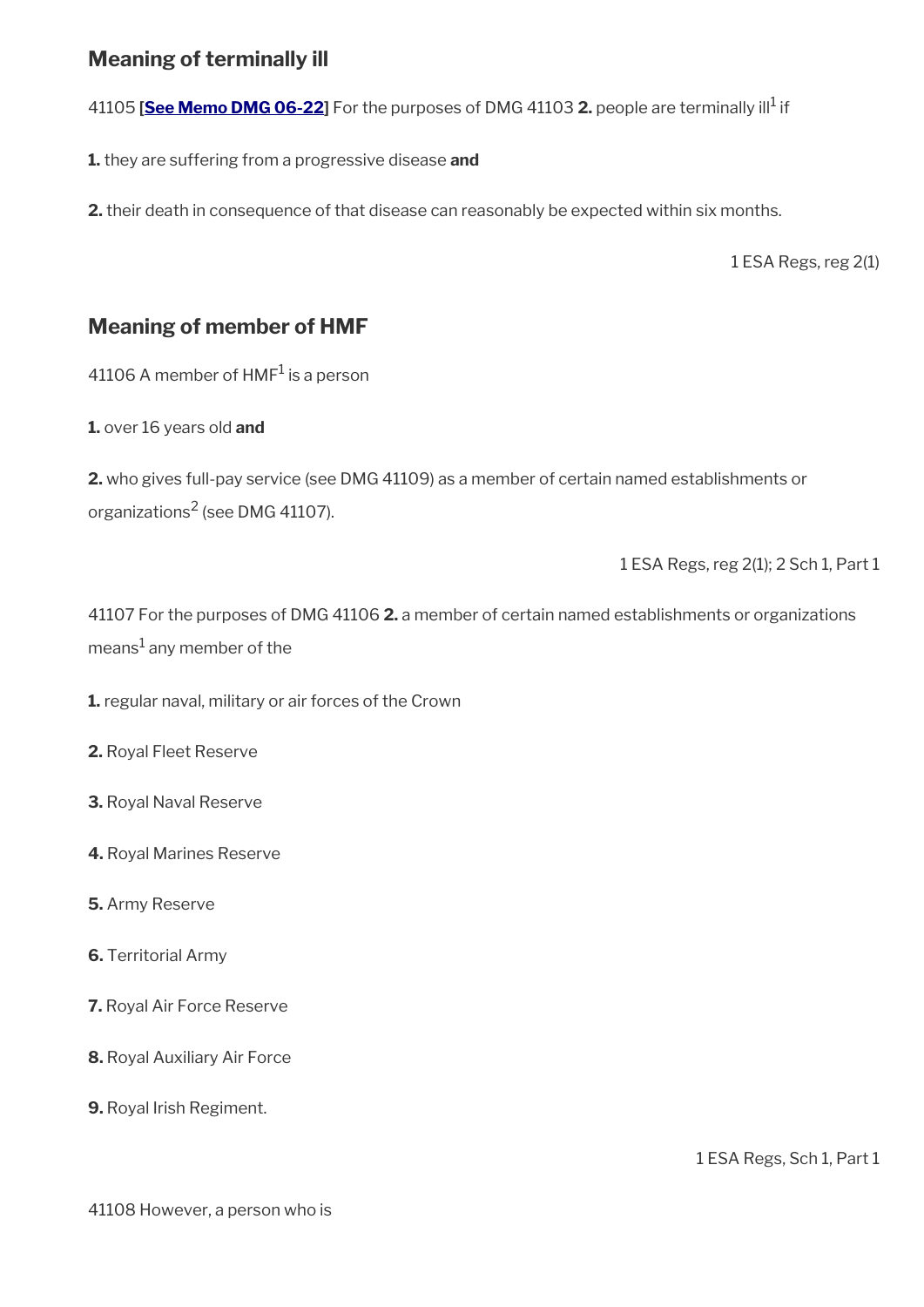## <span id="page-29-1"></span>**Meaning of terminally ill**

41105 [<mark>See Memo DMG 06-22]</mark> For the purposes of DMG 41103 **2.** people are terminally ill<sup>1</sup> if

**1.** they are suffering from a progressive disease **and**

**2.** their death in consequence of that disease can reasonably be expected within six months.

1 ESA Regs, reg 2(1)

## <span id="page-29-0"></span>**Meaning of member of HMF**

41106 A member of  $HMF^1$  is a person

**1.** over 16 years old **and**

**2.** who gives full-pay service (see DMG 41109) as a member of certain named establishments or organizations $^2$  (see DMG 41107).

1 ESA Regs, reg 2(1); 2 Sch 1, Part 1

41107 For the purposes of DMG 41106 **2.** a member of certain named establishments or organizations means $^1$  any member of the

**1.** regular naval, military or air forces of the Crown

**2.** Royal Fleet Reserve

**3.** Royal Naval Reserve

**4.** Royal Marines Reserve

**5.** Army Reserve

**6.** Territorial Army

**7.** Royal Air Force Reserve

**8.** Royal Auxiliary Air Force

**9.** Royal Irish Regiment.

1 ESA Regs, Sch 1, Part 1

41108 However, a person who is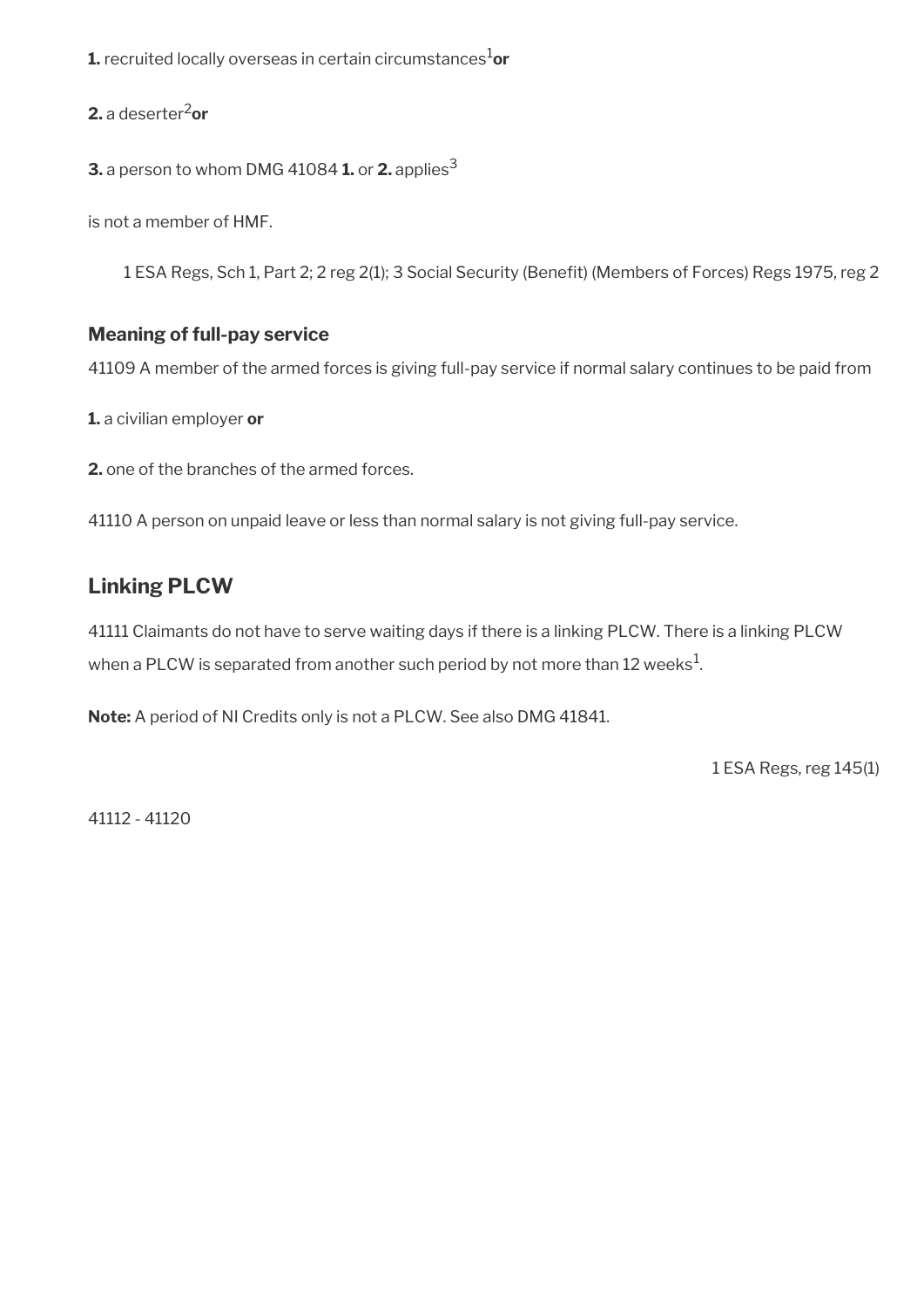**1.** recruited locally overseas in certain circumstances<sup>1</sup>or

**2.** a deserter2**or** 

**3.** a person to whom DMG 41084 **1.** or **2.** applies<sup>3</sup>

is not a member of HMF.

1 ESA Regs, Sch 1, Part 2; 2 reg 2(1); 3 Social Security (Beneft) (Members of Forces) Regs 1975, reg 2

### **Meaning of full-pay service**

41109 A member of the armed forces is giving full-pay service if normal salary continues to be paid from

**1.** a civilian employer **or** 

**2.** one of the branches of the armed forces.

41110 A person on unpaid leave or less than normal salary is not giving full-pay service.

## <span id="page-30-0"></span>**Linking PLCW**

41111 Claimants do not have to serve waiting days if there is a linking PLCW. There is a linking PLCW when a PLCW is separated from another such period by not more than 12 weeks $^{\mathrm{1}}$ .

**Note:** A period of NI Credits only is not a PLCW. See also DMG 41841.

1 ESA Regs, reg 145(1)

41112 - 41120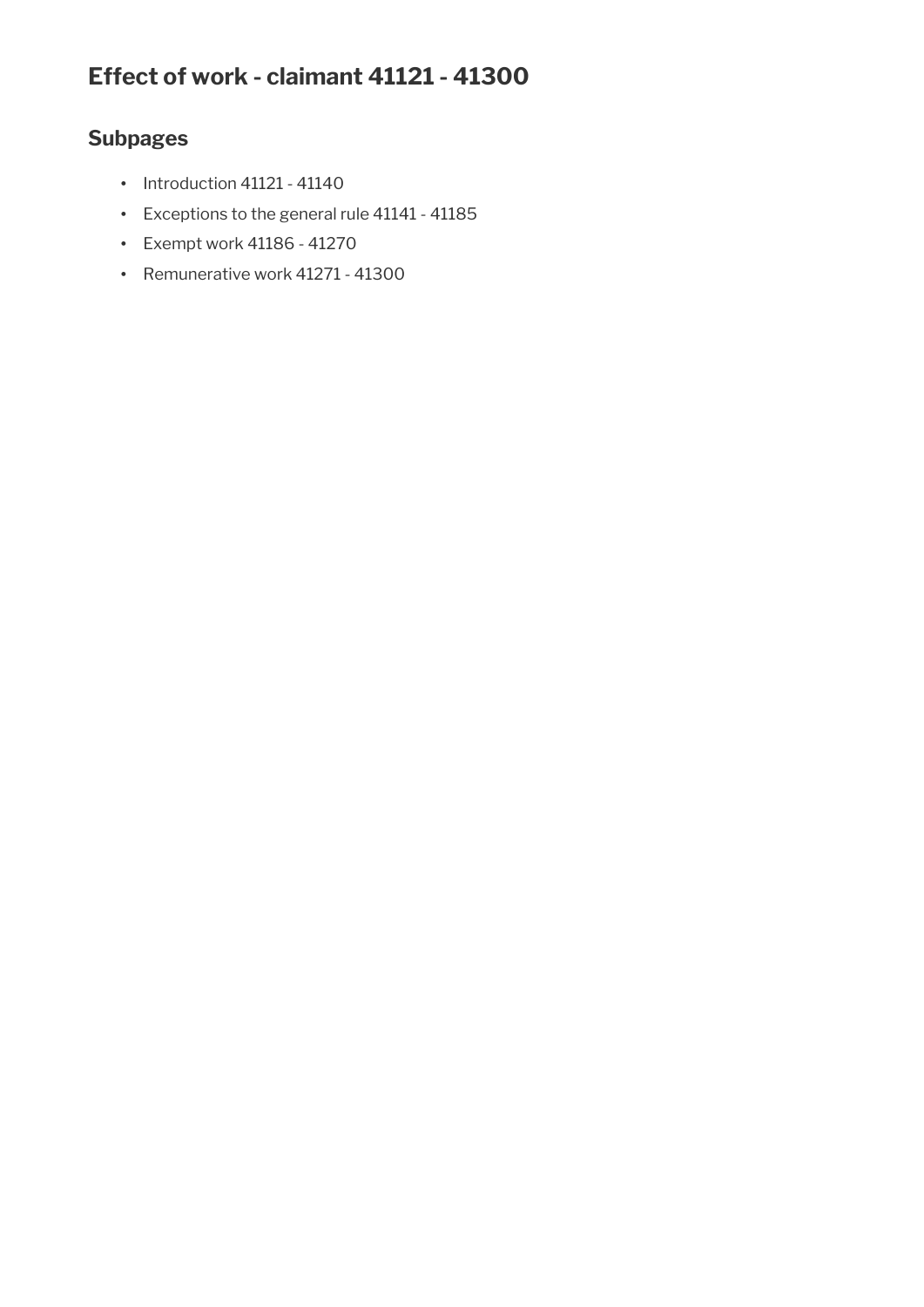# **Effect of work - claimant 41121 - 41300**

# **Subpages**

- Introduction 41121 41140
- Exceptions to the general rule 41141 41185
- Exempt work 41186 41270
- Remunerative work 41271 41300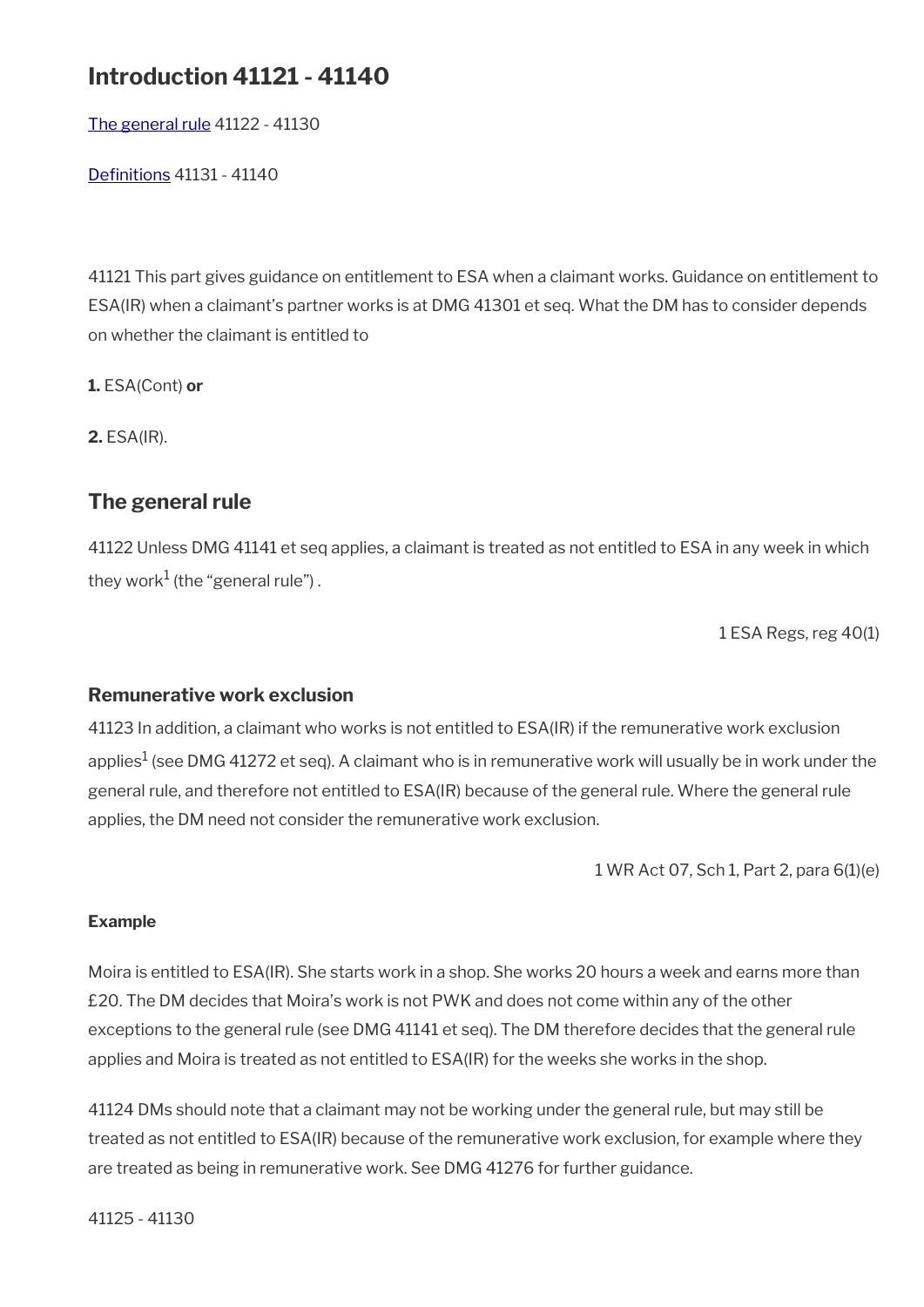# **Introduction 41121 - 41140**

[The general rule](#page-32-0) 41122 - 41130

[Defnitions](#page-33-0) 41131 - 41140

41121 This part gives guidance on entitlement to ESA when a claimant works. Guidance on entitlement to ESA(IR) when a claimant's partner works is at DMG 41301 et seq. What the DM has to consider depends on whether the claimant is entitled to

**1.** ESA(Cont) **or**

**2.** ESA(IR).

### <span id="page-32-0"></span>**The general rule**

41122 Unless DMG 41141 et seq applies, a claimant is treated as not entitled to ESA in any week in which they work $^1$  (the "general rule") .

1 ESA Regs, reg 40(1)

#### **Remunerative work exclusion**

41123 In addition, a claimant who works is not entitled to ESA(IR) if the remunerative work exclusion applies $^1$  (see DMG 41272 et seq). A claimant who is in remunerative work will usually be in work under the general rule, and therefore not entitled to ESA(IR) because of the general rule. Where the general rule applies, the DM need not consider the remunerative work exclusion.

1 WR Act 07, Sch 1, Part 2, para 6(1)(e)

#### **Example**

Moira is entitled to ESA(IR). She starts work in a shop. She works 20 hours a week and earns more than £20. The DM decides that Moira's work is not PWK and does not come within any of the other exceptions to the general rule (see DMG 41141 et seq). The DM therefore decides that the general rule applies and Moira is treated as not entitled to ESA(IR) for the weeks she works in the shop.

41124 DMs should note that a claimant may not be working under the general rule, but may still be treated as not entitled to ESA(IR) because of the remunerative work exclusion, for example where they are treated as being in remunerative work. See DMG 41276 for further guidance.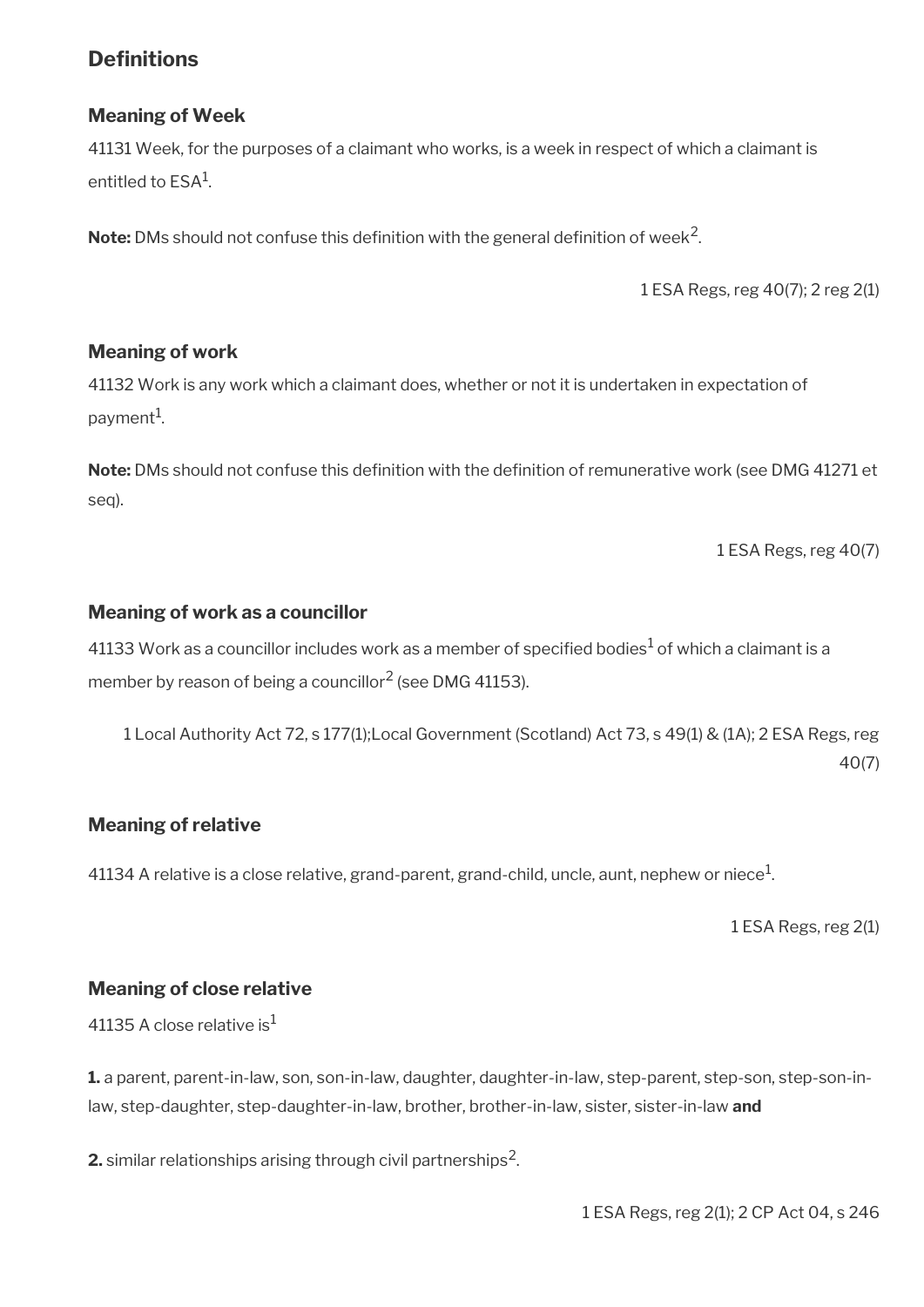## <span id="page-33-0"></span>**Definitions**

### **Meaning of Week**

41131 Week, for the purposes of a claimant who works, is a week in respect of which a claimant is entitled to  $\mathsf{ESA}^1$ .

 $\mathsf{Note:}\ \mathsf{DMs}$  should not confuse this definition with the general definition of week $^2$ .

1 ESA Regs, reg 40(7); 2 reg 2(1)

#### **Meaning of work**

41132 Work is any work which a claimant does, whether or not it is undertaken in expectation of payment<sup>1</sup>.

**Note:** DMs should not confuse this defnition with the defnition of remunerative work (see DMG 41271 et seq).

1 ESA Regs, reg 40(7)

#### **Meaning of work as a councillor**

41133 Work as a councillor includes work as a member of specified bodies $^1$  of which a claimant is a member by reason of being a councillor $^2$  (see DMG 41153).

1 Local Authority Act 72, s 177(1);Local Government (Scotland) Act 73, s 49(1) & (1A); 2 ESA Regs, reg 40(7)

#### **Meaning of relative**

41134 A relative is a close relative, grand-parent, grand-child, uncle, aunt, nephew or niece $^1\!$ 

1 ESA Regs, reg 2(1)

#### **Meaning of close relative**

41135 A close relative is<sup>1</sup>

**1.** a parent, parent-in-law, son, son-in-law, daughter, daughter-in-law, step-parent, step-son, step-son-inlaw, step-daughter, step-daughter-in-law, brother, brother-in-law, sister, sister-in-law **and** 

**2.** similar relationships arising through civil partnerships $^2$ .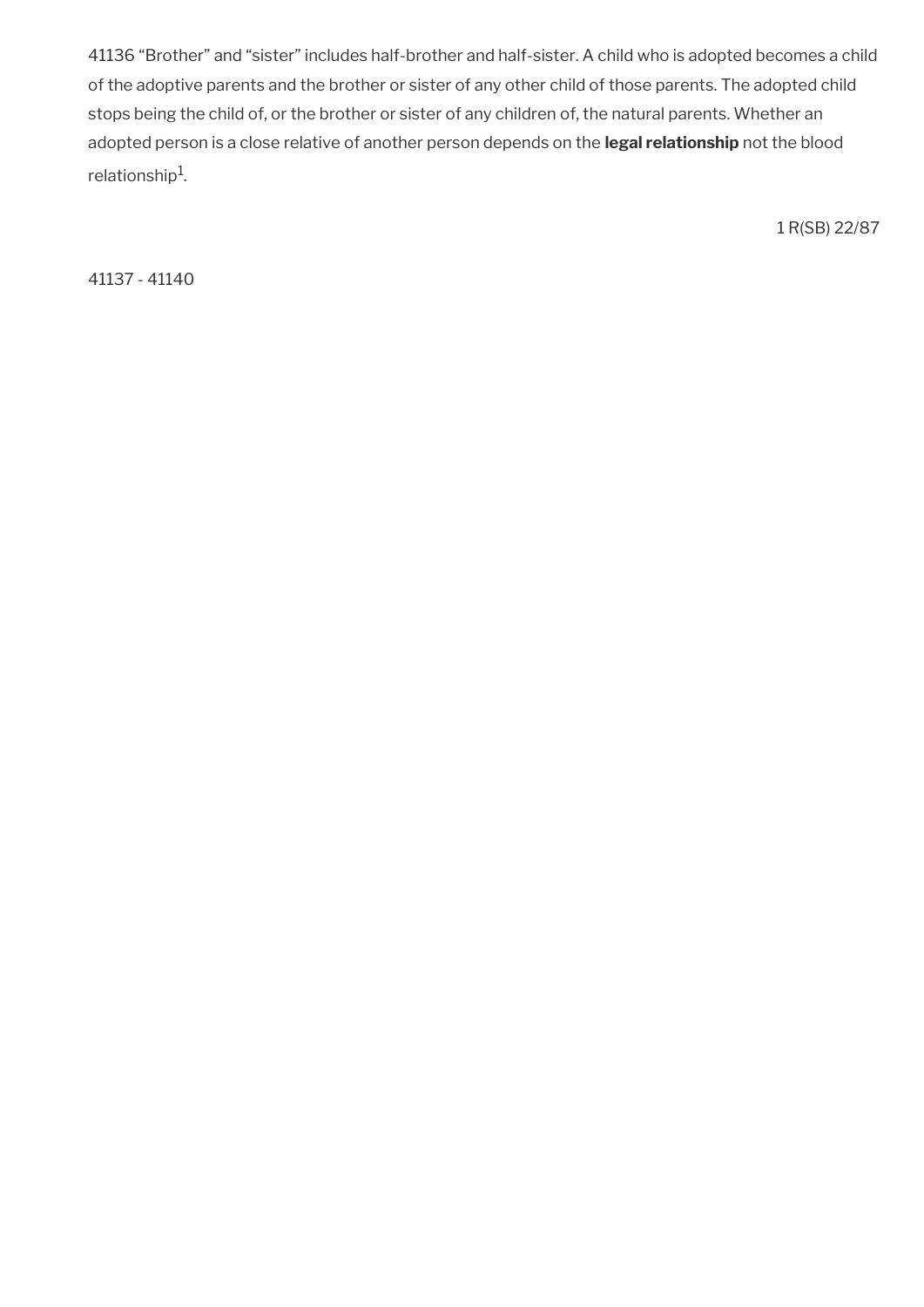41136 "Brother" and "sister" includes half-brother and half-sister. A child who is adopted becomes a child of the adoptive parents and the brother or sister of any other child of those parents. The adopted child stops being the child of, or the brother or sister of any children of, the natural parents. Whether an adopted person is a close relative of another person depends on the **legal relationship** not the blood relationship $^{\rm 1}$ .

1 R(SB) 22/87

41137 - 41140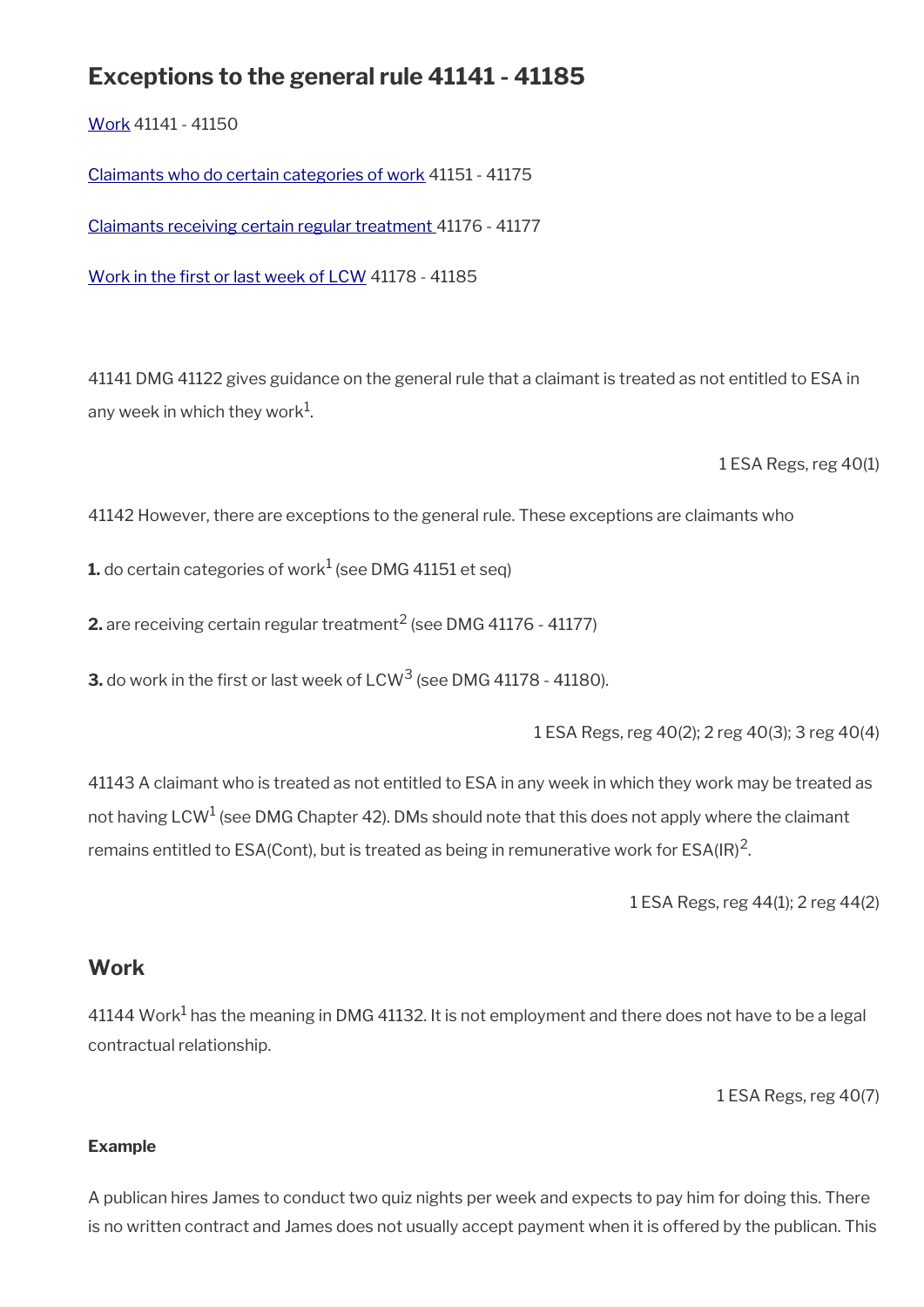# **Exceptions to the general rule 41141 - 41185**

[Work](#page-35-0) 41141 - 41150

[Claimants who do certain categories of work](#page-36-0) 41151 - 41175

[Claimants receiving certain regular treatment](#page-39-0) 41176 - 41177

Work in the first or last week of LCW 41178 - 41185

41141 DMG 41122 gives guidance on the general rule that a claimant is treated as not entitled to ESA in any week in which they work $^{\rm 1}$ .

1 ESA Regs, reg 40(1)

41142 However, there are exceptions to the general rule. These exceptions are claimants who

 ${\bf 1}$ . do certain categories of work $^1$  (see DMG 41151 et seq)

**2.** are receiving certain regular treatment $^2$  (see DMG 41176 - 41177)

**3.** do work in the first or last week of LCW<sup>3</sup> (see DMG 41178 - 41180).

1 ESA Regs, reg 40(2); 2 reg 40(3); 3 reg 40(4)

41143 A claimant who is treated as not entitled to ESA in any week in which they work may be treated as not having LCW $^1$  (see DMG Chapter 42). DMs should note that this does not apply where the claimant remains entitled to ESA(Cont), but is treated as being in remunerative work for ESA(IR)<sup>2</sup>.

1 ESA Regs, reg 44(1); 2 reg 44(2)

## <span id="page-35-0"></span>**Work**

 $41144$  Work $^{\rm 1}$  has the meaning in DMG 41132. It is not employment and there does not have to be a legal contractual relationship.

1 ESA Regs, reg 40(7)

#### **Example**

A publican hires James to conduct two quiz nights per week and expects to pay him for doing this. There is no written contract and James does not usually accept payment when it is offered by the publican. This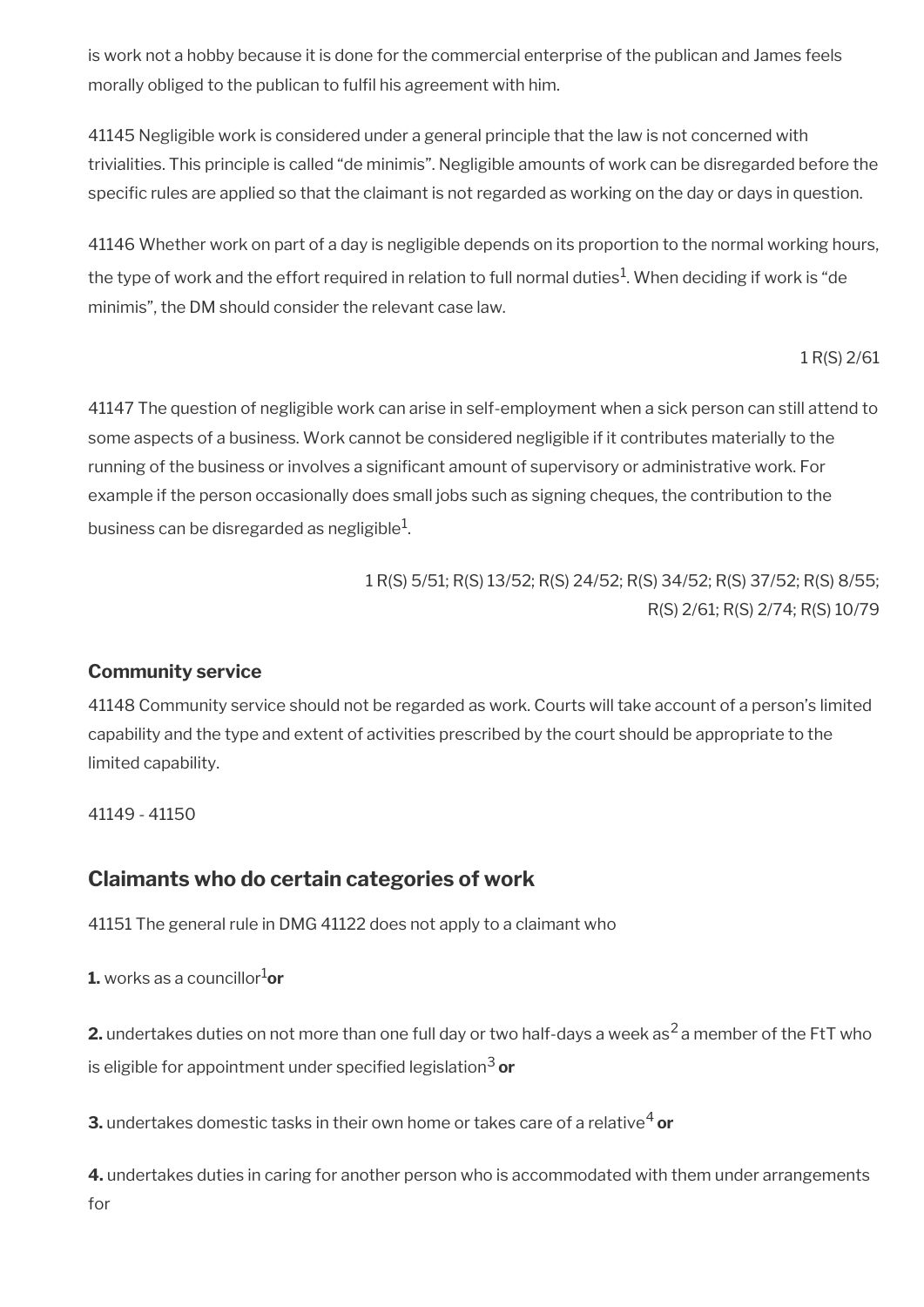is work not a hobby because it is done for the commercial enterprise of the publican and James feels morally obliged to the publican to fulfl his agreement with him.

41145 Negligible work is considered under a general principle that the law is not concerned with trivialities. This principle is called "de minimis". Negligible amounts of work can be disregarded before the specific rules are applied so that the claimant is not regarded as working on the day or days in question.

41146 Whether work on part of a day is negligible depends on its proportion to the normal working hours, the type of work and the effort required in relation to full normal duties $^1$ . When deciding if work is "de minimis", the DM should consider the relevant case law.

1 R(S) 2/61

41147 The question of negligible work can arise in self-employment when a sick person can still attend to some aspects of a business. Work cannot be considered negligible if it contributes materially to the running of the business or involves a significant amount of supervisory or administrative work. For example if the person occasionally does small jobs such as signing cheques, the contribution to the business can be disregarded as negligible $^1\!\!$ 

> 1 R(S) 5/51; R(S) 13/52; R(S) 24/52; R(S) 34/52; R(S) 37/52; R(S) 8/55; R(S) 2/61; R(S) 2/74; R(S) 10/79

### **Community service**

41148 Community service should not be regarded as work. Courts will take account of a person's limited capability and the type and extent of activities prescribed by the court should be appropriate to the limited capability.

41149 - 41150

### **Claimants who do certain categories of work**

41151 The general rule in DMG 41122 does not apply to a claimant who

**1.** works as a councillor $\frac{1}{\alpha}$ 

**2.** undertakes duties on not more than one full day or two half-days a week as<sup>2</sup> a member of the FtT who is eligible for appointment under specifed legislation3 **or**

**3.** undertakes domestic tasks in their own home or takes care of a relative<sup>4</sup> or

**4.** undertakes duties in caring for another person who is accommodated with them under arrangements for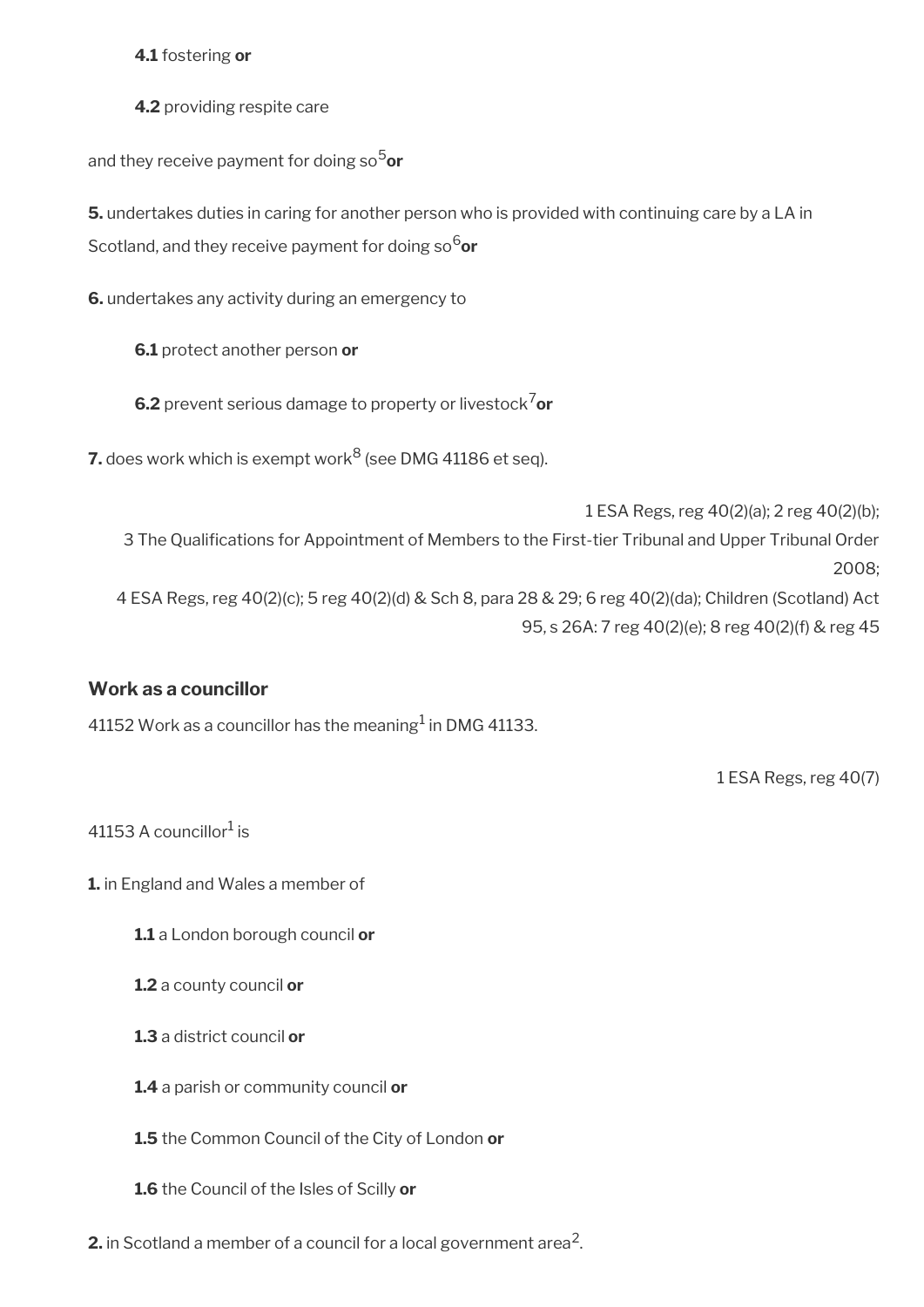**4.1** fostering **or**

**4.2** providing respite care

and they receive payment for doing so<sup>5</sup>or

**5.** undertakes duties in caring for another person who is provided with continuing care by a LA in Scotland, and they receive payment for doing so<sup>6</sup>or

**6.** undertakes any activity during an emergency to

**6.1** protect another person **or**

**6.2** prevent serious damage to property or livestock<sup>7</sup>or

**7.** does work which is exempt work<sup>8</sup> (see DMG 41186 et seq).

1 ESA Regs, reg 40(2)(a); 2 reg 40(2)(b); 3 The Qualifcations for Appointment of Members to the First-tier Tribunal and Upper Tribunal Order 2008; 4 ESA Regs, reg 40(2)(c); 5 reg 40(2)(d) & Sch 8, para 28 & 29; 6 reg 40(2)(da); Children (Scotland) Act 95, s 26A: 7 reg 40(2)(e); 8 reg 40(2)(f) & reg 45

### **Work as a councillor**

41152 Work as a councillor has the meaning $^1$  in DMG 41133.

1 ESA Regs, reg 40(7)

41153 A councillor $^1$  is

**1.** in England and Wales a member of

**1.1** a London borough council **or** 

**1.2** a county council **or** 

**1.3** a district council **or** 

**1.4** a parish or community council **or** 

**1.5** the Common Council of the City of London **or**

**1.6** the Council of the Isles of Scilly **or**

**2.** in Scotland a member of a council for a local government area $^2$ .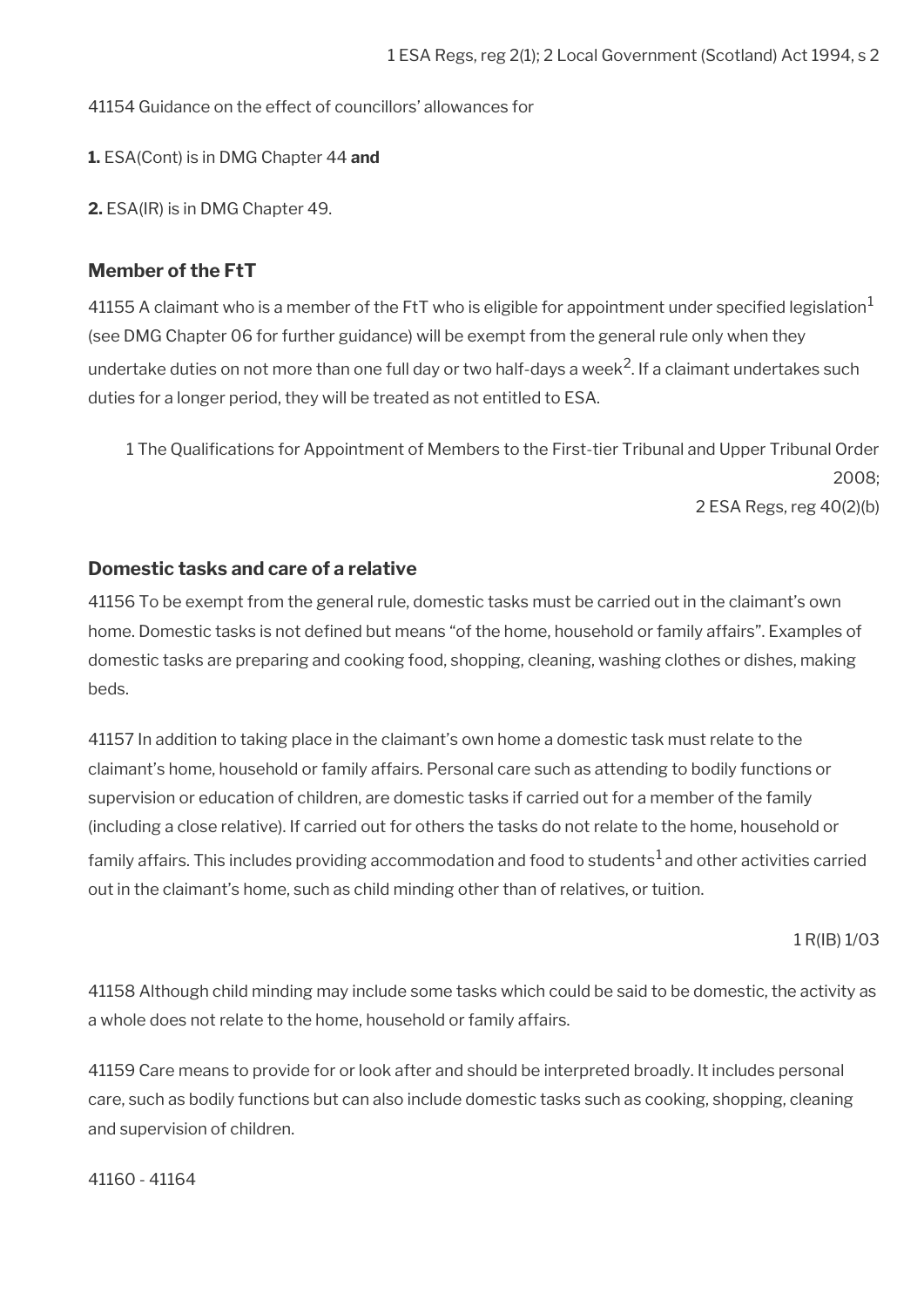41154 Guidance on the effect of councillors' allowances for

**1.** ESA(Cont) is in DMG Chapter 44 **and**

**2.** ESA(IR) is in DMG Chapter 49.

### **Member of the FtT**

41155 A claimant who is a member of the FtT who is eligible for appointment under specified legislation<sup>1</sup> (see DMG Chapter 06 for further guidance) will be exempt from the general rule only when they undertake duties on not more than one full day or two half-days a week $^2$ . If a claimant undertakes such duties for a longer period, they will be treated as not entitled to ESA.

1 The Qualifcations for Appointment of Members to the First-tier Tribunal and Upper Tribunal Order 2008; 2 ESA Regs, reg 40(2)(b)

### **Domestic tasks and care of a relative**

41156 To be exempt from the general rule, domestic tasks must be carried out in the claimant's own home. Domestic tasks is not defined but means "of the home, household or family affairs". Examples of domestic tasks are preparing and cooking food, shopping, cleaning, washing clothes or dishes, making beds.

41157 In addition to taking place in the claimant's own home a domestic task must relate to the claimant's home, household or family affairs. Personal care such as attending to bodily functions or supervision or education of children, are domestic tasks if carried out for a member of the family (including a close relative). If carried out for others the tasks do not relate to the home, household or family affairs. This includes providing accommodation and food to students<sup>1</sup> and other activities carried out in the claimant's home, such as child minding other than of relatives, or tuition.

1 R(IB) 1/03

41158 Although child minding may include some tasks which could be said to be domestic, the activity as a whole does not relate to the home, household or family affairs.

41159 Care means to provide for or look after and should be interpreted broadly. It includes personal care, such as bodily functions but can also include domestic tasks such as cooking, shopping, cleaning and supervision of children.

41160 - 41164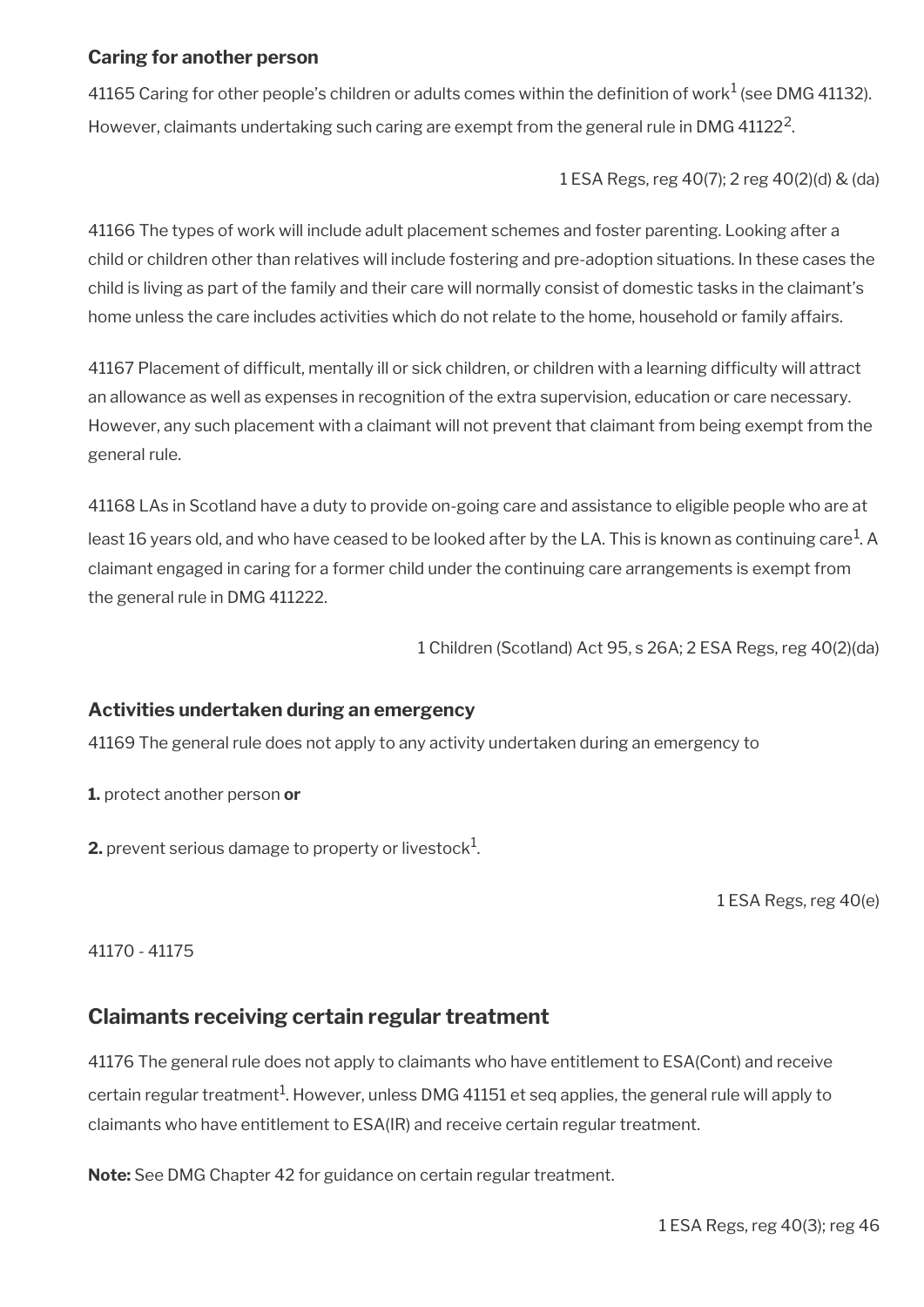### **Caring for another person**

41165 Caring for other people's children or adults comes within the definition of work $^1$  (see DMG 41132). However, claimants undertaking such caring are exempt from the general rule in DMG 41122 $^2$ .

1 ESA Regs, reg 40(7); 2 reg 40(2)(d) & (da)

41166 The types of work will include adult placement schemes and foster parenting. Looking after a child or children other than relatives will include fostering and pre-adoption situations. In these cases the child is living as part of the family and their care will normally consist of domestic tasks in the claimant's home unless the care includes activities which do not relate to the home, household or family affairs.

41167 Placement of diffcult, mentally ill or sick children, or children with a learning diffculty will attract an allowance as well as expenses in recognition of the extra supervision, education or care necessary. However, any such placement with a claimant will not prevent that claimant from being exempt from the general rule.

41168 LAs in Scotland have a duty to provide on-going care and assistance to eligible people who are at least 16 years old, and who have ceased to be looked after by the LA. This is known as continuing care $^{\rm 1}$ . A claimant engaged in caring for a former child under the continuing care arrangements is exempt from the general rule in DMG 411222.

1 Children (Scotland) Act 95, s 26A; 2 ESA Regs, reg 40(2)(da)

### **Activities undertaken during an emergency**

41169 The general rule does not apply to any activity undertaken during an emergency to

**1.** protect another person **or**

**2.** prevent serious damage to property or livestock $^1$ .

1 ESA Regs, reg 40(e)

41170 - 41175

### **Claimants receiving certain regular treatment**

41176 The general rule does not apply to claimants who have entitlement to ESA(Cont) and receive certain regular treatment $^1$ . However, unless DMG 41151 et seq applies, the general rule will apply to claimants who have entitlement to ESA(IR) and receive certain regular treatment.

**Note:** See DMG Chapter 42 for guidance on certain regular treatment.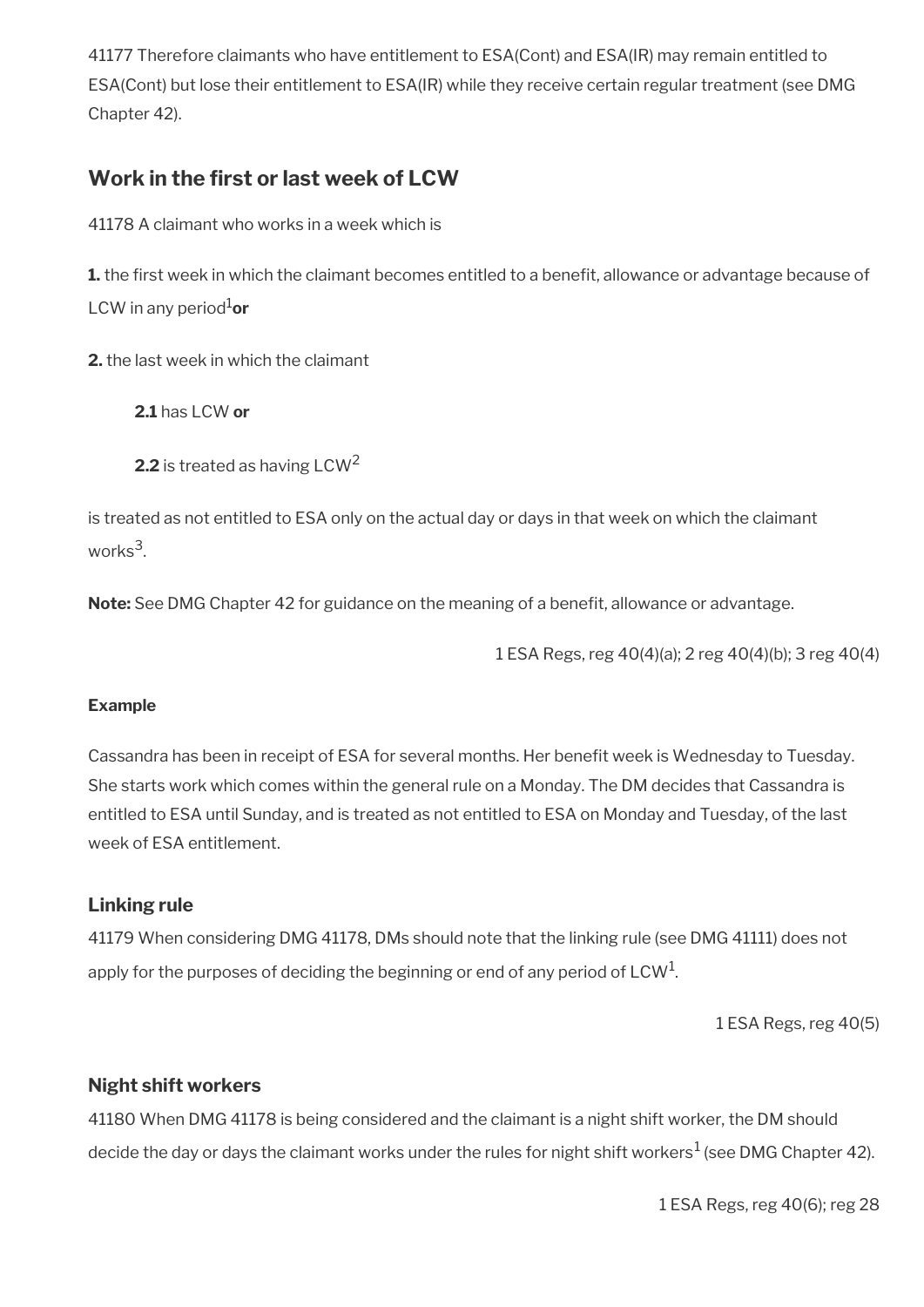41177 Therefore claimants who have entitlement to ESA(Cont) and ESA(IR) may remain entitled to ESA(Cont) but lose their entitlement to ESA(IR) while they receive certain regular treatment (see DMG Chapter 42).

# **Work in the frst or last week of LCW**

41178 A claimant who works in a week which is

**1.** the first week in which the claimant becomes entitled to a benefit, allowance or advantage because of LCW in any period<sup>1</sup>or

**2.** the last week in which the claimant

**2.1** has LCW **or**

**2.2** is treated as having LCW<sup>2</sup>

is treated as not entitled to ESA only on the actual day or days in that week on which the claimant works<sup>3</sup>.

**Note:** See DMG Chapter 42 for guidance on the meaning of a beneft, allowance or advantage.

1 ESA Regs, reg 40(4)(a); 2 reg 40(4)(b); 3 reg 40(4)

### **Example**

Cassandra has been in receipt of ESA for several months. Her beneft week is Wednesday to Tuesday. She starts work which comes within the general rule on a Monday. The DM decides that Cassandra is entitled to ESA until Sunday, and is treated as not entitled to ESA on Monday and Tuesday, of the last week of ESA entitlement.

### **Linking rule**

41179 When considering DMG 41178, DMs should note that the linking rule (see DMG 41111) does not apply for the purposes of deciding the beginning or end of any period of LCW $^{\rm 1}$ .

1 ESA Regs, reg 40(5)

### **Night shift workers**

41180 When DMG 41178 is being considered and the claimant is a night shift worker, the DM should decide the day or days the claimant works under the rules for night shift workers $^1$  (see DMG Chapter 42).

1 ESA Regs, reg 40(6); reg 28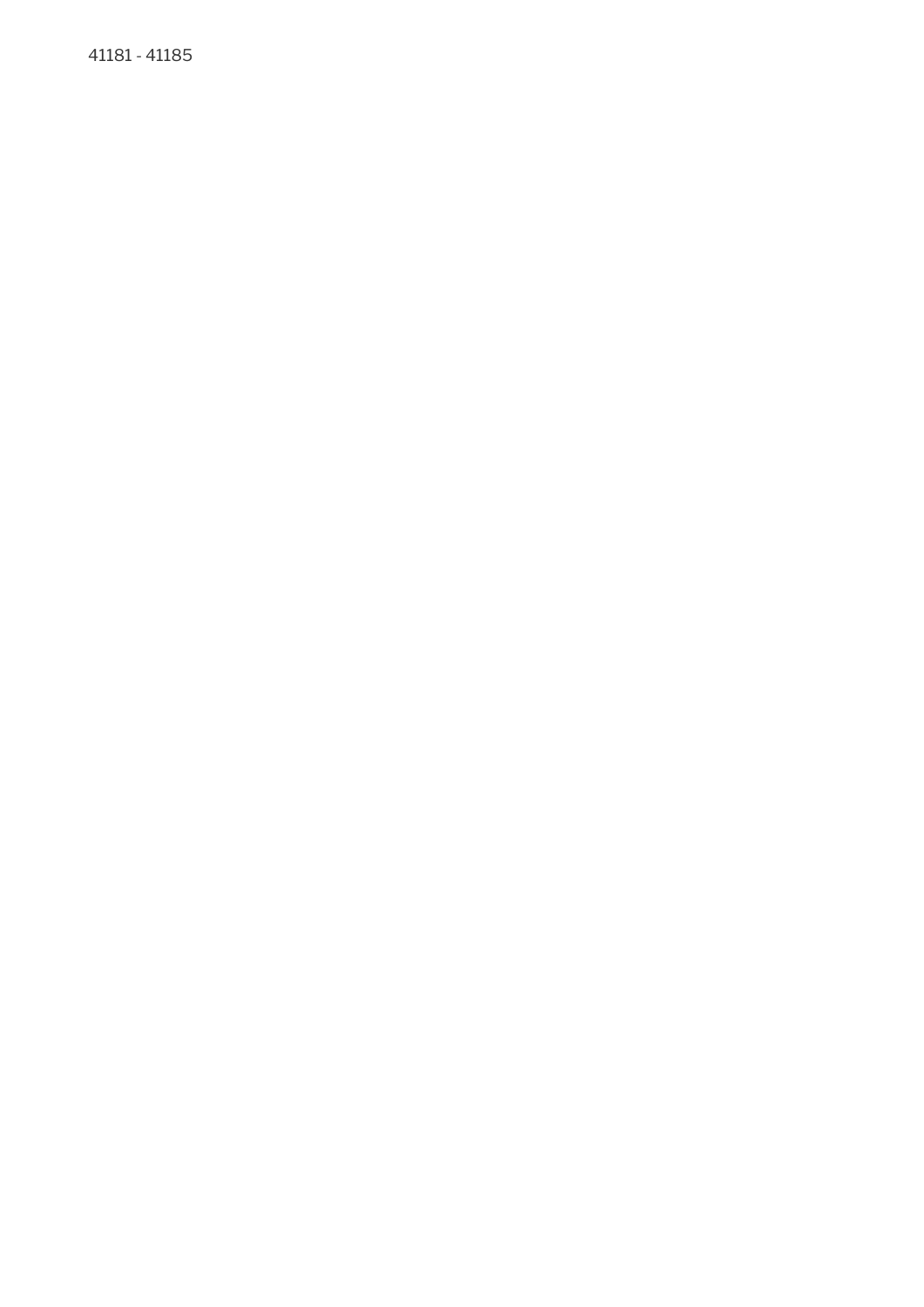41181 - 41185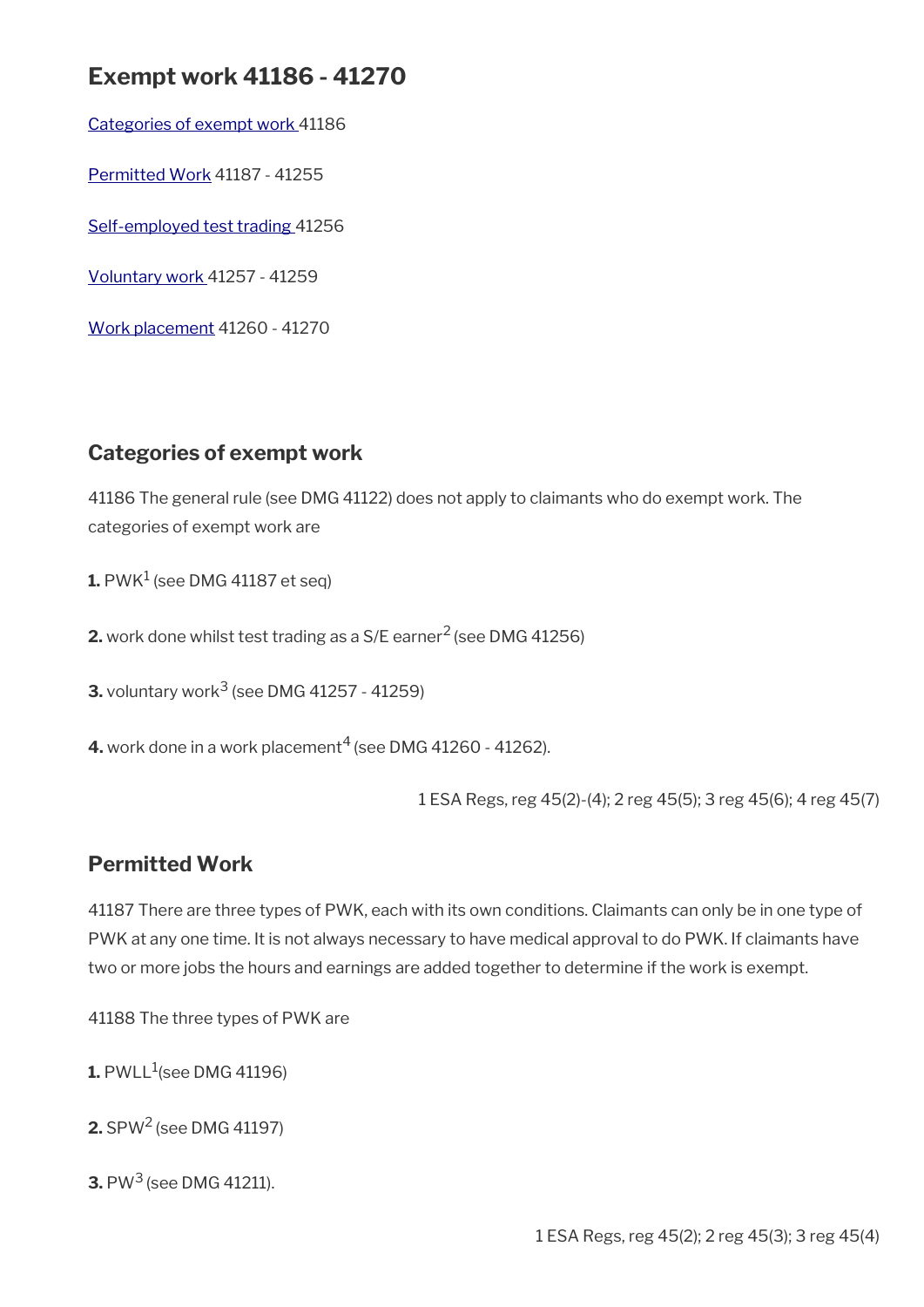# **Exempt work 41186 - 41270**

[Categories of exempt work](#page-42-1) 41186

[Permitted Work](#page-42-0) 41187 - 41255

[Self-employed test trading](#page-46-1) 41256

[Voluntary work 4](#page-46-0)1257 - 41259

[Work placement](#page-47-0) 41260 - 41270

## <span id="page-42-1"></span>**Categories of exempt work**

41186 The general rule (see DMG 41122) does not apply to claimants who do exempt work. The categories of exempt work are

 ${\mathbf 1}.$  PWK $^1$  (see DMG 41187 et seq)

**2.** work done whilst test trading as a S/E earner<sup>2</sup> (see DMG 41256)

**3.** voluntary work<sup>3</sup> (see DMG 41257 - 41259)

**4.** work done in a work placement<sup>4</sup> (see DMG 41260 - 41262).

1 ESA Regs, reg 45(2)-(4); 2 reg 45(5); 3 reg 45(6); 4 reg 45(7)

# <span id="page-42-0"></span>**Permitted Work**

41187 There are three types of PWK, each with its own conditions. Claimants can only be in one type of PWK at any one time. It is not always necessary to have medical approval to do PWK. If claimants have two or more jobs the hours and earnings are added together to determine if the work is exempt.

41188 The three types of PWK are

 ${\mathbf 1}.$  PWLL $^1$ (see DMG 41196)

**2.** SPW2 (see DMG 41197)

**3.** PW<sup>3</sup> (see DMG 41211).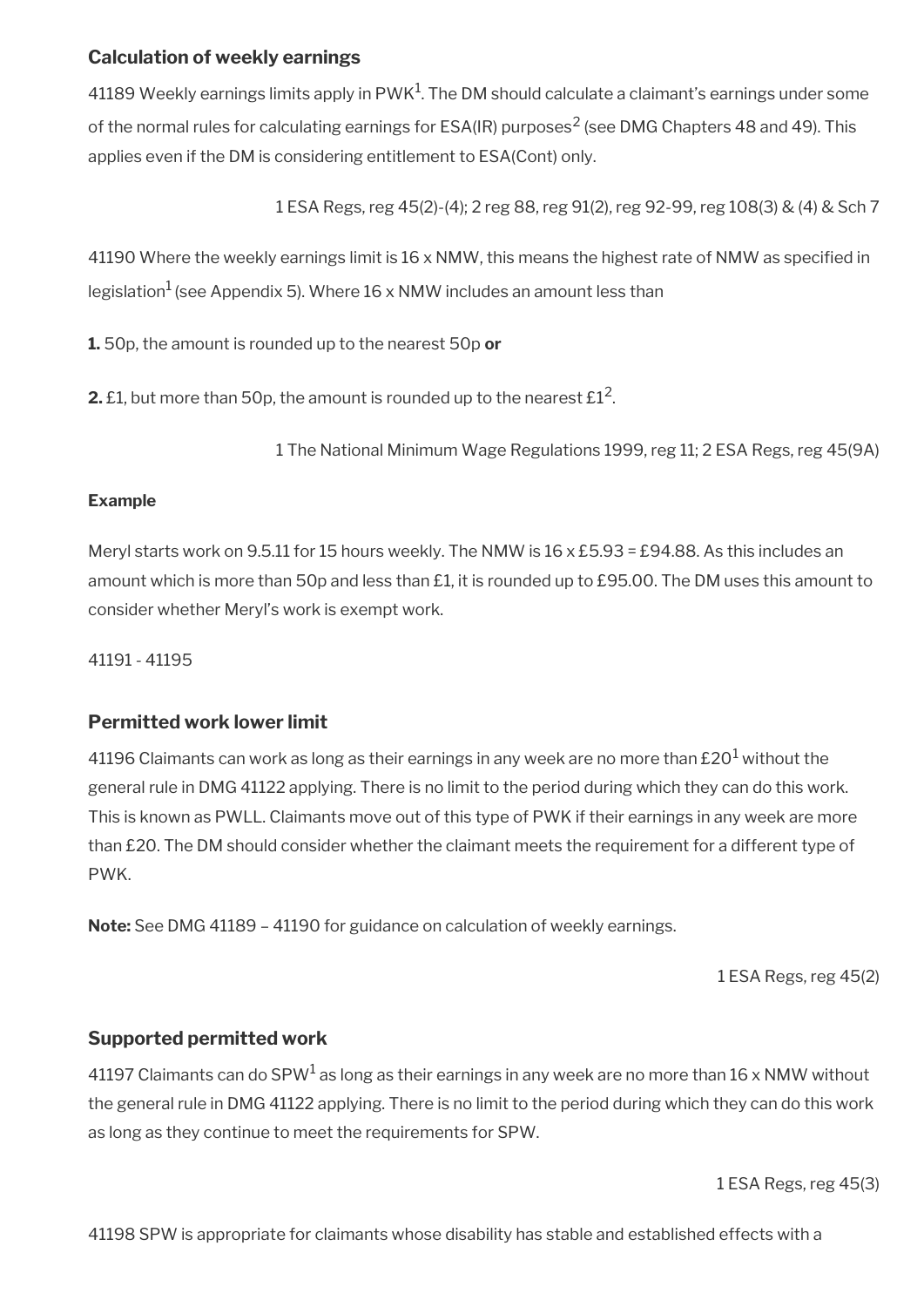### **Calculation of weekly earnings**

41189 Weekly earnings limits apply in PWK $^1$ . The DM should calculate a claimant's earnings under some of the normal rules for calculating earnings for ESA(IR) purposes<sup>2</sup> (see DMG Chapters 48 and 49). This applies even if the DM is considering entitlement to ESA(Cont) only.

1 ESA Regs, reg 45(2)-(4); 2 reg 88, reg 91(2), reg 92-99, reg 108(3) & (4) & Sch 7

41190 Where the weekly earnings limit is 16 x NMW, this means the highest rate of NMW as specifed in legislation<sup>1</sup> (see Appendix 5). Where  $16 \times NMW$  includes an amount less than

**1.** 50p, the amount is rounded up to the nearest 50p **or**

**2.** £1, but more than 50p, the amount is rounded up to the nearest  $\mathrm{E1^2}.$ 

1 The National Minimum Wage Regulations 1999, reg 11; 2 ESA Regs, reg 45(9A)

### **Example**

Meryl starts work on 9.5.11 for 15 hours weekly. The NMW is 16 x £5.93 = £94.88. As this includes an amount which is more than 50p and less than £1, it is rounded up to £95.00. The DM uses this amount to consider whether Meryl's work is exempt work.

41191 - 41195

### **Permitted work lower limit**

41196 Claimants can work as long as their earnings in any week are no more than £20 $^{\rm 1}$  without the general rule in DMG 41122 applying. There is no limit to the period during which they can do this work. This is known as PWLL. Claimants move out of this type of PWK if their earnings in any week are more than £20. The DM should consider whether the claimant meets the requirement for a different type of PWK.

**Note:** See DMG 41189 – 41190 for guidance on calculation of weekly earnings.

1 ESA Regs, reg 45(2)

### **Supported permitted work**

41197 Claimants can do SPW $^{\rm 1}$  as long as their earnings in any week are no more than 16 x NMW without the general rule in DMG 41122 applying. There is no limit to the period during which they can do this work as long as they continue to meet the requirements for SPW.

1 ESA Regs, reg 45(3)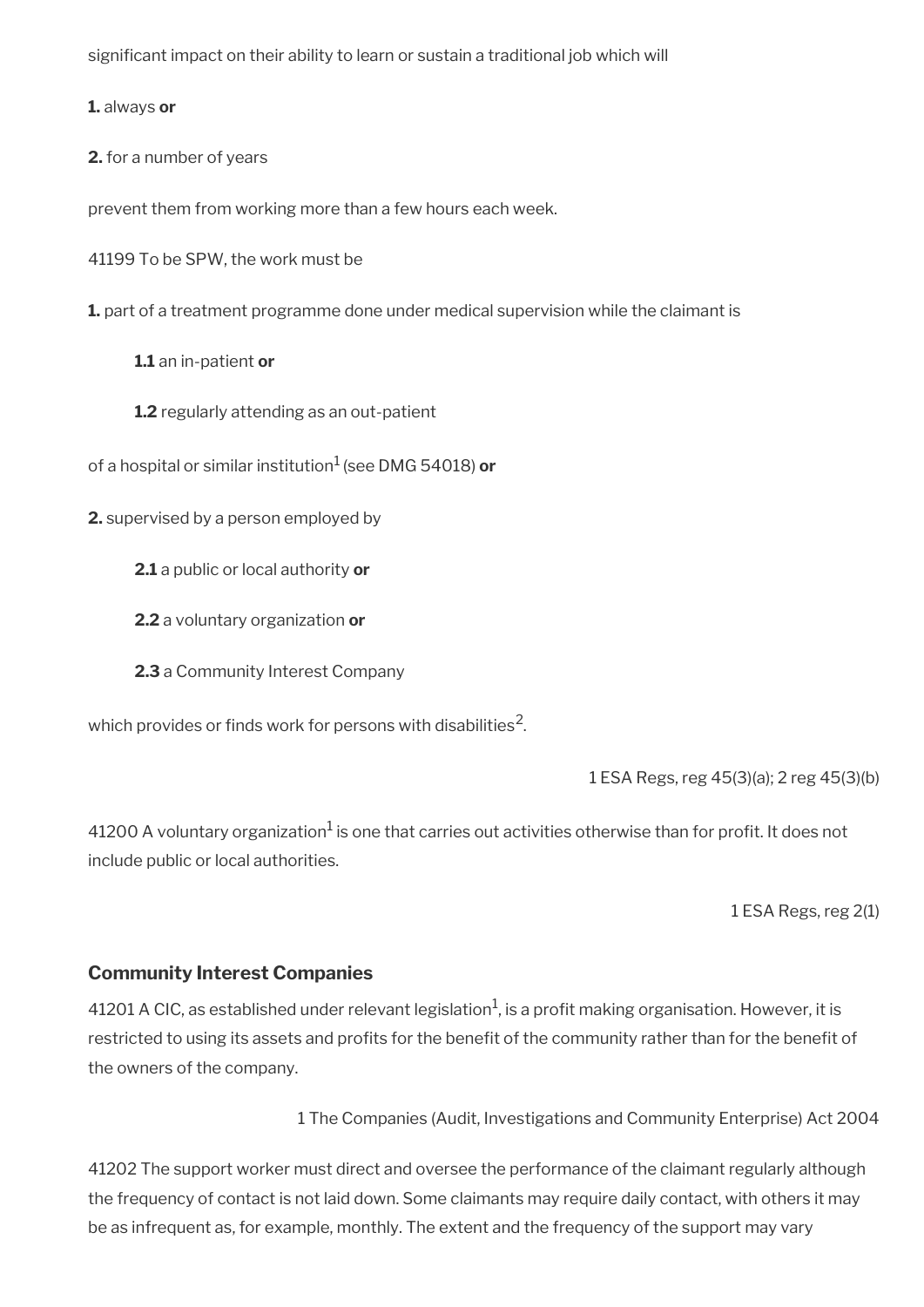signifcant impact on their ability to learn or sustain a traditional job which will

**1.** always **or**

**2.** for a number of years

prevent them from working more than a few hours each week.

41199 To be SPW, the work must be

**1.** part of a treatment programme done under medical supervision while the claimant is

**1.1** an in-patient **or**

**1.2** regularly attending as an out-patient

of a hospital or similar institution1 (see DMG 54018) **or**

**2.** supervised by a person employed by

**2.1** a public or local authority **or**

**2.2** a voluntary organization **or**

**2.3** a Community Interest Company

which provides or finds work for persons with disabilities $^2\!$ 

1 ESA Regs, reg 45(3)(a); 2 reg 45(3)(b)

41200 A voluntary organization $^1$  is one that carries out activities otherwise than for profit. It does not include public or local authorities.

1 ESA Regs, reg 2(1)

### **Community Interest Companies**

41201 A CIC, as established under relevant legislation<sup>1</sup>, is a profit making organisation. However, it is restricted to using its assets and profits for the benefit of the community rather than for the benefit of the owners of the company.

1 The Companies (Audit, Investigations and Community Enterprise) Act 2004

41202 The support worker must direct and oversee the performance of the claimant regularly although the frequency of contact is not laid down. Some claimants may require daily contact, with others it may be as infrequent as, for example, monthly. The extent and the frequency of the support may vary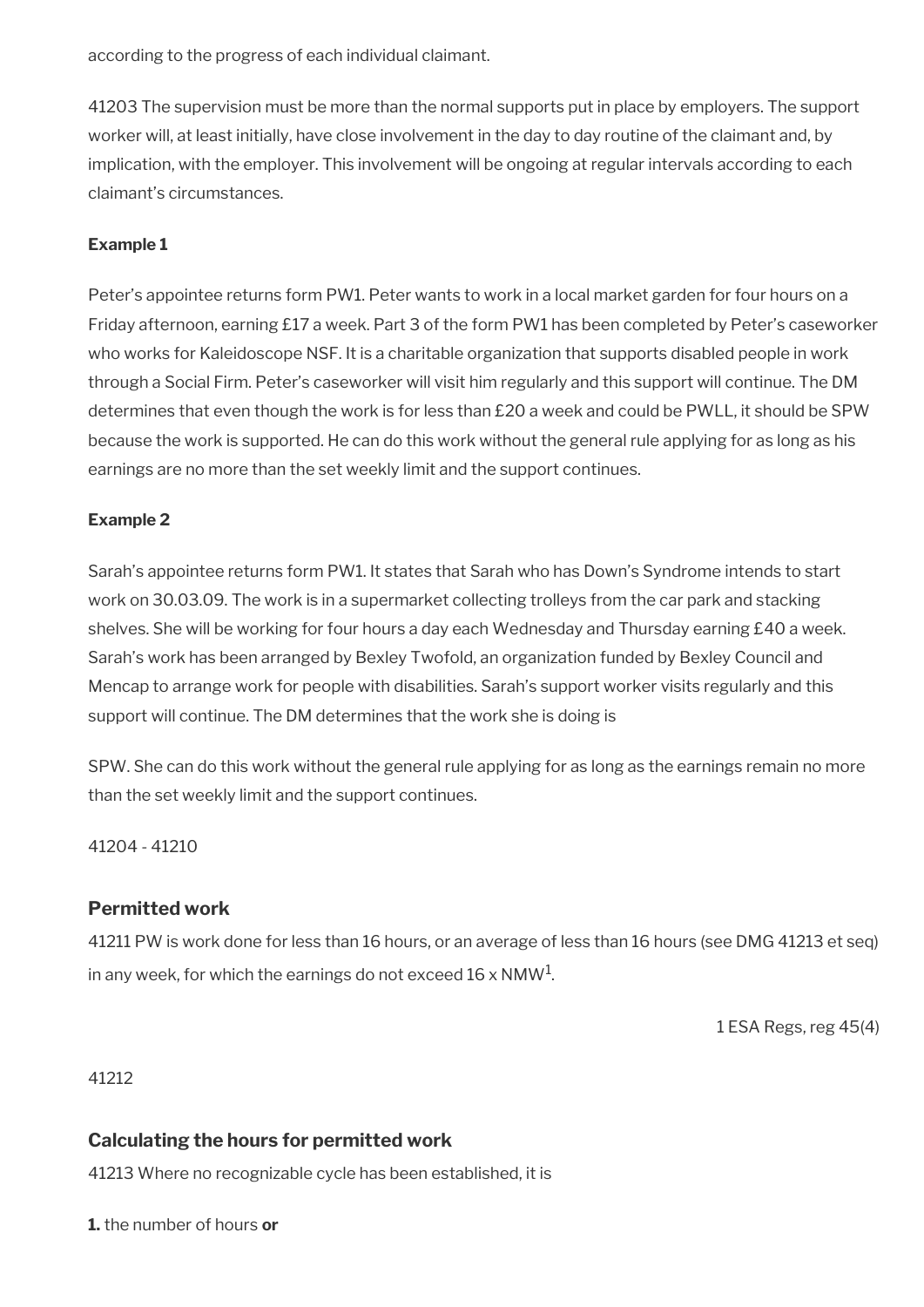according to the progress of each individual claimant.

41203 The supervision must be more than the normal supports put in place by employers. The support worker will, at least initially, have close involvement in the day to day routine of the claimant and, by implication, with the employer. This involvement will be ongoing at regular intervals according to each claimant's circumstances.

### **Example 1**

Peter's appointee returns form PW1. Peter wants to work in a local market garden for four hours on a Friday afternoon, earning £17 a week. Part 3 of the form PW1 has been completed by Peter's caseworker who works for Kaleidoscope NSF. It is a charitable organization that supports disabled people in work through a Social Firm. Peter's caseworker will visit him regularly and this support will continue. The DM determines that even though the work is for less than £20 a week and could be PWLL, it should be SPW because the work is supported. He can do this work without the general rule applying for as long as his earnings are no more than the set weekly limit and the support continues.

### **Example 2**

Sarah's appointee returns form PW1. It states that Sarah who has Down's Syndrome intends to start work on 30.03.09. The work is in a supermarket collecting trolleys from the car park and stacking shelves. She will be working for four hours a day each Wednesday and Thursday earning £40 a week. Sarah's work has been arranged by Bexley Twofold, an organization funded by Bexley Council and Mencap to arrange work for people with disabilities. Sarah's support worker visits regularly and this support will continue. The DM determines that the work she is doing is

SPW. She can do this work without the general rule applying for as long as the earnings remain no more than the set weekly limit and the support continues.

41204 - 41210

### **Permitted work**

41211 PW is work done for less than 16 hours, or an average of less than 16 hours (see DMG 41213 et seq) in any week, for which the earnings do not exceed 16 x NMW $^{\rm 1}$ .

1 ESA Regs, reg 45(4)

41212

### **Calculating the hours for permitted work**

41213 Where no recognizable cycle has been established, it is

**1.** the number of hours **or**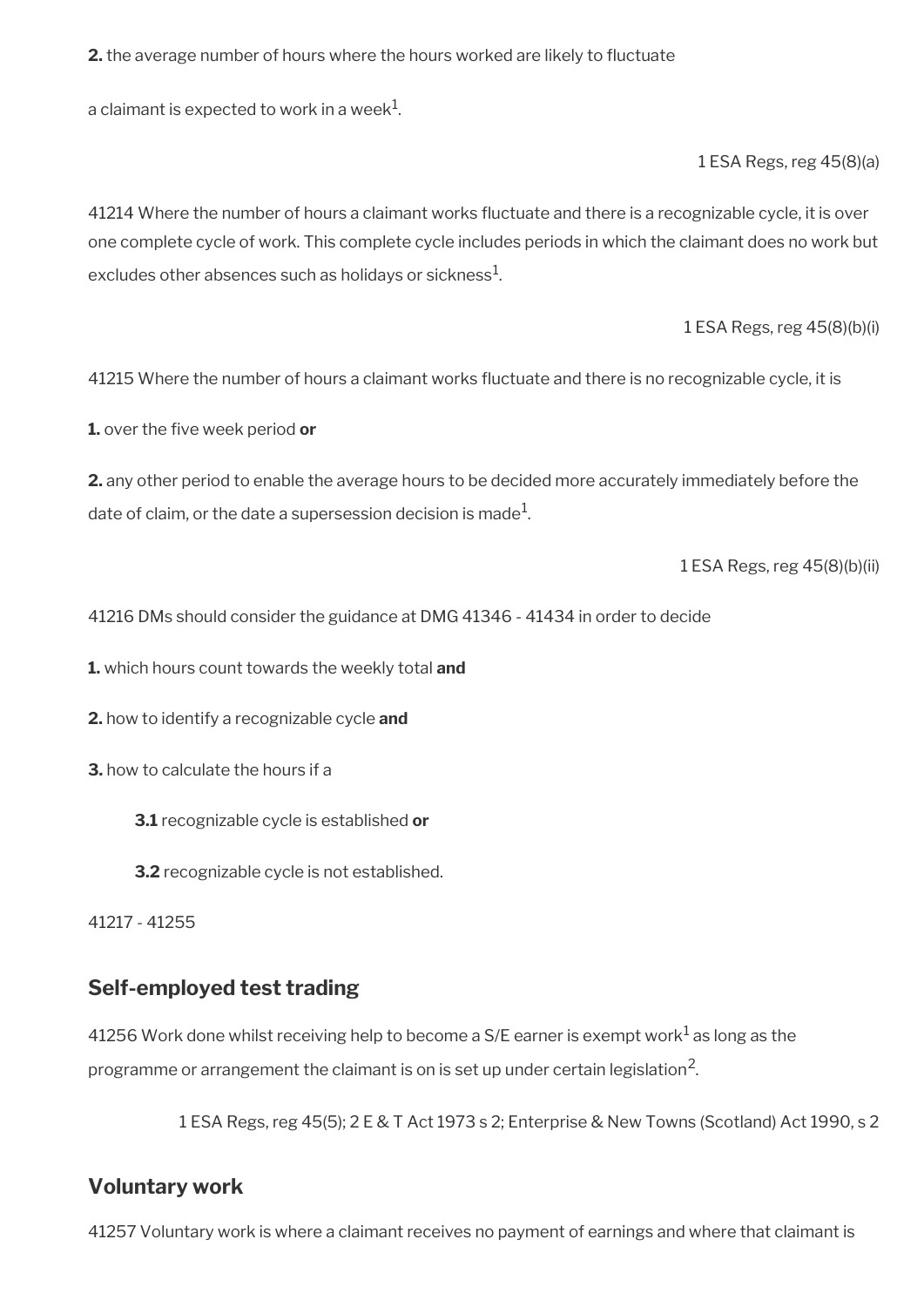**2.** the average number of hours where the hours worked are likely to fuctuate

a claimant is expected to work in a week $^{\mathrm{1}}$ .

1 ESA Regs, reg 45(8)(a)

41214 Where the number of hours a claimant works fuctuate and there is a recognizable cycle, it is over one complete cycle of work. This complete cycle includes periods in which the claimant does no work but excludes other absences such as holidays or sickness $^{\mathrm{1}}$ .

1 ESA Regs, reg 45(8)(b)(i)

41215 Where the number of hours a claimant works fuctuate and there is no recognizable cycle, it is

**1.** over the five week period or

**2.** any other period to enable the average hours to be decided more accurately immediately before the date of claim, or the date a supersession decision is made $^1\!\!$ 

1 ESA Regs, reg 45(8)(b)(ii)

41216 DMs should consider the guidance at DMG 41346 - 41434 in order to decide

**1.** which hours count towards the weekly total **and**

**2.** how to identify a recognizable cycle **and**

- **3.** how to calculate the hours if a
	- **3.1** recognizable cycle is established **or**
	- **3.2** recognizable cycle is not established.

41217 - 41255

### <span id="page-46-1"></span>**Self-employed test trading**

41256 Work done whilst receiving help to become a S/E earner is exempt work $^1$  as long as the programme or arrangement the claimant is on is set up under certain legislation<sup>2</sup>.

1 ESA Regs, reg 45(5); 2 E & T Act 1973 s 2; Enterprise & New Towns (Scotland) Act 1990, s 2

### <span id="page-46-0"></span>**Voluntary work**

41257 Voluntary work is where a claimant receives no payment of earnings and where that claimant is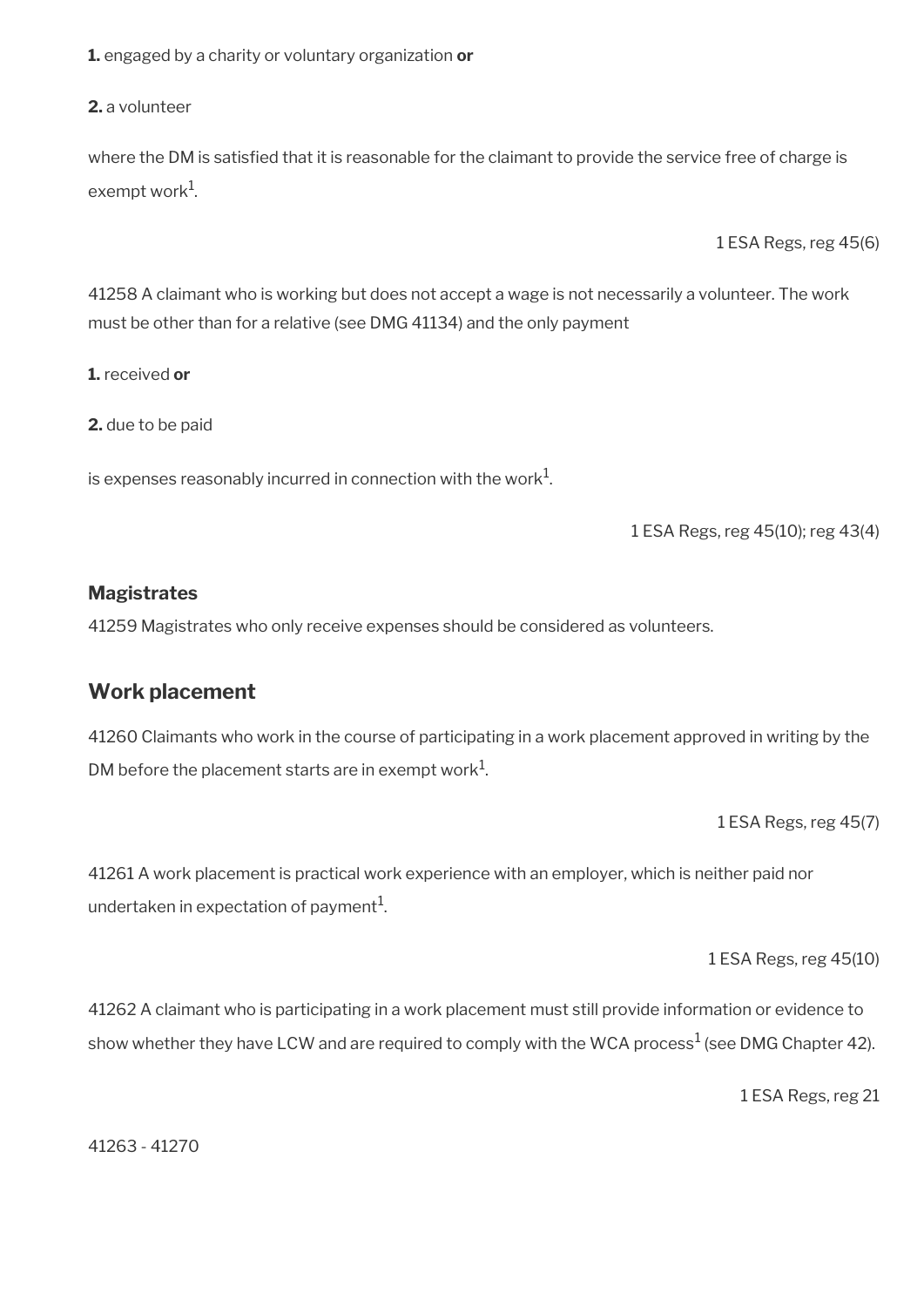**1.** engaged by a charity or voluntary organization **or**

**2.** a volunteer

where the DM is satisfied that it is reasonable for the claimant to provide the service free of charge is exempt work $^1$ .

1 ESA Regs, reg 45(6)

41258 A claimant who is working but does not accept a wage is not necessarily a volunteer. The work must be other than for a relative (see DMG 41134) and the only payment

**1.** received **or**

**2.** due to be paid

is expenses reasonably incurred in connection with the work $^1\!\!$ .

1 ESA Regs, reg 45(10); reg 43(4)

### **Magistrates**

41259 Magistrates who only receive expenses should be considered as volunteers.

### <span id="page-47-0"></span>**Work placement**

41260 Claimants who work in the course of participating in a work placement approved in writing by the DM before the placement starts are in exempt work $^1$ .

1 ESA Regs, reg 45(7)

41261 A work placement is practical work experience with an employer, which is neither paid nor undertaken in expectation of payment $^{\rm 1}$ .

1 ESA Regs, reg 45(10)

41262 A claimant who is participating in a work placement must still provide information or evidence to show whether they have LCW and are required to comply with the WCA process $^1$  (see DMG Chapter 42).

1 ESA Regs, reg 21

41263 - 41270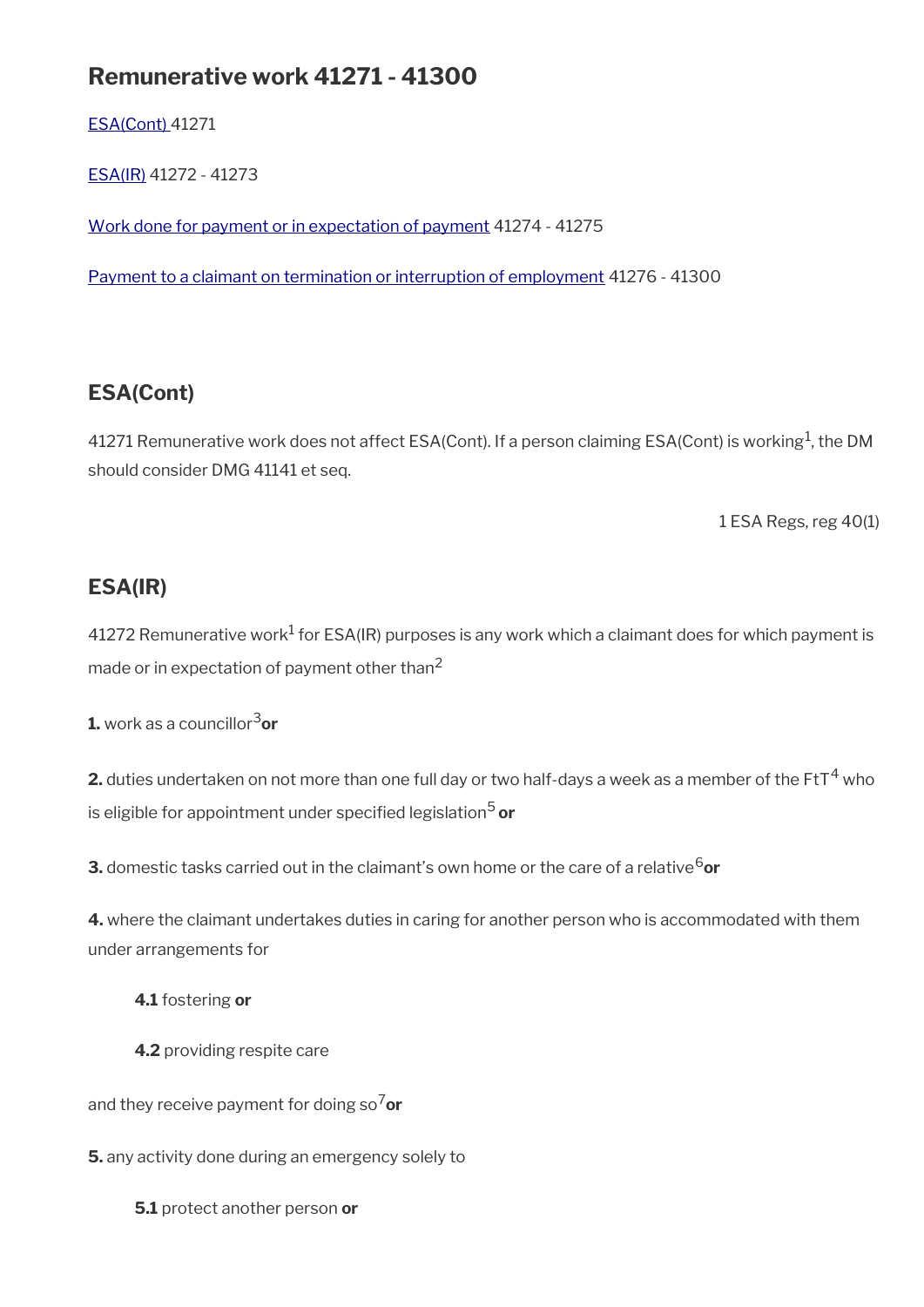# **Remunerative work 41271 - 41300**

[ESA\(Cont\)](#page-48-1) 41271

[ESA\(IR\)](#page-48-0) 41272 - 41273

[Work done for payment or in expectation of payment](#page-49-1) 41274 - 41275

[Payment to a claimant on termination or interruption of employment](#page-49-0) 41276 - 41300

# <span id="page-48-1"></span>**ESA(Cont)**

41271 Remunerative work does not affect ESA(Cont). If a person claiming ESA(Cont) is working $^1$ , the DM should consider DMG 41141 et seq.

1 ESA Regs, reg 40(1)

## <span id="page-48-0"></span>**ESA(IR)**

41272 Remunerative work $^1$  for ESA(IR) purposes is any work which a claimant does for which payment is made or in expectation of payment other than<sup>2</sup>

**1.** work as a councillor3**or**

**2.** duties undertaken on not more than one full day or two half-days a week as a member of the FtT $^4$  who is eligible for appointment under specifed legislation5 **or**

**3.** domestic tasks carried out in the claimant's own home or the care of a relative<sup>6</sup>or

**4.** where the claimant undertakes duties in caring for another person who is accommodated with them under arrangements for

**4.1** fostering **or**

**4.2** providing respite care

and they receive payment for doing so7**or**

**5.** any activity done during an emergency solely to

**5.1** protect another person **or**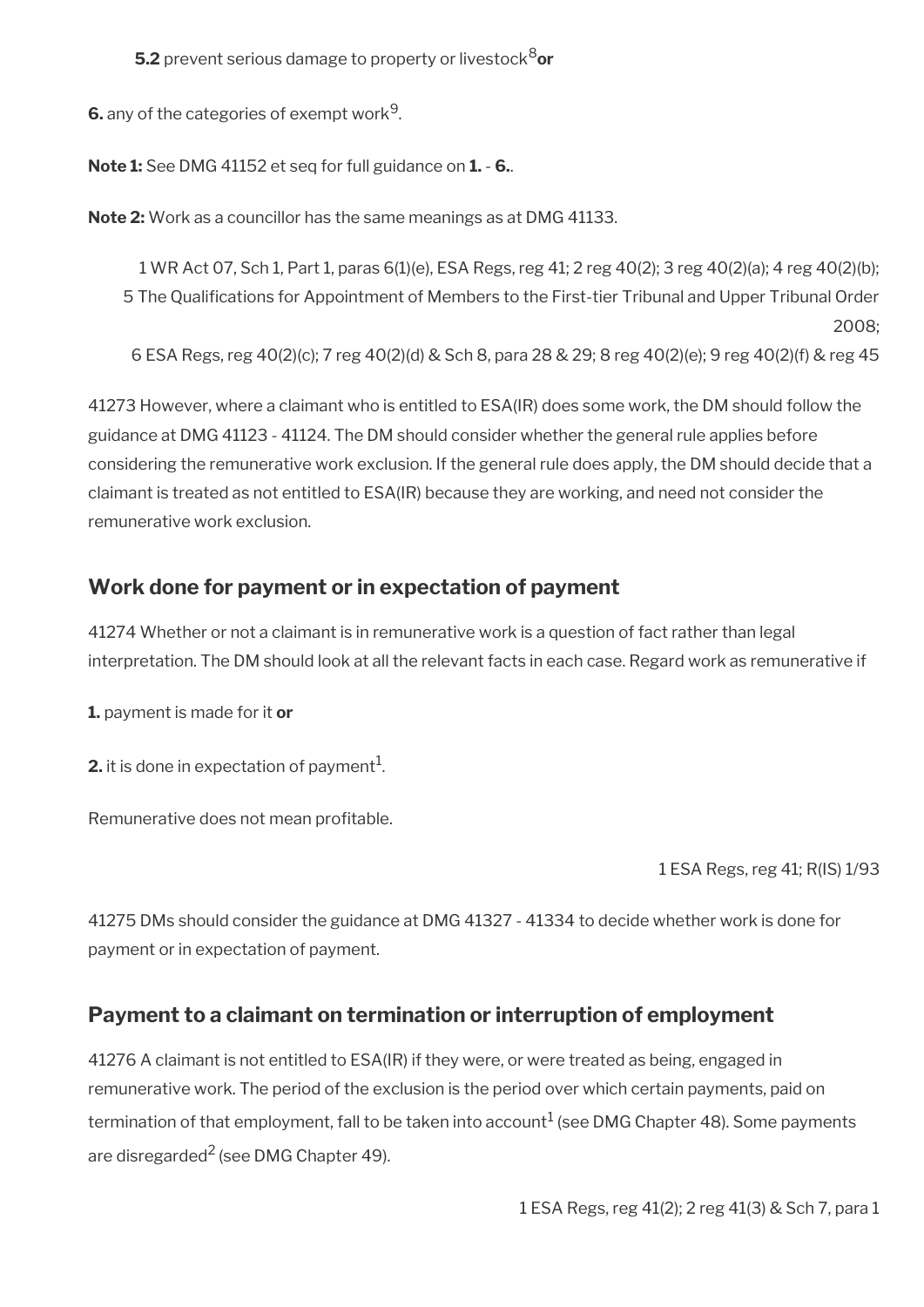**5.2** prevent serious damage to property or livestock<sup>8</sup>or

**6.** any of the categories of exempt work $^9$ .

**Note 1:** See DMG 41152 et seq for full guidance on **1.** - **6.**.

**Note 2:** Work as a councillor has the same meanings as at DMG 41133.

1 WR Act 07, Sch 1, Part 1, paras 6(1)(e), ESA Regs, reg 41; 2 reg 40(2); 3 reg 40(2)(a); 4 reg 40(2)(b); 5 The Qualifcations for Appointment of Members to the First-tier Tribunal and Upper Tribunal Order 2008; 6 ESA Regs, reg 40(2)(c); 7 reg 40(2)(d) & Sch 8, para 28 & 29; 8 reg 40(2)(e); 9 reg 40(2)(f) & reg 45

41273 However, where a claimant who is entitled to ESA(IR) does some work, the DM should follow the guidance at DMG 41123 - 41124. The DM should consider whether the general rule applies before considering the remunerative work exclusion. If the general rule does apply, the DM should decide that a claimant is treated as not entitled to ESA(IR) because they are working, and need not consider the remunerative work exclusion.

## <span id="page-49-1"></span>**Work done for payment or in expectation of payment**

41274 Whether or not a claimant is in remunerative work is a question of fact rather than legal interpretation. The DM should look at all the relevant facts in each case. Regard work as remunerative if

**1.** payment is made for it **or** 

**2.** it is done in expectation of payment $^1$ .

Remunerative does not mean profitable.

1 ESA Regs, reg 41; R(IS) 1/93

41275 DMs should consider the guidance at DMG 41327 - 41334 to decide whether work is done for payment or in expectation of payment.

## <span id="page-49-0"></span>**Payment to a claimant on termination or interruption of employment**

41276 A claimant is not entitled to ESA(IR) if they were, or were treated as being, engaged in remunerative work. The period of the exclusion is the period over which certain payments, paid on termination of that employment, fall to be taken into account $^1$  (see DMG Chapter 48). Some payments are disregarded<sup>2</sup> (see DMG Chapter 49).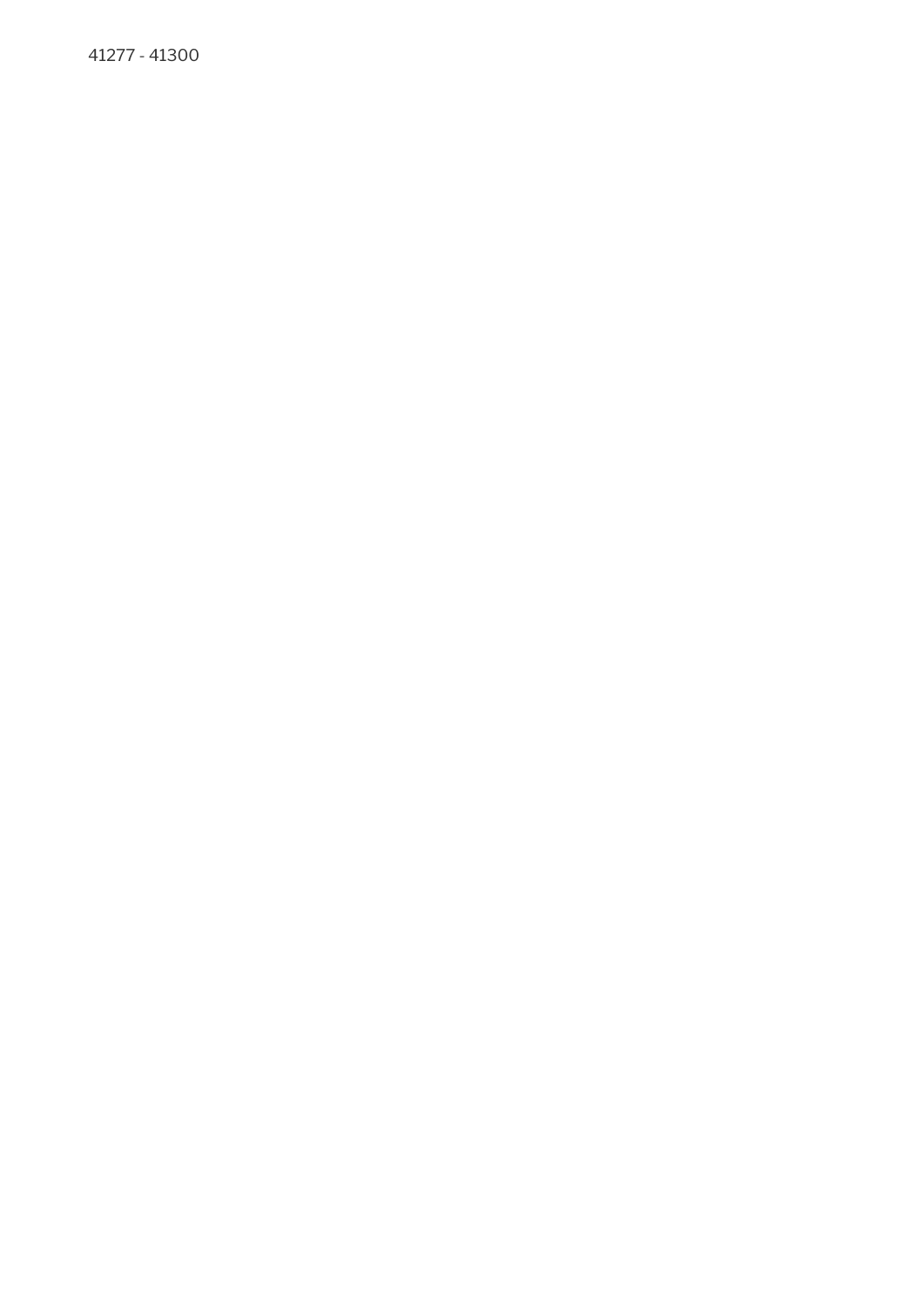41277 - 41300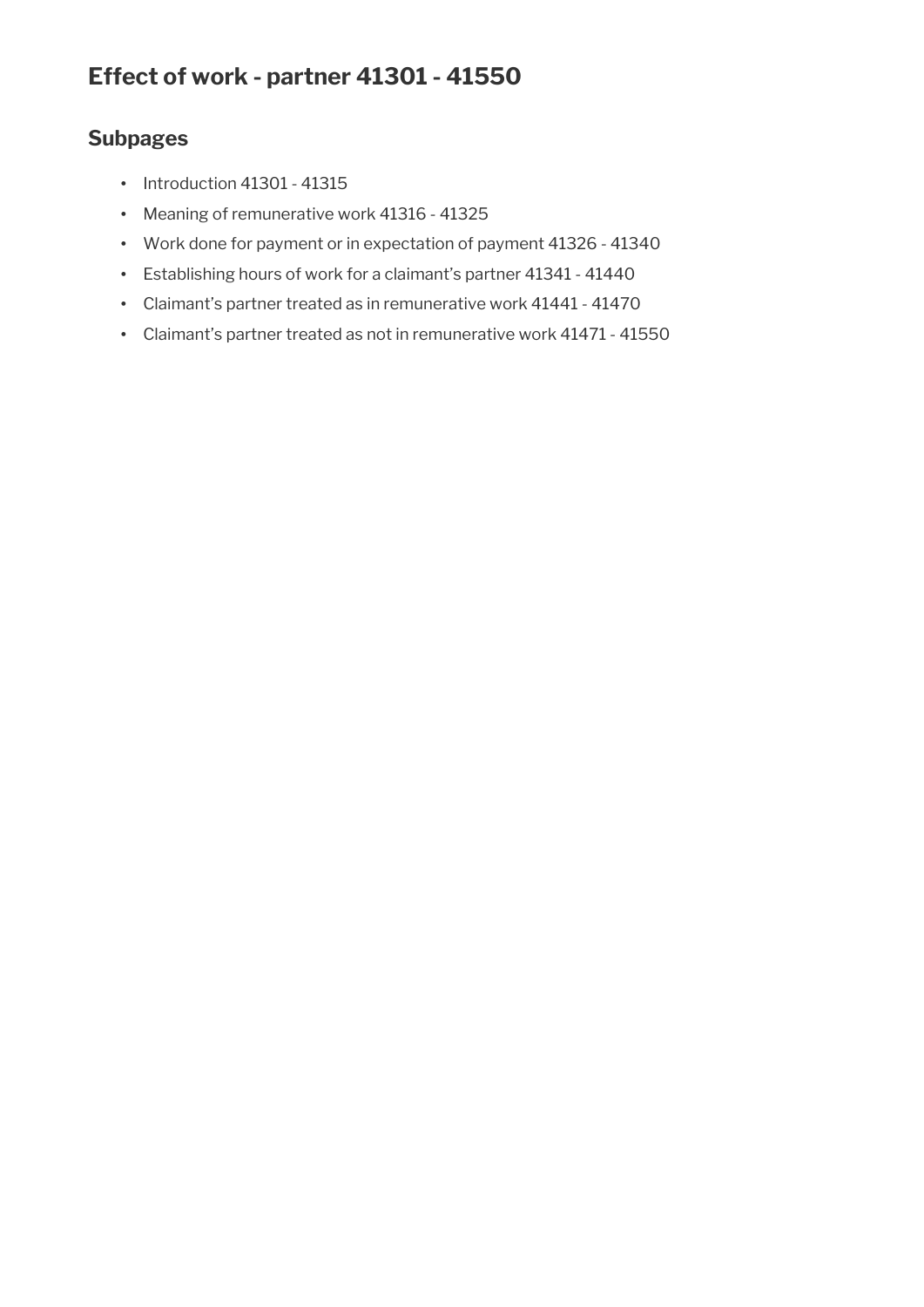# **Subpages**

- Introduction 41301 41315
- Meaning of remunerative work 41316 41325
- Work done for payment or in expectation of payment 41326 41340
- Establishing hours of work for a claimant's partner 41341 41440
- Claimant's partner treated as in remunerative work 41441 41470
- Claimant's partner treated as not in remunerative work 41471 41550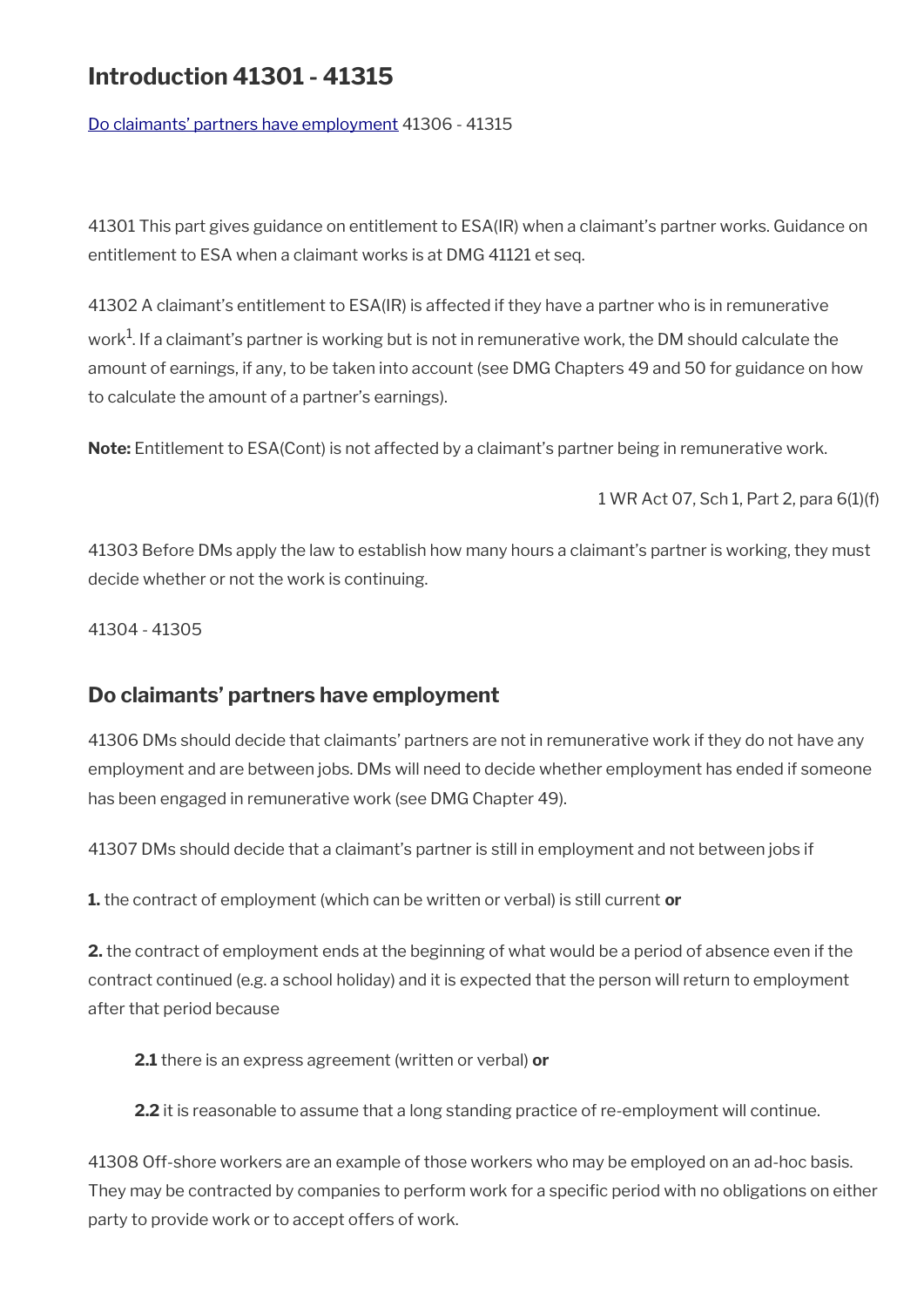# **Introduction 41301 - 41315**

[Do claimants' partners have employment](#page-52-0) 41306 - 41315

41301 This part gives guidance on entitlement to ESA(IR) when a claimant's partner works. Guidance on entitlement to ESA when a claimant works is at DMG 41121 et seq.

41302 A claimant's entitlement to ESA(IR) is affected if they have a partner who is in remunerative work<sup>1</sup>. If a claimant's partner is working but is not in remunerative work, the DM should calculate the amount of earnings, if any, to be taken into account (see DMG Chapters 49 and 50 for guidance on how to calculate the amount of a partner's earnings).

**Note:** Entitlement to ESA(Cont) is not affected by a claimant's partner being in remunerative work.

1 WR Act 07, Sch 1, Part 2, para 6(1)(f)

41303 Before DMs apply the law to establish how many hours a claimant's partner is working, they must decide whether or not the work is continuing.

41304 - 41305

## <span id="page-52-0"></span>**Do claimants' partners have employment**

41306 DMs should decide that claimants' partners are not in remunerative work if they do not have any employment and are between jobs. DMs will need to decide whether employment has ended if someone has been engaged in remunerative work (see DMG Chapter 49).

41307 DMs should decide that a claimant's partner is still in employment and not between jobs if

**1.** the contract of employment (which can be written or verbal) is still current **or**

**2.** the contract of employment ends at the beginning of what would be a period of absence even if the contract continued (e.g. a school holiday) and it is expected that the person will return to employment after that period because

**2.1** there is an express agreement (written or verbal) **or**

**2.2** it is reasonable to assume that a long standing practice of re-employment will continue.

41308 Off-shore workers are an example of those workers who may be employed on an ad-hoc basis. They may be contracted by companies to perform work for a specific period with no obligations on either party to provide work or to accept offers of work.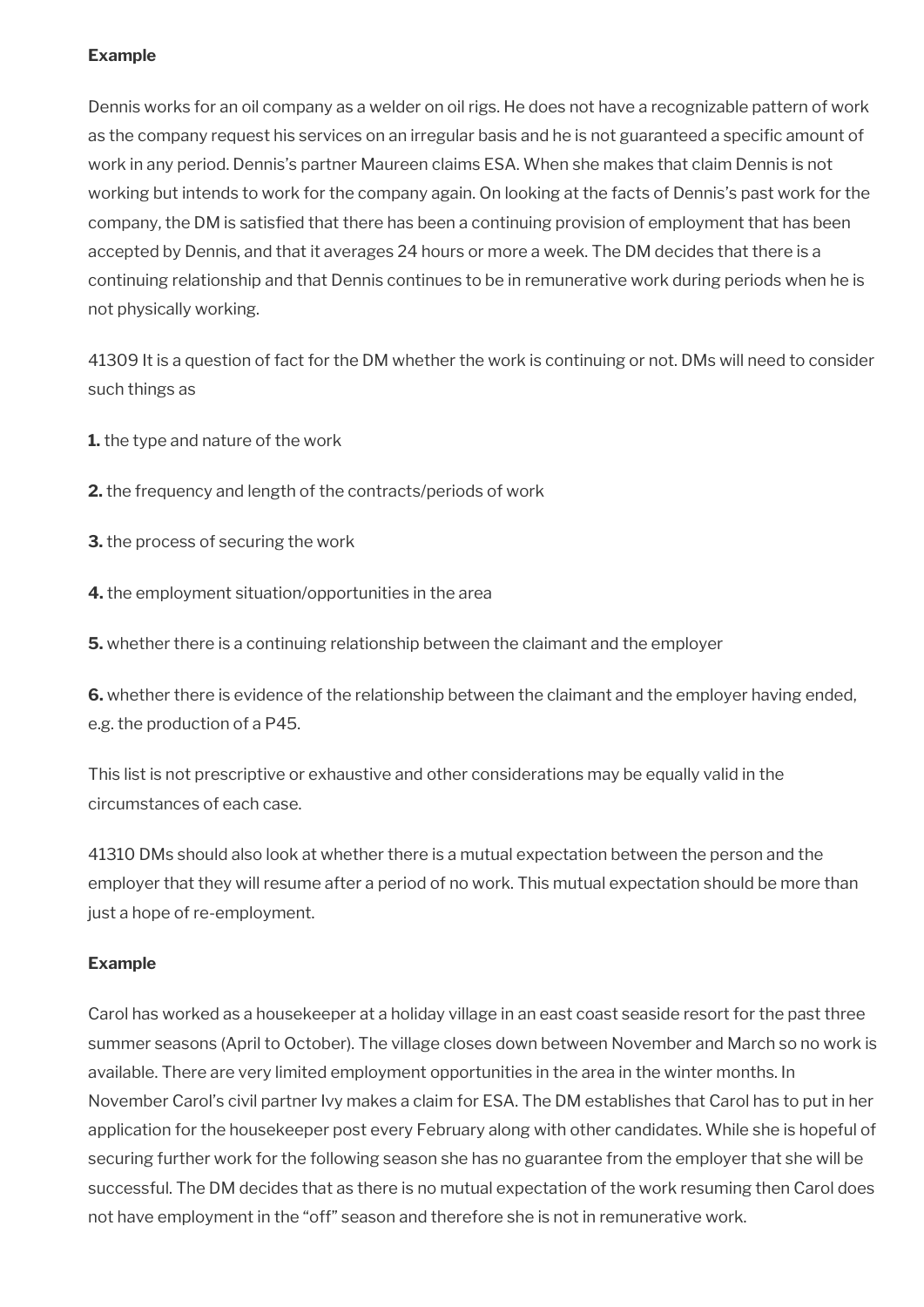### **Example**

Dennis works for an oil company as a welder on oil rigs. He does not have a recognizable pattern of work as the company request his services on an irregular basis and he is not guaranteed a specifc amount of work in any period. Dennis's partner Maureen claims ESA. When she makes that claim Dennis is not working but intends to work for the company again. On looking at the facts of Dennis's past work for the company, the DM is satisfed that there has been a continuing provision of employment that has been accepted by Dennis, and that it averages 24 hours or more a week. The DM decides that there is a continuing relationship and that Dennis continues to be in remunerative work during periods when he is not physically working.

41309 It is a question of fact for the DM whether the work is continuing or not. DMs will need to consider such things as

**1.** the type and nature of the work

**2.** the frequency and length of the contracts/periods of work

**3.** the process of securing the work

**4.** the employment situation/opportunities in the area

**5.** whether there is a continuing relationship between the claimant and the employer

**6.** whether there is evidence of the relationship between the claimant and the employer having ended, e.g. the production of a P45.

This list is not prescriptive or exhaustive and other considerations may be equally valid in the circumstances of each case.

41310 DMs should also look at whether there is a mutual expectation between the person and the employer that they will resume after a period of no work. This mutual expectation should be more than just a hope of re-employment.

#### **Example**

Carol has worked as a housekeeper at a holiday village in an east coast seaside resort for the past three summer seasons (April to October). The village closes down between November and March so no work is available. There are very limited employment opportunities in the area in the winter months. In November Carol's civil partner Ivy makes a claim for ESA. The DM establishes that Carol has to put in her application for the housekeeper post every February along with other candidates. While she is hopeful of securing further work for the following season she has no guarantee from the employer that she will be successful. The DM decides that as there is no mutual expectation of the work resuming then Carol does not have employment in the "off" season and therefore she is not in remunerative work.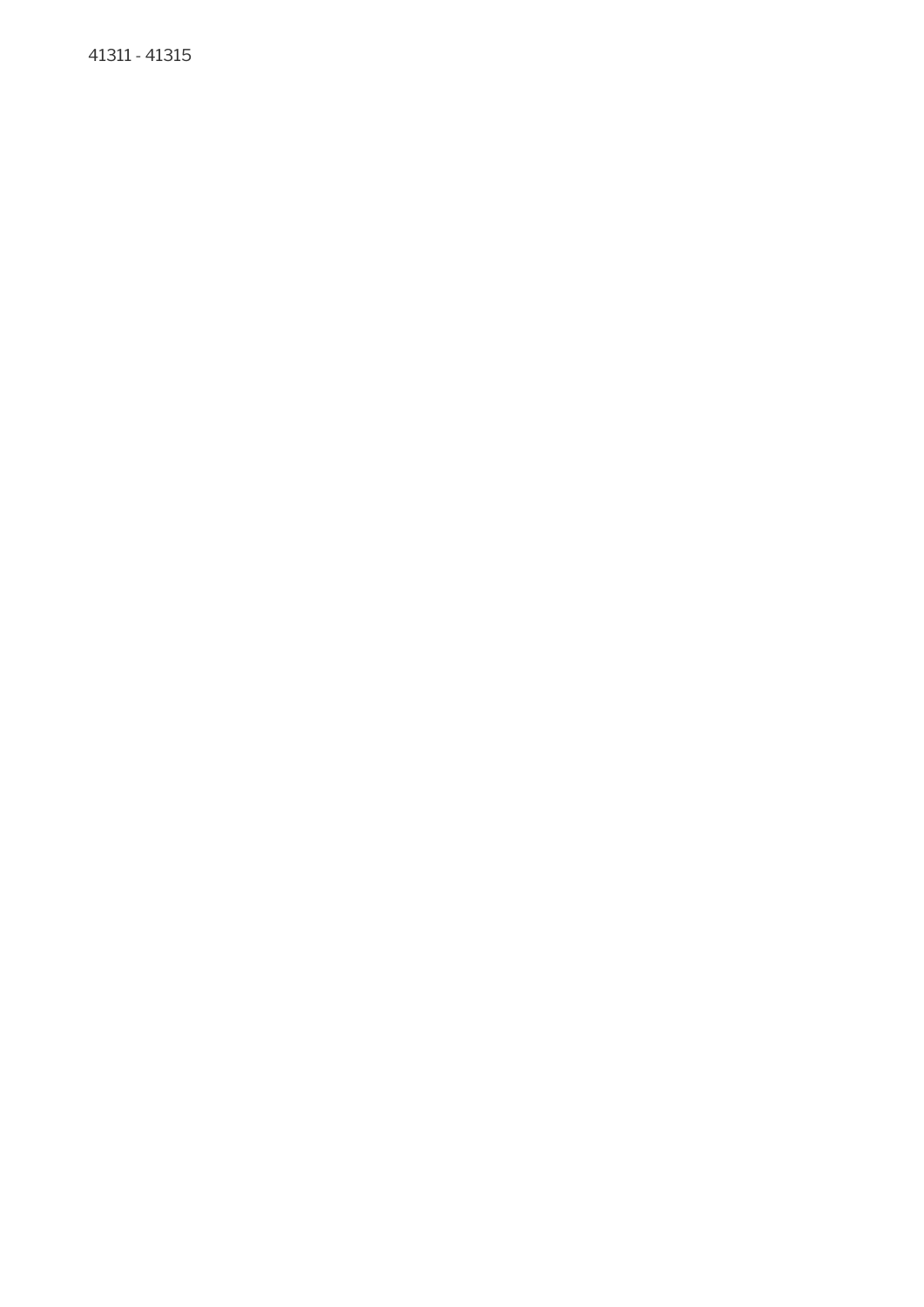41311 - 41315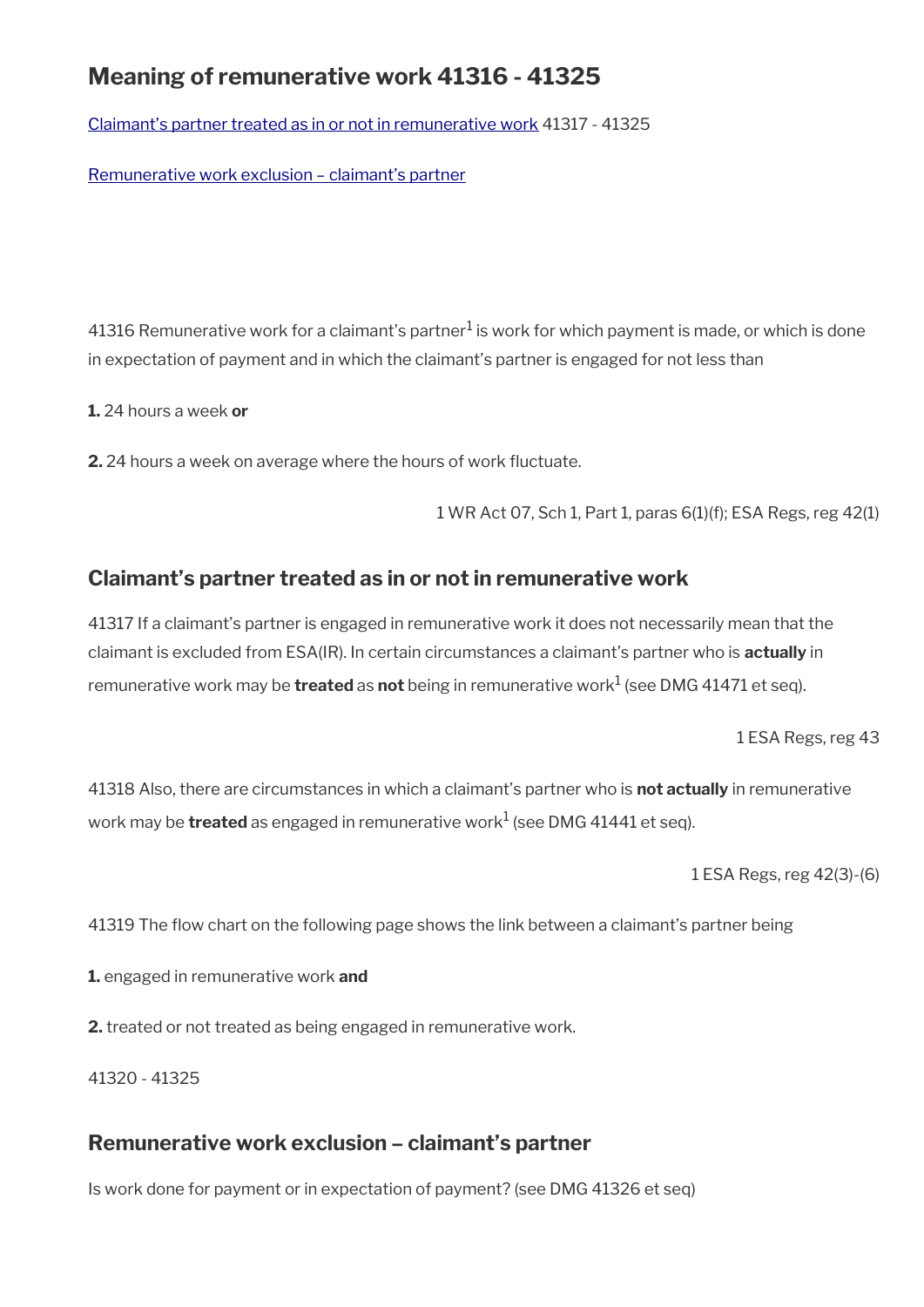# **Meaning of remunerative work 41316 - 41325**

Claimant's partner treated as in or not in remunerative work 41317 - 41325

[Remunerative work exclusion – claimant's partner](#page-55-0)

41316 Remunerative work for a claimant's partner $^1$  is work for which payment is made, or which is done in expectation of payment and in which the claimant's partner is engaged for not less than

**1.** 24 hours a week **or** 

**2.** 24 hours a week on average where the hours of work fuctuate.

1 WR Act 07, Sch 1, Part 1, paras 6(1)(f); ESA Regs, reg 42(1)

### **Claimant's partner treated as in or not in remunerative work**

41317 If a claimant's partner is engaged in remunerative work it does not necessarily mean that the claimant is excluded from ESA(IR). In certain circumstances a claimant's partner who is **actually** in remunerative work may be **treated** as **not** being in remunerative work<sup>1</sup> (see DMG 41471 et seq).

1 ESA Regs, reg 43

41318 Also, there are circumstances in which a claimant's partner who is **not actually** in remunerative work may be **treated** as engaged in remunerative work<sup>1</sup> (see DMG 41441 et seq).

1 ESA Regs, reg 42(3)-(6)

41319 The flow chart on the following page shows the link between a claimant's partner being

**1.** engaged in remunerative work **and** 

**2.** treated or not treated as being engaged in remunerative work.

41320 - 41325

### <span id="page-55-0"></span>**Remunerative work exclusion – claimant's partner**

Is work done for payment or in expectation of payment? (see DMG 41326 et seq)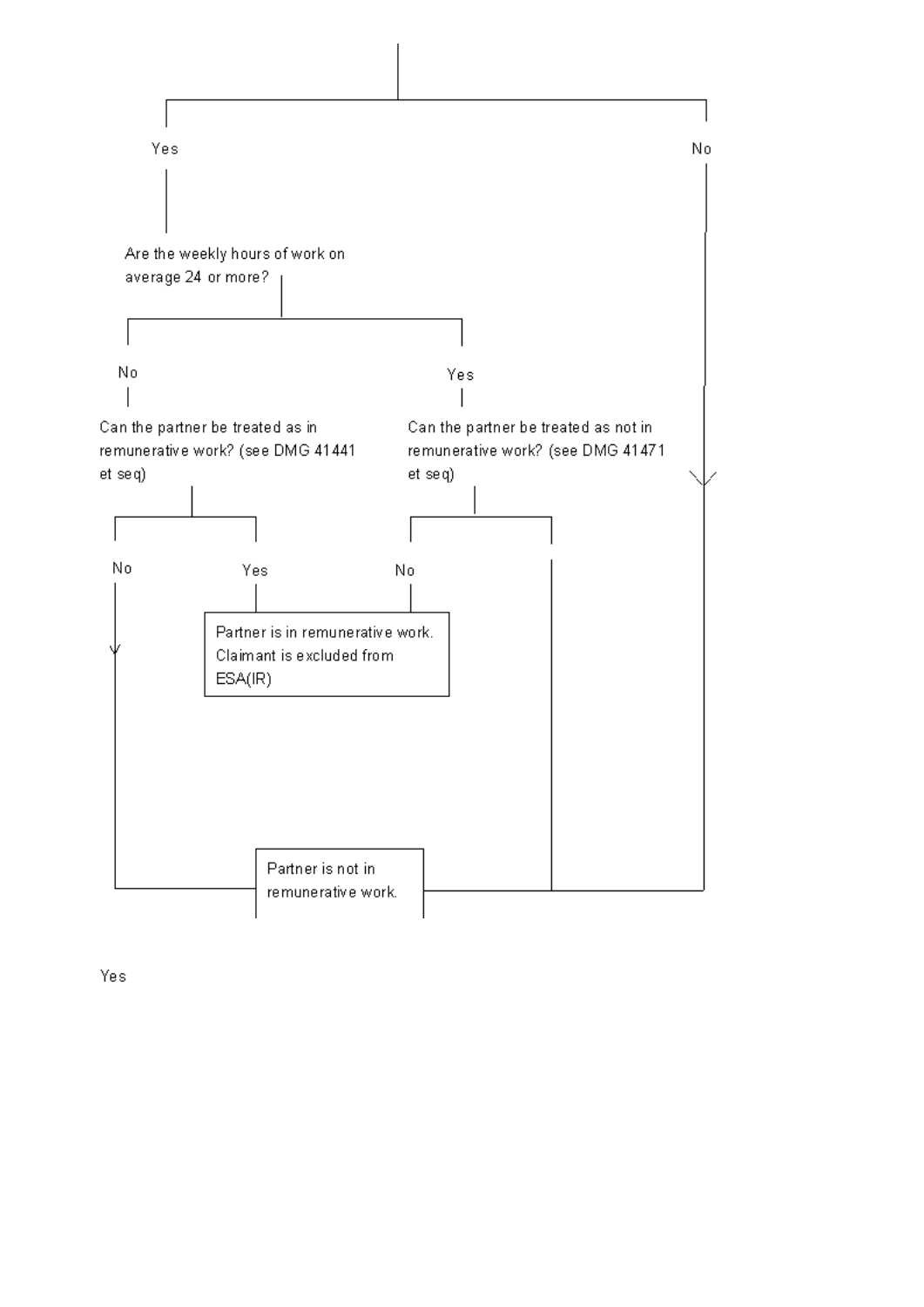

Yes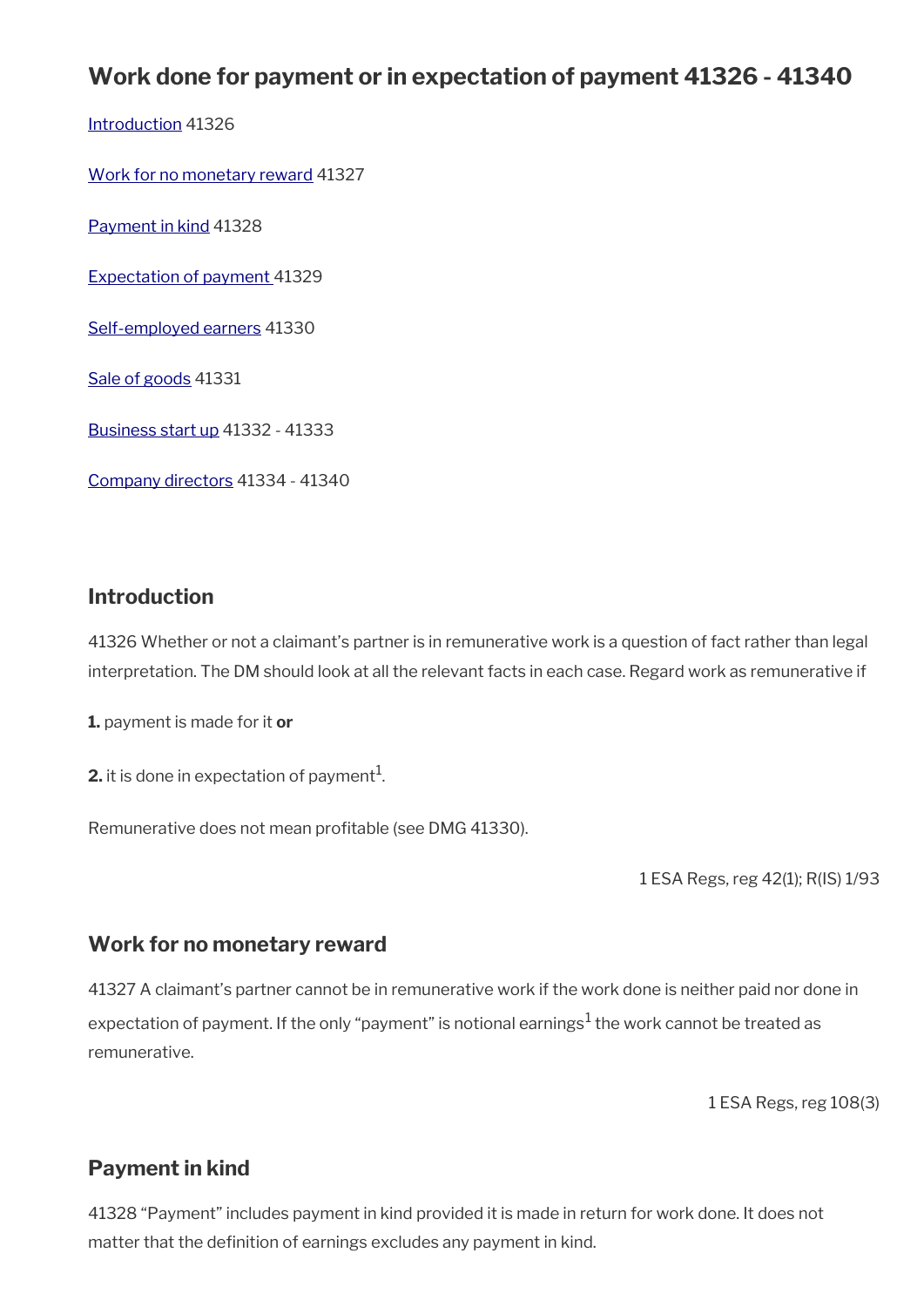# **Work done for payment or in expectation of payment 41326 - 41340**

[Introduction](#page-7-0) 41326

[Work for no monetary reward](#page-57-1) 41327

[Payment in kind](#page-57-0) 41328

[Expectation of payment](#page-58-3) 41329

[Self-employed earners](#page-58-2) 41330

[Sale of goods](#page-58-1) 41331

[Business start up](#page-58-0) 41332 - 41333

[Company directors](#page-59-0) 41334 - 41340

### **Introduction**

41326 Whether or not a claimant's partner is in remunerative work is a question of fact rather than legal interpretation. The DM should look at all the relevant facts in each case. Regard work as remunerative if

**1.** payment is made for it **or** 

**2.** it is done in expectation of payment $^1$ .

Remunerative does not mean profitable (see DMG 41330).

1 ESA Regs, reg 42(1); R(IS) 1/93

### <span id="page-57-1"></span>**Work for no monetary reward**

41327 A claimant's partner cannot be in remunerative work if the work done is neither paid nor done in expectation of payment. If the only "payment" is notional earnings $^1$  the work cannot be treated as remunerative.

1 ESA Regs, reg 108(3)

# <span id="page-57-0"></span>**Payment in kind**

41328 "Payment" includes payment in kind provided it is made in return for work done. It does not matter that the definition of earnings excludes any payment in kind.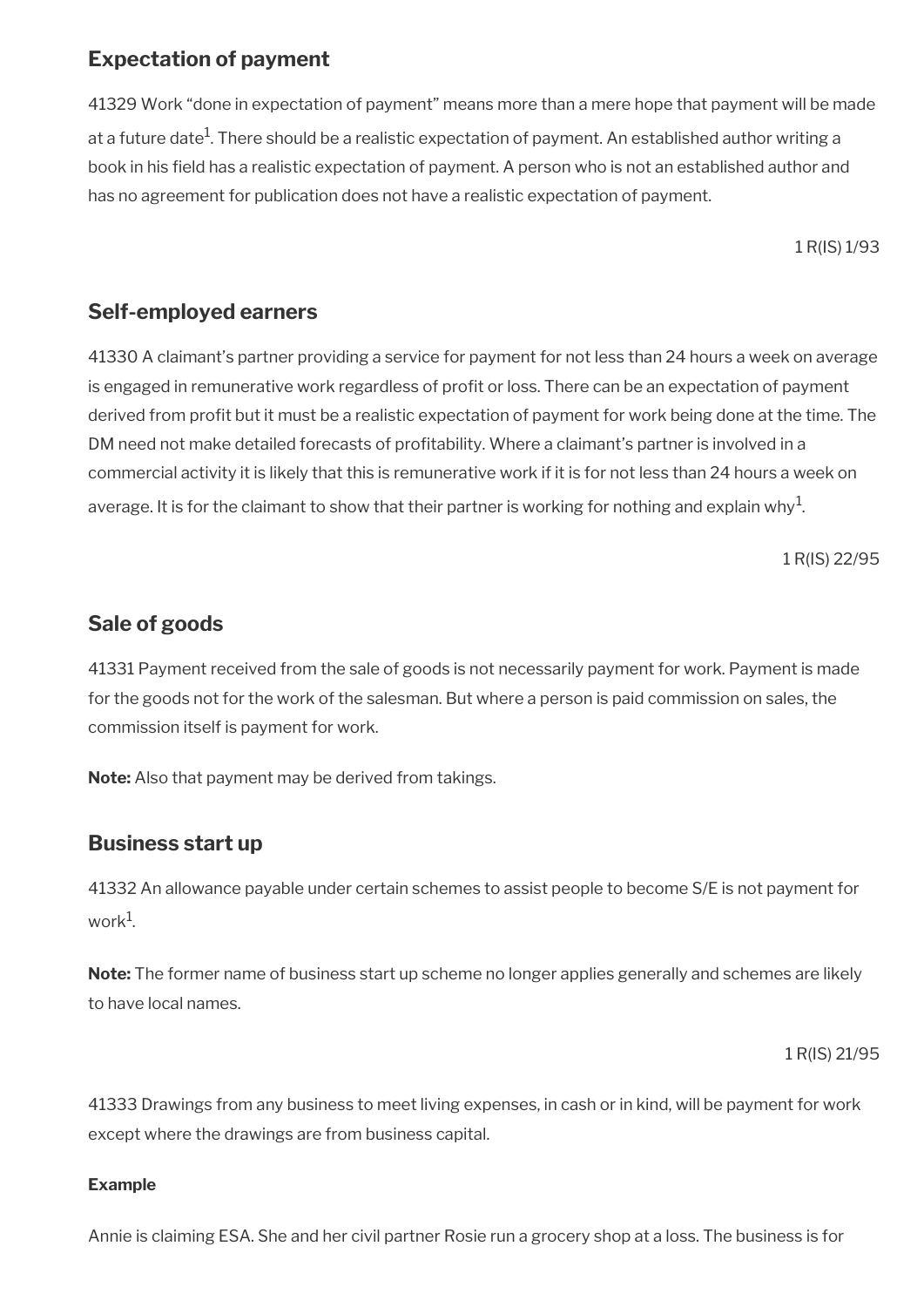# <span id="page-58-3"></span>**Expectation of payment**

41329 Work "done in expectation of payment" means more than a mere hope that payment will be made at a future date $^{\rm 1}$ . There should be a realistic expectation of payment. An established author writing a book in his field has a realistic expectation of payment. A person who is not an established author and has no agreement for publication does not have a realistic expectation of payment.

1 R(IS) 1/93

# <span id="page-58-2"></span>**Self-employed earners**

41330 A claimant's partner providing a service for payment for not less than 24 hours a week on average is engaged in remunerative work regardless of profit or loss. There can be an expectation of payment derived from profit but it must be a realistic expectation of payment for work being done at the time. The DM need not make detailed forecasts of proftability. Where a claimant's partner is involved in a commercial activity it is likely that this is remunerative work if it is for not less than 24 hours a week on average. It is for the claimant to show that their partner is working for nothing and explain why $^{\rm 1}$ .

1 R(IS) 22/95

# <span id="page-58-1"></span>**Sale of goods**

41331 Payment received from the sale of goods is not necessarily payment for work. Payment is made for the goods not for the work of the salesman. But where a person is paid commission on sales, the commission itself is payment for work.

**Note:** Also that payment may be derived from takings.

# <span id="page-58-0"></span>**Business start up**

41332 An allowance payable under certain schemes to assist people to become S/E is not payment for work $^1$ .

**Note:** The former name of business start up scheme no longer applies generally and schemes are likely to have local names.

1 R(IS) 21/95

41333 Drawings from any business to meet living expenses, in cash or in kind, will be payment for work except where the drawings are from business capital.

### **Example**

Annie is claiming ESA. She and her civil partner Rosie run a grocery shop at a loss. The business is for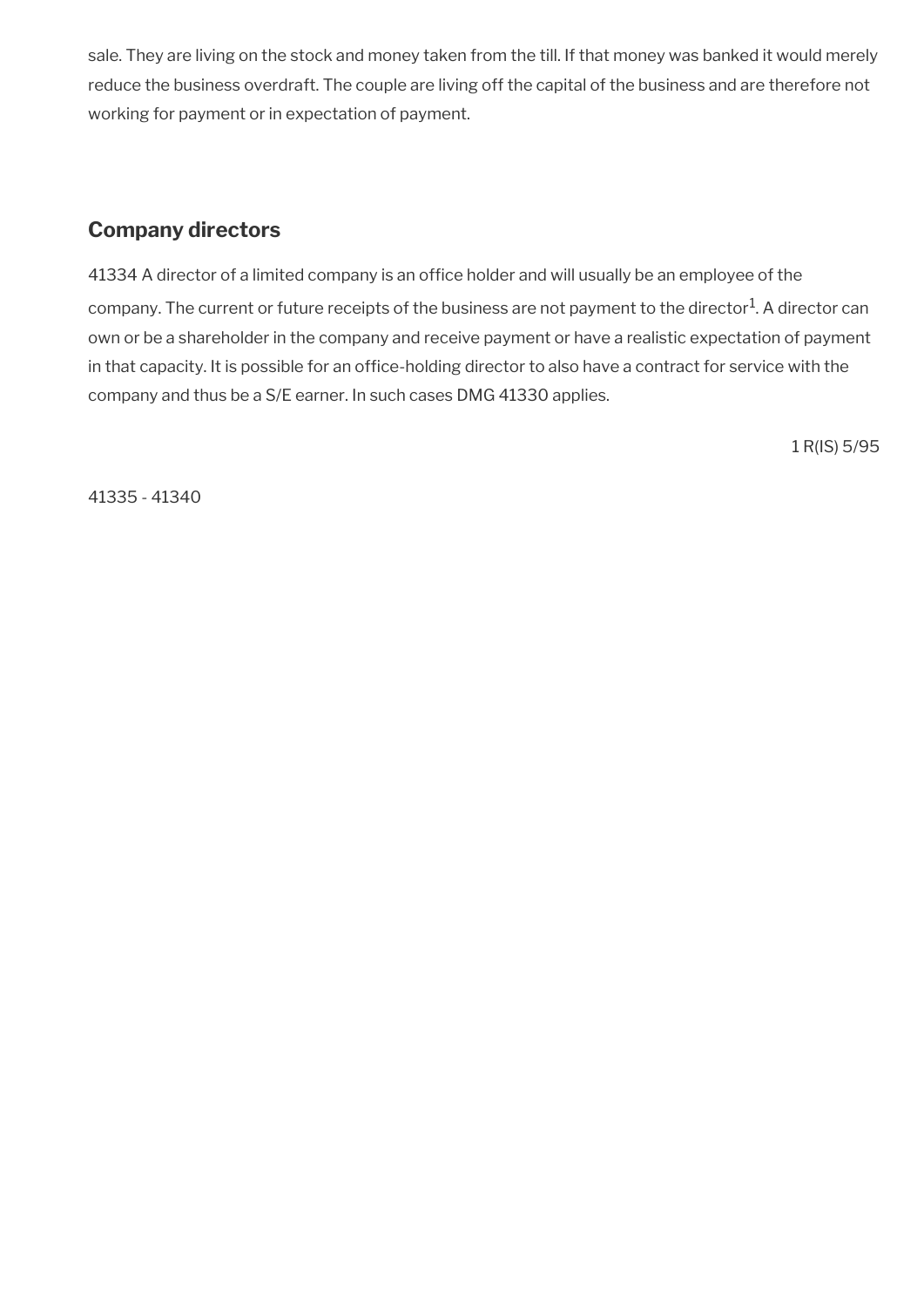sale. They are living on the stock and money taken from the till. If that money was banked it would merely reduce the business overdraft. The couple are living off the capital of the business and are therefore not working for payment or in expectation of payment.

# <span id="page-59-0"></span>**Company directors**

41334 A director of a limited company is an office holder and will usually be an employee of the company. The current or future receipts of the business are not payment to the director $^1$ . A director can own or be a shareholder in the company and receive payment or have a realistic expectation of payment in that capacity. It is possible for an office-holding director to also have a contract for service with the company and thus be a S/E earner. In such cases DMG 41330 applies.

1 R(IS) 5/95

41335 - 41340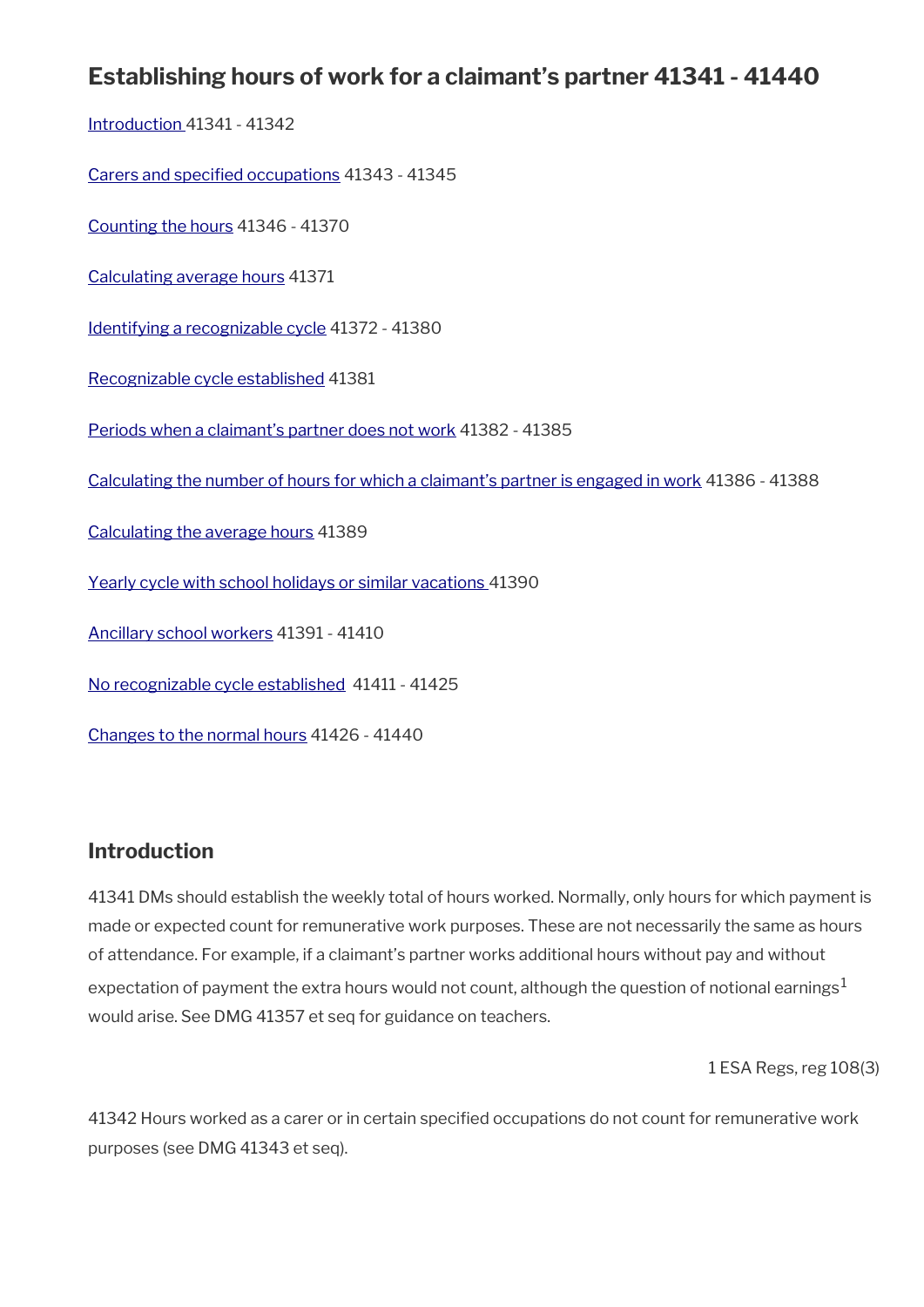# **Establishing hours of work for a claimant's partner 41341 - 41440**

[Introduction 4](#page-7-0)1341 - 41342

[Carers and specifed occupations](#page-61-1) 41343 - 41345

[Counting the hours](#page-61-0) 41346 - 41370

[Calculating average hours](#page-65-1) 41371

[Identifying a recognizable cycle](#page-65-0) 41372 - 41380

[Recognizable cycle established](#page-68-1) 41381

[Periods when a claimant's partner does not work](#page-68-0) 41382 - 41385

[Calculating the number of hours for which a claimant's partner is engaged in work](#page-69-2) 41386 - 41388

[Calculating the average hours](#page-69-1) 41389

[Yearly cycle with school holidays or similar vacations](#page-69-0) 41390

[Ancillary school workers](#page-71-0) 41391 - 41410

[No recognizable cycle established](#page-72-0) 41411 - 41425

[Changes to the normal hours](#page-74-0) 41426 - 41440

### **Introduction**

41341 DMs should establish the weekly total of hours worked. Normally, only hours for which payment is made or expected count for remunerative work purposes. These are not necessarily the same as hours of attendance. For example, if a claimant's partner works additional hours without pay and without expectation of payment the extra hours would not count, although the question of notional earnings<sup>1</sup> would arise. See DMG 41357 et seq for guidance on teachers.

1 ESA Regs, reg 108(3)

41342 Hours worked as a carer or in certain specifed occupations do not count for remunerative work purposes (see DMG 41343 et seq).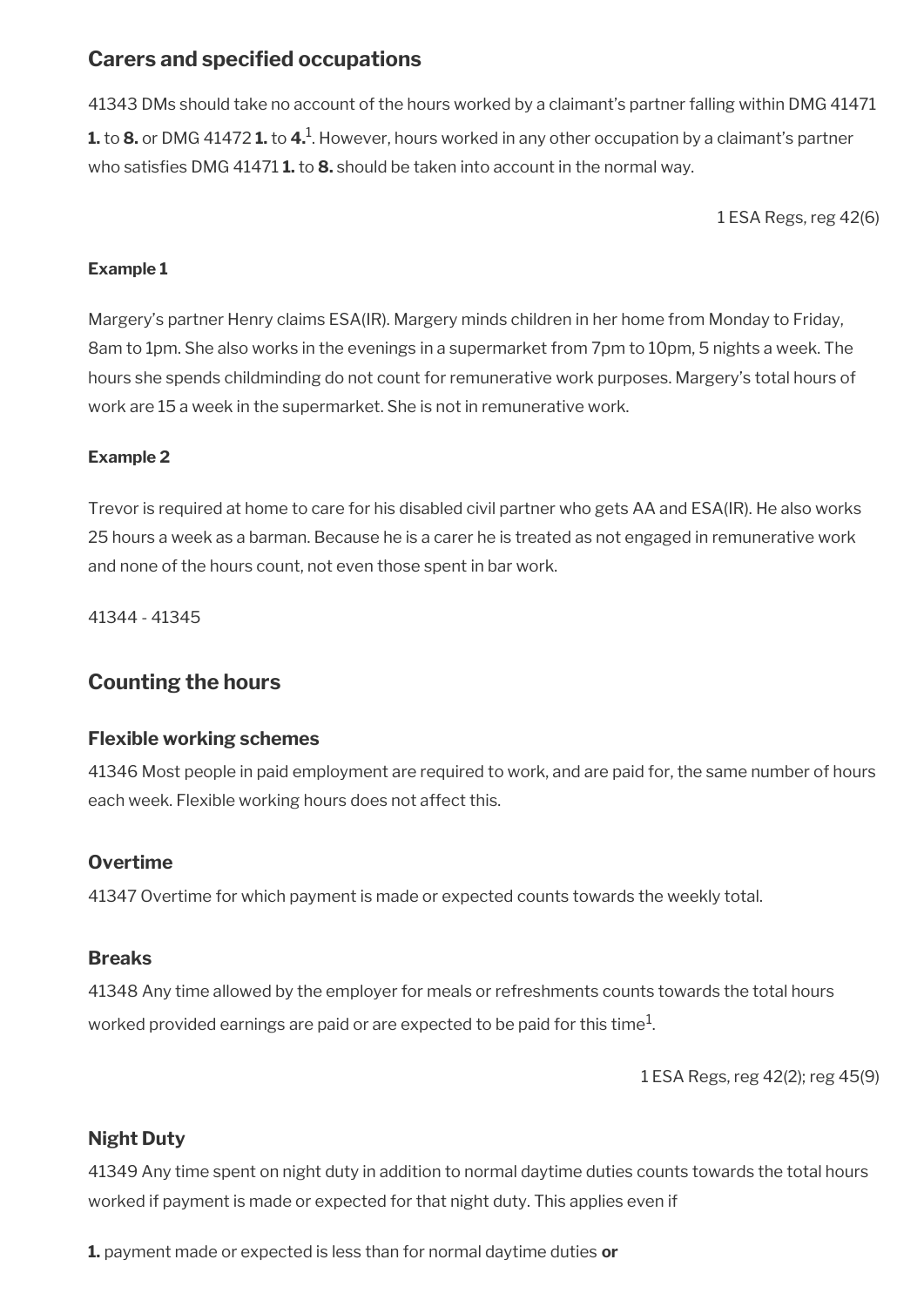## <span id="page-61-1"></span>**Carers and specifed occupations**

41343 DMs should take no account of the hours worked by a claimant's partner falling within DMG 41471 **1.** to **8.** or DMG 41472 **1.** to **4.**<sup>1</sup>. However, hours worked in any other occupation by a claimant's partner who satisfes DMG 41471 **1.** to **8.** should be taken into account in the normal way.

1 ESA Regs, reg 42(6)

#### **Example 1**

Margery's partner Henry claims ESA(IR). Margery minds children in her home from Monday to Friday, 8am to 1pm. She also works in the evenings in a supermarket from 7pm to 10pm, 5 nights a week. The hours she spends childminding do not count for remunerative work purposes. Margery's total hours of work are 15 a week in the supermarket. She is not in remunerative work.

#### **Example 2**

Trevor is required at home to care for his disabled civil partner who gets AA and ESA(IR). He also works 25 hours a week as a barman. Because he is a carer he is treated as not engaged in remunerative work and none of the hours count, not even those spent in bar work.

41344 - 41345

### <span id="page-61-0"></span>**Counting the hours**

### **Flexible working schemes**

41346 Most people in paid employment are required to work, and are paid for, the same number of hours each week. Flexible working hours does not affect this.

### **Overtime**

41347 Overtime for which payment is made or expected counts towards the weekly total.

### **Breaks**

41348 Any time allowed by the employer for meals or refreshments counts towards the total hours worked provided earnings are paid or are expected to be paid for this time $^1\!$ 

1 ESA Regs, reg 42(2); reg 45(9)

### **Night Duty**

41349 Any time spent on night duty in addition to normal daytime duties counts towards the total hours worked if payment is made or expected for that night duty. This applies even if

**1.** payment made or expected is less than for normal daytime duties **or**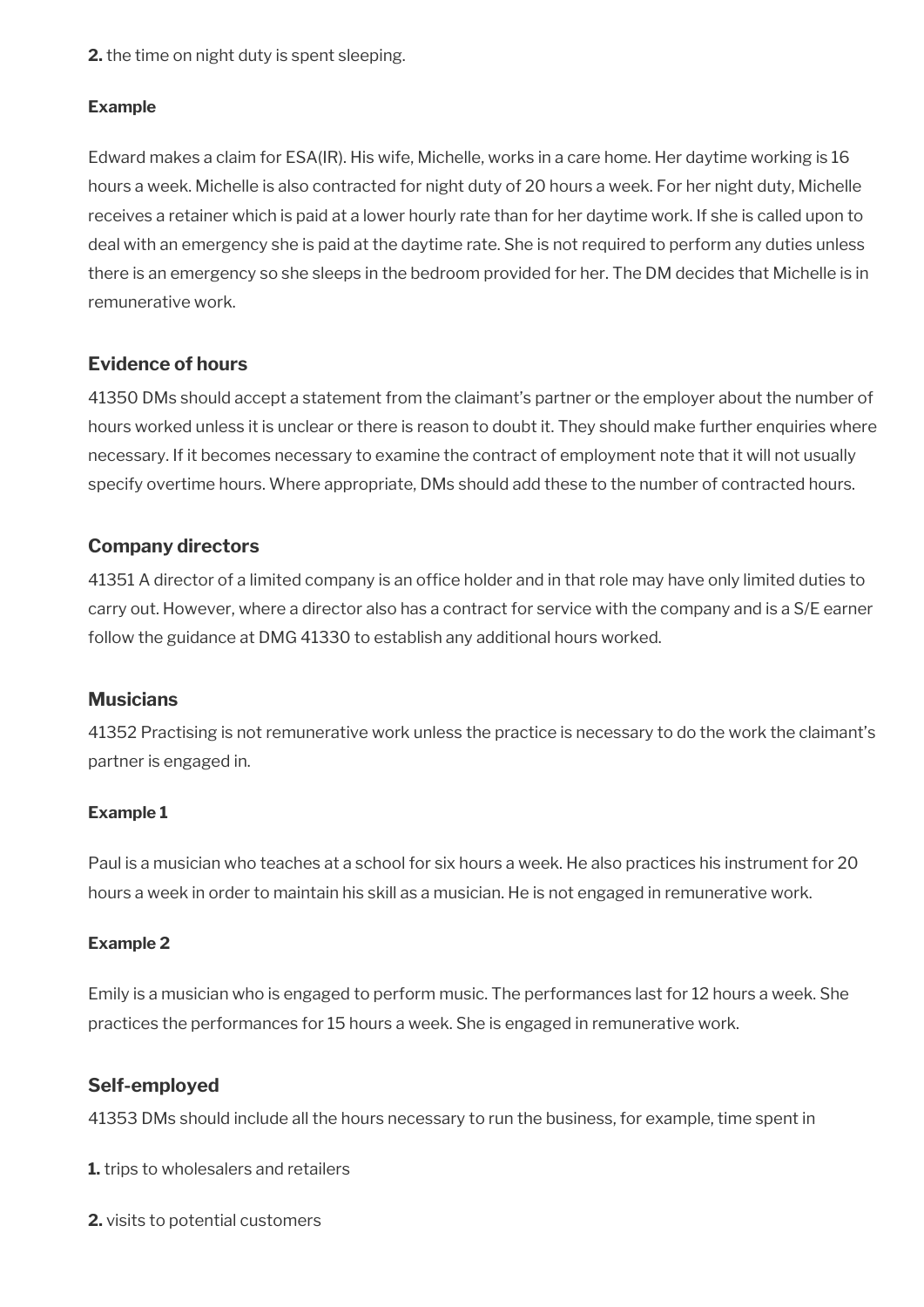**2.** the time on night duty is spent sleeping.

#### **Example**

Edward makes a claim for ESA(IR). His wife, Michelle, works in a care home. Her daytime working is 16 hours a week. Michelle is also contracted for night duty of 20 hours a week. For her night duty, Michelle receives a retainer which is paid at a lower hourly rate than for her daytime work. If she is called upon to deal with an emergency she is paid at the daytime rate. She is not required to perform any duties unless there is an emergency so she sleeps in the bedroom provided for her. The DM decides that Michelle is in remunerative work.

### **Evidence of hours**

41350 DMs should accept a statement from the claimant's partner or the employer about the number of hours worked unless it is unclear or there is reason to doubt it. They should make further enquiries where necessary. If it becomes necessary to examine the contract of employment note that it will not usually specify overtime hours. Where appropriate, DMs should add these to the number of contracted hours.

### **Company directors**

41351 A director of a limited company is an offce holder and in that role may have only limited duties to carry out. However, where a director also has a contract for service with the company and is a S/E earner follow the guidance at DMG 41330 to establish any additional hours worked.

### **Musicians**

41352 Practising is not remunerative work unless the practice is necessary to do the work the claimant's partner is engaged in.

#### **Example 1**

Paul is a musician who teaches at a school for six hours a week. He also practices his instrument for 20 hours a week in order to maintain his skill as a musician. He is not engaged in remunerative work.

#### **Example 2**

Emily is a musician who is engaged to perform music. The performances last for 12 hours a week. She practices the performances for 15 hours a week. She is engaged in remunerative work.

### **Self-employed**

41353 DMs should include all the hours necessary to run the business, for example, time spent in

**1.** trips to wholesalers and retailers

**2.** visits to potential customers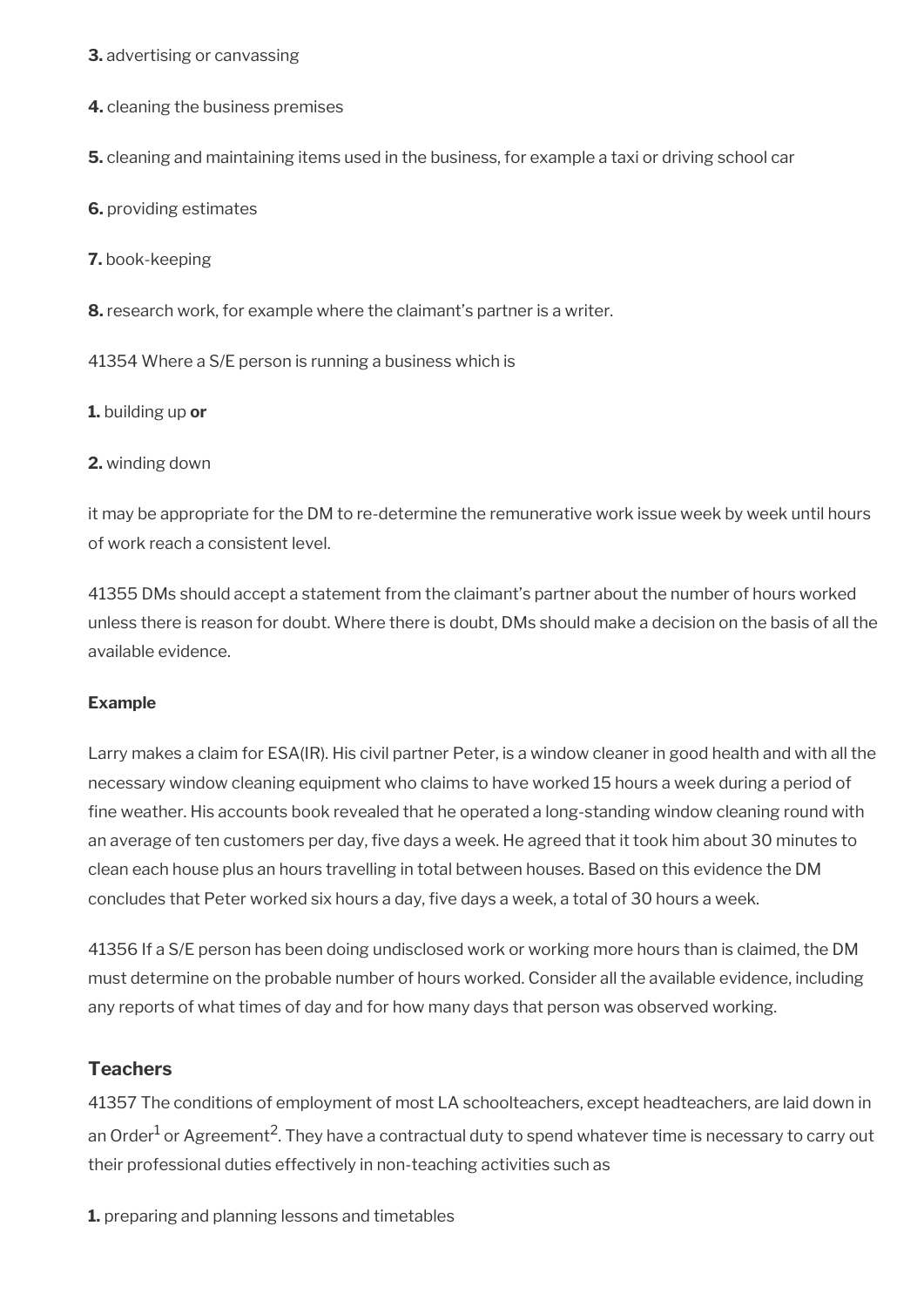**3.** advertising or canvassing

**4.** cleaning the business premises

**5.** cleaning and maintaining items used in the business, for example a taxi or driving school car

**6.** providing estimates

**7.** book-keeping

**8.** research work, for example where the claimant's partner is a writer.

41354 Where a S/E person is running a business which is

**1.** building up **or** 

**2.** winding down

it may be appropriate for the DM to re-determine the remunerative work issue week by week until hours of work reach a consistent level.

41355 DMs should accept a statement from the claimant's partner about the number of hours worked unless there is reason for doubt. Where there is doubt, DMs should make a decision on the basis of all the available evidence.

#### **Example**

Larry makes a claim for ESA(IR). His civil partner Peter, is a window cleaner in good health and with all the necessary window cleaning equipment who claims to have worked 15 hours a week during a period of fine weather. His accounts book revealed that he operated a long-standing window cleaning round with an average of ten customers per day, fve days a week. He agreed that it took him about 30 minutes to clean each house plus an hours travelling in total between houses. Based on this evidence the DM concludes that Peter worked six hours a day, five days a week, a total of 30 hours a week.

41356 If a S/E person has been doing undisclosed work or working more hours than is claimed, the DM must determine on the probable number of hours worked. Consider all the available evidence, including any reports of what times of day and for how many days that person was observed working.

#### **Teachers**

41357 The conditions of employment of most LA schoolteachers, except headteachers, are laid down in an Order<sup>1</sup> or Agreement<sup>2</sup>. They have a contractual duty to spend whatever time is necessary to carry out their professional duties effectively in non-teaching activities such as

**1.** preparing and planning lessons and timetables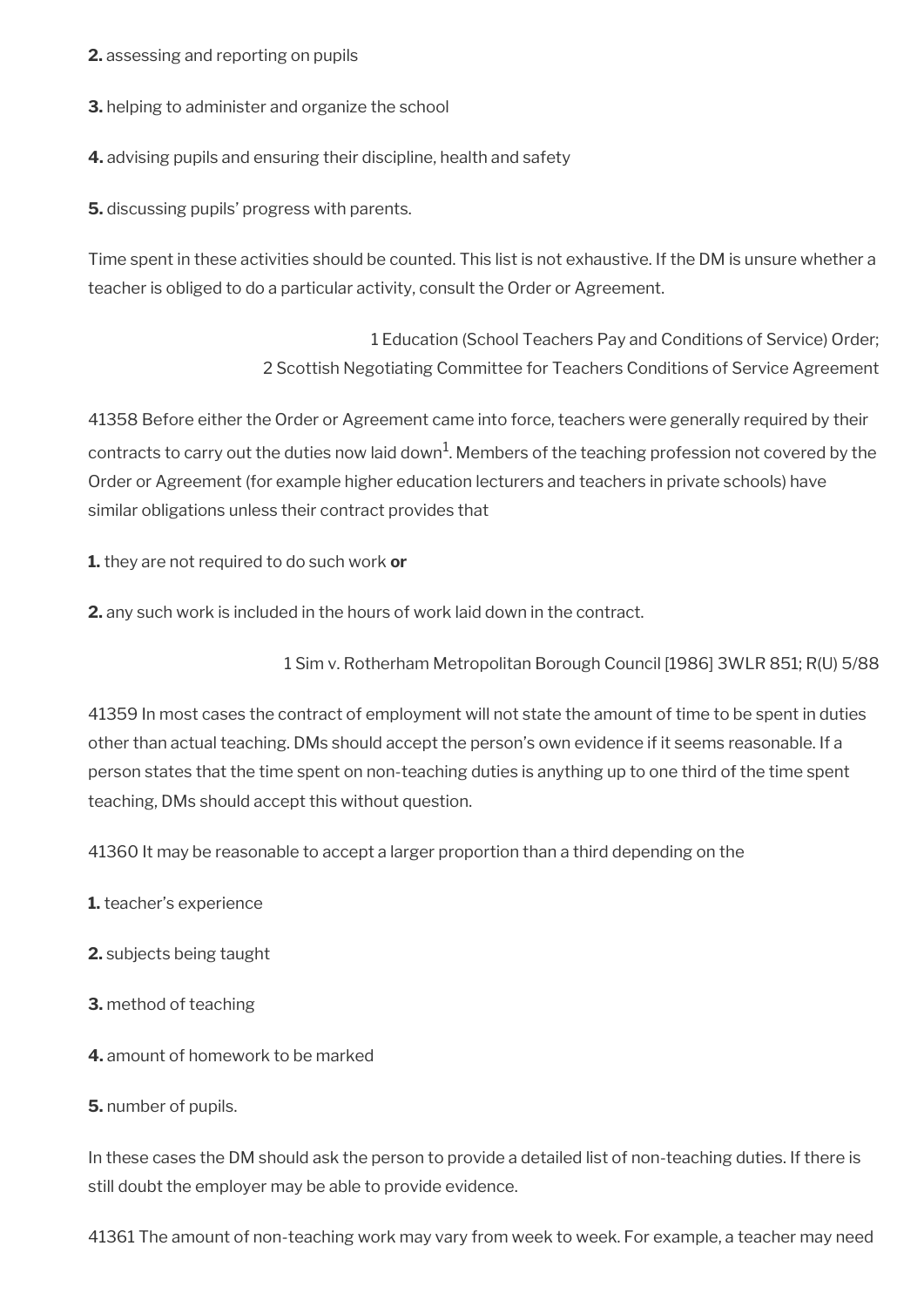- **2.** assessing and reporting on pupils
- **3.** helping to administer and organize the school
- **4.** advising pupils and ensuring their discipline, health and safety

**5.** discussing pupils' progress with parents.

Time spent in these activities should be counted. This list is not exhaustive. If the DM is unsure whether a teacher is obliged to do a particular activity, consult the Order or Agreement.

> 1 Education (School Teachers Pay and Conditions of Service) Order; 2 Scottish Negotiating Committee for Teachers Conditions of Service Agreement

41358 Before either the Order or Agreement came into force, teachers were generally required by their contracts to carry out the duties now laid down $^1$ . Members of the teaching profession not covered by the Order or Agreement (for example higher education lecturers and teachers in private schools) have similar obligations unless their contract provides that

**1.** they are not required to do such work **or**

**2.** any such work is included in the hours of work laid down in the contract.

1 Sim v. Rotherham Metropolitan Borough Council [1986] 3WLR 851; R(U) 5/88

41359 In most cases the contract of employment will not state the amount of time to be spent in duties other than actual teaching. DMs should accept the person's own evidence if it seems reasonable. If a person states that the time spent on non-teaching duties is anything up to one third of the time spent teaching, DMs should accept this without question.

41360 It may be reasonable to accept a larger proportion than a third depending on the

- **1.** teacher's experience
- **2.** subjects being taught
- **3.** method of teaching
- **4.** amount of homework to be marked
- **5.** number of pupils.

In these cases the DM should ask the person to provide a detailed list of non-teaching duties. If there is still doubt the employer may be able to provide evidence.

41361 The amount of non-teaching work may vary from week to week. For example, a teacher may need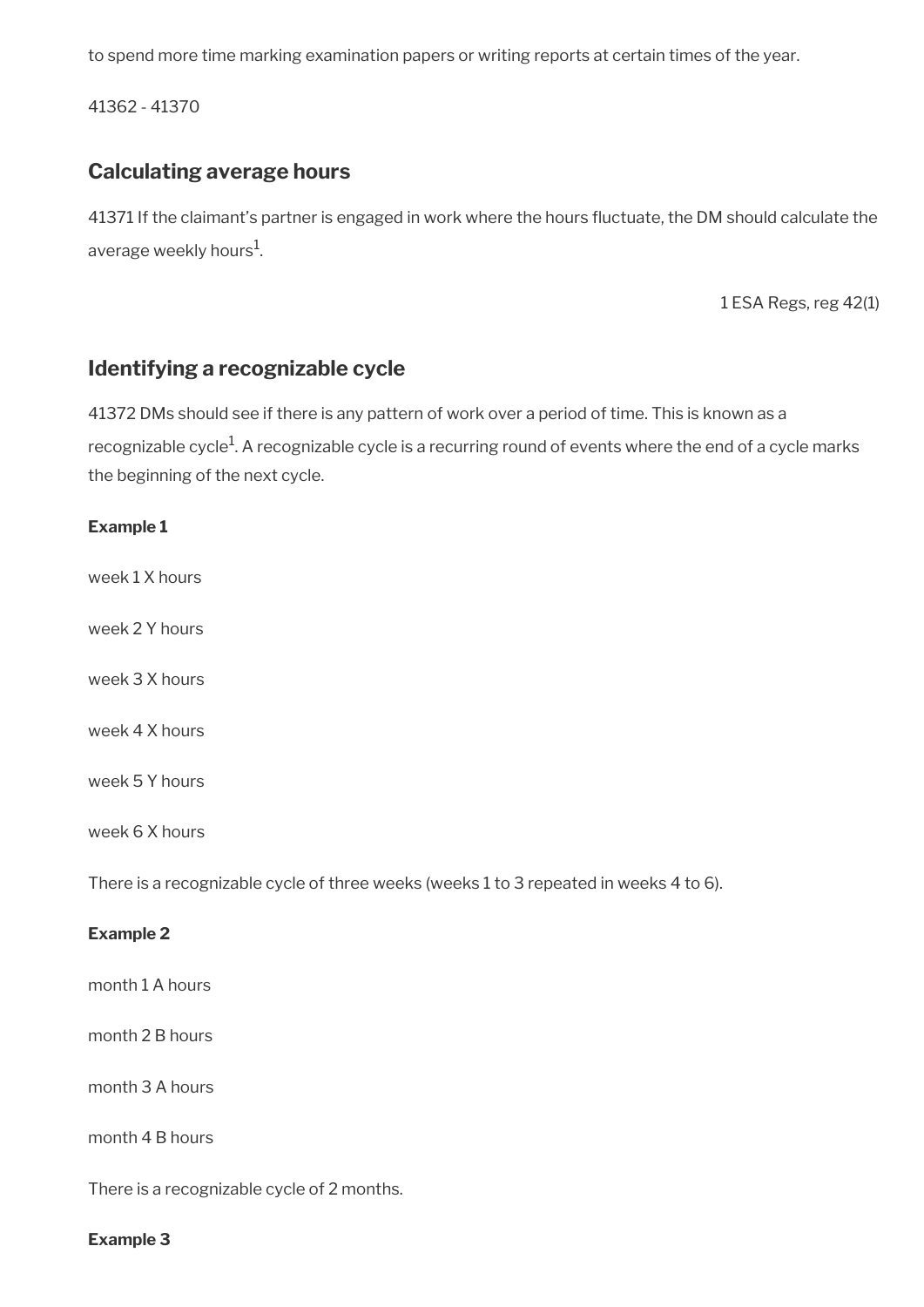to spend more time marking examination papers or writing reports at certain times of the year.

41362 - 41370

### <span id="page-65-1"></span>**Calculating average hours**

41371 If the claimant's partner is engaged in work where the hours fuctuate, the DM should calculate the average weekly hours $^{\rm 1}$ .

1 ESA Regs, reg 42(1)

### <span id="page-65-0"></span>**Identifying a recognizable cycle**

41372 DMs should see if there is any pattern of work over a period of time. This is known as a recognizable cycle $^1$ . A recognizable cycle is a recurring round of events where the end of a cycle marks the beginning of the next cycle.

#### **Example 1**

week 1 X hours

week 2 Y hours

- week 3 X hours
- week 4 X hours

week 5 Y hours

week 6 X hours

There is a recognizable cycle of three weeks (weeks 1 to 3 repeated in weeks 4 to 6).

#### **Example 2**

month 1 A hours

month 2 B hours

month 3 A hours

month 4 B hours

There is a recognizable cycle of 2 months.

#### **Example 3**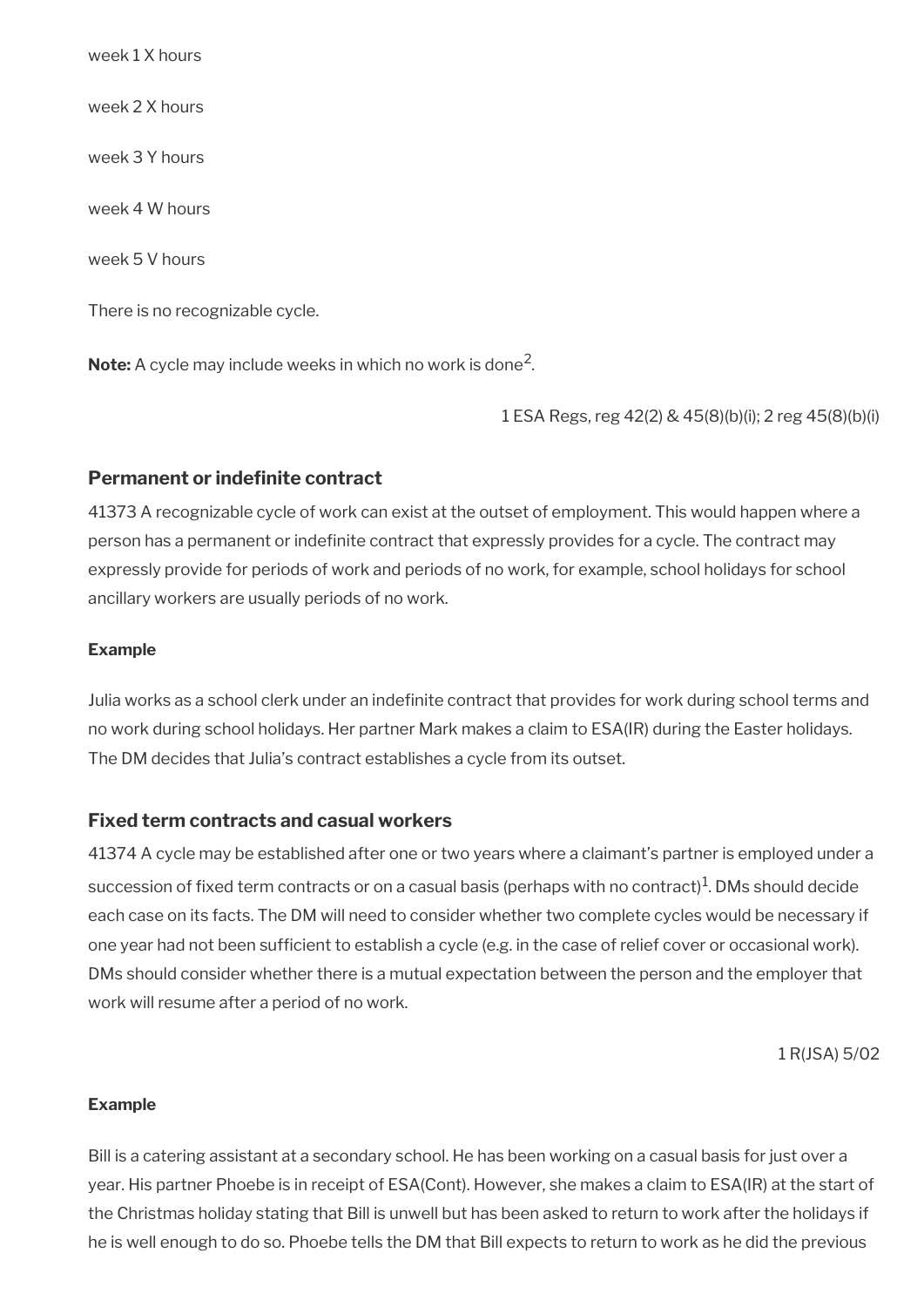week 1 X hours week 2 X hours week 3 Y hours week 4 W hours week 5 V hours

There is no recognizable cycle.

**Note:** A cycle may include weeks in which no work is done<sup>2</sup> .

1 ESA Regs, reg 42(2) & 45(8)(b)(i); 2 reg 45(8)(b)(i)

#### **Permanent or indefinite contract**

41373 A recognizable cycle of work can exist at the outset of employment. This would happen where a person has a permanent or indefinite contract that expressly provides for a cycle. The contract may expressly provide for periods of work and periods of no work, for example, school holidays for school ancillary workers are usually periods of no work.

#### **Example**

Julia works as a school clerk under an indefnite contract that provides for work during school terms and no work during school holidays. Her partner Mark makes a claim to ESA(IR) during the Easter holidays. The DM decides that Julia's contract establishes a cycle from its outset.

#### **Fixed term contracts and casual workers**

41374 A cycle may be established after one or two years where a claimant's partner is employed under a succession of fixed term contracts or on a casual basis (perhaps with no contract) $^1$ . DMs should decide each case on its facts. The DM will need to consider whether two complete cycles would be necessary if one year had not been sufficient to establish a cycle (e.g. in the case of relief cover or occasional work). DMs should consider whether there is a mutual expectation between the person and the employer that work will resume after a period of no work.

1 R(JSA) 5/02

#### **Example**

Bill is a catering assistant at a secondary school. He has been working on a casual basis for just over a year. His partner Phoebe is in receipt of ESA(Cont). However, she makes a claim to ESA(IR) at the start of the Christmas holiday stating that Bill is unwell but has been asked to return to work after the holidays if he is well enough to do so. Phoebe tells the DM that Bill expects to return to work as he did the previous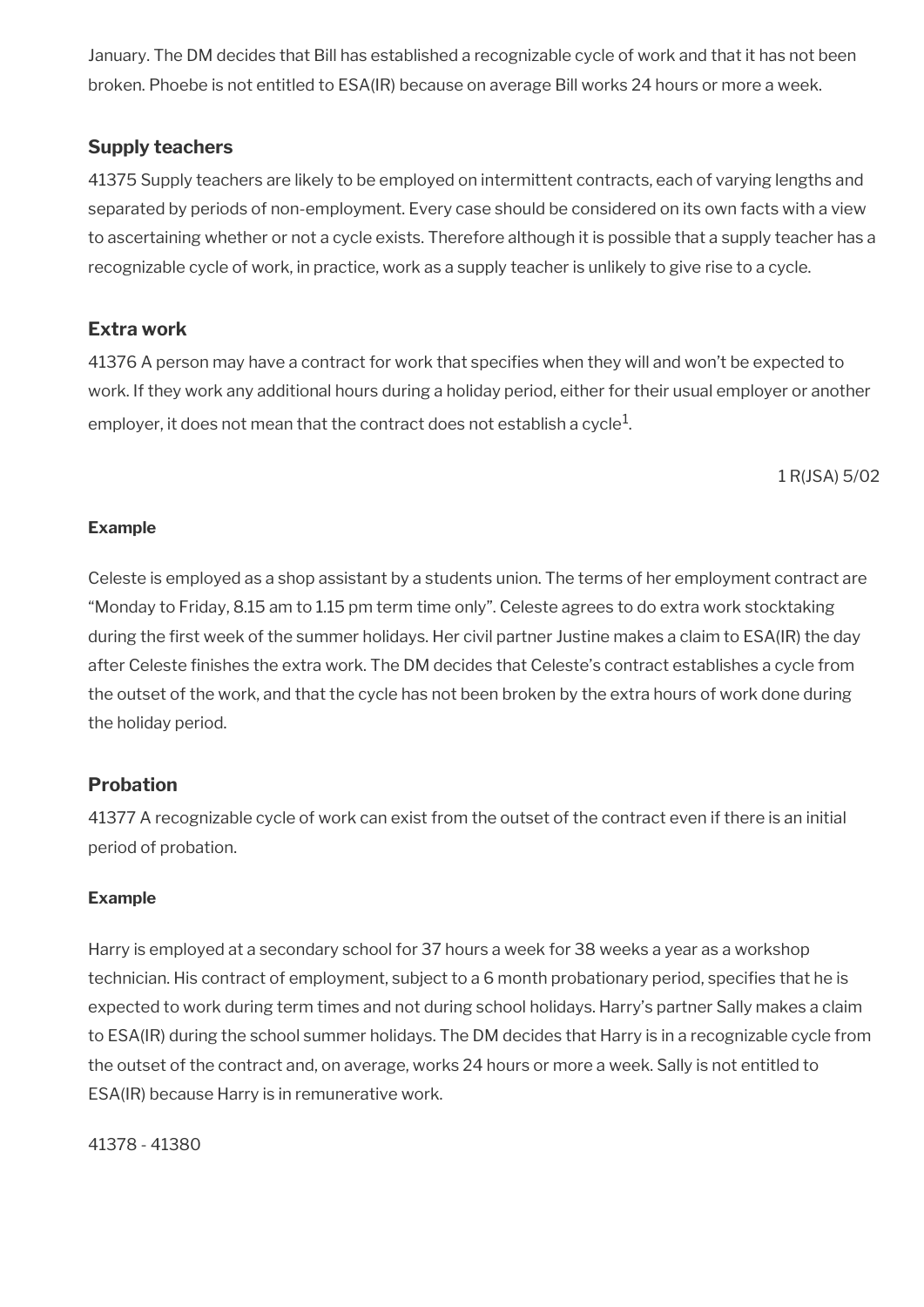January. The DM decides that Bill has established a recognizable cycle of work and that it has not been broken. Phoebe is not entitled to ESA(IR) because on average Bill works 24 hours or more a week.

### **Supply teachers**

41375 Supply teachers are likely to be employed on intermittent contracts, each of varying lengths and separated by periods of non-employment. Every case should be considered on its own facts with a view to ascertaining whether or not a cycle exists. Therefore although it is possible that a supply teacher has a recognizable cycle of work, in practice, work as a supply teacher is unlikely to give rise to a cycle.

### **Extra work**

41376 A person may have a contract for work that specifes when they will and won't be expected to work. If they work any additional hours during a holiday period, either for their usual employer or another employer, it does not mean that the contract does not establish a cycle $^1\!$ 

1 R(JSA) 5/02

#### **Example**

Celeste is employed as a shop assistant by a students union. The terms of her employment contract are "Monday to Friday, 8.15 am to 1.15 pm term time only". Celeste agrees to do extra work stocktaking during the first week of the summer holidays. Her civil partner Justine makes a claim to ESA(IR) the day after Celeste fnishes the extra work. The DM decides that Celeste's contract establishes a cycle from the outset of the work, and that the cycle has not been broken by the extra hours of work done during the holiday period.

### **Probation**

41377 A recognizable cycle of work can exist from the outset of the contract even if there is an initial period of probation.

#### **Example**

Harry is employed at a secondary school for 37 hours a week for 38 weeks a year as a workshop technician. His contract of employment, subject to a 6 month probationary period, specifies that he is expected to work during term times and not during school holidays. Harry's partner Sally makes a claim to ESA(IR) during the school summer holidays. The DM decides that Harry is in a recognizable cycle from the outset of the contract and, on average, works 24 hours or more a week. Sally is not entitled to ESA(IR) because Harry is in remunerative work.

41378 - 41380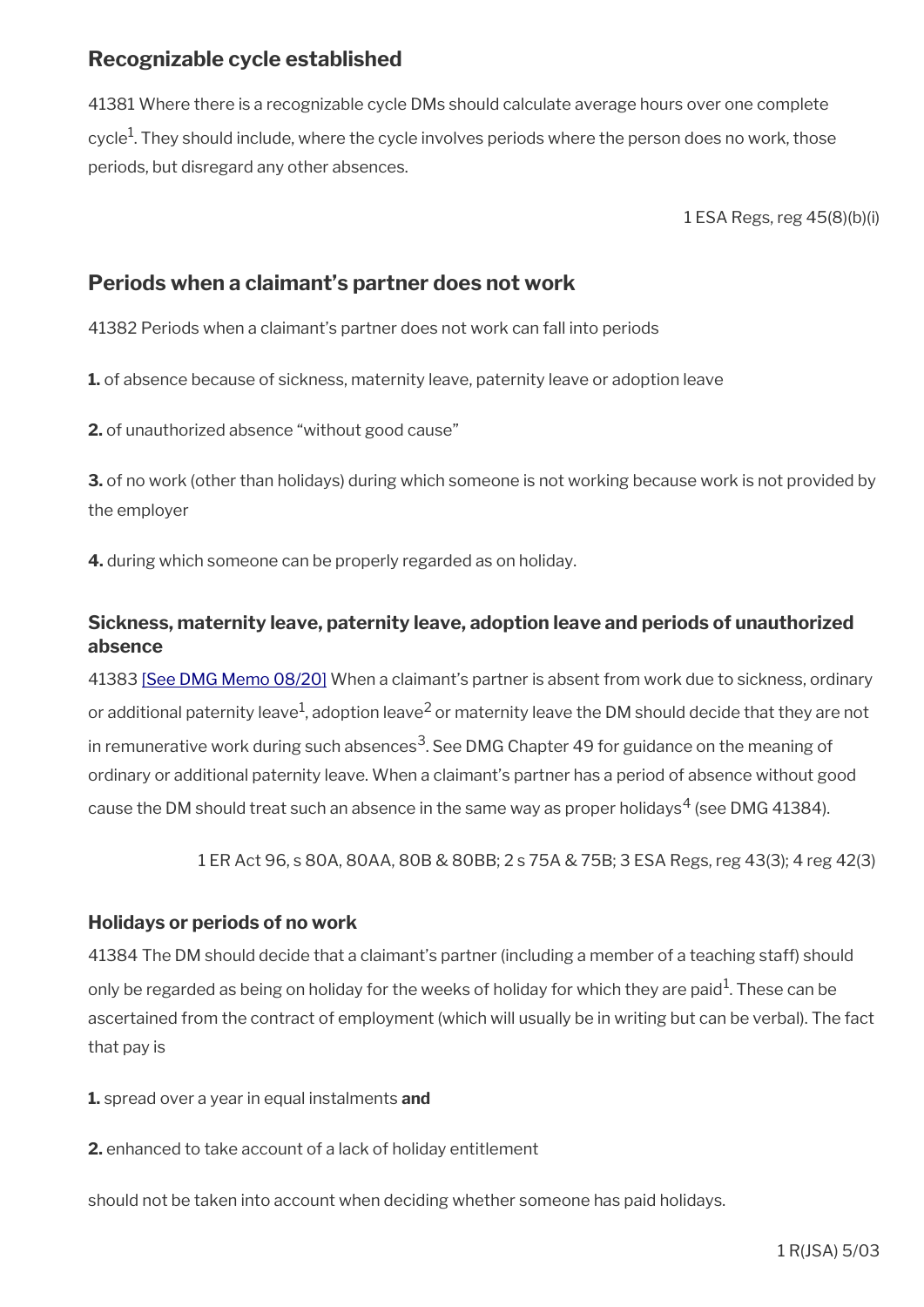## <span id="page-68-1"></span>**Recognizable cycle established**

41381 Where there is a recognizable cycle DMs should calculate average hours over one complete cycle<sup>1</sup>. They should include, where the cycle involves periods where the person does no work, those periods, but disregard any other absences.

1 ESA Regs, reg 45(8)(b)(i)

### <span id="page-68-0"></span>**Periods when a claimant's partner does not work**

41382 Periods when a claimant's partner does not work can fall into periods

**1.** of absence because of sickness, maternity leave, paternity leave or adoption leave

**2.** of unauthorized absence "without good cause"

**3.** of no work (other than holidays) during which someone is not working because work is not provided by the employer

**4.** during which someone can be properly regarded as on holiday.

### **Sickness, maternity leave, paternity leave, adoption leave and periods of unauthorized absence**

41383 [\[See DMG Memo 08/20\]](http://intranet.dwp.gov.uk/page/dmg-memo-08-20-parental-bereavement-leave-and-pay-%E2%80%93-consequential-amendments-social-security) When a claimant's partner is absent from work due to sickness, ordinary or additional paternity leave<sup>1</sup>, adoption leave<sup>2</sup> or maternity leave the DM should decide that they are not in remunerative work during such absences $^3$ . See DMG Chapter 49 for guidance on the meaning of ordinary or additional paternity leave. When a claimant's partner has a period of absence without good cause the DM should treat such an absence in the same way as proper holidays $^4$  (see DMG 41384).

1 ER Act 96, s 80A, 80AA, 80B & 80BB; 2 s 75A & 75B; 3 ESA Regs, reg 43(3); 4 reg 42(3)

### **Holidays or periods of no work**

41384 The DM should decide that a claimant's partner (including a member of a teaching staff) should only be regarded as being on holiday for the weeks of holiday for which they are paid $^1$ . These can be ascertained from the contract of employment (which will usually be in writing but can be verbal). The fact that pay is

**1.** spread over a year in equal instalments **and**

**2.** enhanced to take account of a lack of holiday entitlement

should not be taken into account when deciding whether someone has paid holidays.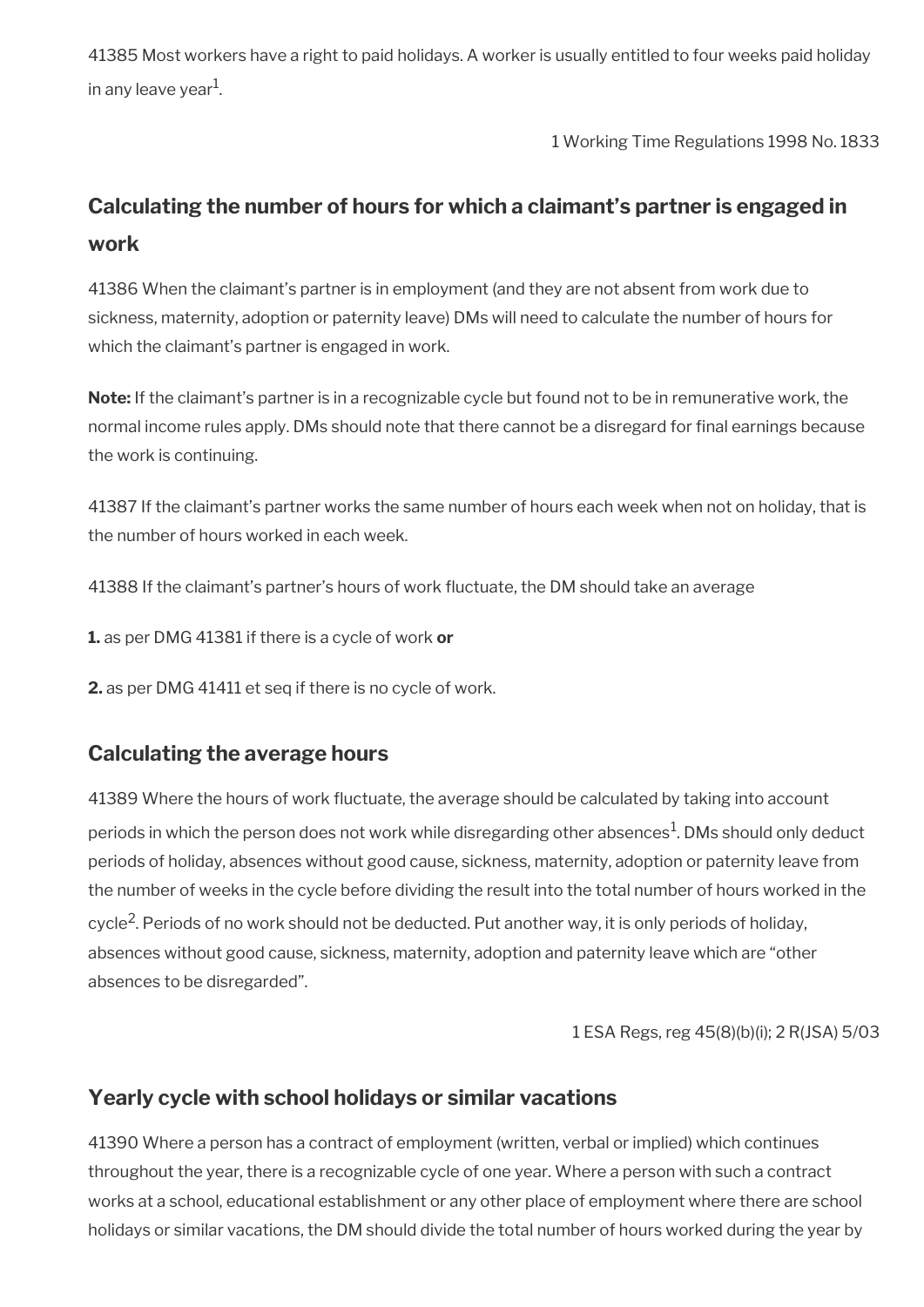41385 Most workers have a right to paid holidays. A worker is usually entitled to four weeks paid holiday in any leave year $^1$ .

1 Working Time Regulations 1998 No. 1833

# <span id="page-69-2"></span>**Calculating the number of hours for which a claimant's partner is engaged in work**

41386 When the claimant's partner is in employment (and they are not absent from work due to sickness, maternity, adoption or paternity leave) DMs will need to calculate the number of hours for which the claimant's partner is engaged in work.

**Note:** If the claimant's partner is in a recognizable cycle but found not to be in remunerative work, the normal income rules apply. DMs should note that there cannot be a disregard for final earnings because the work is continuing.

41387 If the claimant's partner works the same number of hours each week when not on holiday, that is the number of hours worked in each week.

41388 If the claimant's partner's hours of work fuctuate, the DM should take an average

**1.** as per DMG 41381 if there is a cycle of work **or**

**2.** as per DMG 41411 et seq if there is no cycle of work.

## <span id="page-69-1"></span>**Calculating the average hours**

41389 Where the hours of work fuctuate, the average should be calculated by taking into account periods in which the person does not work while disregarding other absences $^{\rm 1}$ . DMs should only deduct periods of holiday, absences without good cause, sickness, maternity, adoption or paternity leave from the number of weeks in the cycle before dividing the result into the total number of hours worked in the cycle<sup>2</sup>. Periods of no work should not be deducted. Put another way, it is only periods of holiday, absences without good cause, sickness, maternity, adoption and paternity leave which are "other absences to be disregarded".

1 ESA Regs, reg 45(8)(b)(i); 2 R(JSA) 5/03

### <span id="page-69-0"></span>**Yearly cycle with school holidays or similar vacations**

41390 Where a person has a contract of employment (written, verbal or implied) which continues throughout the year, there is a recognizable cycle of one year. Where a person with such a contract works at a school, educational establishment or any other place of employment where there are school holidays or similar vacations, the DM should divide the total number of hours worked during the year by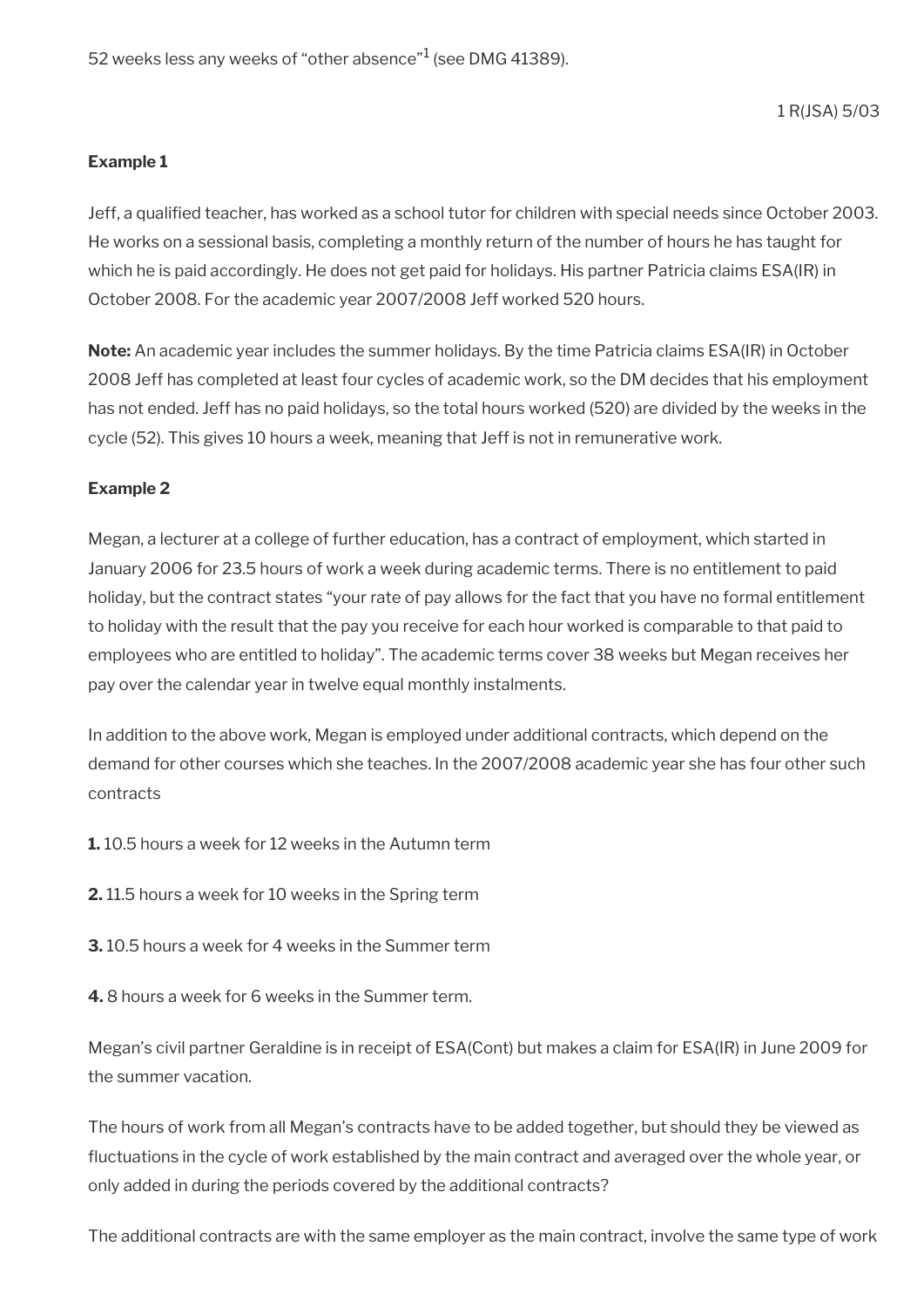1 R(JSA) 5/03

#### **Example 1**

Jeff, a qualifed teacher, has worked as a school tutor for children with special needs since October 2003. He works on a sessional basis, completing a monthly return of the number of hours he has taught for which he is paid accordingly. He does not get paid for holidays. His partner Patricia claims ESA(IR) in October 2008. For the academic year 2007/2008 Jeff worked 520 hours.

**Note:** An academic year includes the summer holidays. By the time Patricia claims ESA(IR) in October 2008 Jeff has completed at least four cycles of academic work, so the DM decides that his employment has not ended. Jeff has no paid holidays, so the total hours worked (520) are divided by the weeks in the cycle (52). This gives 10 hours a week, meaning that Jeff is not in remunerative work.

#### **Example 2**

Megan, a lecturer at a college of further education, has a contract of employment, which started in January 2006 for 23.5 hours of work a week during academic terms. There is no entitlement to paid holiday, but the contract states "your rate of pay allows for the fact that you have no formal entitlement to holiday with the result that the pay you receive for each hour worked is comparable to that paid to employees who are entitled to holiday". The academic terms cover 38 weeks but Megan receives her pay over the calendar year in twelve equal monthly instalments.

In addition to the above work, Megan is employed under additional contracts, which depend on the demand for other courses which she teaches. In the 2007/2008 academic year she has four other such contracts

- **1.** 10.5 hours a week for 12 weeks in the Autumn term
- **2.** 11.5 hours a week for 10 weeks in the Spring term
- **3.** 10.5 hours a week for 4 weeks in the Summer term
- **4.** 8 hours a week for 6 weeks in the Summer term.

Megan's civil partner Geraldine is in receipt of ESA(Cont) but makes a claim for ESA(IR) in June 2009 for the summer vacation.

The hours of work from all Megan's contracts have to be added together, but should they be viewed as fuctuations in the cycle of work established by the main contract and averaged over the whole year, or only added in during the periods covered by the additional contracts?

The additional contracts are with the same employer as the main contract, involve the same type of work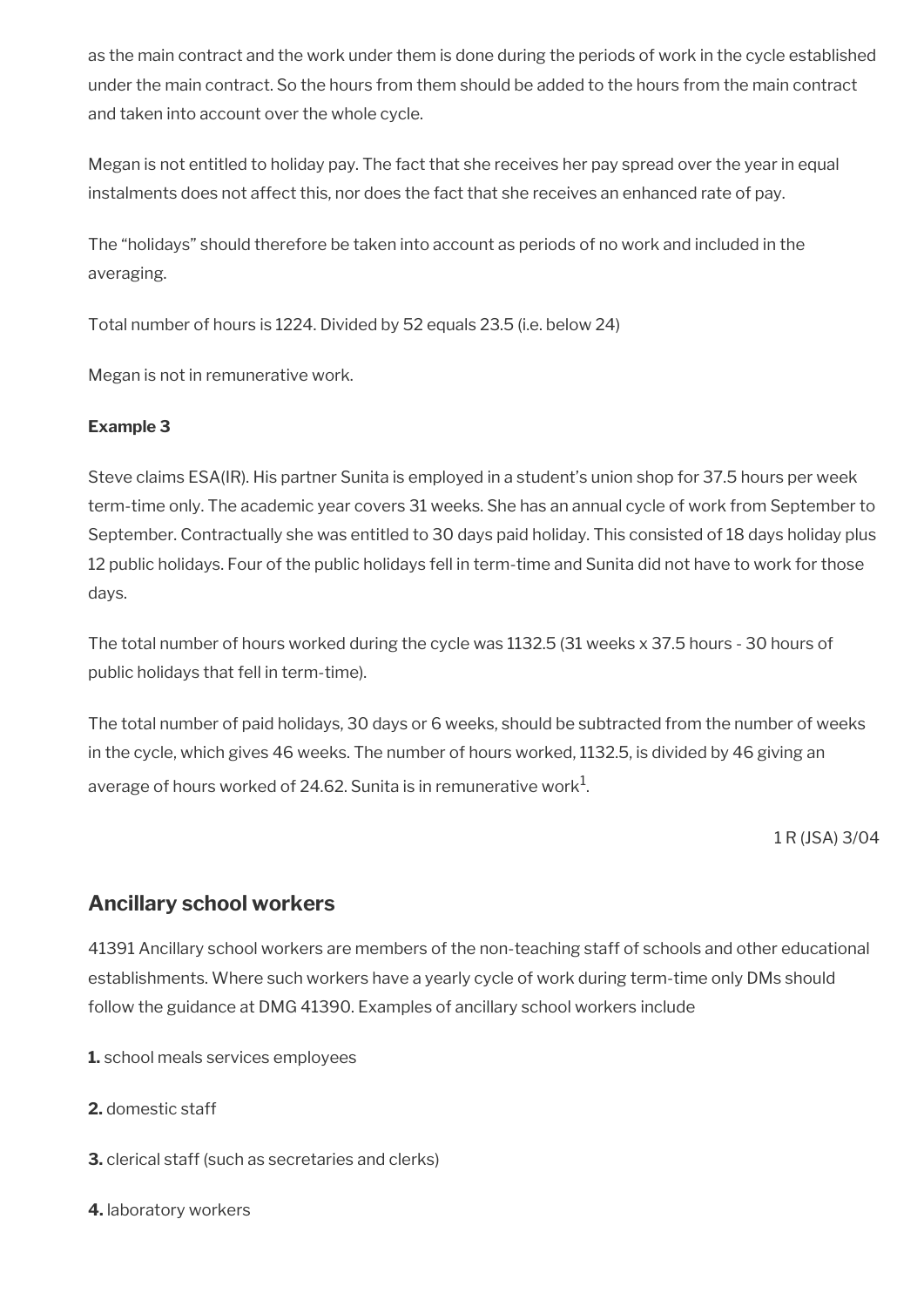as the main contract and the work under them is done during the periods of work in the cycle established under the main contract. So the hours from them should be added to the hours from the main contract and taken into account over the whole cycle.

Megan is not entitled to holiday pay. The fact that she receives her pay spread over the year in equal instalments does not affect this, nor does the fact that she receives an enhanced rate of pay.

The "holidays" should therefore be taken into account as periods of no work and included in the averaging.

Total number of hours is 1224. Divided by 52 equals 23.5 (i.e. below 24)

Megan is not in remunerative work.

### **Example 3**

Steve claims ESA(IR). His partner Sunita is employed in a student's union shop for 37.5 hours per week term-time only. The academic year covers 31 weeks. She has an annual cycle of work from September to September. Contractually she was entitled to 30 days paid holiday. This consisted of 18 days holiday plus 12 public holidays. Four of the public holidays fell in term-time and Sunita did not have to work for those days.

The total number of hours worked during the cycle was 1132.5 (31 weeks x 37.5 hours - 30 hours of public holidays that fell in term-time).

The total number of paid holidays, 30 days or 6 weeks, should be subtracted from the number of weeks in the cycle, which gives 46 weeks. The number of hours worked, 1132.5, is divided by 46 giving an average of hours worked of 24.62. Sunita is in remunerative work $^1\!\!$ .

1 R (JSA) 3/04

### <span id="page-71-0"></span>**Ancillary school workers**

41391 Ancillary school workers are members of the non-teaching staff of schools and other educational establishments. Where such workers have a yearly cycle of work during term-time only DMs should follow the guidance at DMG 41390. Examples of ancillary school workers include

- **1.** school meals services employees
- **2.** domestic staff
- **3.** clerical staff (such as secretaries and clerks)
- **4.** laboratory workers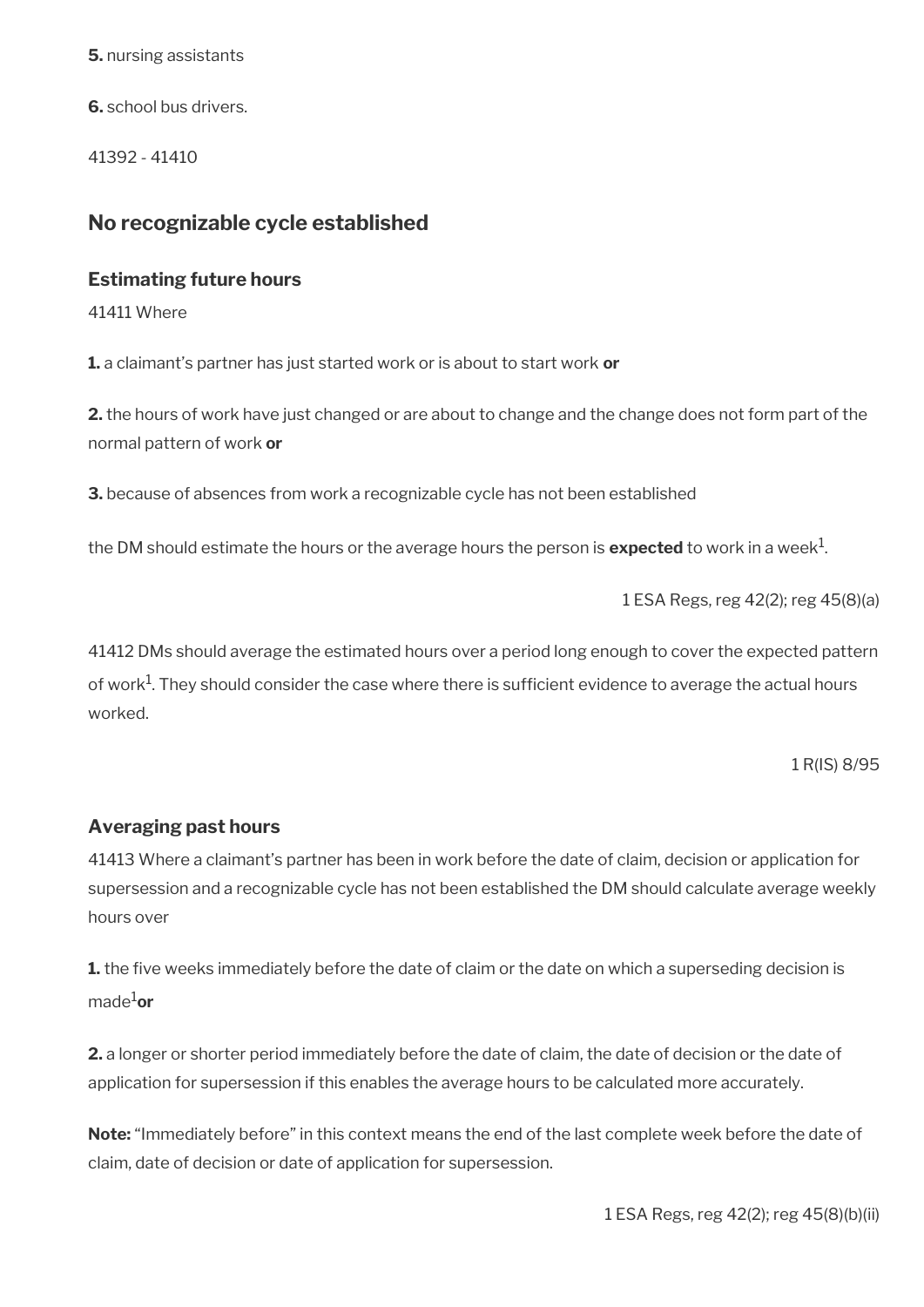**5.** nursing assistants

**6.** school bus drivers.

41392 - 41410

## **No recognizable cycle established**

### **Estimating future hours**

41411 Where

**1.** a claimant's partner has just started work or is about to start work **or**

**2.** the hours of work have just changed or are about to change and the change does not form part of the normal pattern of work **or**

**3.** because of absences from work a recognizable cycle has not been established

the DM should estimate the hours or the average hours the person is  $\mathsf{expected}$  to work in a week $^1$ .

1 ESA Regs, reg 42(2); reg 45(8)(a)

41412 DMs should average the estimated hours over a period long enough to cover the expected pattern of work $^{\rm 1}$ . They should consider the case where there is sufficient evidence to average the actual hours worked.

1 R(IS) 8/95

### **Averaging past hours**

41413 Where a claimant's partner has been in work before the date of claim, decision or application for supersession and a recognizable cycle has not been established the DM should calculate average weekly hours over

**1.** the five weeks immediately before the date of claim or the date on which a superseding decision is made1**or** 

**2.** a longer or shorter period immediately before the date of claim, the date of decision or the date of application for supersession if this enables the average hours to be calculated more accurately.

**Note:** "Immediately before" in this context means the end of the last complete week before the date of claim, date of decision or date of application for supersession.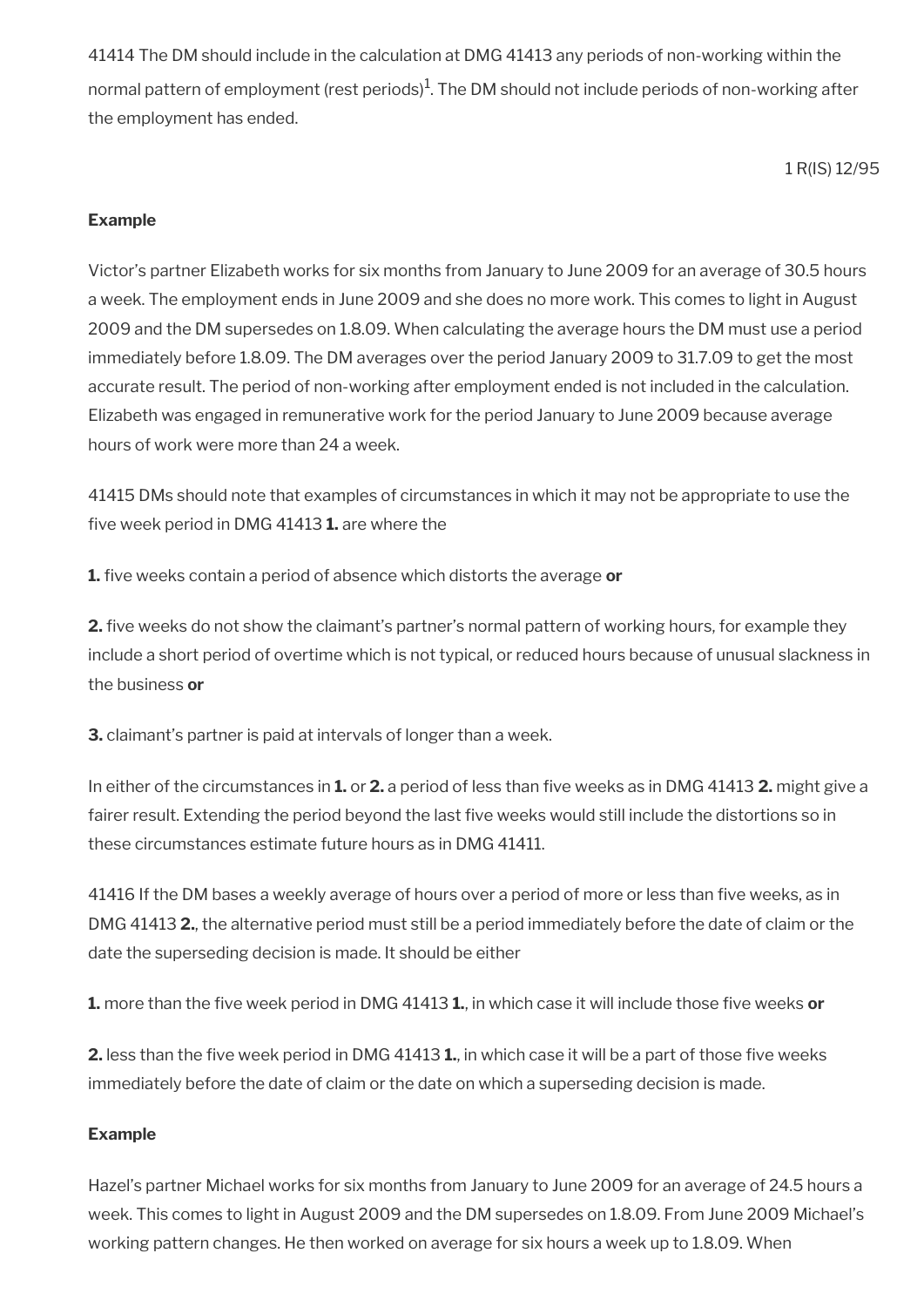41414 The DM should include in the calculation at DMG 41413 any periods of non-working within the normal pattern of employment (rest periods) $^1$ . The DM should not include periods of non-working after the employment has ended.

1 R(IS) 12/95

### **Example**

Victor's partner Elizabeth works for six months from January to June 2009 for an average of 30.5 hours a week. The employment ends in June 2009 and she does no more work. This comes to light in August 2009 and the DM supersedes on 1.8.09. When calculating the average hours the DM must use a period immediately before 1.8.09. The DM averages over the period January 2009 to 31.7.09 to get the most accurate result. The period of non-working after employment ended is not included in the calculation. Elizabeth was engaged in remunerative work for the period January to June 2009 because average hours of work were more than 24 a week.

41415 DMs should note that examples of circumstances in which it may not be appropriate to use the fve week period in DMG 41413 **1.** are where the

**1.** five weeks contain a period of absence which distorts the average or

**2.** five weeks do not show the claimant's partner's normal pattern of working hours, for example they include a short period of overtime which is not typical, or reduced hours because of unusual slackness in the business **or** 

**3.** claimant's partner is paid at intervals of longer than a week.

In either of the circumstances in **1.** or **2.** a period of less than fve weeks as in DMG 41413 **2.** might give a fairer result. Extending the period beyond the last fve weeks would still include the distortions so in these circumstances estimate future hours as in DMG 41411.

41416 If the DM bases a weekly average of hours over a period of more or less than five weeks, as in DMG 41413 **2.**, the alternative period must still be a period immediately before the date of claim or the date the superseding decision is made. It should be either

**1.** more than the five week period in DMG 41413 **1.**, in which case it will include those five weeks or

**2.** less than the five week period in DMG 41413 **1.**, in which case it will be a part of those five weeks immediately before the date of claim or the date on which a superseding decision is made.

### **Example**

Hazel's partner Michael works for six months from January to June 2009 for an average of 24.5 hours a week. This comes to light in August 2009 and the DM supersedes on 1.8.09. From June 2009 Michael's working pattern changes. He then worked on average for six hours a week up to 1.8.09. When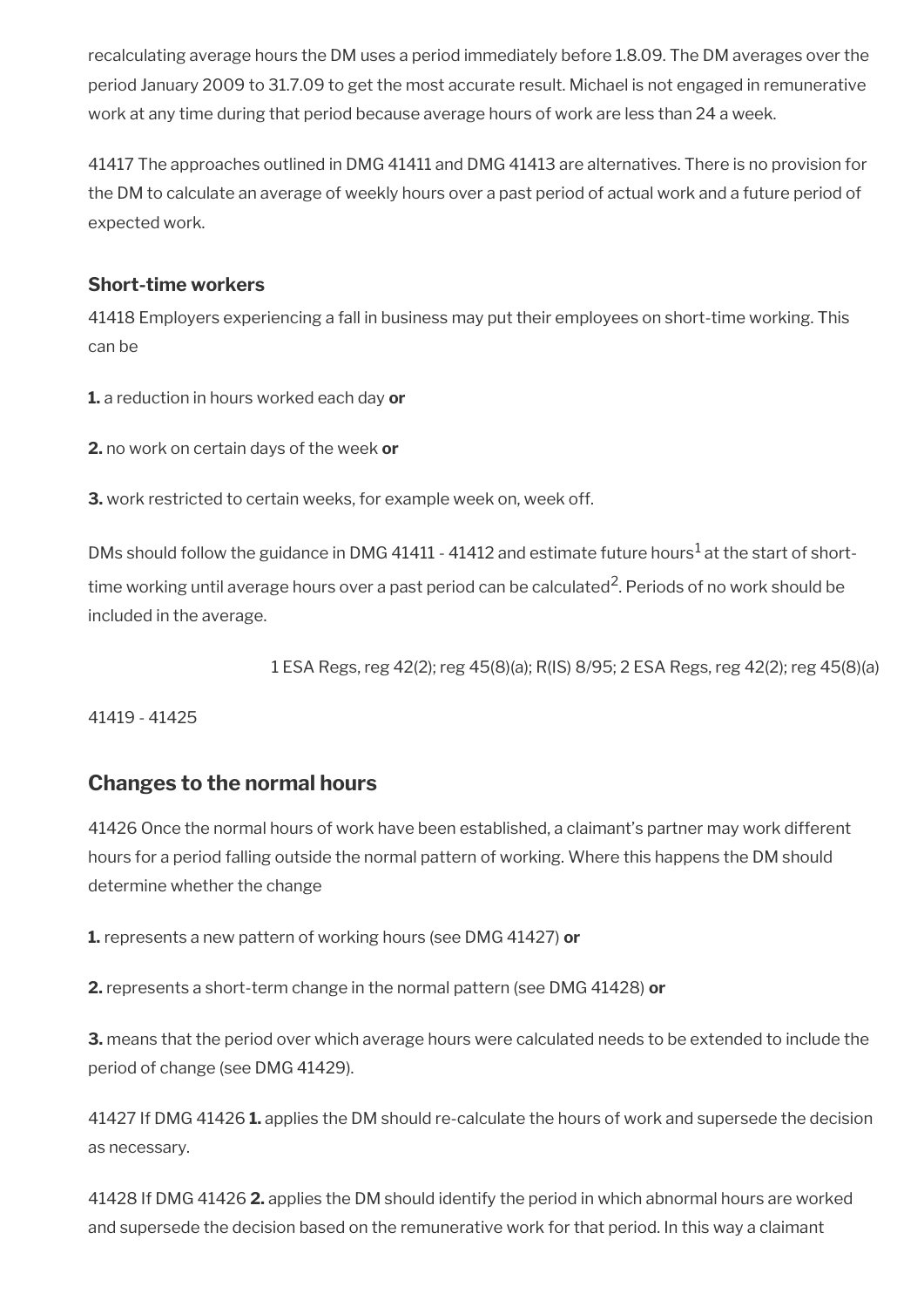recalculating average hours the DM uses a period immediately before 1.8.09. The DM averages over the period January 2009 to 31.7.09 to get the most accurate result. Michael is not engaged in remunerative work at any time during that period because average hours of work are less than 24 a week.

41417 The approaches outlined in DMG 41411 and DMG 41413 are alternatives. There is no provision for the DM to calculate an average of weekly hours over a past period of actual work and a future period of expected work.

## **Short-time workers**

41418 Employers experiencing a fall in business may put their employees on short-time working. This can be

**1.** a reduction in hours worked each day **or** 

**2.** no work on certain days of the week **or** 

**3.** work restricted to certain weeks, for example week on, week off.

DMs should follow the guidance in DMG 41411 - 41412 and estimate future hours<sup>1</sup> at the start of shorttime working until average hours over a past period can be calculated $^2$ . Periods of no work should be included in the average.

1 ESA Regs, reg 42(2); reg 45(8)(a); R(IS) 8/95; 2 ESA Regs, reg 42(2); reg 45(8)(a)

41419 - 41425

# **Changes to the normal hours**

41426 Once the normal hours of work have been established, a claimant's partner may work different hours for a period falling outside the normal pattern of working. Where this happens the DM should determine whether the change

**1.** represents a new pattern of working hours (see DMG 41427) **or** 

**2.** represents a short-term change in the normal pattern (see DMG 41428) **or**

**3.** means that the period over which average hours were calculated needs to be extended to include the period of change (see DMG 41429).

41427 If DMG 41426 **1.** applies the DM should re-calculate the hours of work and supersede the decision as necessary.

41428 If DMG 41426 **2.** applies the DM should identify the period in which abnormal hours are worked and supersede the decision based on the remunerative work for that period. In this way a claimant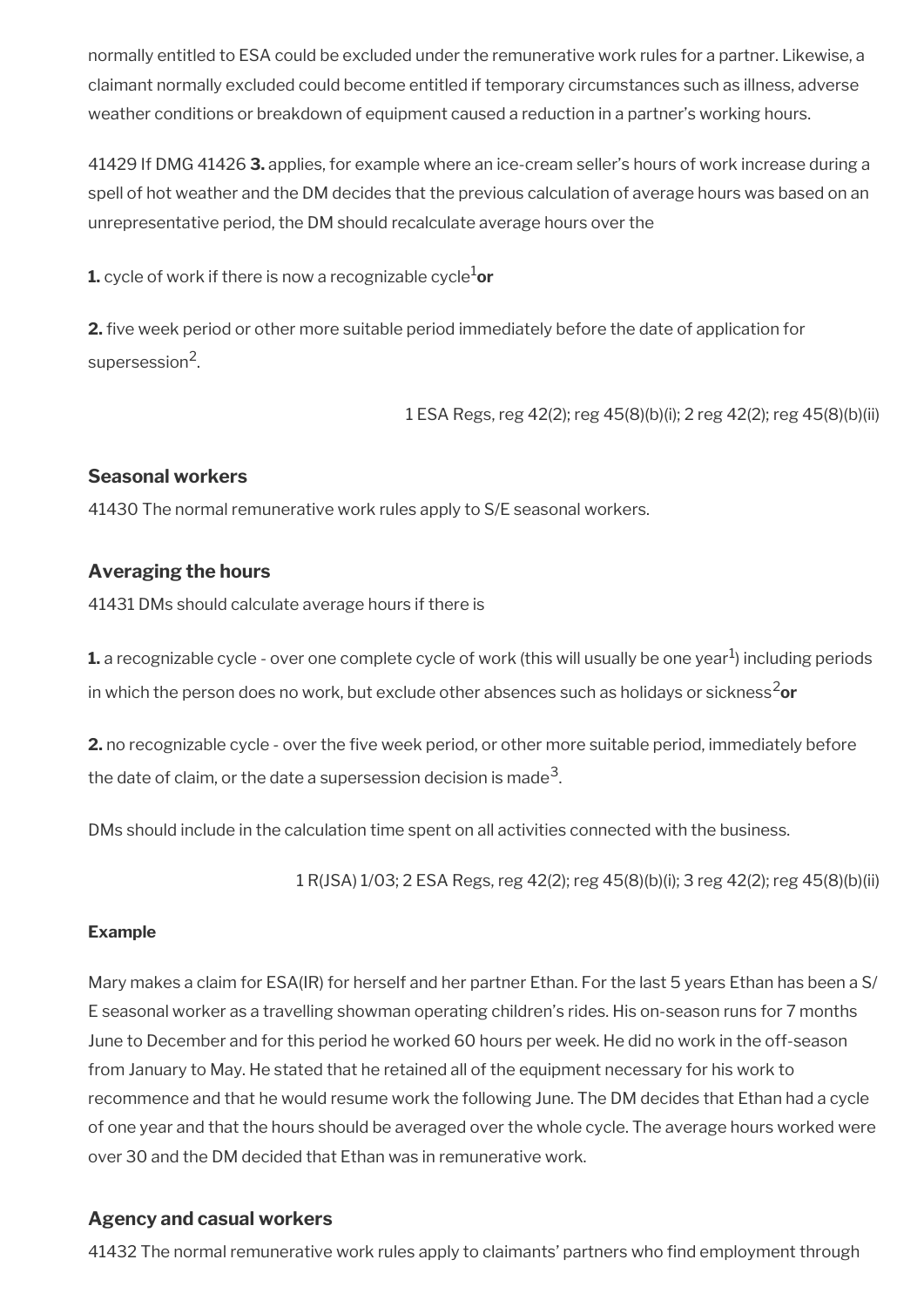normally entitled to ESA could be excluded under the remunerative work rules for a partner. Likewise, a claimant normally excluded could become entitled if temporary circumstances such as illness, adverse weather conditions or breakdown of equipment caused a reduction in a partner's working hours.

41429 If DMG 41426 **3.** applies, for example where an ice-cream seller's hours of work increase during a spell of hot weather and the DM decides that the previous calculation of average hours was based on an unrepresentative period, the DM should recalculate average hours over the

**1.** cycle of work if there is now a recognizable cycle $1$ or

**2.** five week period or other more suitable period immediately before the date of application for supersession<sup>2</sup>.

1 ESA Regs, reg 42(2); reg 45(8)(b)(i); 2 reg 42(2); reg 45(8)(b)(ii)

### **Seasonal workers**

41430 The normal remunerative work rules apply to S/E seasonal workers.

### **Averaging the hours**

41431 DMs should calculate average hours if there is

 ${\bf 1}$ . a recognizable cycle - over one complete cycle of work (this will usually be one year $^1$ ) including periods in which the person does no work, but exclude other absences such as holidays or sickness<sup>2</sup>or

**2.** no recognizable cycle - over the five week period, or other more suitable period, immediately before the date of claim, or the date a supersession decision is made $^3\!$ 

DMs should include in the calculation time spent on all activities connected with the business.

1 R(JSA) 1/03; 2 ESA Regs, reg 42(2); reg 45(8)(b)(i); 3 reg 42(2); reg 45(8)(b)(ii)

### **Example**

Mary makes a claim for ESA(IR) for herself and her partner Ethan. For the last 5 years Ethan has been a S/ E seasonal worker as a travelling showman operating children's rides. His on-season runs for 7 months June to December and for this period he worked 60 hours per week. He did no work in the off-season from January to May. He stated that he retained all of the equipment necessary for his work to recommence and that he would resume work the following June. The DM decides that Ethan had a cycle of one year and that the hours should be averaged over the whole cycle. The average hours worked were over 30 and the DM decided that Ethan was in remunerative work.

### **Agency and casual workers**

41432 The normal remunerative work rules apply to claimants' partners who fnd employment through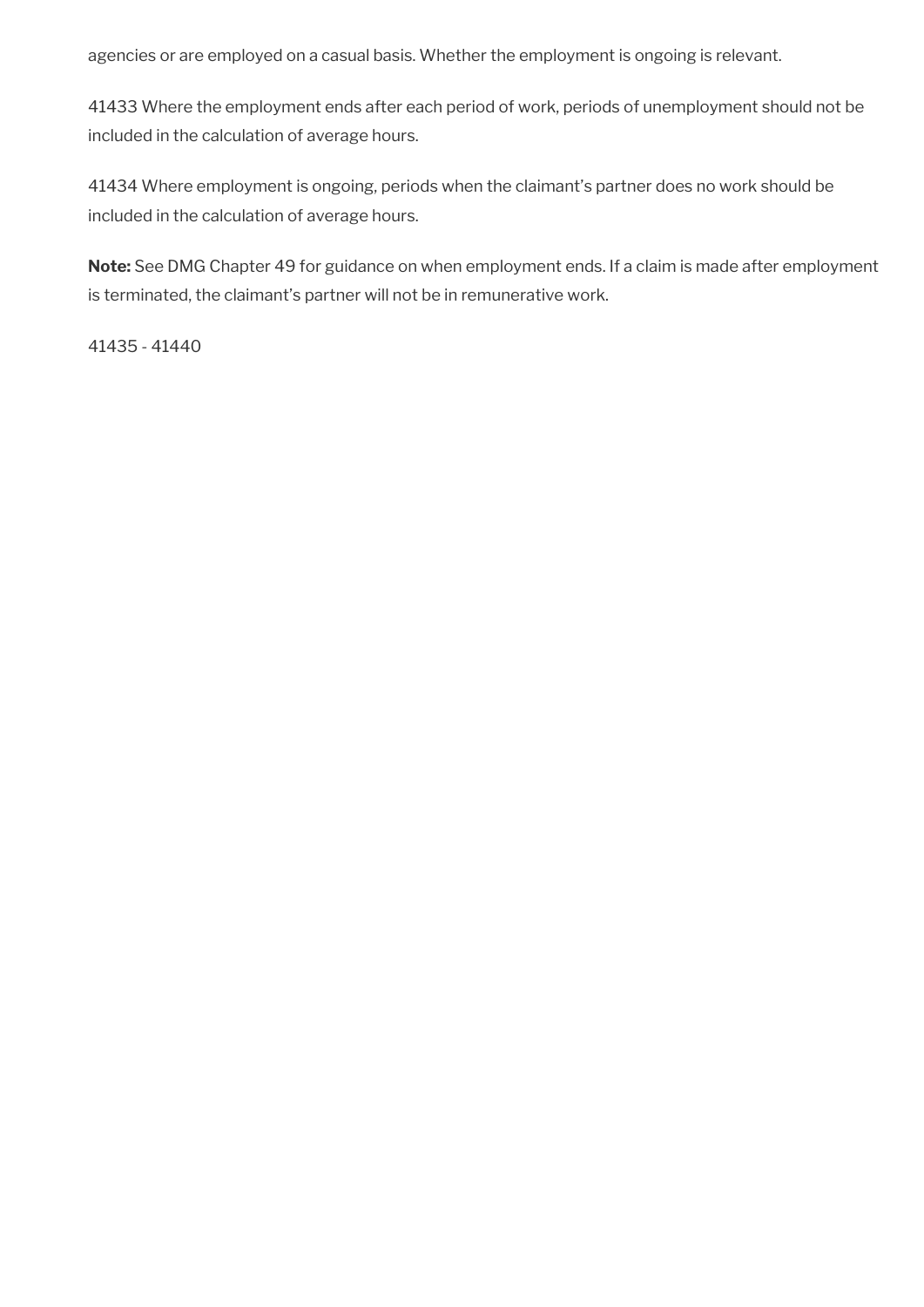agencies or are employed on a casual basis. Whether the employment is ongoing is relevant.

41433 Where the employment ends after each period of work, periods of unemployment should not be included in the calculation of average hours.

41434 Where employment is ongoing, periods when the claimant's partner does no work should be included in the calculation of average hours.

**Note:** See DMG Chapter 49 for guidance on when employment ends. If a claim is made after employment is terminated, the claimant's partner will not be in remunerative work.

41435 - 41440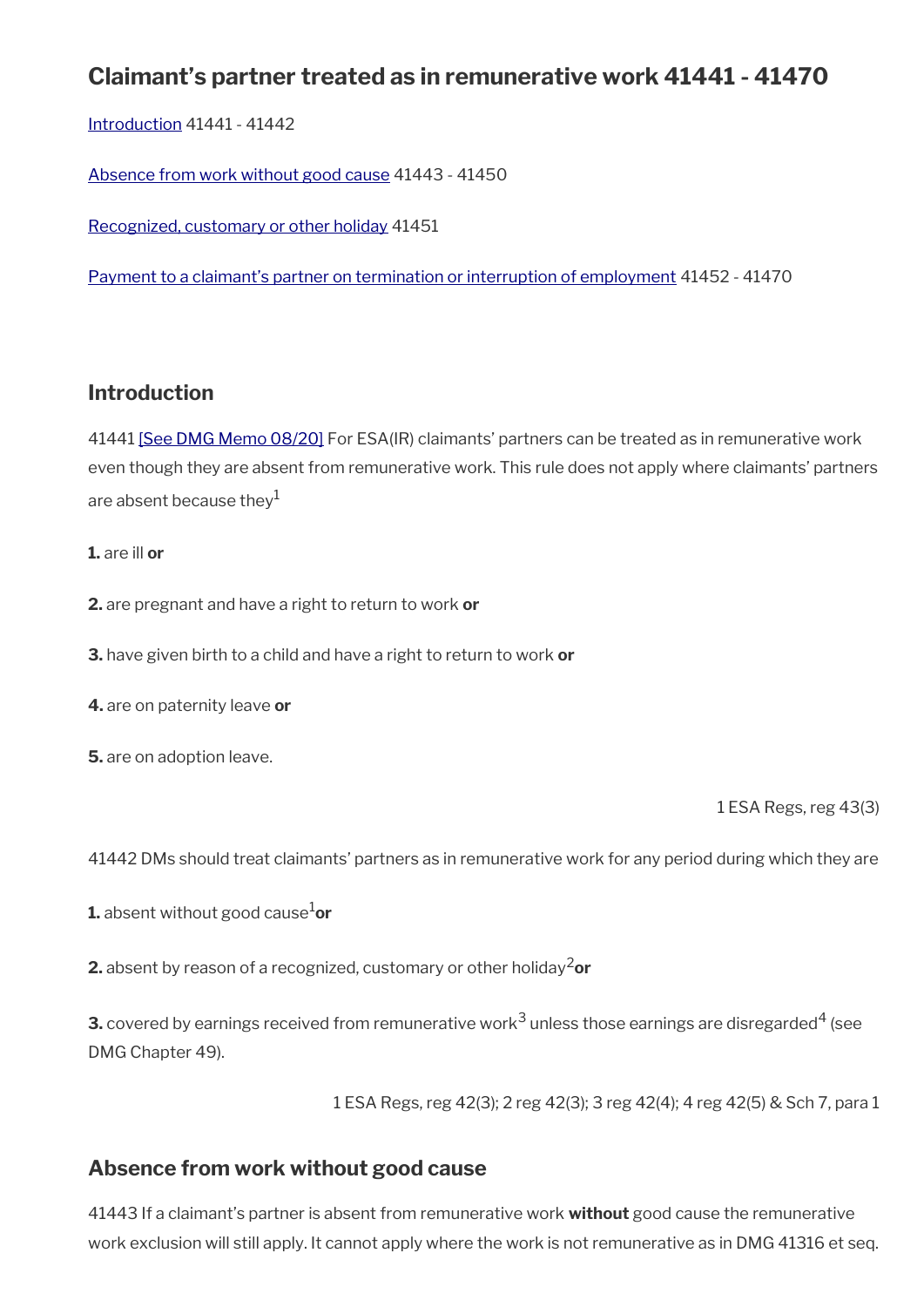# **Claimant's partner treated as in remunerative work 41441 - 41470**

[Introduction](#page-7-0) 41441 - 41442

[Absence from work without good cause](#page-77-0) 41443 - 41450

[Recognized, customary or other holiday](#page-78-1) 41451

[Payment to a claimant's partner on termination or interruption of employment](#page-78-0) 41452 - 41470

## **Introduction**

41441 [\[See DMG Memo 08/20\]](http://intranet.dwp.gov.uk/page/dmg-memo-08-20-parental-bereavement-leave-and-pay-%E2%80%93-consequential-amendments-social-security) For ESA(IR) claimants' partners can be treated as in remunerative work even though they are absent from remunerative work. This rule does not apply where claimants' partners are absent because they $1$ 

**1.** are ill **or** 

**2.** are pregnant and have a right to return to work **or** 

**3.** have given birth to a child and have a right to return to work **or**

**4.** are on paternity leave **or**

**5.** are on adoption leave.

1 ESA Regs, reg 43(3)

41442 DMs should treat claimants' partners as in remunerative work for any period during which they are

**1.** absent without good cause<sup>1</sup>or

**2.** absent by reason of a recognized, customary or other holiday<sup>2</sup>or

**3.** covered by earnings received from remunerative work $^3$  unless those earnings are disregarded $^4$  (see DMG Chapter 49).

1 ESA Regs, reg 42(3); 2 reg 42(3); 3 reg 42(4); 4 reg 42(5) & Sch 7, para 1

## <span id="page-77-0"></span>**Absence from work without good cause**

41443 If a claimant's partner is absent from remunerative work **without** good cause the remunerative work exclusion will still apply. It cannot apply where the work is not remunerative as in DMG 41316 et seq.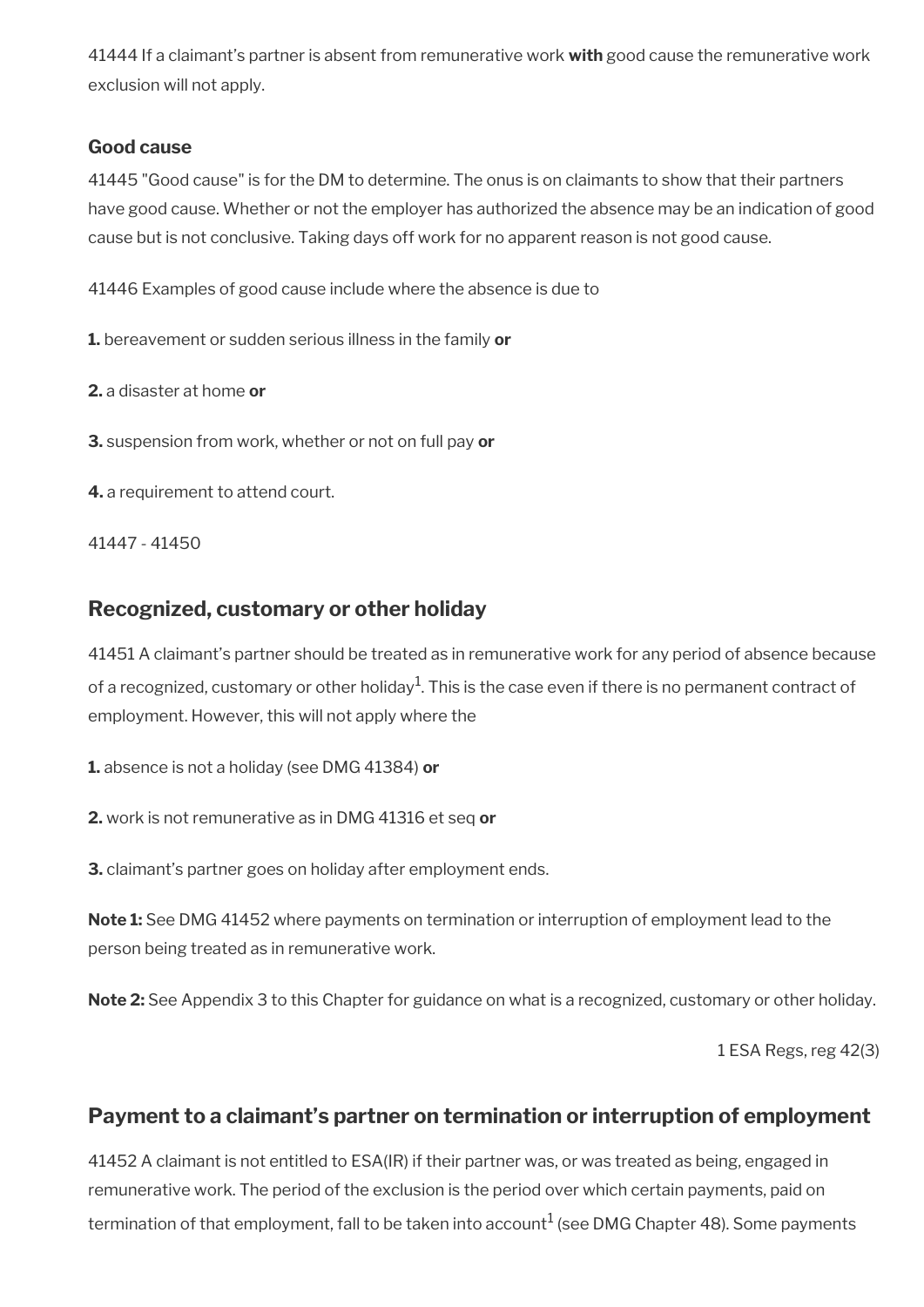41444 If a claimant's partner is absent from remunerative work **with** good cause the remunerative work exclusion will not apply.

## **Good cause**

41445 "Good cause" is for the DM to determine. The onus is on claimants to show that their partners have good cause. Whether or not the employer has authorized the absence may be an indication of good cause but is not conclusive. Taking days off work for no apparent reason is not good cause.

41446 Examples of good cause include where the absence is due to

**1.** bereavement or sudden serious illness in the family **or** 

**2.** a disaster at home **or** 

**3.** suspension from work, whether or not on full pay **or** 

**4.** a requirement to attend court.

41447 - 41450

# <span id="page-78-1"></span>**Recognized, customary or other holiday**

41451 A claimant's partner should be treated as in remunerative work for any period of absence because of a recognized, customary or other holiday $^1$ . This is the case even if there is no permanent contract of employment. However, this will not apply where the

**1.** absence is not a holiday (see DMG 41384) **or**

**2.** work is not remunerative as in DMG 41316 et seq **or**

**3.** claimant's partner goes on holiday after employment ends.

**Note 1:** See DMG 41452 where payments on termination or interruption of employment lead to the person being treated as in remunerative work.

**Note 2:** See Appendix 3 to this Chapter for guidance on what is a recognized, customary or other holiday.

1 ESA Regs, reg 42(3)

# <span id="page-78-0"></span>**Payment to a claimant's partner on termination or interruption of employment**

41452 A claimant is not entitled to ESA(IR) if their partner was, or was treated as being, engaged in remunerative work. The period of the exclusion is the period over which certain payments, paid on termination of that employment, fall to be taken into account $^1$  (see DMG Chapter 48). Some payments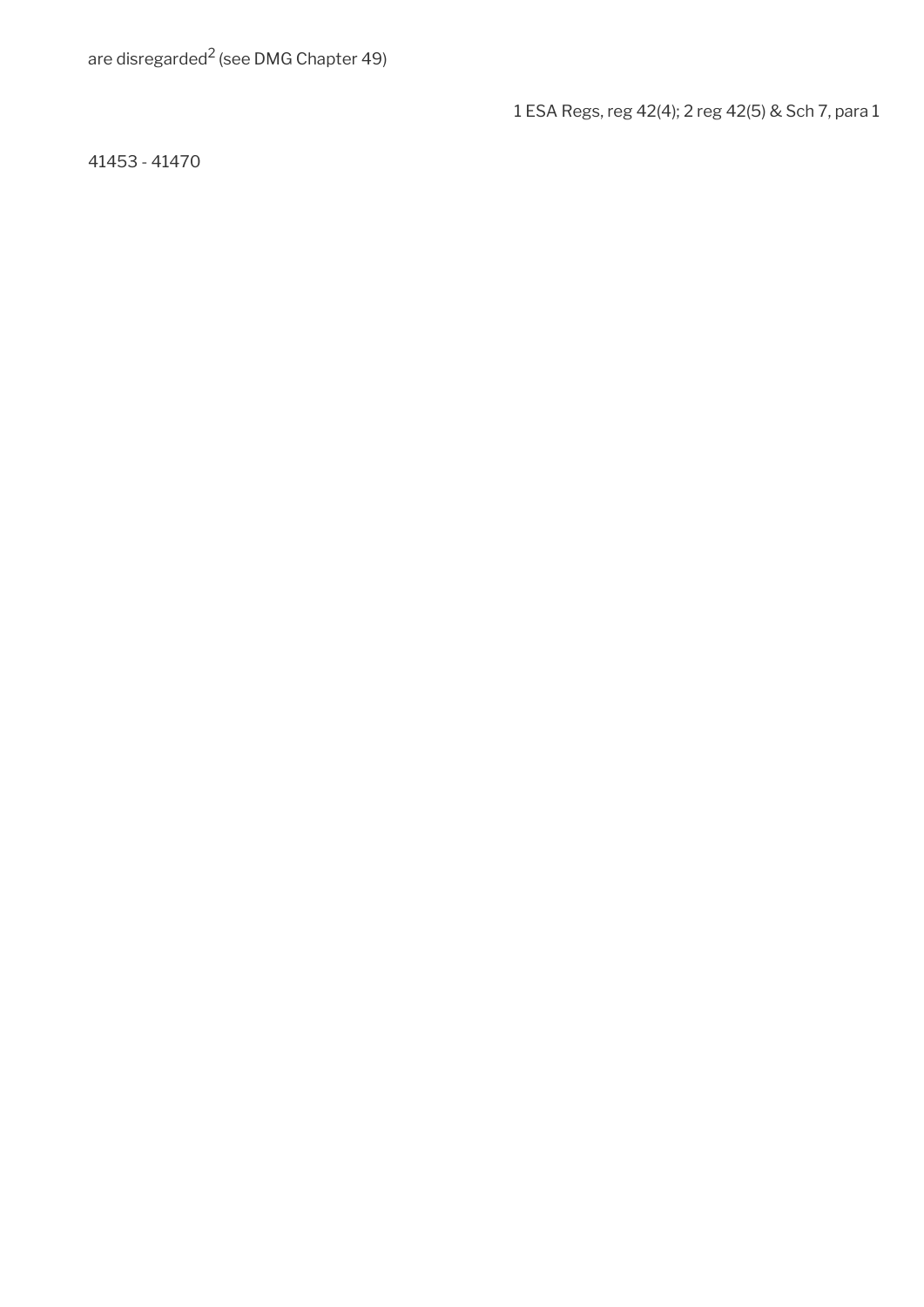1 ESA Regs, reg 42(4); 2 reg 42(5) & Sch 7, para 1

41453 - 41470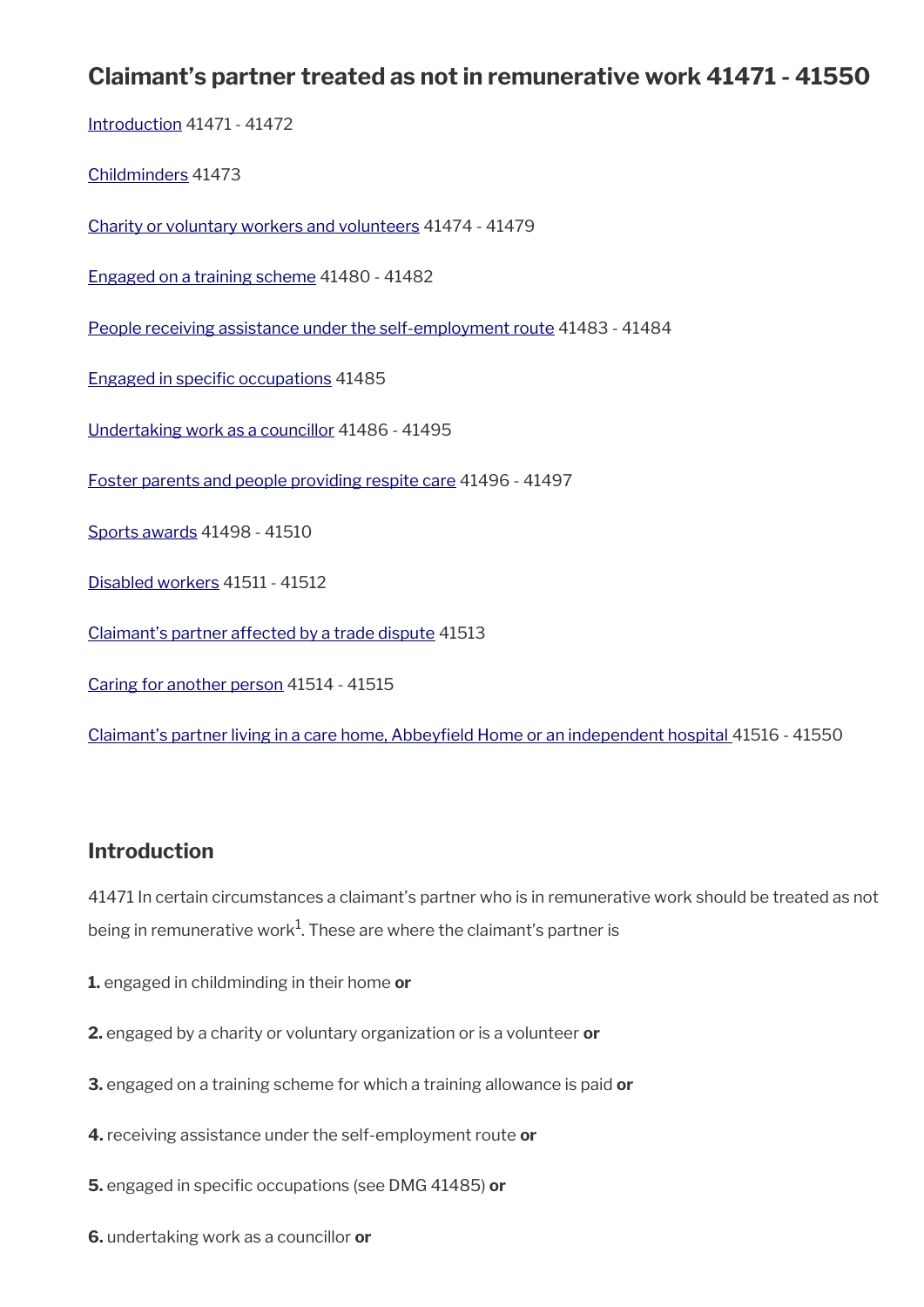# **Claimant's partner treated as not in remunerative work 41471 - 41550**

[Introduction](#page-7-0) 41471 - 41472 [Childminders](#page-81-1) 41473 [Charity or voluntary workers and volunteers](#page-81-0) 41474 - 41479 [Engaged on a training scheme](#page-83-0) 41480 - 41482 [People receiving assistance under the self-employment route](#page-84-0) 41483 - 41484 Engaged in specific occupations 41485 [Undertaking work as a councillor](#page-85-0) 41486 - 41495 [Foster parents and people providing respite care](#page-86-0) 41496 - 41497 [Sports awards](#page-87-1) 41498 - 41510 [Disabled workers](#page-87-0) 41511 - 41512 [Claimant's partner affected by a trade dispute](#page-88-1) 41513 [Caring for another person](#page-88-0) 41514 - 41515 [Claimant's partner living in a care home, Abbeyfeld Home or an independent hospital](#page-89-0) 41516 - 41550

# **Introduction**

41471 In certain circumstances a claimant's partner who is in remunerative work should be treated as not being in remunerative work $^{1}$ . These are where the claimant's partner is

- **1.** engaged in childminding in their home **or**
- **2.** engaged by a charity or voluntary organization or is a volunteer **or**
- **3.** engaged on a training scheme for which a training allowance is paid **or**
- **4.** receiving assistance under the self-employment route **or**
- **5.** engaged in specific occupations (see DMG 41485) or
- **6.** undertaking work as a councillor **or**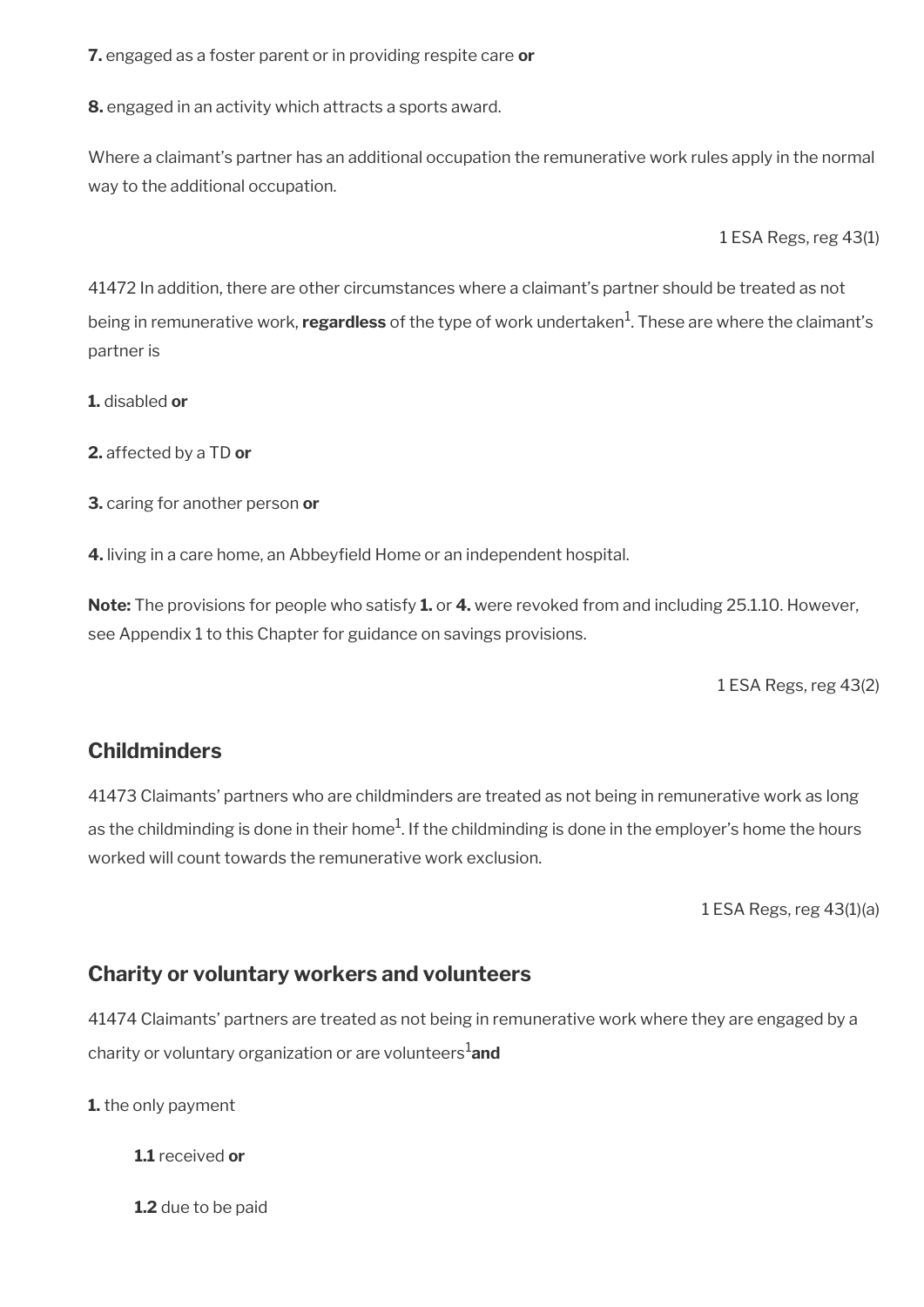**7.** engaged as a foster parent or in providing respite care **or**

**8.** engaged in an activity which attracts a sports award.

Where a claimant's partner has an additional occupation the remunerative work rules apply in the normal way to the additional occupation.

1 ESA Regs, reg 43(1)

41472 In addition, there are other circumstances where a claimant's partner should be treated as not being in remunerative work, **regardless** of the type of work undertaken<sup>1</sup>. These are where the claimant's partner is

**1.** disabled **or**

**2.** affected by a TD **or**

**3.** caring for another person **or**

**4.** living in a care home, an Abbeyfeld Home or an independent hospital.

**Note:** The provisions for people who satisfy **1.** or **4.** were revoked from and including 25.1.10. However, see Appendix 1 to this Chapter for guidance on savings provisions.

1 ESA Regs, reg 43(2)

## <span id="page-81-1"></span>**Childminders**

41473 Claimants' partners who are childminders are treated as not being in remunerative work as long as the childminding is done in their home $^1$ . If the childminding is done in the employer's home the hours worked will count towards the remunerative work exclusion.

1 ESA Regs, reg 43(1)(a)

# <span id="page-81-0"></span>**Charity or voluntary workers and volunteers**

41474 Claimants' partners are treated as not being in remunerative work where they are engaged by a charity or voluntary organization or are volunteers1**and**

**1.** the only payment

**1.1** received **or**

**1.2** due to be paid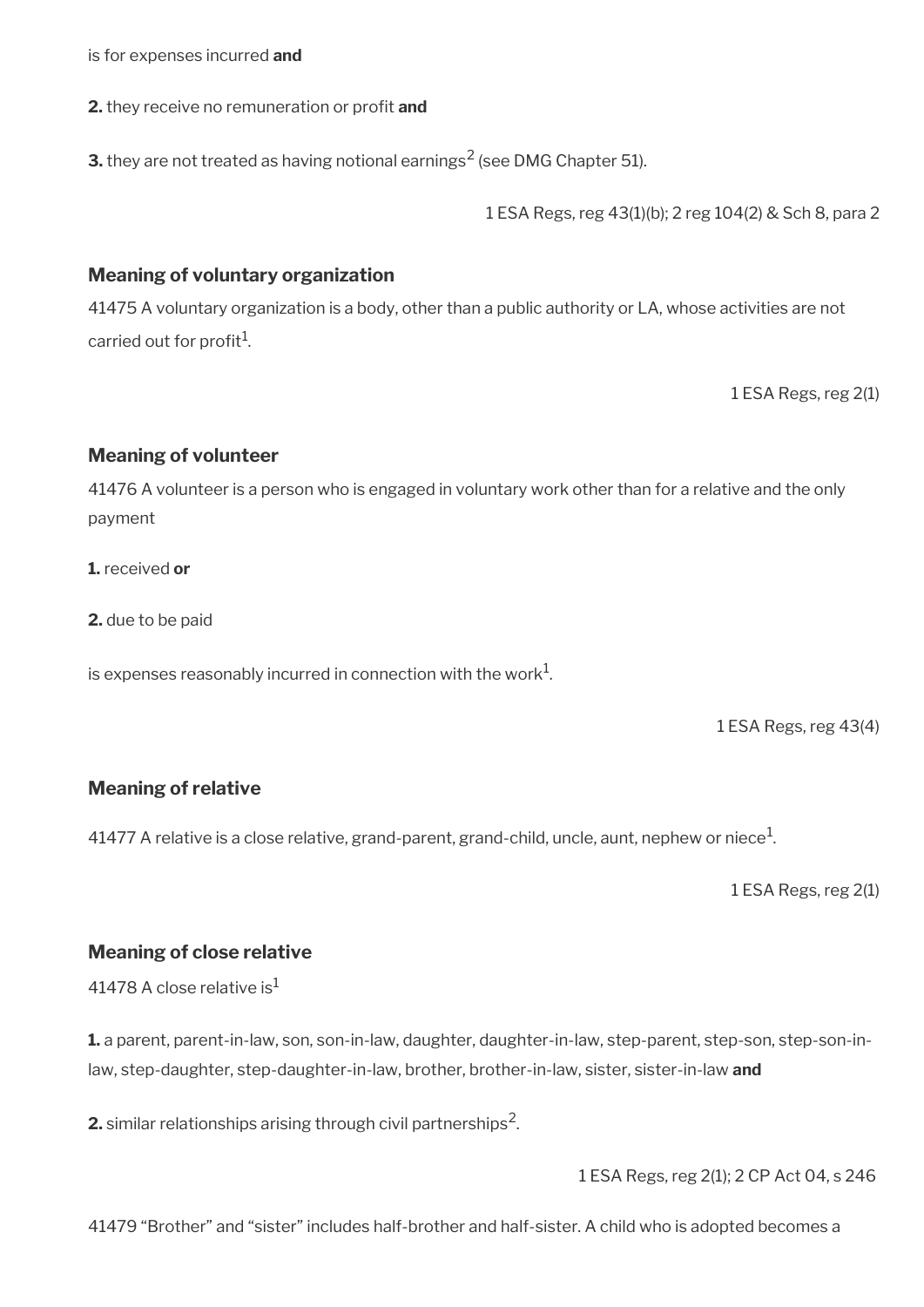is for expenses incurred **and**

**2.** they receive no remuneration or profit and

**3.** they are not treated as having notional earnings $^2$  (see DMG Chapter 51).

1 ESA Regs, reg 43(1)(b); 2 reg 104(2) & Sch 8, para 2

### **Meaning of voluntary organization**

41475 A voluntary organization is a body, other than a public authority or LA, whose activities are not carried out for profit<sup>1</sup>.

1 ESA Regs, reg 2(1)

### **Meaning of volunteer**

41476 A volunteer is a person who is engaged in voluntary work other than for a relative and the only payment

**1.** received **or**

**2.** due to be paid

is expenses reasonably incurred in connection with the work $^1\!\!$ .

1 ESA Regs, reg 43(4)

### **Meaning of relative**

41477 A relative is a close relative, grand-parent, grand-child, uncle, aunt, nephew or niece $^1\!$ 

1 ESA Regs, reg 2(1)

### **Meaning of close relative**

41478 A close relative is $<sup>1</sup>$ </sup>

**1.** a parent, parent-in-law, son, son-in-law, daughter, daughter-in-law, step-parent, step-son, step-son-inlaw, step-daughter, step-daughter-in-law, brother, brother-in-law, sister, sister-in-law **and** 

**2.** similar relationships arising through civil partnerships $^2$ .

1 ESA Regs, reg 2(1); 2 CP Act 04, s 246

41479 "Brother" and "sister" includes half-brother and half-sister. A child who is adopted becomes a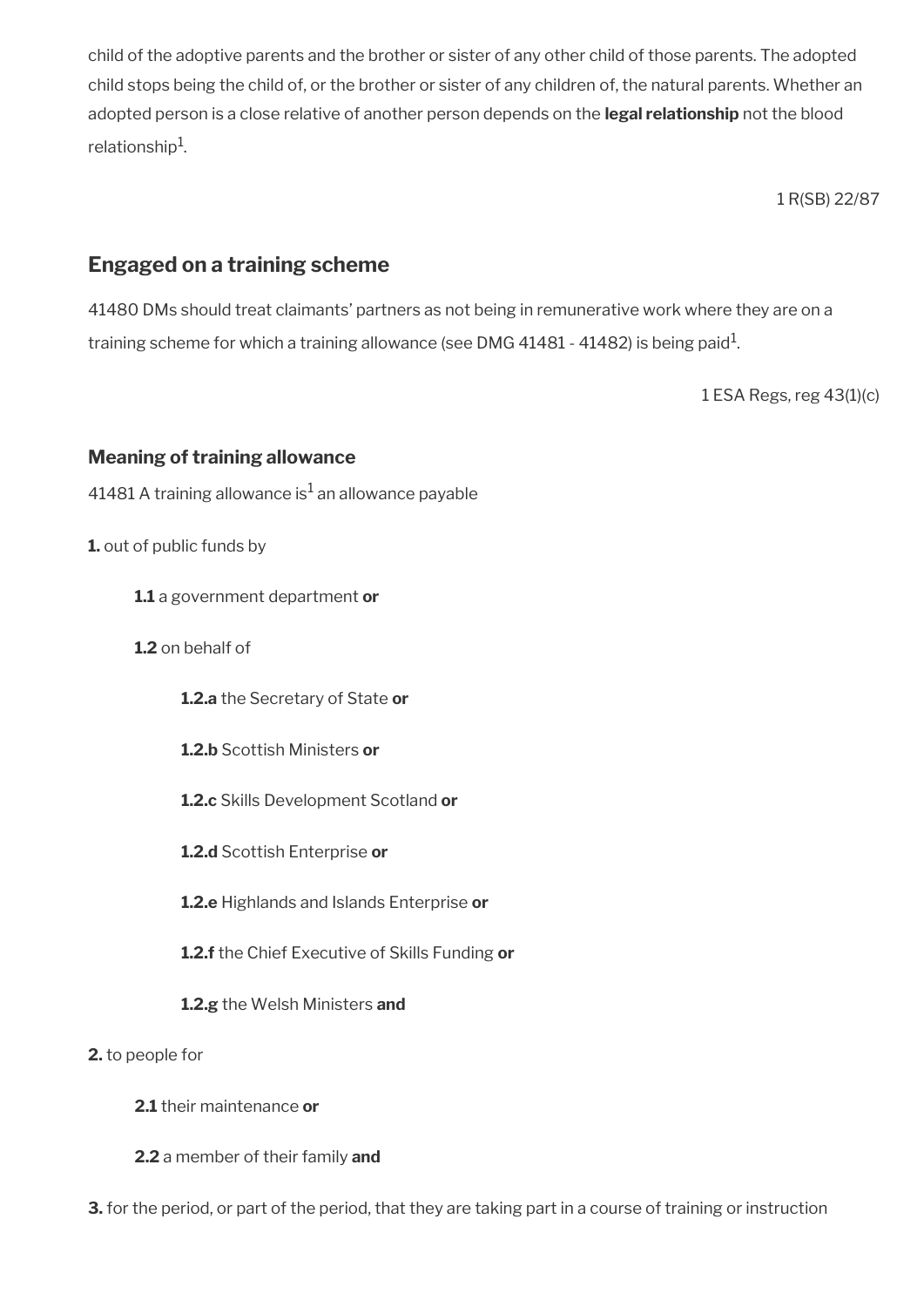child of the adoptive parents and the brother or sister of any other child of those parents. The adopted child stops being the child of, or the brother or sister of any children of, the natural parents. Whether an adopted person is a close relative of another person depends on the **legal relationship** not the blood relationship $^{\rm 1}$ .

1 R(SB) 22/87

# <span id="page-83-0"></span>**Engaged on a training scheme**

41480 DMs should treat claimants' partners as not being in remunerative work where they are on a training scheme for which a training allowance (see DMG 41481 - 41482) is being paid $^{\rm 1}$ .

1 ESA Regs, reg 43(1)(c)

### **Meaning of training allowance**

41481 A training allowance is $^{\rm 1}$  an allowance payable

#### **1.** out of public funds by

- **1.1** a government department **or**
- **1.2** on behalf of
	- **1.2.a** the Secretary of State **or**
	- **1.2.b** Scottish Ministers **or**
	- **1.2.c** Skills Development Scotland **or**
	- **1.2.d** Scottish Enterprise **or**
	- **1.2.e** Highlands and Islands Enterprise **or**
	- **1.2.f** the Chief Executive of Skills Funding **or**
	- **1.2.g** the Welsh Ministers **and**

#### **2.** to people for

- **2.1** their maintenance **or**
- **2.2** a member of their family **and**

**3.** for the period, or part of the period, that they are taking part in a course of training or instruction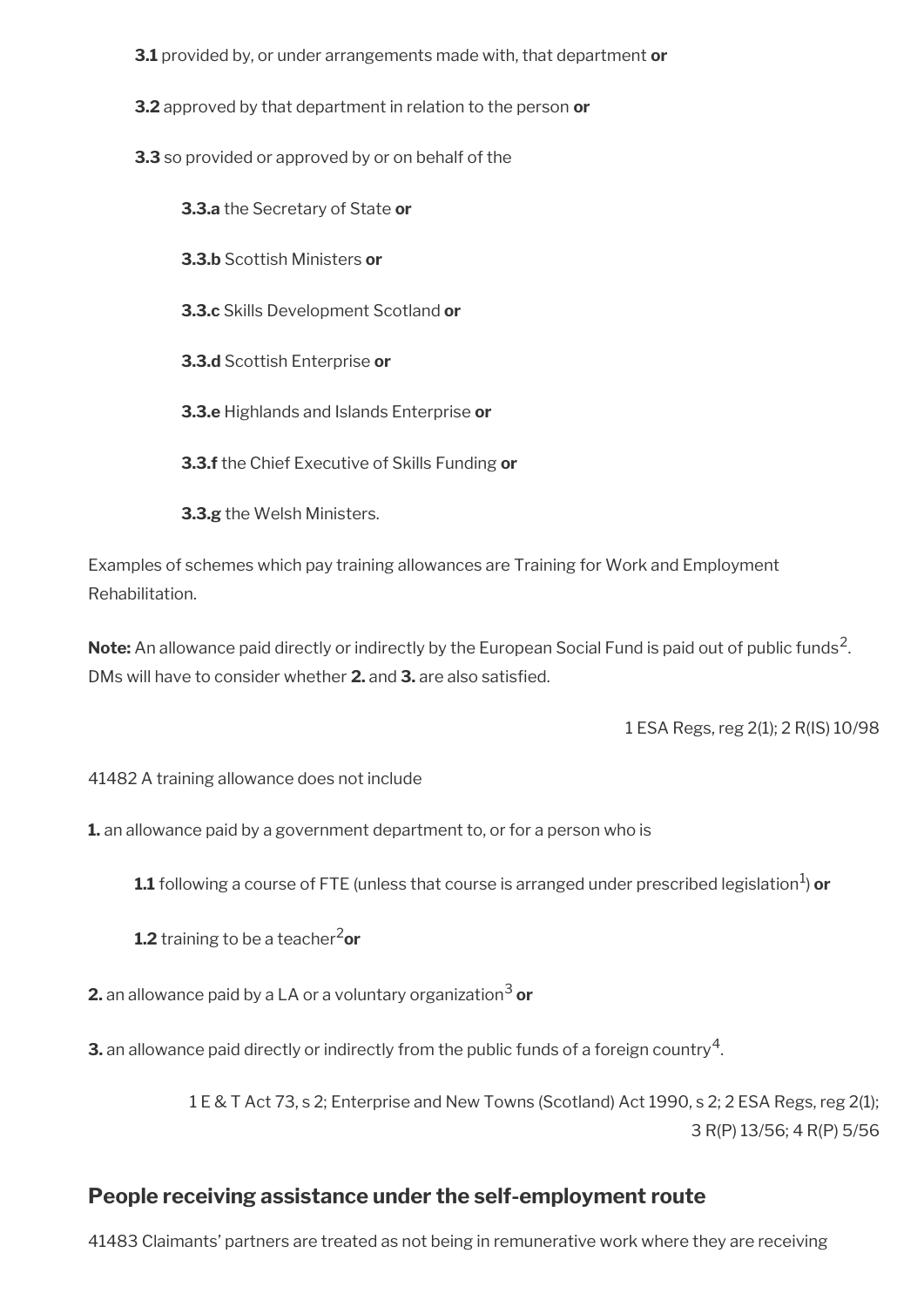- **3.1** provided by, or under arrangements made with, that department **or**
- **3.2** approved by that department in relation to the person **or**
- **3.3** so provided or approved by or on behalf of the

**3.3.a** the Secretary of State **or 3.3.b** Scottish Ministers **or 3.3.c** Skills Development Scotland **or 3.3.d** Scottish Enterprise **or 3.3.e** Highlands and Islands Enterprise **or 3.3.f** the Chief Executive of Skills Funding **or 3.3.g** the Welsh Ministers.

Examples of schemes which pay training allowances are Training for Work and Employment Rehabilitation.

**Note:** An allowance paid directly or indirectly by the European Social Fund is paid out of public funds<sup>2</sup>. DMs will have to consider whether **2.** and **3.** are also satisfed.

1 ESA Regs, reg 2(1); 2 R(IS) 10/98

41482 A training allowance does not include

**1.** an allowance paid by a government department to, or for a person who is

 $\boldsymbol{1.1}$  following a course of FTE (unless that course is arranged under prescribed legislation $^1$ ) **or** 

**1.2** training to be a teacher<sup>2</sup>or

**2.** an allowance paid by a LA or a voluntary organization<sup>3</sup> or

**3.** an allowance paid directly or indirectly from the public funds of a foreign country  $^4$ .

1 E & T Act 73, s 2; Enterprise and New Towns (Scotland) Act 1990, s 2; 2 ESA Regs, reg 2(1); 3 R(P) 13/56; 4 R(P) 5/56

# <span id="page-84-0"></span>**People receiving assistance under the self-employment route**

41483 Claimants' partners are treated as not being in remunerative work where they are receiving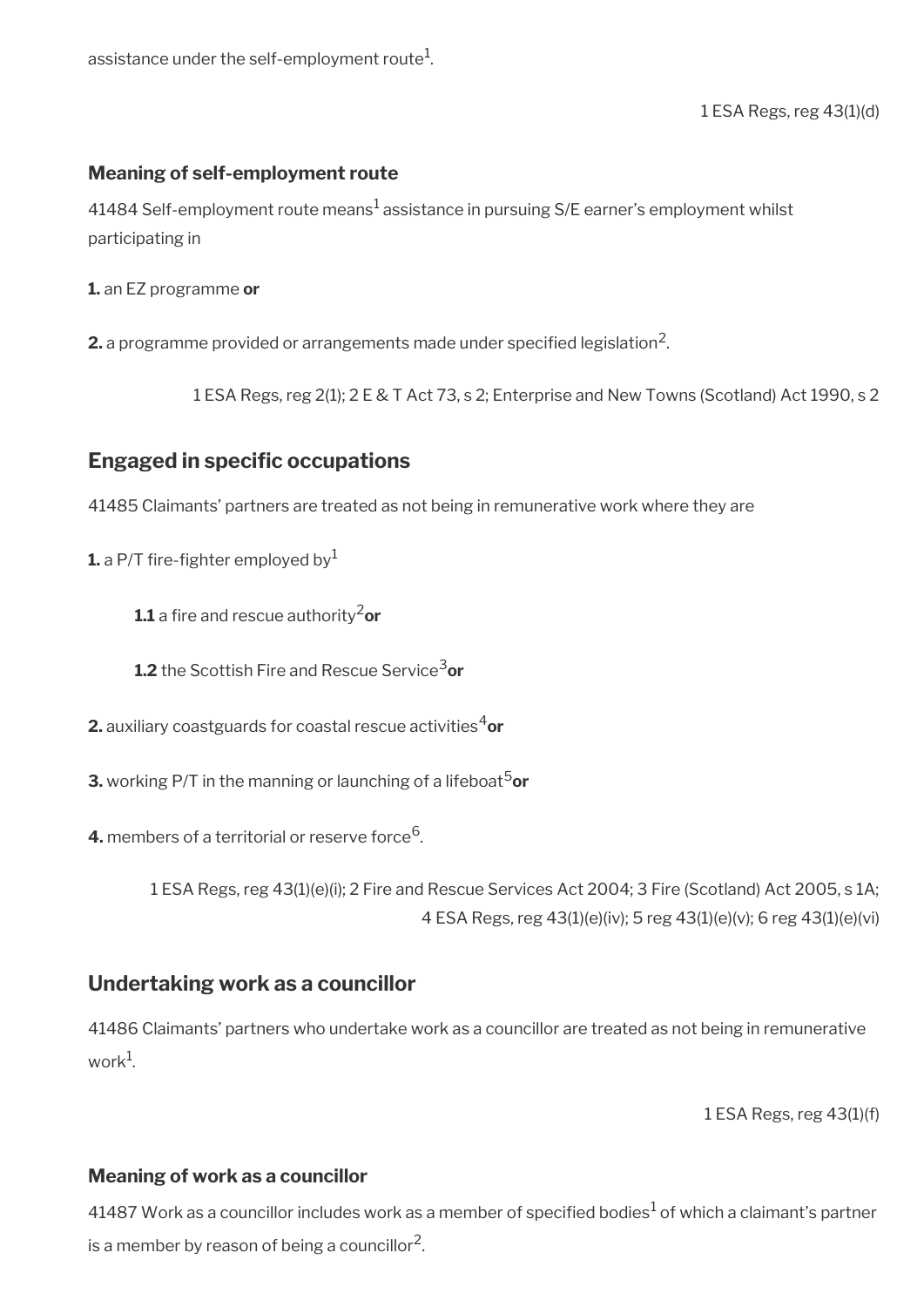assistance under the self-employment route $^1\!\!$ 

1 ESA Regs, reg 43(1)(d)

### **Meaning of self-employment route**

41484 Self-employment route means $^1$  assistance in pursuing S/E earner's employment whilst participating in

**1.** an EZ programme **or**

 $\mathbf 2$ . a programme provided or arrangements made under specified legislation<sup>2</sup>.

1 ESA Regs, reg 2(1); 2 E & T Act 73, s 2; Enterprise and New Towns (Scotland) Act 1990, s 2

## <span id="page-85-1"></span>**Engaged in specific occupations**

41485 Claimants' partners are treated as not being in remunerative work where they are

**1.** a P/T fire-fighter employed by  $1$ 

**1.1** a fire and rescue authority<sup>2</sup>or

**1.2** the Scottish Fire and Rescue Service<sup>3</sup>or

**2.** auxiliary coastguards for coastal rescue activities<sup>4</sup>or

**3.** working P/T in the manning or launching of a lifeboat<sup>5</sup>or

**4.** members of a territorial or reserve force<sup>6</sup>.

1 ESA Regs, reg 43(1)(e)(i); 2 Fire and Rescue Services Act 2004; 3 Fire (Scotland) Act 2005, s 1A; 4 ESA Regs, reg 43(1)(e)(iv); 5 reg 43(1)(e)(v); 6 reg 43(1)(e)(vi)

### <span id="page-85-0"></span>**Undertaking work as a councillor**

41486 Claimants' partners who undertake work as a councillor are treated as not being in remunerative work $^1$ .

1 ESA Regs, reg 43(1)(f)

### **Meaning of work as a councillor**

41487 Work as a councillor includes work as a member of specified bodies $^1$  of which a claimant's partner is a member by reason of being a councillor<sup>2</sup>.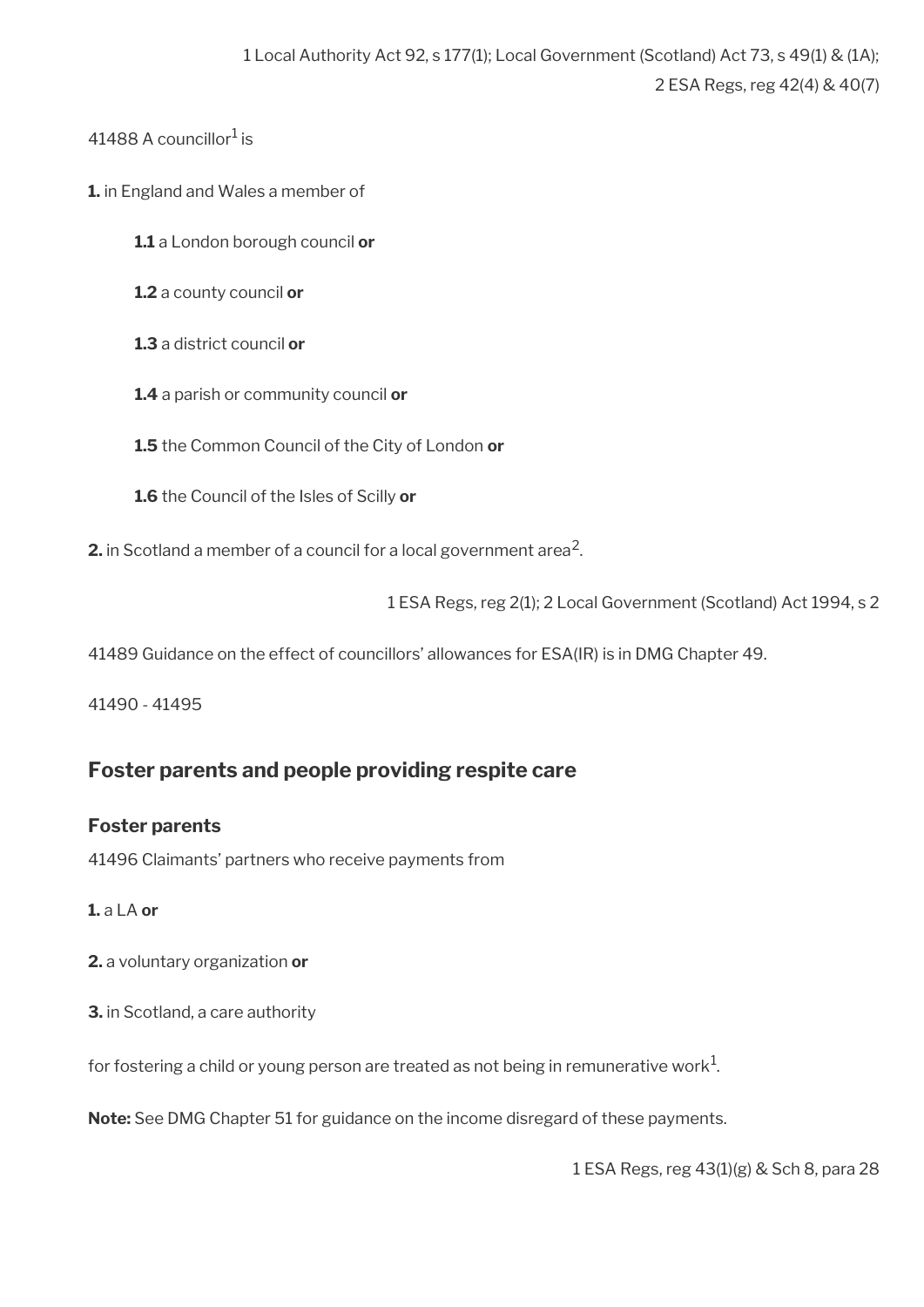41488 A councillor $^1$  is

- **1.** in England and Wales a member of
	- **1.1** a London borough council **or**
	- **1.2** a county council **or**
	- **1.3** a district council **or**
	- **1.4** a parish or community council **or**
	- **1.5** the Common Council of the City of London **or**
	- **1.6** the Council of the Isles of Scilly **or**

**2.** in Scotland a member of a council for a local government area<sup>2</sup>.

1 ESA Regs, reg 2(1); 2 Local Government (Scotland) Act 1994, s 2

41489 Guidance on the effect of councillors' allowances for ESA(IR) is in DMG Chapter 49.

41490 - 41495

# <span id="page-86-0"></span>**Foster parents and people providing respite care**

### **Foster parents**

41496 Claimants' partners who receive payments from

### **1.** a LA **or**

- **2.** a voluntary organization **or**
- **3.** in Scotland, a care authority

for fostering a child or young person are treated as not being in remunerative work $^1\!$ 

**Note:** See DMG Chapter 51 for guidance on the income disregard of these payments.

1 ESA Regs, reg 43(1)(g) & Sch 8, para 28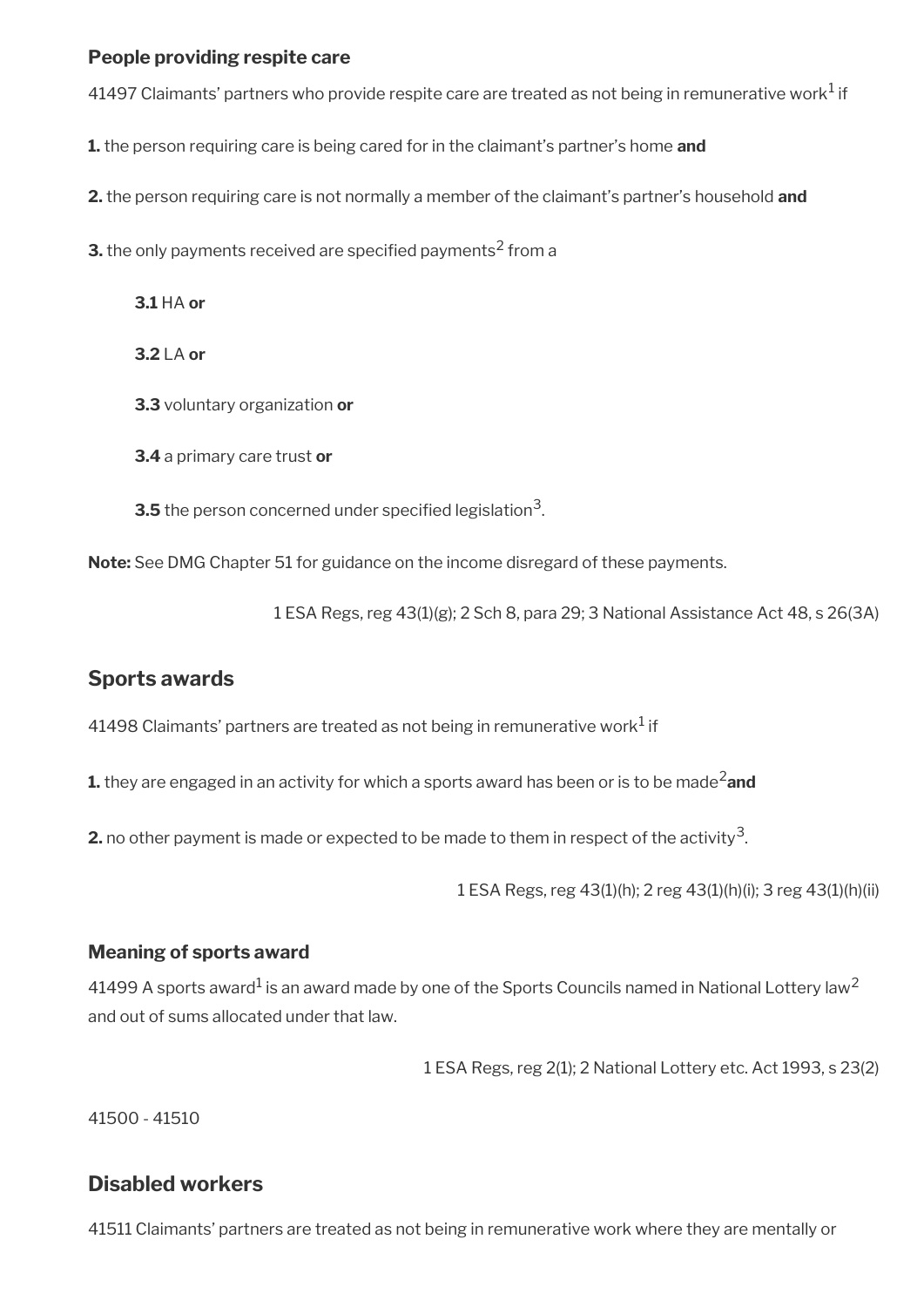### **People providing respite care**

41497 Claimants' partners who provide respite care are treated as not being in remunerative work $^1$  if

**1.** the person requiring care is being cared for in the claimant's partner's home **and**

**2.** the person requiring care is not normally a member of the claimant's partner's household **and**

**3.** the only payments received are specified payments<sup>2</sup> from a

**3.1** HA **or**

**3.2** LA **or**

**3.3** voluntary organization **or**

**3.4** a primary care trust **or**

 ${\bf 3.5}$  the person concerned under specified legislation $^3$ .

**Note:** See DMG Chapter 51 for guidance on the income disregard of these payments.

1 ESA Regs, reg 43(1)(g); 2 Sch 8, para 29; 3 National Assistance Act 48, s 26(3A)

## <span id="page-87-1"></span>**Sports awards**

41498 Claimants' partners are treated as not being in remunerative work $^1$  if

**1.** they are engaged in an activity for which a sports award has been or is to be made<sup>2</sup>and

**2.** no other payment is made or expected to be made to them in respect of the activity<sup>3</sup>.

1 ESA Regs, reg 43(1)(h); 2 reg 43(1)(h)(i); 3 reg 43(1)(h)(ii)

### **Meaning of sports award**

41499 A sports award $^1$  is an award made by one of the Sports Councils named in National Lottery law $^2$ and out of sums allocated under that law.

1 ESA Regs, reg 2(1); 2 National Lottery etc. Act 1993, s 23(2)

41500 - 41510

## <span id="page-87-0"></span>**Disabled workers**

41511 Claimants' partners are treated as not being in remunerative work where they are mentally or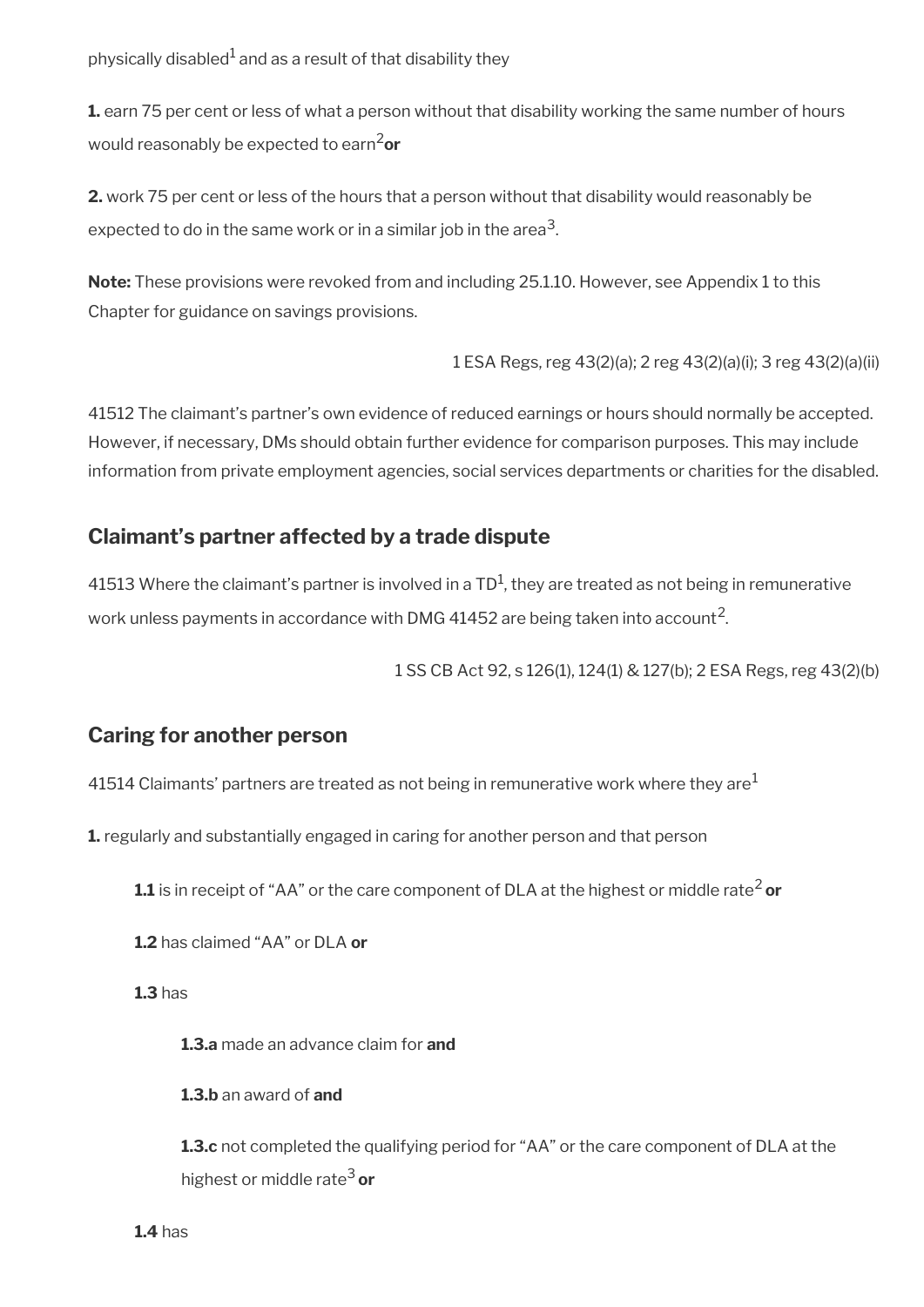physically disabled $^{\rm 1}$  and as a result of that disability they

**1.** earn 75 per cent or less of what a person without that disability working the same number of hours would reasonably be expected to earn2**or**

**2.** work 75 per cent or less of the hours that a person without that disability would reasonably be expected to do in the same work or in a similar job in the area $^3\!$ 

**Note:** These provisions were revoked from and including 25.1.10. However, see Appendix 1 to this Chapter for guidance on savings provisions.

1 ESA Regs, reg 43(2)(a); 2 reg 43(2)(a)(i); 3 reg 43(2)(a)(ii)

41512 The claimant's partner's own evidence of reduced earnings or hours should normally be accepted. However, if necessary, DMs should obtain further evidence for comparison purposes. This may include information from private employment agencies, social services departments or charities for the disabled.

## <span id="page-88-1"></span>**Claimant's partner affected by a trade dispute**

41513 Where the claimant's partner is involved in a TD<sup>1</sup>, they are treated as not being in remunerative work unless payments in accordance with DMG 41452 are being taken into account<sup>2</sup>.

1 SS CB Act 92, s 126(1), 124(1) & 127(b); 2 ESA Regs, reg 43(2)(b)

### <span id="page-88-0"></span>**Caring for another person**

41514 Claimants' partners are treated as not being in remunerative work where they are<sup>1</sup>

**1.** regularly and substantially engaged in caring for another person and that person

**1.1** is in receipt of "AA" or the care component of DLA at the highest or middle rate<sup>2</sup> or

**1.2** has claimed "AA" or DLA **or** 

**1.3** has

**1.3.a** made an advance claim for **and** 

**1.3.b** an award of **and** 

**1.3.c** not completed the qualifying period for "AA" or the care component of DLA at the highest or middle rate3 **or**

**1.4** has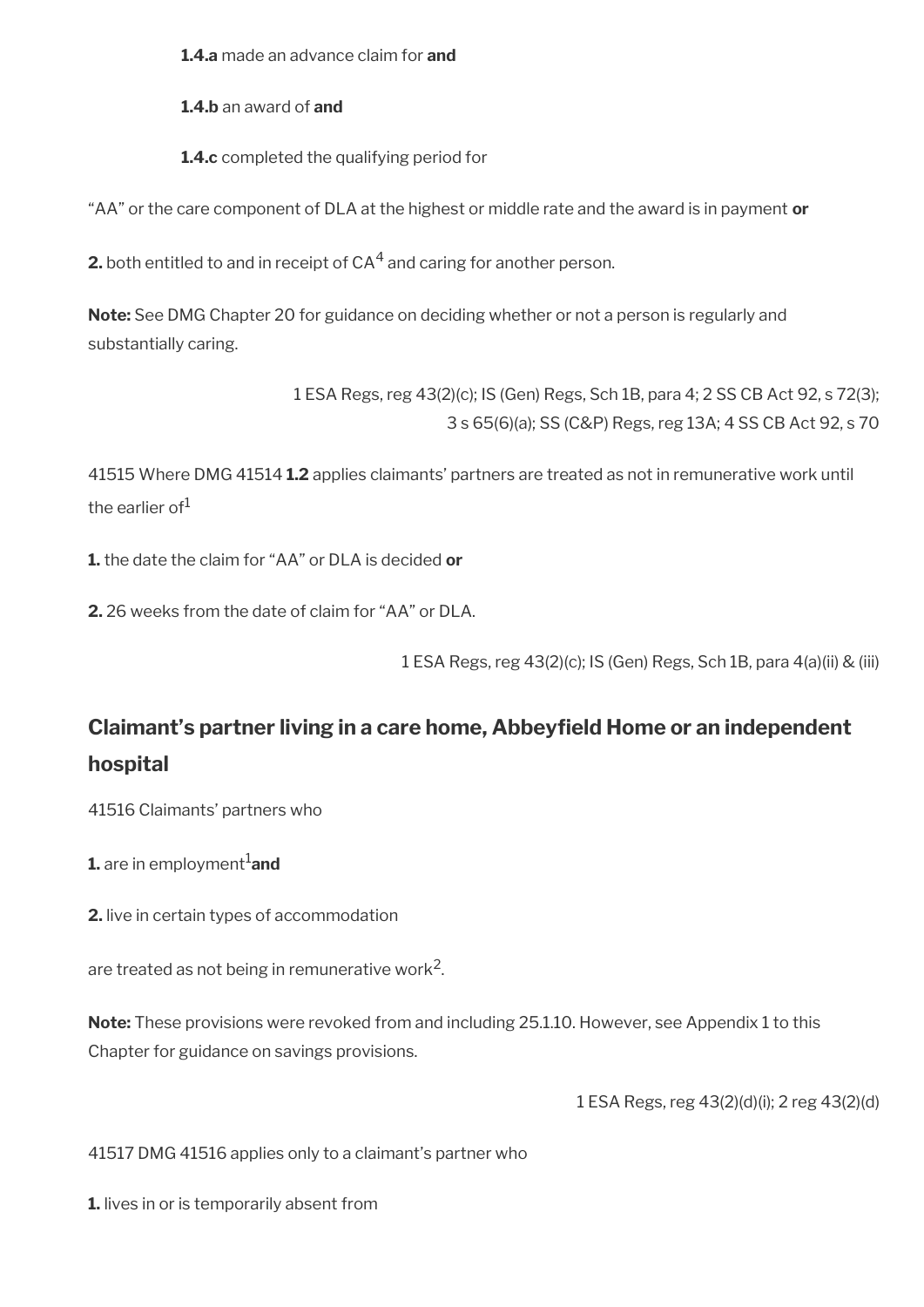**1.4.a** made an advance claim for **and** 

**1.4.b** an award of **and** 

**1.4.c** completed the qualifying period for

"AA" or the care component of DLA at the highest or middle rate and the award is in payment **or** 

**2.** both entitled to and in receipt of CA $^4$  and caring for another person.

**Note:** See DMG Chapter 20 for guidance on deciding whether or not a person is regularly and substantially caring.

> 1 ESA Regs, reg 43(2)(c); IS (Gen) Regs, Sch 1B, para 4; 2 SS CB Act 92, s 72(3); 3 s 65(6)(a); SS (C&P) Regs, reg 13A; 4 SS CB Act 92, s 70

41515 Where DMG 41514 **1.2** applies claimants' partners are treated as not in remunerative work until the earlier of $1$ 

**1.** the date the claim for "AA" or DLA is decided **or** 

**2.** 26 weeks from the date of claim for "AA" or DLA.

1 ESA Regs, reg 43(2)(c); IS (Gen) Regs, Sch 1B, para 4(a)(ii) & (iii)

# <span id="page-89-0"></span>**Claimant's partner living in a care home, Abbeyfeld Home or an independent hospital**

41516 Claimants' partners who

**1.** are in employment<sup>1</sup>and

**2.** live in certain types of accommodation

are treated as not being in remunerative work $^2\!$ 

**Note:** These provisions were revoked from and including 25.1.10. However, see Appendix 1 to this Chapter for guidance on savings provisions.

1 ESA Regs, reg 43(2)(d)(i); 2 reg 43(2)(d)

41517 DMG 41516 applies only to a claimant's partner who

**1.** lives in or is temporarily absent from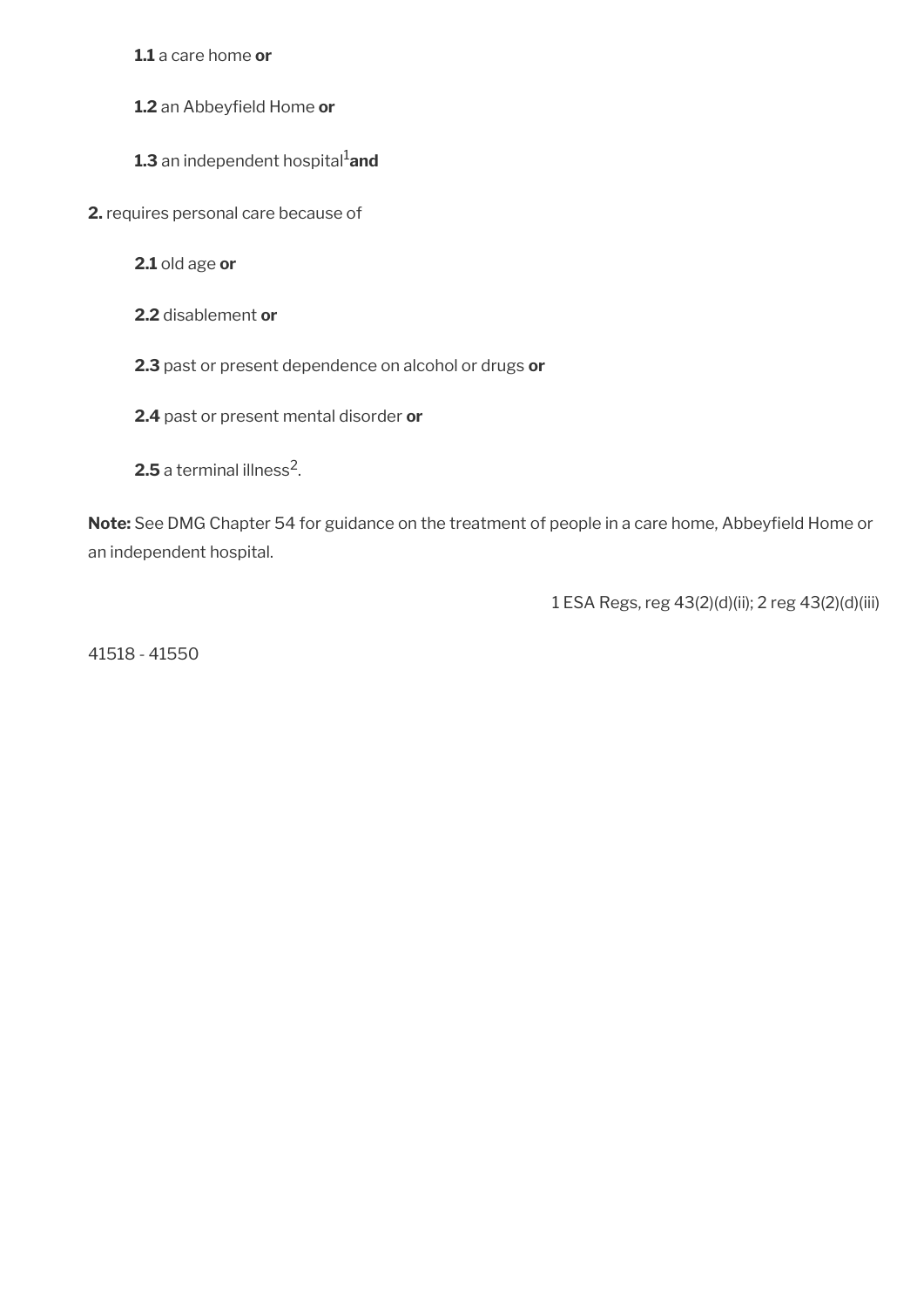**1.1** a care home **or**

- 1.2 an Abbeyfield Home or
- **1.3** an independent hospital<sup>1</sup>and
- **2.** requires personal care because of
	- **2.1** old age **or**
	- **2.2** disablement **or**
	- **2.3** past or present dependence on alcohol or drugs **or**
	- **2.4** past or present mental disorder **or**
	- $\mathbf{2.5}$  a terminal illness $^2$ .

**Note:** See DMG Chapter 54 for guidance on the treatment of people in a care home, Abbeyfeld Home or an independent hospital.

1 ESA Regs, reg 43(2)(d)(ii); 2 reg 43(2)(d)(iii)

41518 - 41550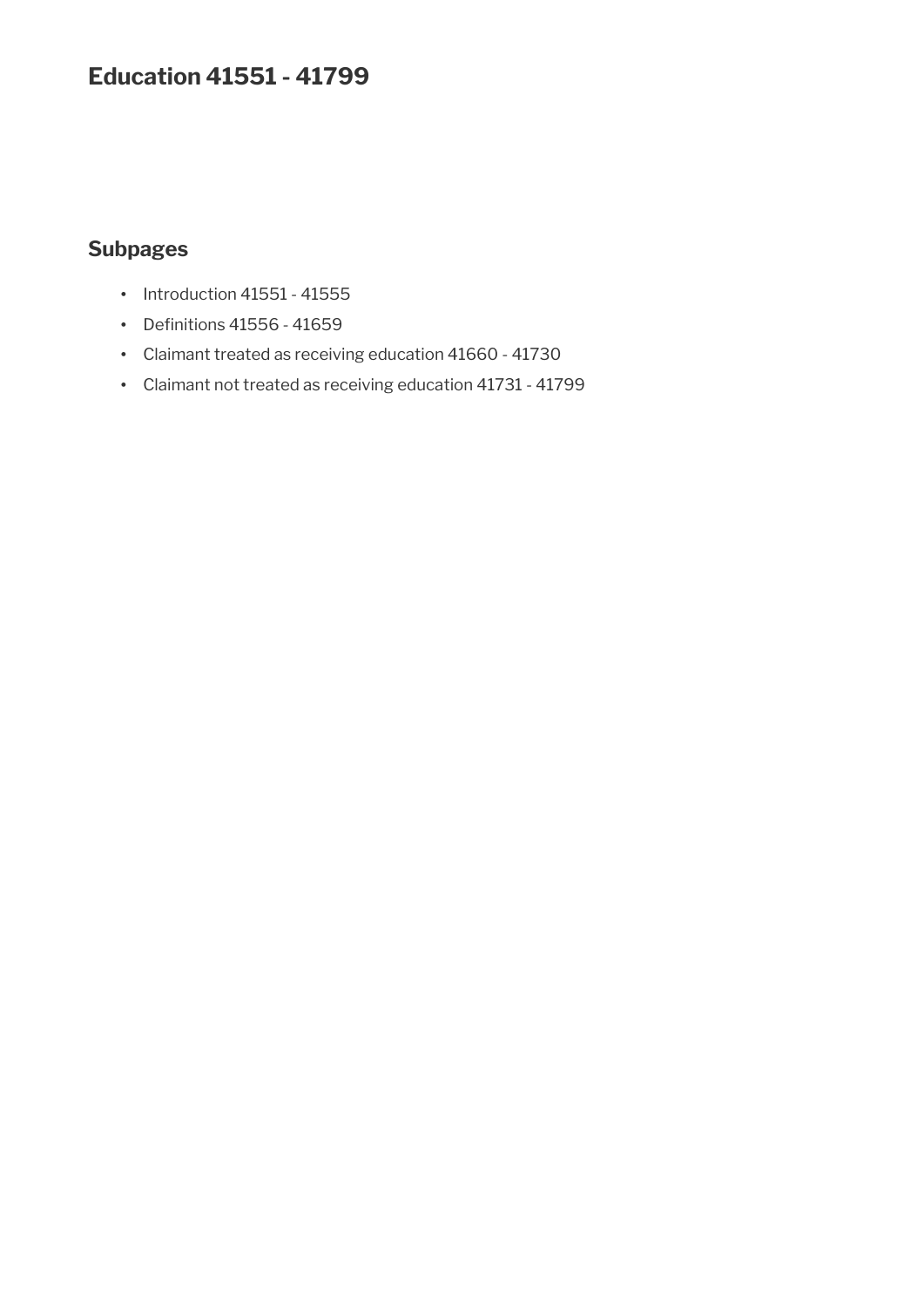# **Education 41551 - 41799**

## **Subpages**

- Introduction 41551 41555
- Definitions 41556 41659
- Claimant treated as receiving education 41660 41730
- Claimant not treated as receiving education 41731 41799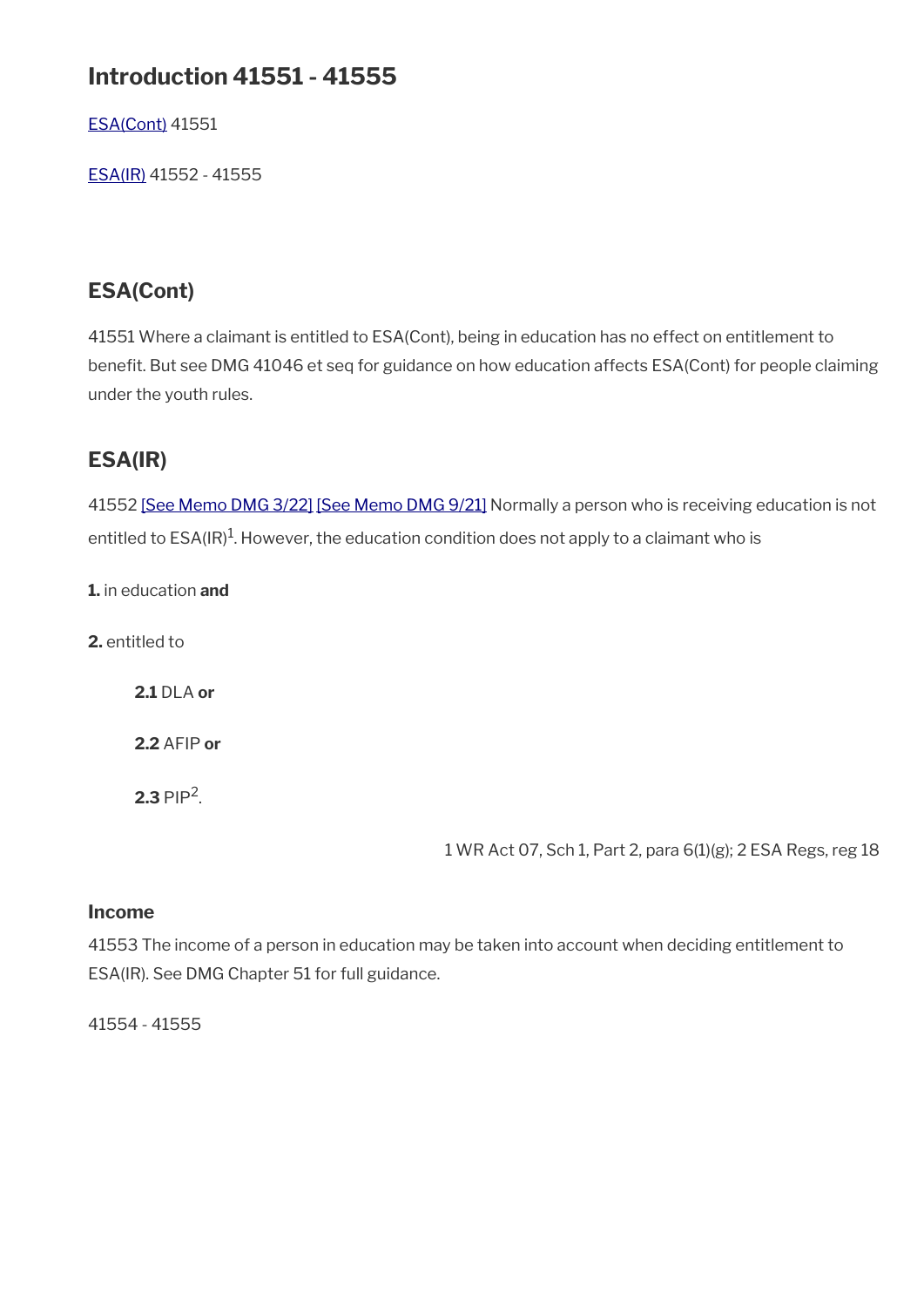# **Introduction 41551 - 41555**

[ESA\(Cont\)](#page-48-1) 41551

[ESA\(IR\)](#page-48-0) 41552 - 41555

# **ESA(Cont)**

41551 Where a claimant is entitled to ESA(Cont), being in education has no effect on entitlement to benefit. But see DMG 41046 et seq for guidance on how education affects ESA(Cont) for people claiming under the youth rules.

# **ESA(IR)**

41552 [\[See Memo DMG 3/22\]](https://intranet.dwp.gov.uk/manual/dmg-memos/dmg-memo-03-22-adult-disability-payment-jsa-spc-esa-dla) [\[See Memo DMG 9/21\]](https://intranet.dwp.gov.uk/manual/dmg-memos/09-21-disability-assistance-children-and-young-people-consequential-amendments-social-security) Normally a person who is receiving education is not entitled to ESA(IR) $^{\rm 1}$ . However, the education condition does not apply to a claimant who is

**1.** in education **and**

**2.** entitled to

**2.1** DLA **or**

**2.2** AFIP **or**

**2.3** PIP<sup>2</sup>.

1 WR Act 07, Sch 1, Part 2, para 6(1)(g); 2 ESA Regs, reg 18

### **Income**

41553 The income of a person in education may be taken into account when deciding entitlement to ESA(IR). See DMG Chapter 51 for full guidance.

41554 - 41555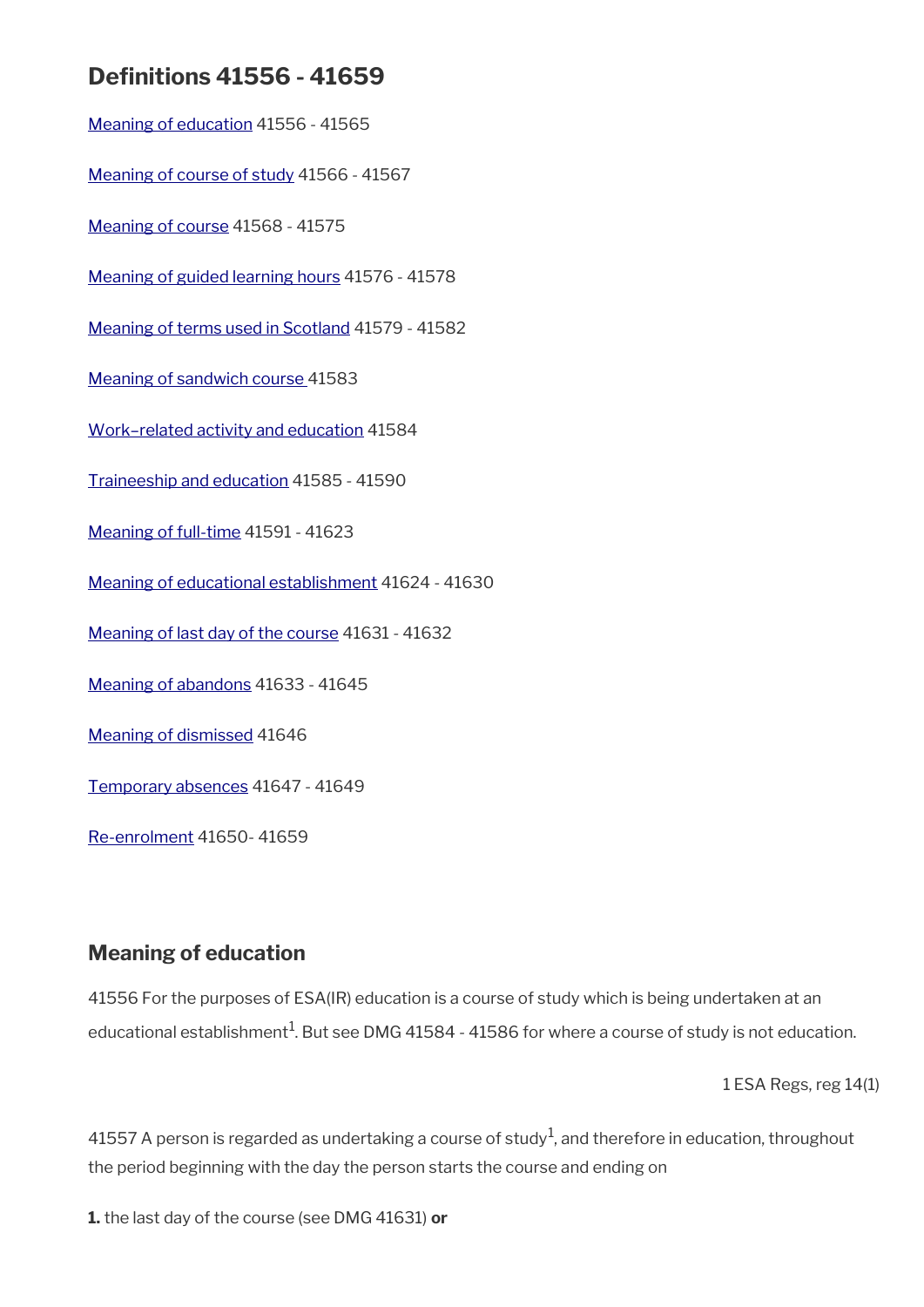# **Defnitions 41556 - 41659**

[Meaning of education](#page-93-0) 41556 - 41565 [Meaning of course of study](#page-95-0) 41566 - 41567 [Meaning of course](#page-96-1) 41568 - 41575 [Meaning of guided learning hours](#page-96-0) 41576 - 41578 [Meaning of terms used in Scotland](#page-97-0) 41579 - 41582 [Meaning of sandwich course](#page-98-0) 41583 [Work–related activity and education](#page-99-2) 41584 [Traineeship and education](#page-99-1) 41585 - 41590 [Meaning of full-time](#page-99-0) 41591 - 41623 [Meaning of educational establishment](#page-104-0) 41624 - 41630 [Meaning of last day of the course](#page-105-1) 41631 - 41632 [Meaning of abandons](#page-105-0) 41633 - 41645 [Meaning of dismissed](#page-106-1) 41646 [Temporary absences](#page-106-0) 41647 - 41649 [Re-enrolment](#page-107-0) 41650- 41659

# <span id="page-93-0"></span>**Meaning of education**

41556 For the purposes of ESA(IR) education is a course of study which is being undertaken at an educational establishment $^{\rm 1}$ . But see DMG 41584 - 41586 for where a course of study is not education.

1 ESA Regs, reg 14(1)

41557 A person is regarded as undertaking a course of study $^1$ , and therefore in education, throughout the period beginning with the day the person starts the course and ending on

**1.** the last day of the course (see DMG 41631) **or**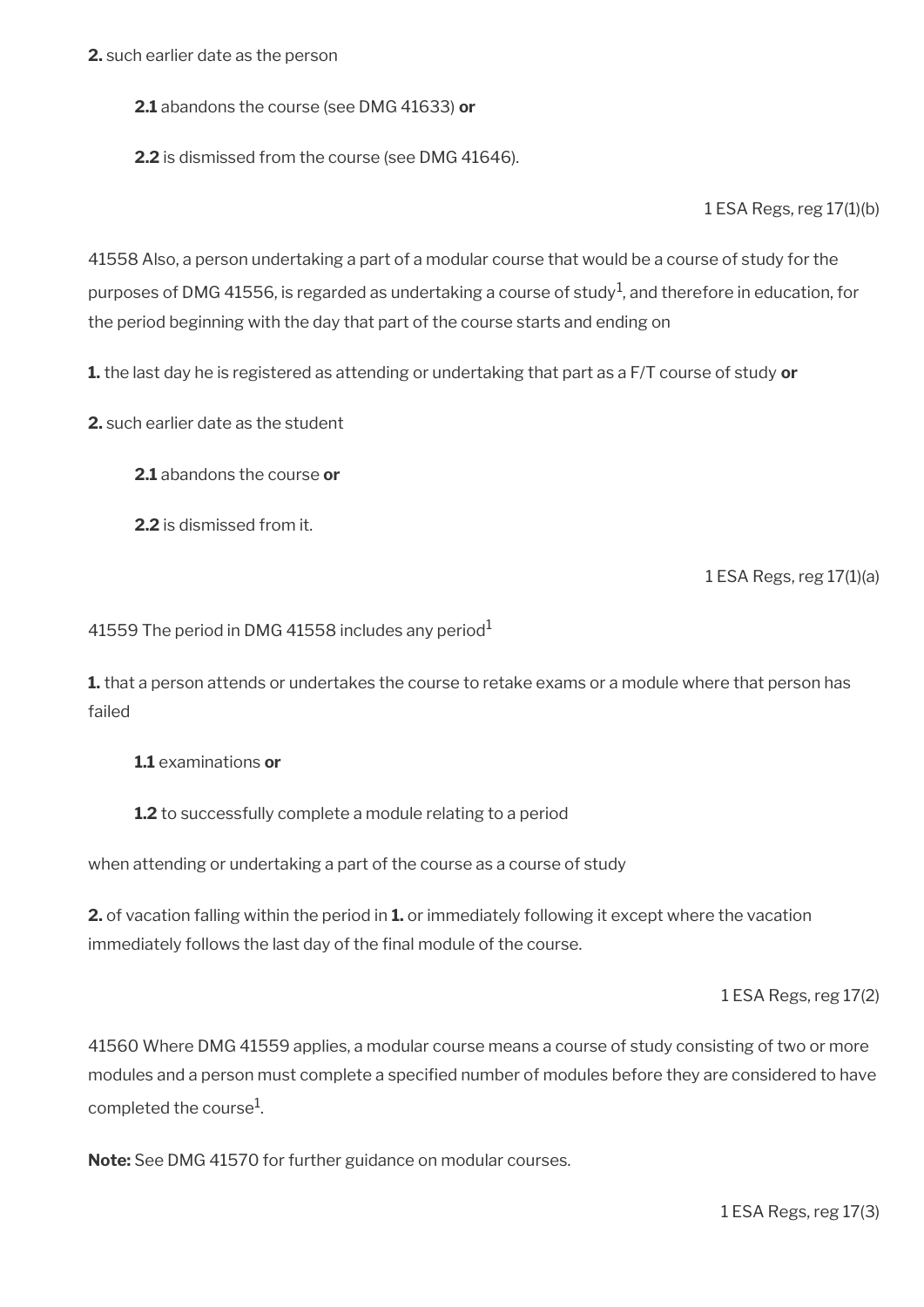**2.** such earlier date as the person

**2.1** abandons the course (see DMG 41633) **or** 

**2.2** is dismissed from the course (see DMG 41646).

1 ESA Regs, reg 17(1)(b)

41558 Also, a person undertaking a part of a modular course that would be a course of study for the purposes of DMG 41556, is regarded as undertaking a course of study $^1$ , and therefore in education, for the period beginning with the day that part of the course starts and ending on

**1.** the last day he is registered as attending or undertaking that part as a F/T course of study **or**

**2.** such earlier date as the student

**2.1** abandons the course **or**

**2.2** is dismissed from it.

1 ESA Regs, reg 17(1)(a)

41559 The period in DMG 41558 includes any period  $1$ 

**1.** that a person attends or undertakes the course to retake exams or a module where that person has failed

**1.1** examinations **or**

**1.2** to successfully complete a module relating to a period

when attending or undertaking a part of the course as a course of study

**2.** of vacation falling within the period in **1.** or immediately following it except where the vacation immediately follows the last day of the final module of the course.

1 ESA Regs, reg 17(2)

41560 Where DMG 41559 applies, a modular course means a course of study consisting of two or more modules and a person must complete a specifed number of modules before they are considered to have completed the course<sup>1</sup>.

**Note:** See DMG 41570 for further guidance on modular courses.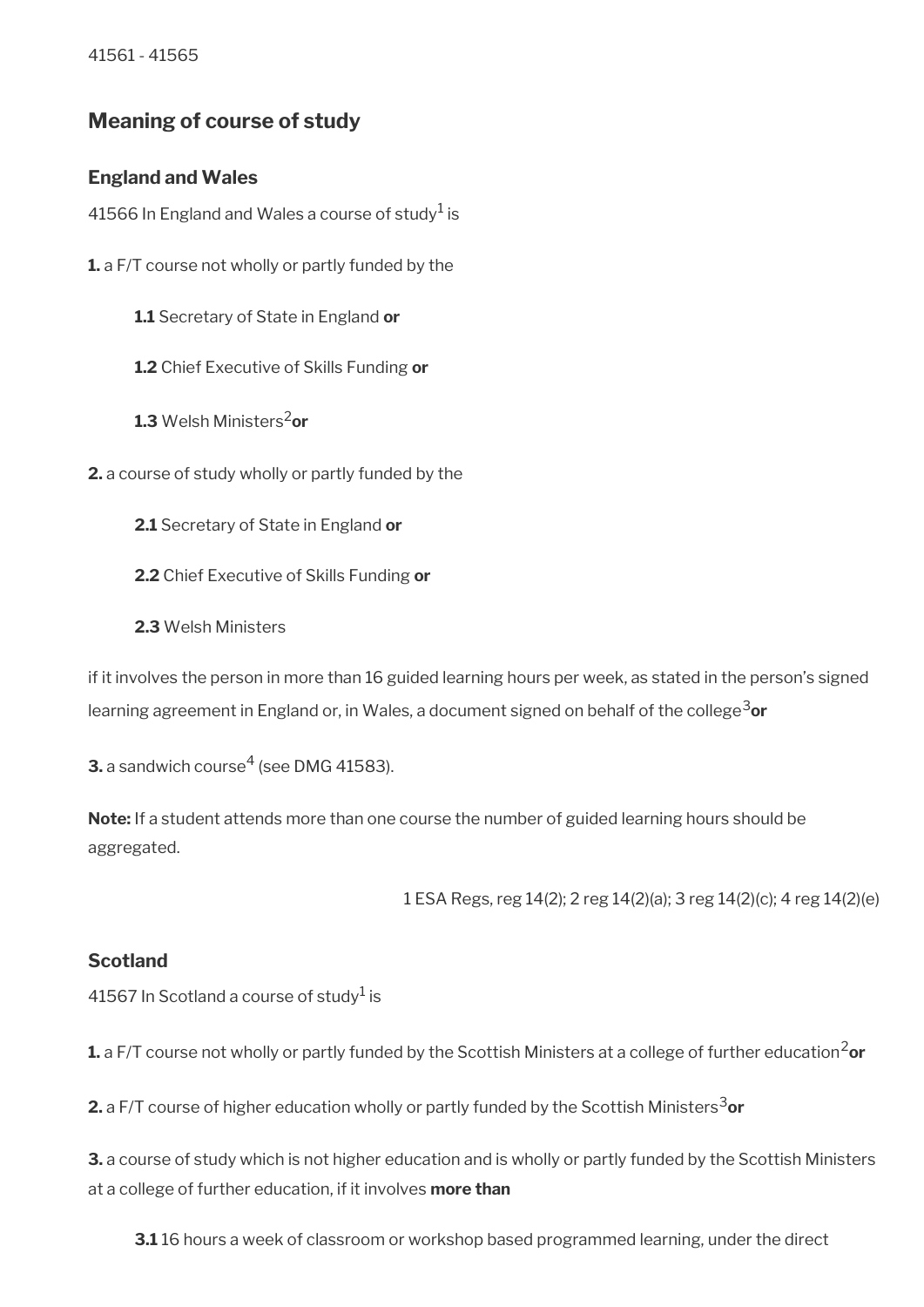41561 - 41565

# <span id="page-95-0"></span>**Meaning of course of study**

### **England and Wales**

41566 In England and Wales a course of study $^{\rm 1}$  is

**1.** a F/T course not wholly or partly funded by the

**1.1** Secretary of State in England **or**

**1.2** Chief Executive of Skills Funding **or**

**1.3** Welsh Ministers2**or** 

**2.** a course of study wholly or partly funded by the

**2.1** Secretary of State in England **or**

**2.2** Chief Executive of Skills Funding **or**

**2.3** Welsh Ministers

if it involves the person in more than 16 guided learning hours per week, as stated in the person's signed learning agreement in England or, in Wales, a document signed on behalf of the college<sup>3</sup>or

 $\mathbf 3$ . a sandwich course $^4$  (see DMG 41583).

**Note:** If a student attends more than one course the number of guided learning hours should be aggregated.

1 ESA Regs, reg 14(2); 2 reg 14(2)(a); 3 reg 14(2)(c); 4 reg 14(2)(e)

### **Scotland**

41567 In Scotland a course of study $^1$  is

**1.** a F/T course not wholly or partly funded by the Scottish Ministers at a college of further education<sup>2</sup>or

**2.** a F/T course of higher education wholly or partly funded by the Scottish Ministers<sup>3</sup>or

**3.** a course of study which is not higher education and is wholly or partly funded by the Scottish Ministers at a college of further education, if it involves **more than**

**3.1** 16 hours a week of classroom or workshop based programmed learning, under the direct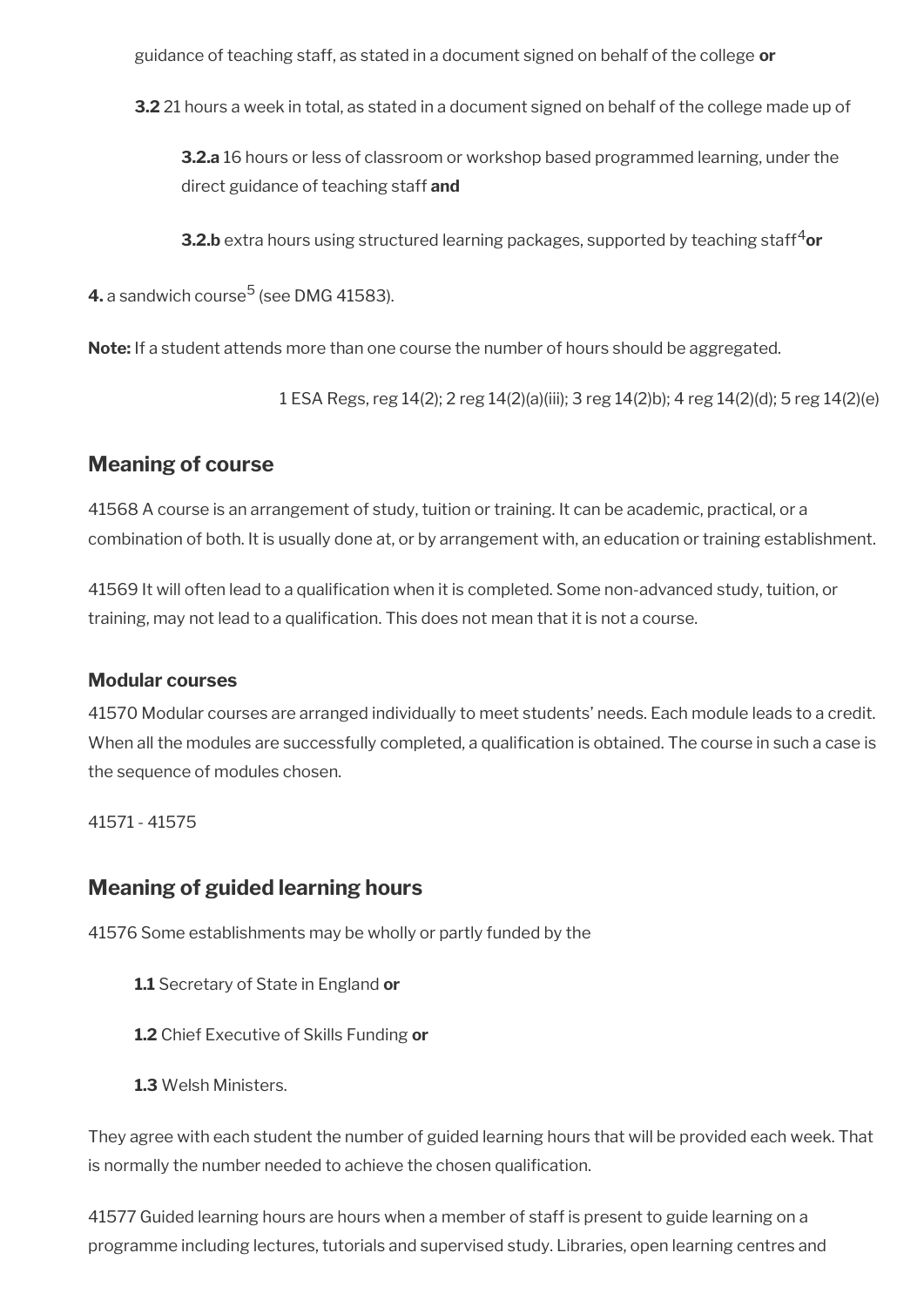guidance of teaching staff, as stated in a document signed on behalf of the college **or**

**3.2** 21 hours a week in total, as stated in a document signed on behalf of the college made up of

**3.2.a** 16 hours or less of classroom or workshop based programmed learning, under the direct guidance of teaching staff **and** 

**3.2.b** extra hours using structured learning packages, supported by teaching staff<sup>4</sup>or

**4.** a sandwich course<sup>5</sup> (see DMG 41583).

**Note:** If a student attends more than one course the number of hours should be aggregated.

1 ESA Regs, reg 14(2); 2 reg 14(2)(a)(iii); 3 reg 14(2)b); 4 reg 14(2)(d); 5 reg 14(2)(e)

## <span id="page-96-1"></span>**Meaning of course**

41568 A course is an arrangement of study, tuition or training. It can be academic, practical, or a combination of both. It is usually done at, or by arrangement with, an education or training establishment.

41569 It will often lead to a qualifcation when it is completed. Some non-advanced study, tuition, or training, may not lead to a qualifcation. This does not mean that it is not a course.

### **Modular courses**

41570 Modular courses are arranged individually to meet students' needs. Each module leads to a credit. When all the modules are successfully completed, a qualification is obtained. The course in such a case is the sequence of modules chosen.

41571 - 41575

## <span id="page-96-0"></span>**Meaning of guided learning hours**

41576 Some establishments may be wholly or partly funded by the

- **1.1** Secretary of State in England **or**
- **1.2** Chief Executive of Skills Funding **or**
- **1.3** Welsh Ministers.

They agree with each student the number of guided learning hours that will be provided each week. That is normally the number needed to achieve the chosen qualification.

41577 Guided learning hours are hours when a member of staff is present to guide learning on a programme including lectures, tutorials and supervised study. Libraries, open learning centres and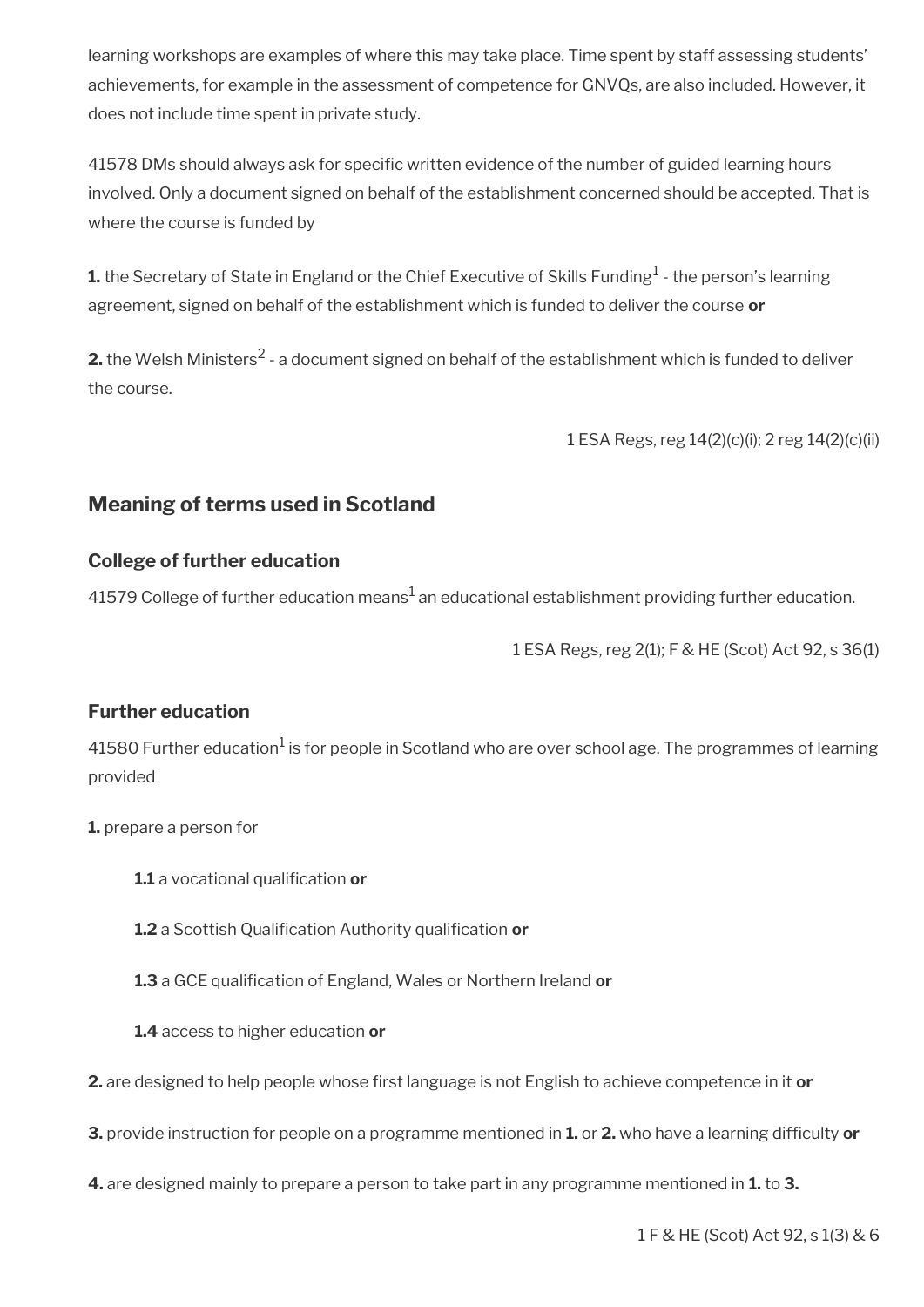learning workshops are examples of where this may take place. Time spent by staff assessing students' achievements, for example in the assessment of competence for GNVQs, are also included. However, it does not include time spent in private study.

41578 DMs should always ask for specifc written evidence of the number of guided learning hours involved. Only a document signed on behalf of the establishment concerned should be accepted. That is where the course is funded by

**1.** the Secretary of State in England or the Chief Executive of Skills Funding $^1$  - the person's learning agreement, signed on behalf of the establishment which is funded to deliver the course **or** 

**2.** the Welsh Ministers<sup>2</sup> - a document signed on behalf of the establishment which is funded to deliver the course.

1 ESA Regs, reg 14(2)(c)(i); 2 reg 14(2)(c)(ii)

# <span id="page-97-0"></span>**Meaning of terms used in Scotland**

### **College of further education**

41579 College of further education means $^{\rm 1}$  an educational establishment providing further education.

1 ESA Regs, reg 2(1); F & HE (Scot) Act 92, s 36(1)

### **Further education**

41580 Further education $^1$  is for people in Scotland who are over school age. The programmes of learning provided

- **1.** prepare a person for
	- **1.1** a vocational qualification or
	- 1.2 a Scottish Qualification Authority qualification or
	- 1.3 a GCE qualification of England, Wales or Northern Ireland or
	- **1.4** access to higher education **or**
- 2. are designed to help people whose first language is not English to achieve competence in it or
- **3.** provide instruction for people on a programme mentioned in **1.** or **2.** who have a learning diffculty **or**
- **4.** are designed mainly to prepare a person to take part in any programme mentioned in **1.** to **3.**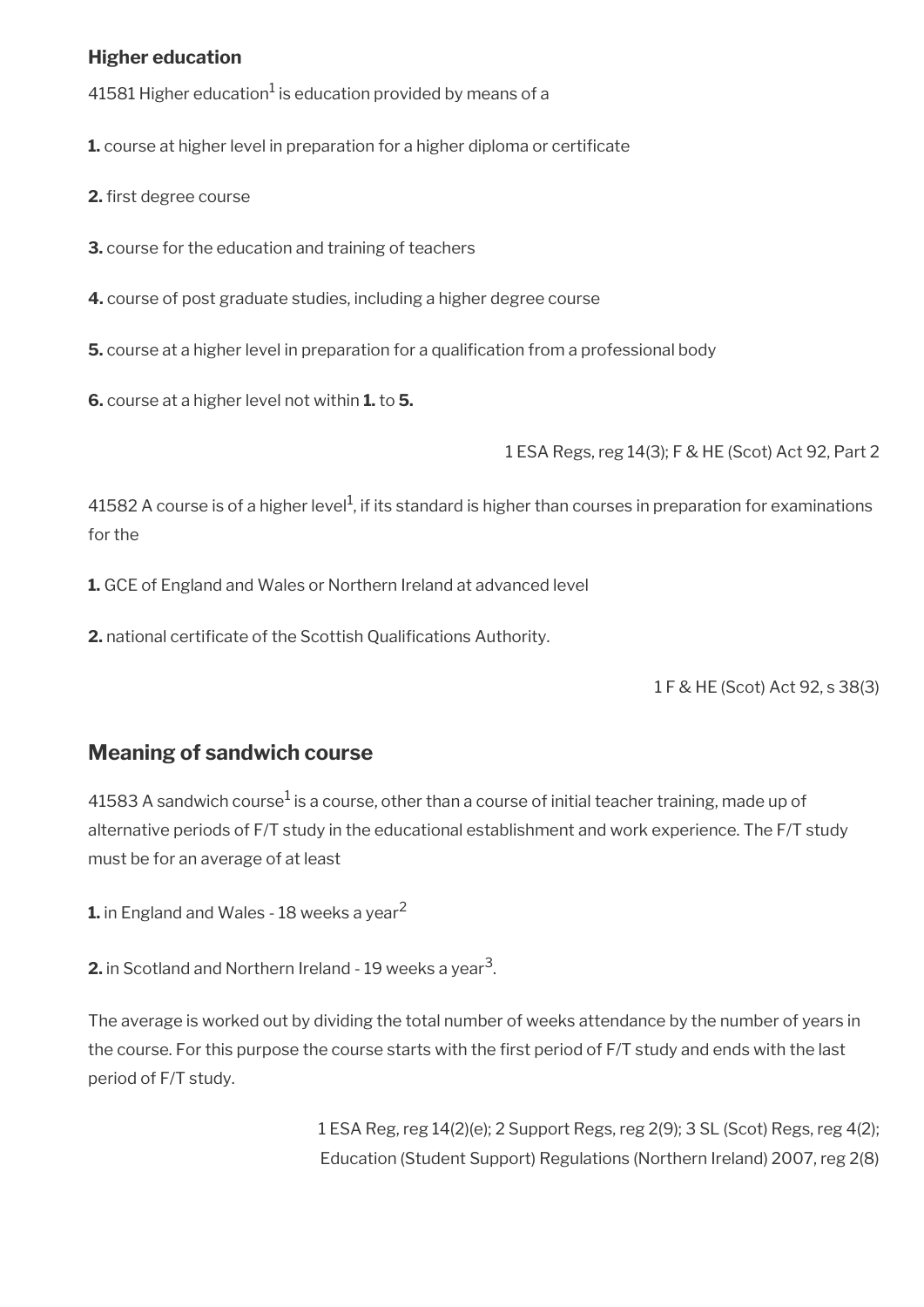### **Higher education**

41581 Higher education $^1$  is education provided by means of a

**1.** course at higher level in preparation for a higher diploma or certifcate

**2.** first degree course

**3.** course for the education and training of teachers

**4.** course of post graduate studies, including a higher degree course

**5.** course at a higher level in preparation for a qualification from a professional body

**6.** course at a higher level not within **1.** to **5.**

1 ESA Regs, reg 14(3); F & HE (Scot) Act 92, Part 2

41582 A course is of a higher level<sup>1</sup>, if its standard is higher than courses in preparation for examinations for the

**1.** GCE of England and Wales or Northern Ireland at advanced level

**2.** national certificate of the Scottish Qualifications Authority.

1 F & HE (Scot) Act 92, s 38(3)

## <span id="page-98-0"></span>**Meaning of sandwich course**

41583 A sandwich course $^1$  is a course, other than a course of initial teacher training, made up of alternative periods of F/T study in the educational establishment and work experience. The F/T study must be for an average of at least

**1.** in England and Wales - 18 weeks a year<sup>2</sup>

**2.** in Scotland and Northern Ireland - 19 weeks a year<sup>3</sup>.

The average is worked out by dividing the total number of weeks attendance by the number of years in the course. For this purpose the course starts with the frst period of F/T study and ends with the last period of F/T study.

> 1 ESA Reg, reg 14(2)(e); 2 Support Regs, reg 2(9); 3 SL (Scot) Regs, reg 4(2); Education (Student Support) Regulations (Northern Ireland) 2007, reg 2(8)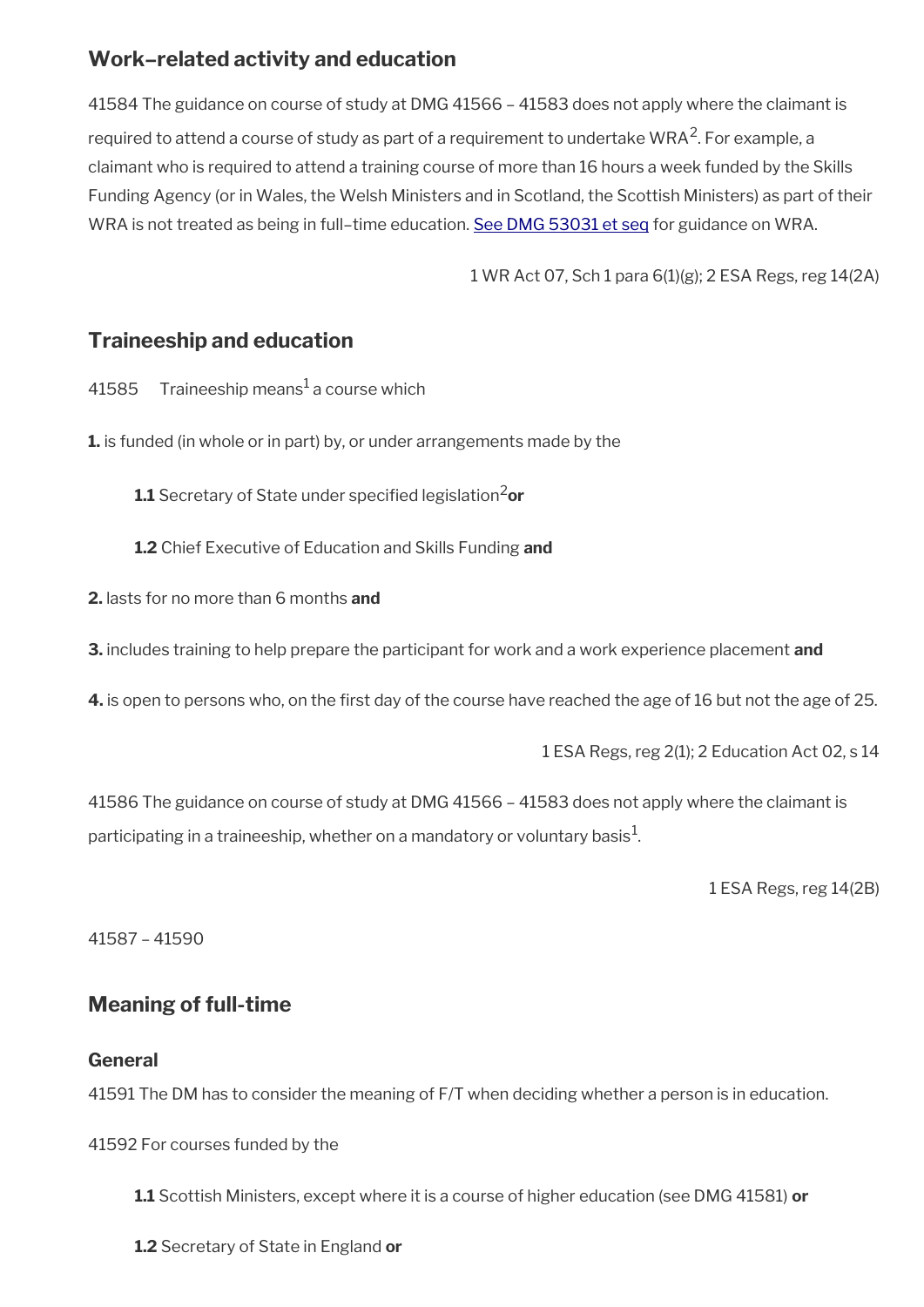# <span id="page-99-2"></span>**Work–related activity and education**

41584 The guidance on course of study at DMG 41566 – 41583 does not apply where the claimant is required to attend a course of study as part of a requirement to undertake WRA<sup>2</sup>. For example, a claimant who is required to attend a training course of more than 16 hours a week funded by the Skills Funding Agency (or in Wales, the Welsh Ministers and in Scotland, the Scottish Ministers) as part of their WRA is not treated as being in full-time education. [See DMG 53031 et seq](http://intralink/1/lg/acileeds/guidance/decision%20makers%20guide/decision%20makers%20guide%20(dmg)%20-%20by%20volume/dmg%20volume%2009%20-%20employment%20and%20support%20allowance/dwp_t418118.asp#P134_9508) for guidance on WRA.

1 WR Act 07, Sch 1 para 6(1)(g); 2 ESA Regs, reg 14(2A)

## <span id="page-99-1"></span>**Traineeship and education**

- 41585 Traineeship means $^{\rm 1}$ a course which
- **1.** is funded (in whole or in part) by, or under arrangements made by the
	- **1.1** Secretary of State under specifed legislation2**or**
	- **1.2** Chief Executive of Education and Skills Funding **and**
- **2.** lasts for no more than 6 months **and**
- **3.** includes training to help prepare the participant for work and a work experience placement **and**
- **4.** is open to persons who, on the first day of the course have reached the age of 16 but not the age of 25.

1 ESA Regs, reg 2(1); 2 Education Act 02, s 14

41586 The guidance on course of study at DMG 41566 – 41583 does not apply where the claimant is participating in a traineeship, whether on a mandatory or voluntary basis $^{\mathrm{1}}$ .

1 ESA Regs, reg 14(2B)

41587 – 41590

# <span id="page-99-0"></span>**Meaning of full-time**

### **General**

41591 The DM has to consider the meaning of F/T when deciding whether a person is in education.

41592 For courses funded by the

**1.1** Scottish Ministers, except where it is a course of higher education (see DMG 41581) **or**

**1.2** Secretary of State in England **or**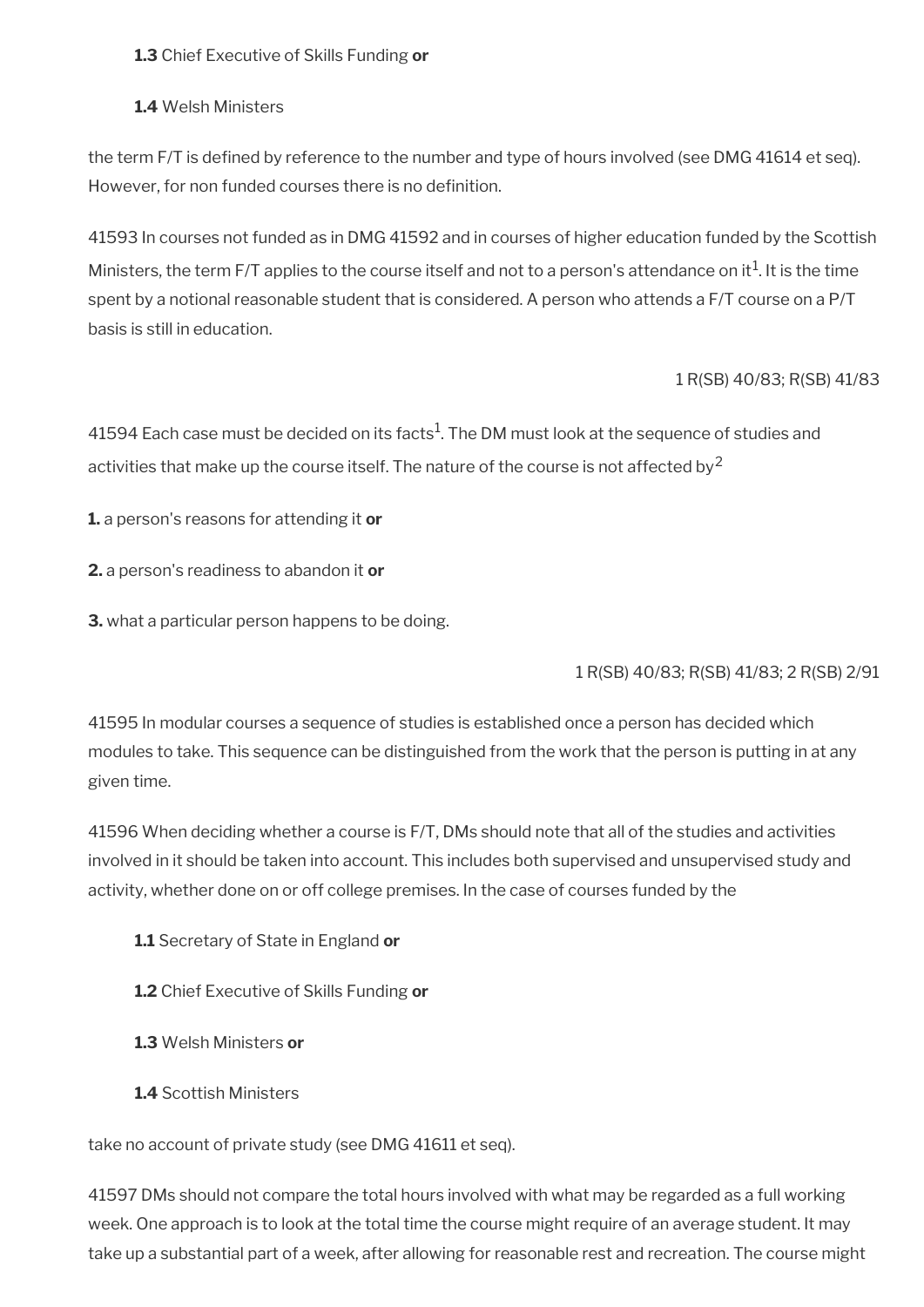**1.3** Chief Executive of Skills Funding **or**

**1.4** Welsh Ministers

the term F/T is defined by reference to the number and type of hours involved (see DMG 41614 et seq). However, for non funded courses there is no definition.

41593 In courses not funded as in DMG 41592 and in courses of higher education funded by the Scottish Ministers, the term F/T applies to the course itself and not to a person's attendance on it $^1$ . It is the time spent by a notional reasonable student that is considered. A person who attends a F/T course on a P/T basis is still in education.

### 1 R(SB) 40/83; R(SB) 41/83

41594 Each case must be decided on its facts $^1$ . The DM must look at the sequence of studies and activities that make up the course itself. The nature of the course is not affected by<sup>2</sup>

**1.** a person's reasons for attending it **or**

**2.** a person's readiness to abandon it **or**

**3.** what a particular person happens to be doing.

### 1 R(SB) 40/83; R(SB) 41/83; 2 R(SB) 2/91

41595 In modular courses a sequence of studies is established once a person has decided which modules to take. This sequence can be distinguished from the work that the person is putting in at any given time.

41596 When deciding whether a course is F/T, DMs should note that all of the studies and activities involved in it should be taken into account. This includes both supervised and unsupervised study and activity, whether done on or off college premises. In the case of courses funded by the

- **1.1** Secretary of State in England **or**
- **1.2** Chief Executive of Skills Funding **or**
- **1.3** Welsh Ministers **or**
- **1.4** Scottish Ministers

take no account of private study (see DMG 41611 et seq).

41597 DMs should not compare the total hours involved with what may be regarded as a full working week. One approach is to look at the total time the course might require of an average student. It may take up a substantial part of a week, after allowing for reasonable rest and recreation. The course might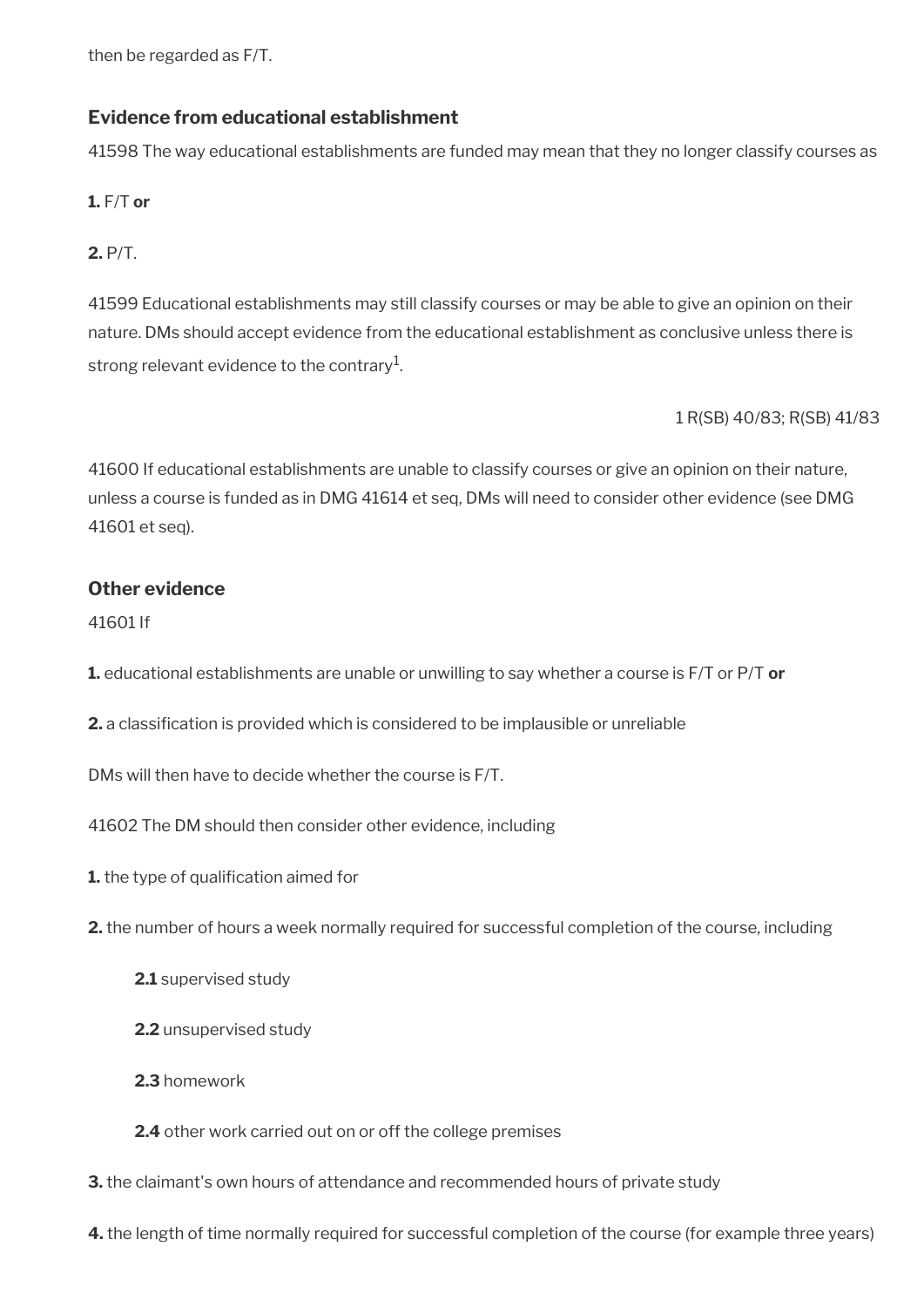then be regarded as F/T.

### **Evidence from educational establishment**

41598 The way educational establishments are funded may mean that they no longer classify courses as

**1.** F/T **or** 

**2.** P/T.

41599 Educational establishments may still classify courses or may be able to give an opinion on their nature. DMs should accept evidence from the educational establishment as conclusive unless there is strong relevant evidence to the contrary $^{\rm 1}$ .

1 R(SB) 40/83; R(SB) 41/83

41600 If educational establishments are unable to classify courses or give an opinion on their nature, unless a course is funded as in DMG 41614 et seq, DMs will need to consider other evidence (see DMG 41601 et seq).

### **Other evidence**

41601 If

- **1.** educational establishments are unable or unwilling to say whether a course is F/T or P/T **or**
- **2.** a classifcation is provided which is considered to be implausible or unreliable

DMs will then have to decide whether the course is F/T.

41602 The DM should then consider other evidence, including

**1.** the type of qualification aimed for

- **2.** the number of hours a week normally required for successful completion of the course, including
	- **2.1** supervised study
	- **2.2** unsupervised study
	- **2.3** homework
	- **2.4** other work carried out on or off the college premises
- **3.** the claimant's own hours of attendance and recommended hours of private study

**4.** the length of time normally required for successful completion of the course (for example three years)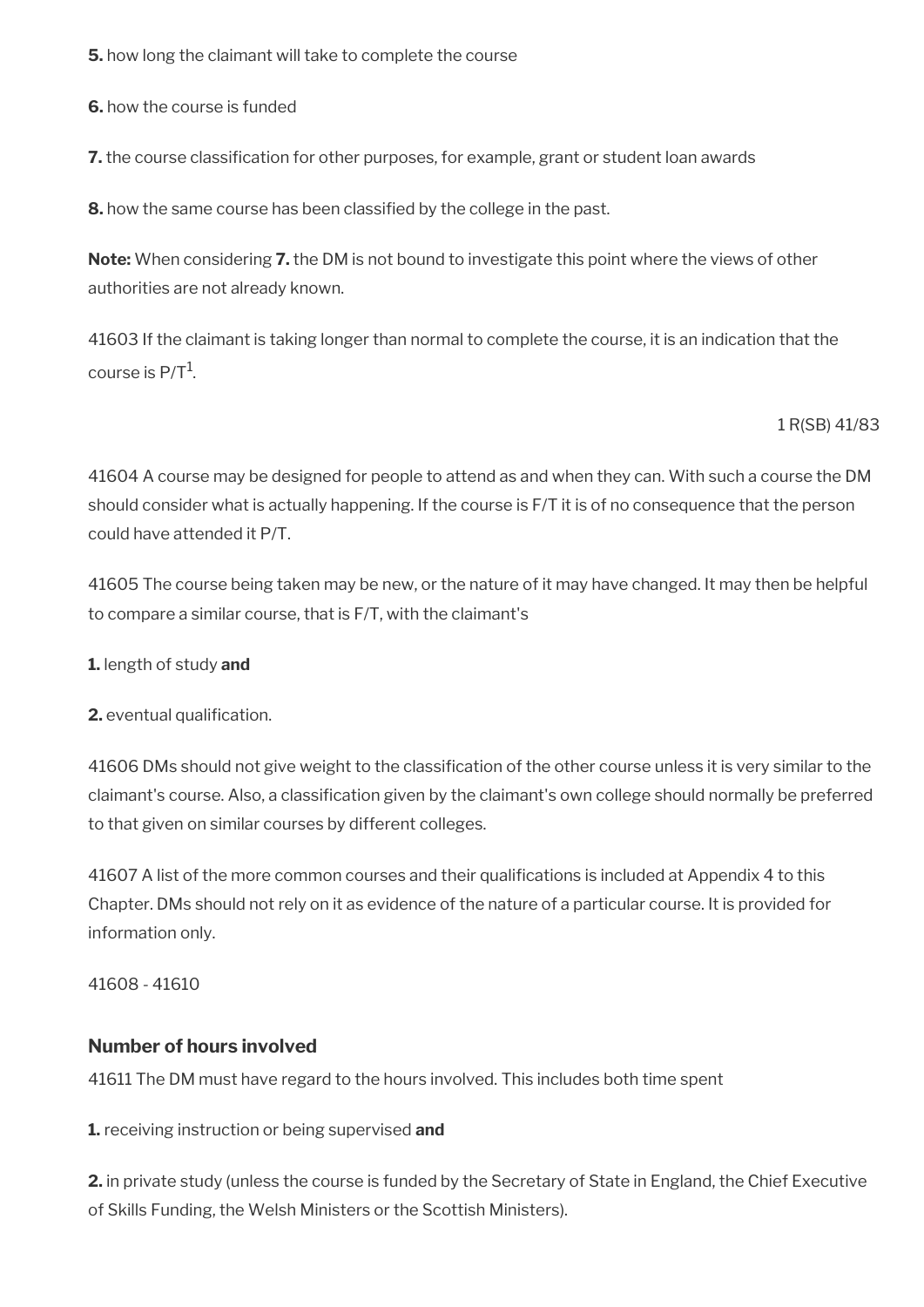**5.** how long the claimant will take to complete the course

**6.** how the course is funded

**7.** the course classification for other purposes, for example, grant or student loan awards

**8.** how the same course has been classifed by the college in the past.

**Note:** When considering **7.** the DM is not bound to investigate this point where the views of other authorities are not already known.

41603 If the claimant is taking longer than normal to complete the course, it is an indication that the course is P/T $^{\rm 1}$ .

1 R(SB) 41/83

41604 A course may be designed for people to attend as and when they can. With such a course the DM should consider what is actually happening. If the course is F/T it is of no consequence that the person could have attended it P/T.

41605 The course being taken may be new, or the nature of it may have changed. It may then be helpful to compare a similar course, that is F/T, with the claimant's

**1.** length of study **and**

**2.** eventual qualification.

41606 DMs should not give weight to the classifcation of the other course unless it is very similar to the claimant's course. Also, a classifcation given by the claimant's own college should normally be preferred to that given on similar courses by different colleges.

41607 A list of the more common courses and their qualifcations is included at Appendix 4 to this Chapter. DMs should not rely on it as evidence of the nature of a particular course. It is provided for information only.

41608 - 41610

### **Number of hours involved**

41611 The DM must have regard to the hours involved. This includes both time spent

**1.** receiving instruction or being supervised **and** 

**2.** in private study (unless the course is funded by the Secretary of State in England, the Chief Executive of Skills Funding, the Welsh Ministers or the Scottish Ministers).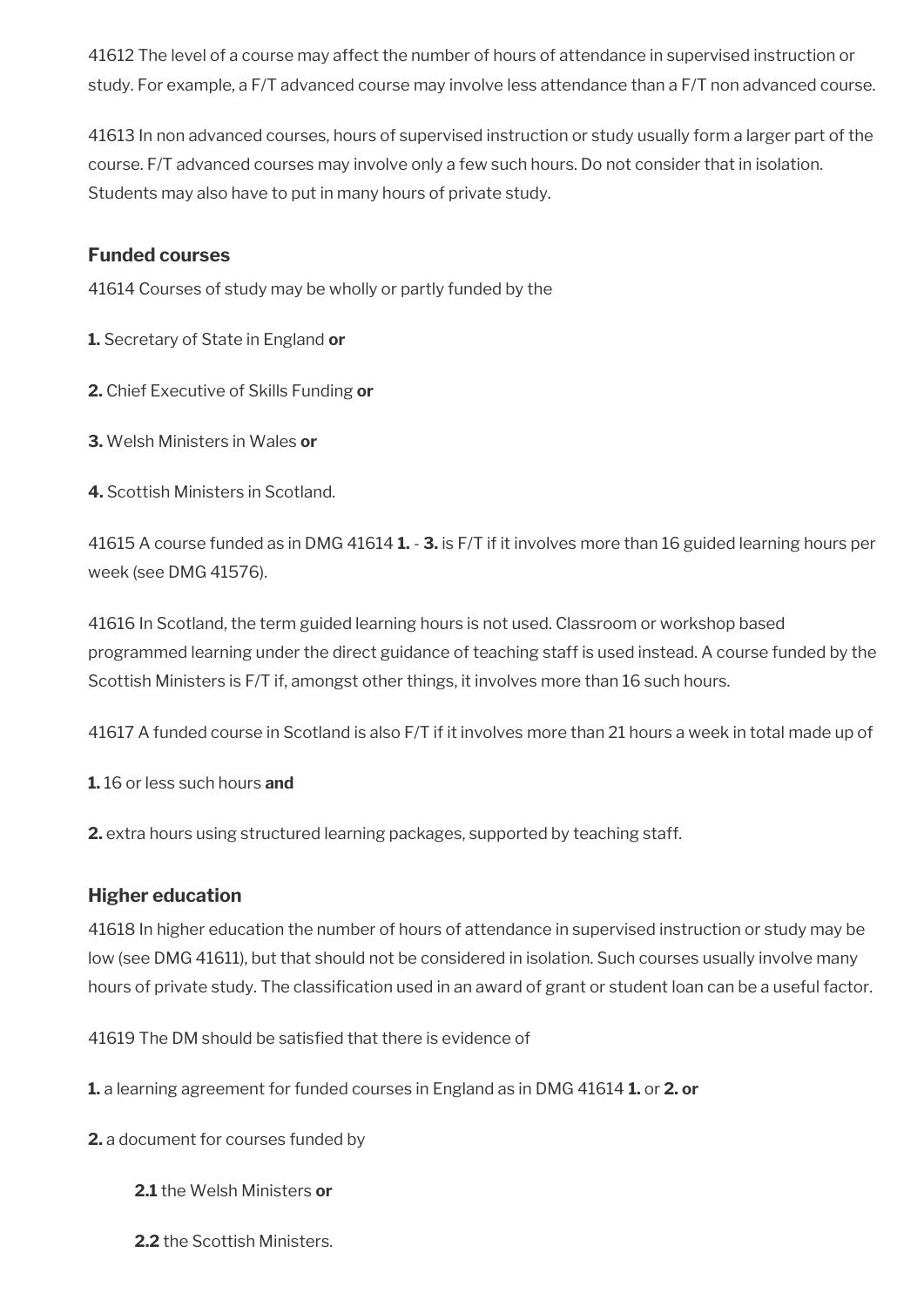41612 The level of a course may affect the number of hours of attendance in supervised instruction or study. For example, a F/T advanced course may involve less attendance than a F/T non advanced course.

41613 In non advanced courses, hours of supervised instruction or study usually form a larger part of the course. F/T advanced courses may involve only a few such hours. Do not consider that in isolation. Students may also have to put in many hours of private study.

### **Funded courses**

41614 Courses of study may be wholly or partly funded by the

**1.** Secretary of State in England **or**

- **2.** Chief Executive of Skills Funding **or**
- **3.** Welsh Ministers in Wales **or**
- **4.** Scottish Ministers in Scotland.

41615 A course funded as in DMG 41614 **1.** - **3.** is F/T if it involves more than 16 guided learning hours per week (see DMG 41576).

41616 In Scotland, the term guided learning hours is not used. Classroom or workshop based programmed learning under the direct guidance of teaching staff is used instead. A course funded by the Scottish Ministers is F/T if, amongst other things, it involves more than 16 such hours.

41617 A funded course in Scotland is also F/T if it involves more than 21 hours a week in total made up of

**1.** 16 or less such hours **and**

**2.** extra hours using structured learning packages, supported by teaching staff.

### **Higher education**

41618 In higher education the number of hours of attendance in supervised instruction or study may be low (see DMG 41611), but that should not be considered in isolation. Such courses usually involve many hours of private study. The classifcation used in an award of grant or student loan can be a useful factor.

41619 The DM should be satisfed that there is evidence of

**1.** a learning agreement for funded courses in England as in DMG 41614 **1.** or **2. or**

**2.** a document for courses funded by

- **2.1** the Welsh Ministers **or**
- **2.2** the Scottish Ministers.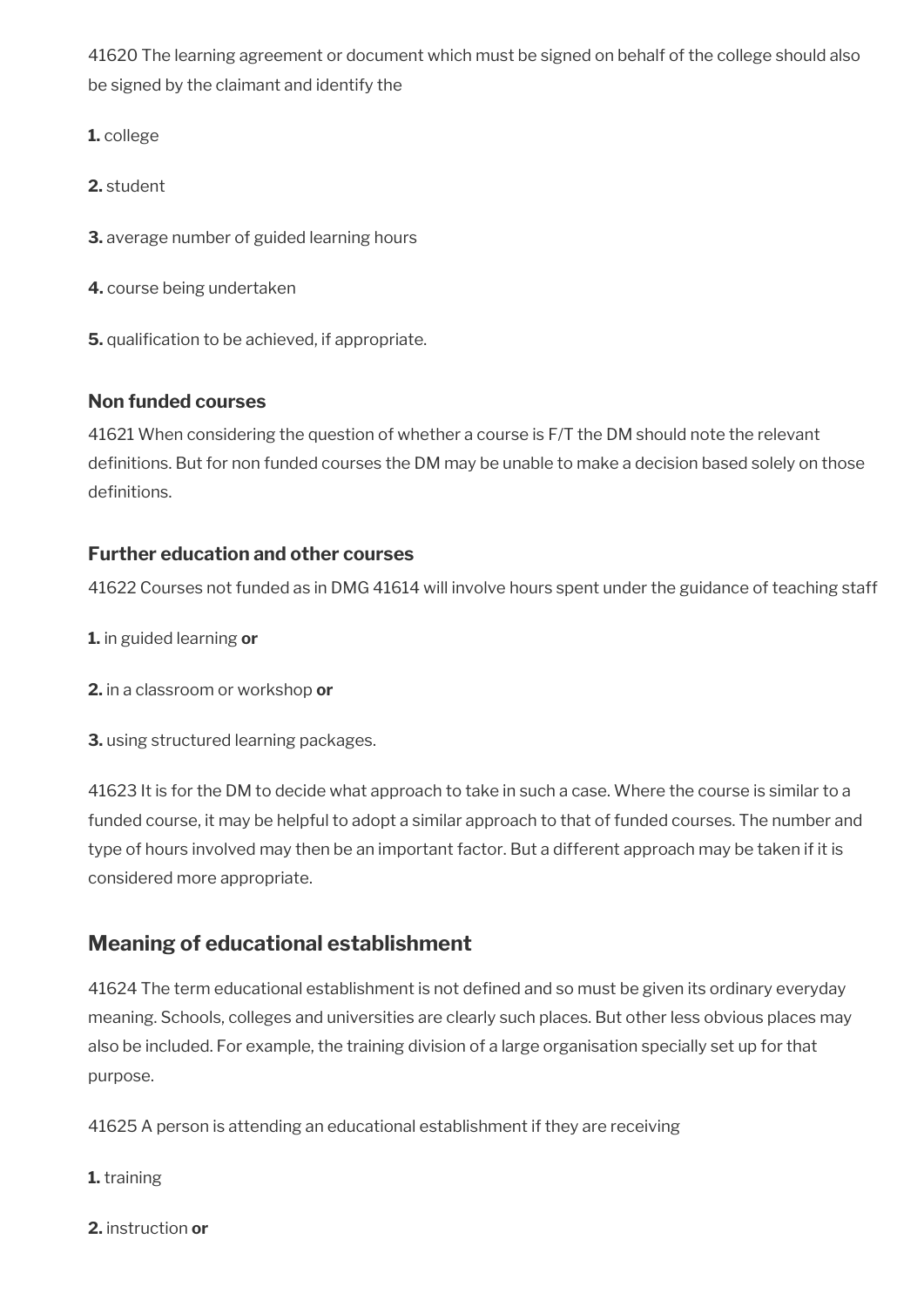41620 The learning agreement or document which must be signed on behalf of the college should also be signed by the claimant and identify the

**1.** college

**2.** student

**3.** average number of guided learning hours

**4.** course being undertaken

**5.** qualification to be achieved, if appropriate.

### **Non funded courses**

41621 When considering the question of whether a course is F/T the DM should note the relevant definitions. But for non funded courses the DM may be unable to make a decision based solely on those definitions.

### **Further education and other courses**

41622 Courses not funded as in DMG 41614 will involve hours spent under the guidance of teaching staff

- **1.** in guided learning **or**
- **2.** in a classroom or workshop **or**
- **3.** using structured learning packages.

41623 It is for the DM to decide what approach to take in such a case. Where the course is similar to a funded course, it may be helpful to adopt a similar approach to that of funded courses. The number and type of hours involved may then be an important factor. But a different approach may be taken if it is considered more appropriate.

# <span id="page-104-0"></span>**Meaning of educational establishment**

41624 The term educational establishment is not defned and so must be given its ordinary everyday meaning. Schools, colleges and universities are clearly such places. But other less obvious places may also be included. For example, the training division of a large organisation specially set up for that purpose.

41625 A person is attending an educational establishment if they are receiving

**1.** training

**2.** instruction **or**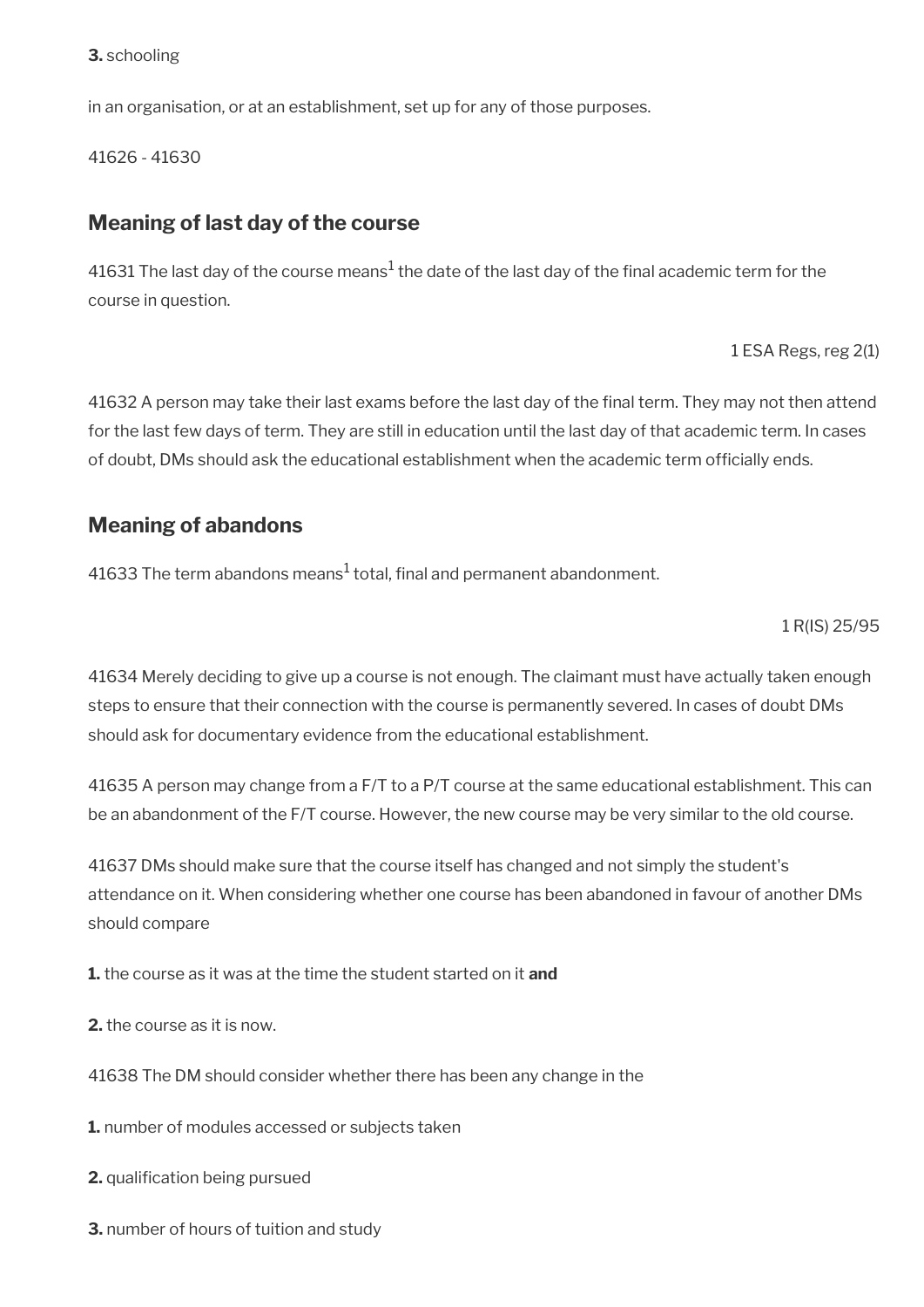#### **3.** schooling

in an organisation, or at an establishment, set up for any of those purposes.

41626 - 41630

### <span id="page-105-1"></span>**Meaning of last day of the course**

41631 The last day of the course means $^1$  the date of the last day of the final academic term for the course in question.

1 ESA Regs, reg 2(1)

41632 A person may take their last exams before the last day of the final term. They may not then attend for the last few days of term. They are still in education until the last day of that academic term. In cases of doubt, DMs should ask the educational establishment when the academic term offcially ends.

## <span id="page-105-0"></span>**Meaning of abandons**

41633 The term abandons means $^{\rm 1}$  total, final and permanent abandonment.

1 R(IS) 25/95

41634 Merely deciding to give up a course is not enough. The claimant must have actually taken enough steps to ensure that their connection with the course is permanently severed. In cases of doubt DMs should ask for documentary evidence from the educational establishment.

41635 A person may change from a F/T to a P/T course at the same educational establishment. This can be an abandonment of the F/T course. However, the new course may be very similar to the old course.

41637 DMs should make sure that the course itself has changed and not simply the student's attendance on it. When considering whether one course has been abandoned in favour of another DMs should compare

**1.** the course as it was at the time the student started on it **and** 

**2.** the course as it is now.

41638 The DM should consider whether there has been any change in the

**1.** number of modules accessed or subjects taken

**2.** qualification being pursued

**3.** number of hours of tuition and study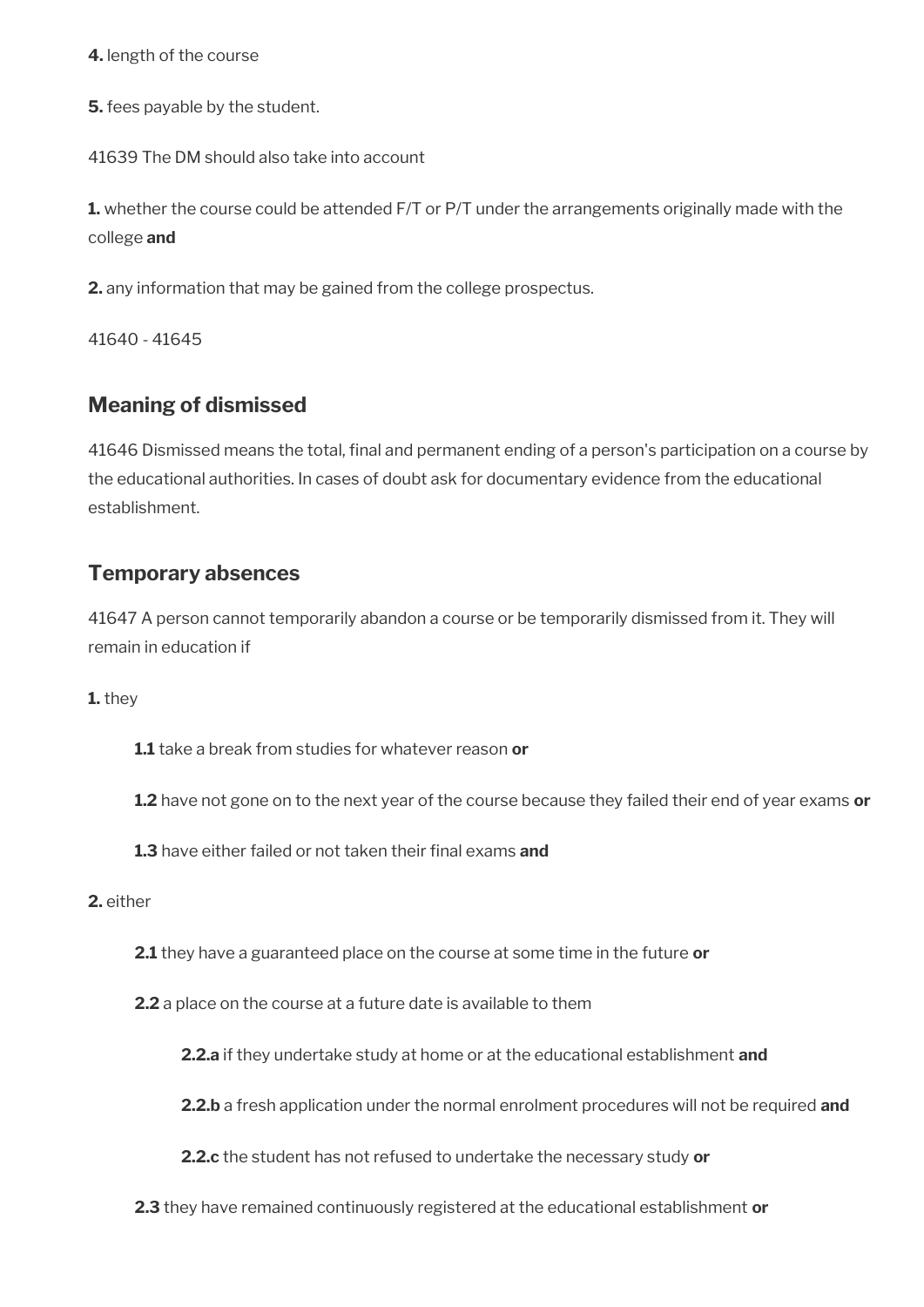**4.** length of the course

**5.** fees payable by the student.

41639 The DM should also take into account

**1.** whether the course could be attended F/T or P/T under the arrangements originally made with the college **and** 

**2.** any information that may be gained from the college prospectus.

41640 - 41645

## <span id="page-106-1"></span>**Meaning of dismissed**

41646 Dismissed means the total, final and permanent ending of a person's participation on a course by the educational authorities. In cases of doubt ask for documentary evidence from the educational establishment.

## <span id="page-106-0"></span>**Temporary absences**

41647 A person cannot temporarily abandon a course or be temporarily dismissed from it. They will remain in education if

**1.** they

**1.1** take a break from studies for whatever reason **or** 

**1.2** have not gone on to the next year of the course because they failed their end of year exams **or** 

**1.3** have either failed or not taken their final exams and

#### **2.** either

**2.1** they have a guaranteed place on the course at some time in the future **or** 

**2.2** a place on the course at a future date is available to them

**2.2.a** if they undertake study at home or at the educational establishment **and** 

**2.2.b** a fresh application under the normal enrolment procedures will not be required **and** 

**2.2.c** the student has not refused to undertake the necessary study **or** 

**2.3** they have remained continuously registered at the educational establishment **or**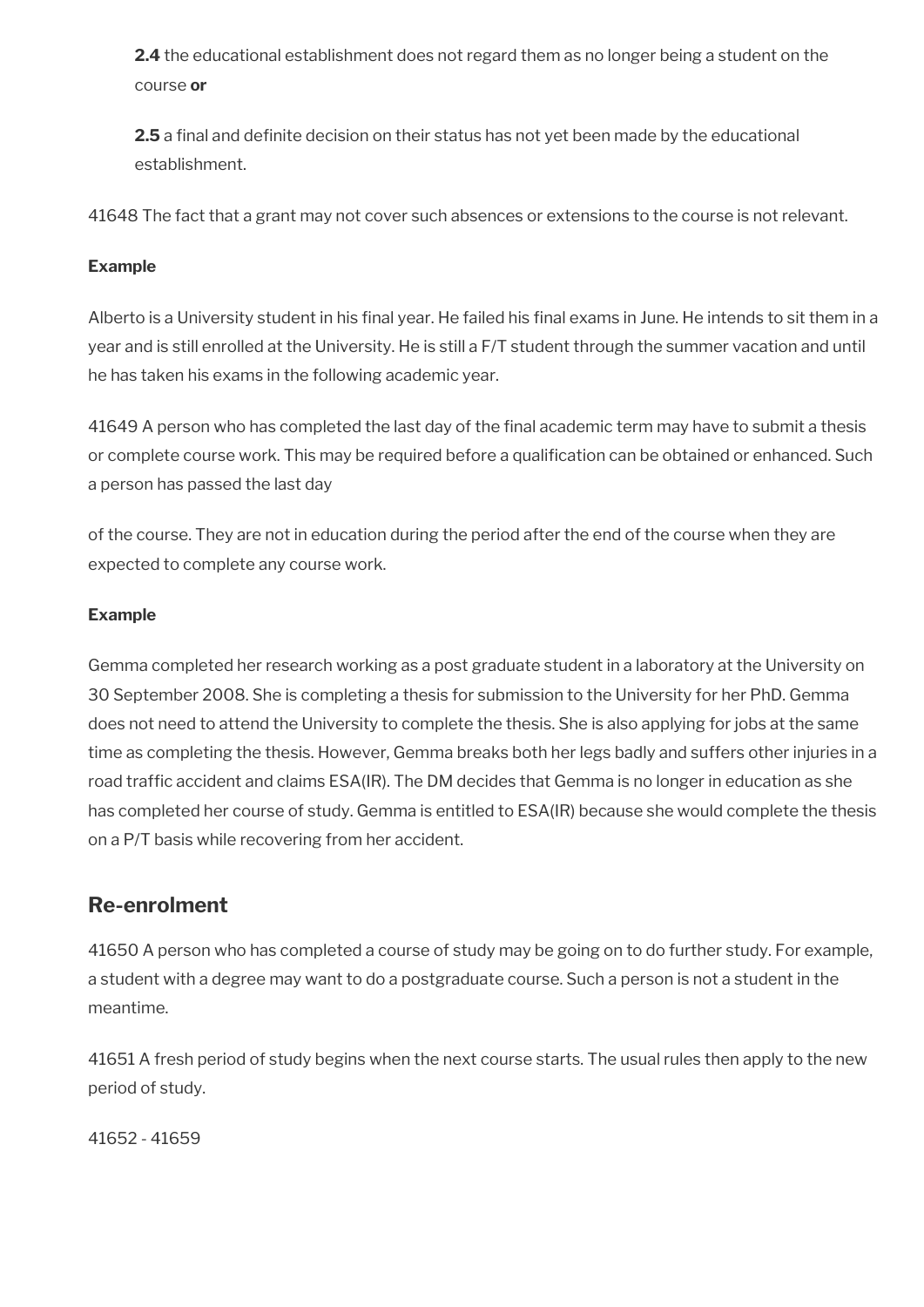**2.4** the educational establishment does not regard them as no longer being a student on the course **or** 

**2.5** a final and definite decision on their status has not yet been made by the educational establishment.

41648 The fact that a grant may not cover such absences or extensions to the course is not relevant.

### **Example**

Alberto is a University student in his final year. He failed his final exams in June. He intends to sit them in a year and is still enrolled at the University. He is still a F/T student through the summer vacation and until he has taken his exams in the following academic year.

41649 A person who has completed the last day of the final academic term may have to submit a thesis or complete course work. This may be required before a qualifcation can be obtained or enhanced. Such a person has passed the last day

of the course. They are not in education during the period after the end of the course when they are expected to complete any course work.

### **Example**

Gemma completed her research working as a post graduate student in a laboratory at the University on 30 September 2008. She is completing a thesis for submission to the University for her PhD. Gemma does not need to attend the University to complete the thesis. She is also applying for jobs at the same time as completing the thesis. However, Gemma breaks both her legs badly and suffers other injuries in a road traffic accident and claims ESA(IR). The DM decides that Gemma is no longer in education as she has completed her course of study. Gemma is entitled to ESA(IR) because she would complete the thesis on a P/T basis while recovering from her accident.

## <span id="page-107-0"></span>**Re-enrolment**

41650 A person who has completed a course of study may be going on to do further study. For example, a student with a degree may want to do a postgraduate course. Such a person is not a student in the meantime.

41651 A fresh period of study begins when the next course starts. The usual rules then apply to the new period of study.

41652 - 41659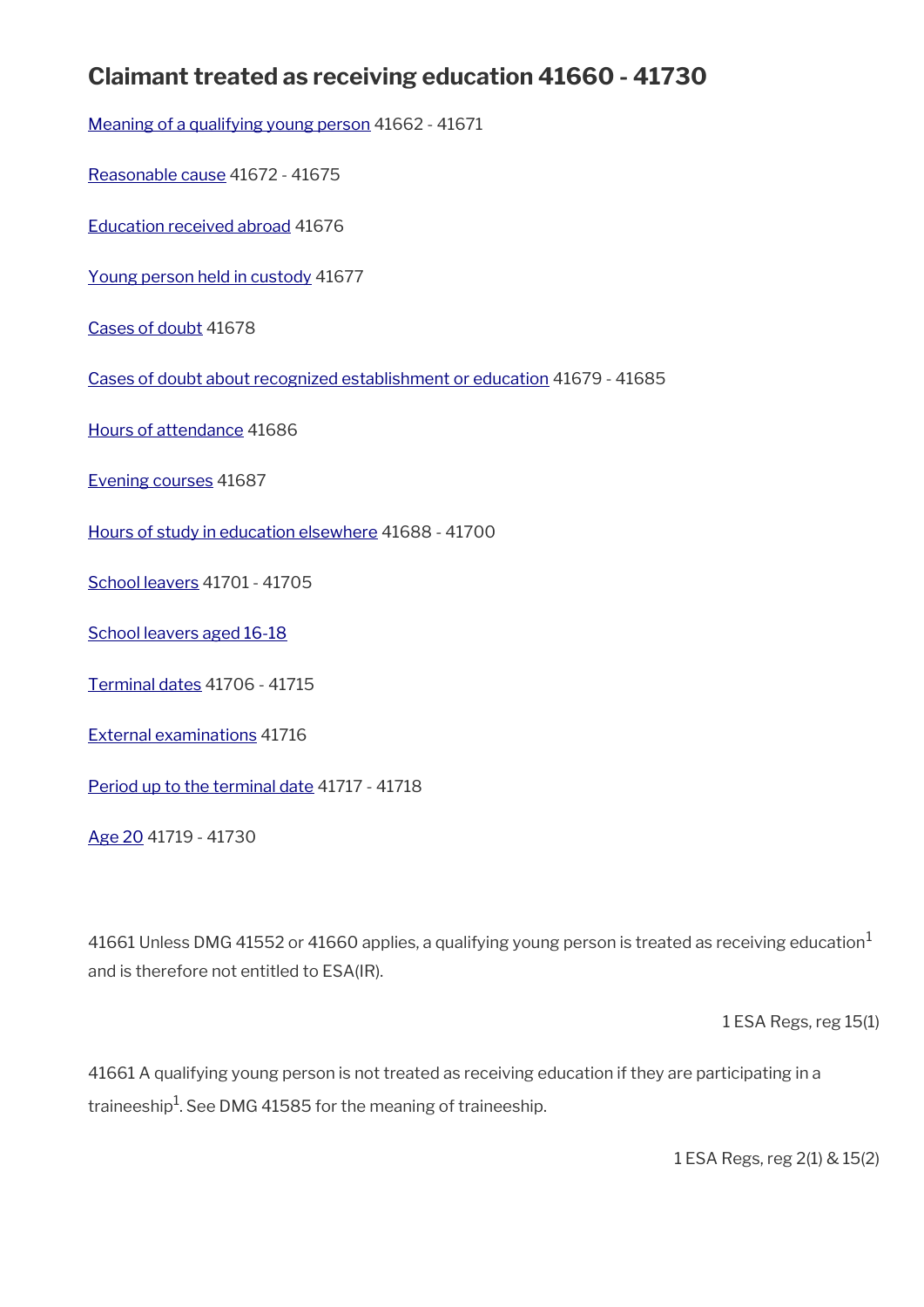## **Claimant treated as receiving education 41660 - 41730**

[Meaning of a qualifying young person](#page-109-0) 41662 - 41671

[Reasonable cause](#page-111-0) 41672 - 41675

[Education received abroad](#page-112-1) 41676

[Young person held in custody](#page-112-0) 41677

[Cases of doubt](#page-113-2) 41678

[Cases of doubt about recognized establishment or education](#page-113-1) 41679 - 41685

[Hours of attendance](#page-113-0) 41686

[Evening courses](#page-114-2) 41687

[Hours of study in education elsewhere](#page-114-1) 41688 - 41700

[School leavers](#page-114-0) 41701 - 41705

[School leavers aged 16-18](#page-115-0)

[Terminal dates](#page-116-0) 41706 - 41715

[External examinations](#page-118-2) 41716

[Period up to the terminal date](#page-118-1) 41717 - 41718

[Age 20](#page-118-0) 41719 - 41730

41661 Unless DMG 41552 or 41660 applies, a qualifying young person is treated as receiving education<sup>1</sup> and is therefore not entitled to ESA(IR).

1 ESA Regs, reg 15(1)

41661 A qualifying young person is not treated as receiving education if they are participating in a traineeship $^1$ . See DMG 41585 for the meaning of traineeship.

1 ESA Regs, reg 2(1) & 15(2)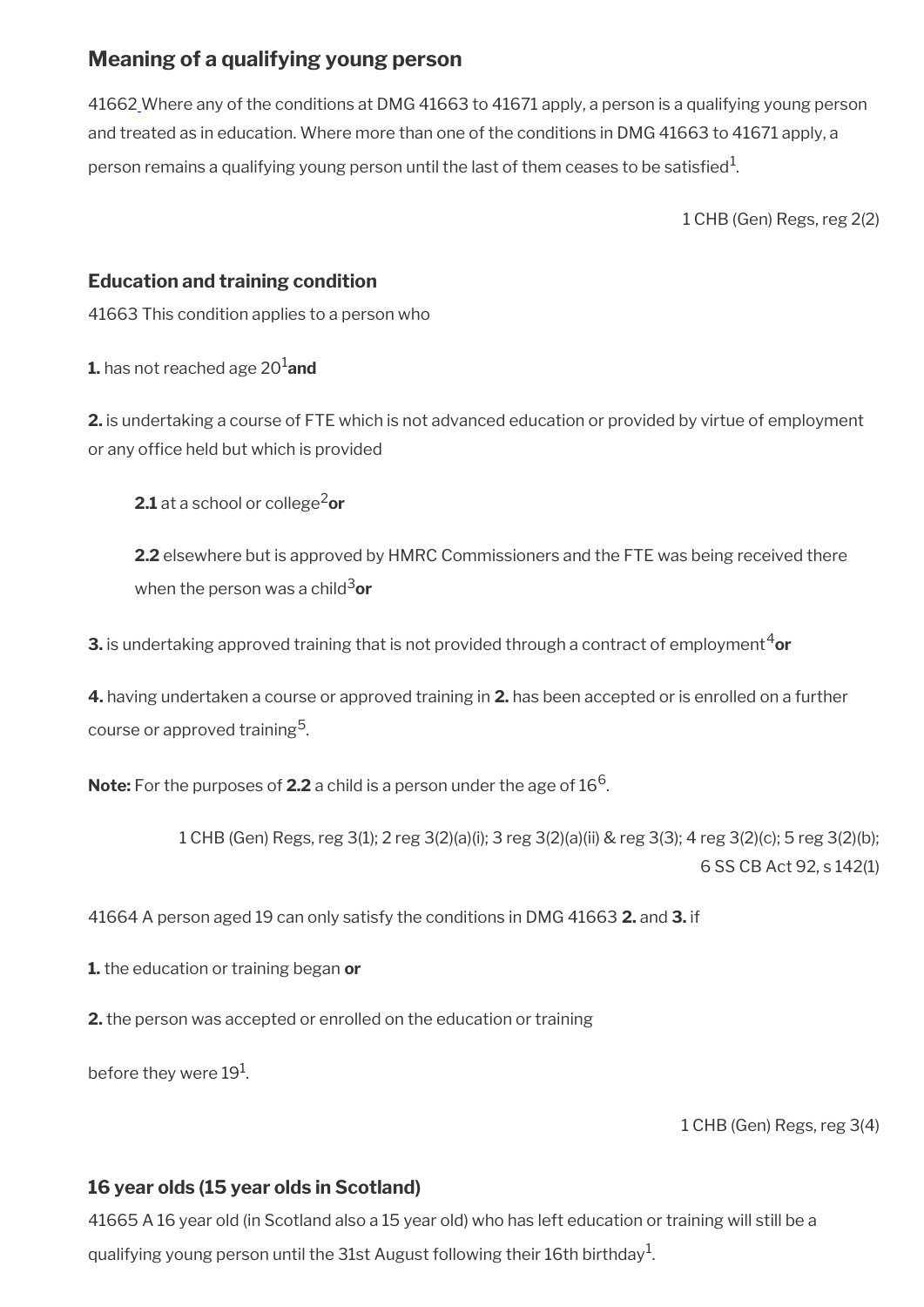## <span id="page-109-0"></span>**Meaning of a qualifying young person**

41662 Where any of the conditions at DMG 41663 to 41671 apply, a person is a qualifying young person and treated as in education. Where more than one of the conditions in DMG 41663 to 41671 apply, a person remains a qualifying young person until the last of them ceases to be satisfied $^1$ .

1 CHB (Gen) Regs, reg 2(2)

### **Education and training condition**

41663 This condition applies to a person who

**1.** has not reached age 20<sup>1</sup> and

**2.** is undertaking a course of FTE which is not advanced education or provided by virtue of employment or any office held but which is provided

**2.1** at a school or college<sup>2</sup> or

**2.2** elsewhere but is approved by HMRC Commissioners and the FTE was being received there when the person was a child<sup>3</sup>or

**3.** is undertaking approved training that is not provided through a contract of employment<sup>4</sup>or

**4.** having undertaken a course or approved training in **2.** has been accepted or is enrolled on a further course or approved training<sup>5</sup>.

**Note:** For the purposes of **2.2** a child is a person under the age of  $16^6$ .

1 CHB (Gen) Regs, reg 3(1); 2 reg 3(2)(a)(i); 3 reg 3(2)(a)(ii) & reg 3(3); 4 reg 3(2)(c); 5 reg 3(2)(b); 6 SS CB Act 92, s 142(1)

41664 A person aged 19 can only satisfy the conditions in DMG 41663 **2.** and **3.** if

**1.** the education or training began **or**

**2.** the person was accepted or enrolled on the education or training

before they were 19 $^{\rm 1}$ .

1 CHB (Gen) Regs, reg 3(4)

### **16 year olds (15 year olds in Scotland)**

41665 A 16 year old (in Scotland also a 15 year old) who has left education or training will still be a qualifying young person until the 31st August following their 16th birthday $^{\rm 1}$ .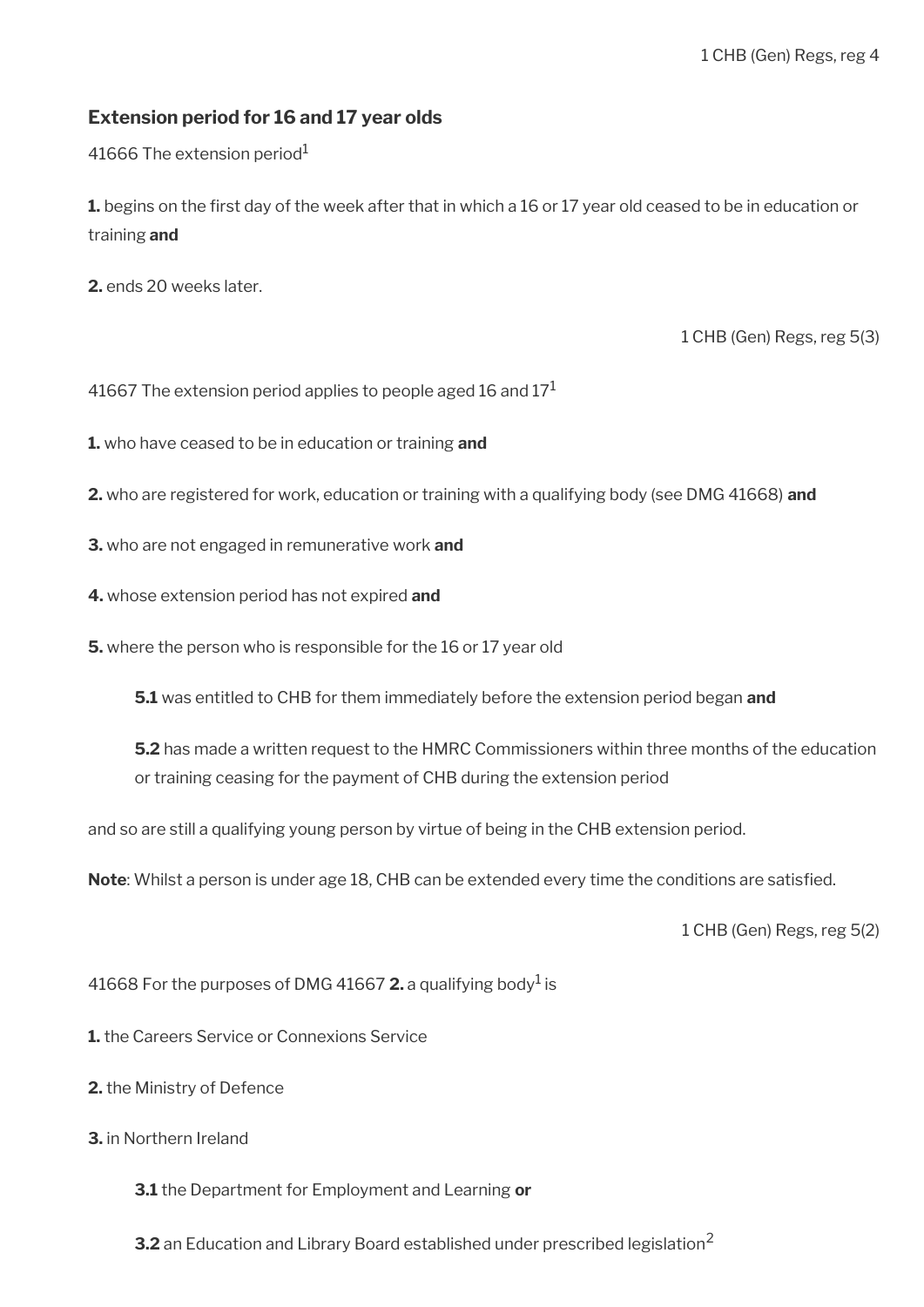### **Extension period for 16 and 17 year olds**

41666 The extension period $1$ 

**1.** begins on the first day of the week after that in which a 16 or 17 year old ceased to be in education or training **and**

**2.** ends 20 weeks later.

1 CHB (Gen) Regs, reg 5(3)

41667 The extension period applies to people aged 16 and  $17<sup>1</sup>$ 

**1.** who have ceased to be in education or training **and**

- **2.** who are registered for work, education or training with a qualifying body (see DMG 41668) **and**
- **3.** who are not engaged in remunerative work **and**
- **4.** whose extension period has not expired **and**

**5.** where the person who is responsible for the 16 or 17 year old

**5.1** was entitled to CHB for them immediately before the extension period began **and**

**5.2** has made a written request to the HMRC Commissioners within three months of the education or training ceasing for the payment of CHB during the extension period

and so are still a qualifying young person by virtue of being in the CHB extension period.

**Note**: Whilst a person is under age 18, CHB can be extended every time the conditions are satisfed.

1 CHB (Gen) Regs, reg 5(2)

41668 For the purposes of DMG 41667  $2$ . a qualifying body<sup>1</sup> is

**1.** the Careers Service or Connexions Service

- **2.** the Ministry of Defence
- **3.** in Northern Ireland

**3.1** the Department for Employment and Learning **or**

**3.2** an Education and Library Board established under prescribed legislation<sup>2</sup>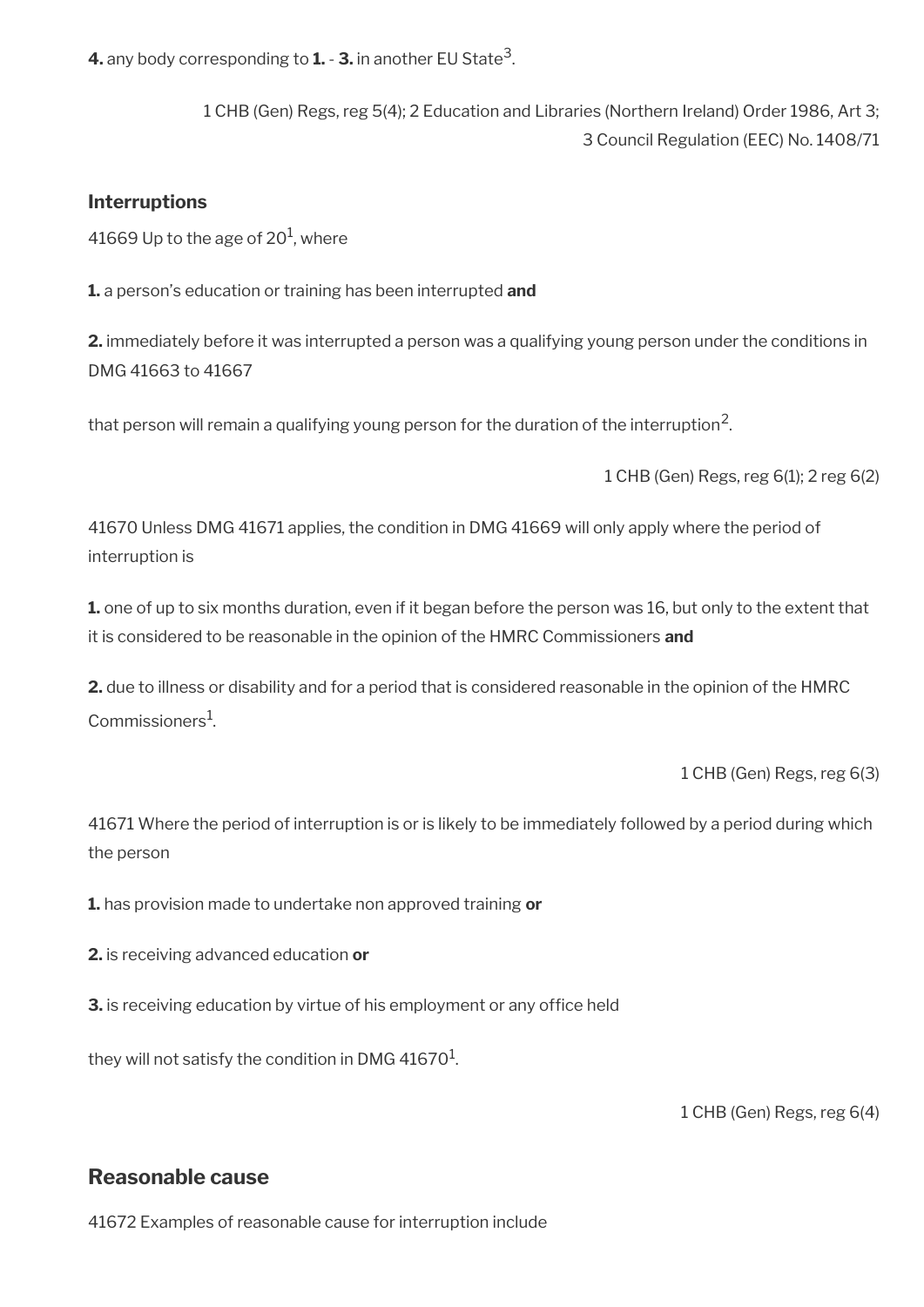**4.** any body corresponding to **1.** - **3.** in another EU State<sup>3</sup> .

1 CHB (Gen) Regs, reg 5(4); 2 Education and Libraries (Northern Ireland) Order 1986, Art 3; 3 Council Regulation (EEC) No. 1408/71

### **Interruptions**

41669 Up to the age of 20 $^{\rm 1}$ , where

**1.** a person's education or training has been interrupted **and**

**2.** immediately before it was interrupted a person was a qualifying young person under the conditions in DMG 41663 to 41667

that person will remain a qualifying young person for the duration of the interruption $^2\!$ 

1 CHB (Gen) Regs, reg 6(1); 2 reg 6(2)

41670 Unless DMG 41671 applies, the condition in DMG 41669 will only apply where the period of interruption is

**1.** one of up to six months duration, even if it began before the person was 16, but only to the extent that it is considered to be reasonable in the opinion of the HMRC Commissioners **and**

**2.** due to illness or disability and for a period that is considered reasonable in the opinion of the HMRC Commissioners<sup>1</sup>.

1 CHB (Gen) Regs, reg 6(3)

41671 Where the period of interruption is or is likely to be immediately followed by a period during which the person

**1.** has provision made to undertake non approved training **or**

**2.** is receiving advanced education **or**

**3.** is receiving education by virtue of his employment or any office held

they will not satisfy the condition in DMG 41670 $^{\rm 1}$ .

1 CHB (Gen) Regs, reg 6(4)

### <span id="page-111-0"></span>**Reasonable cause**

41672 Examples of reasonable cause for interruption include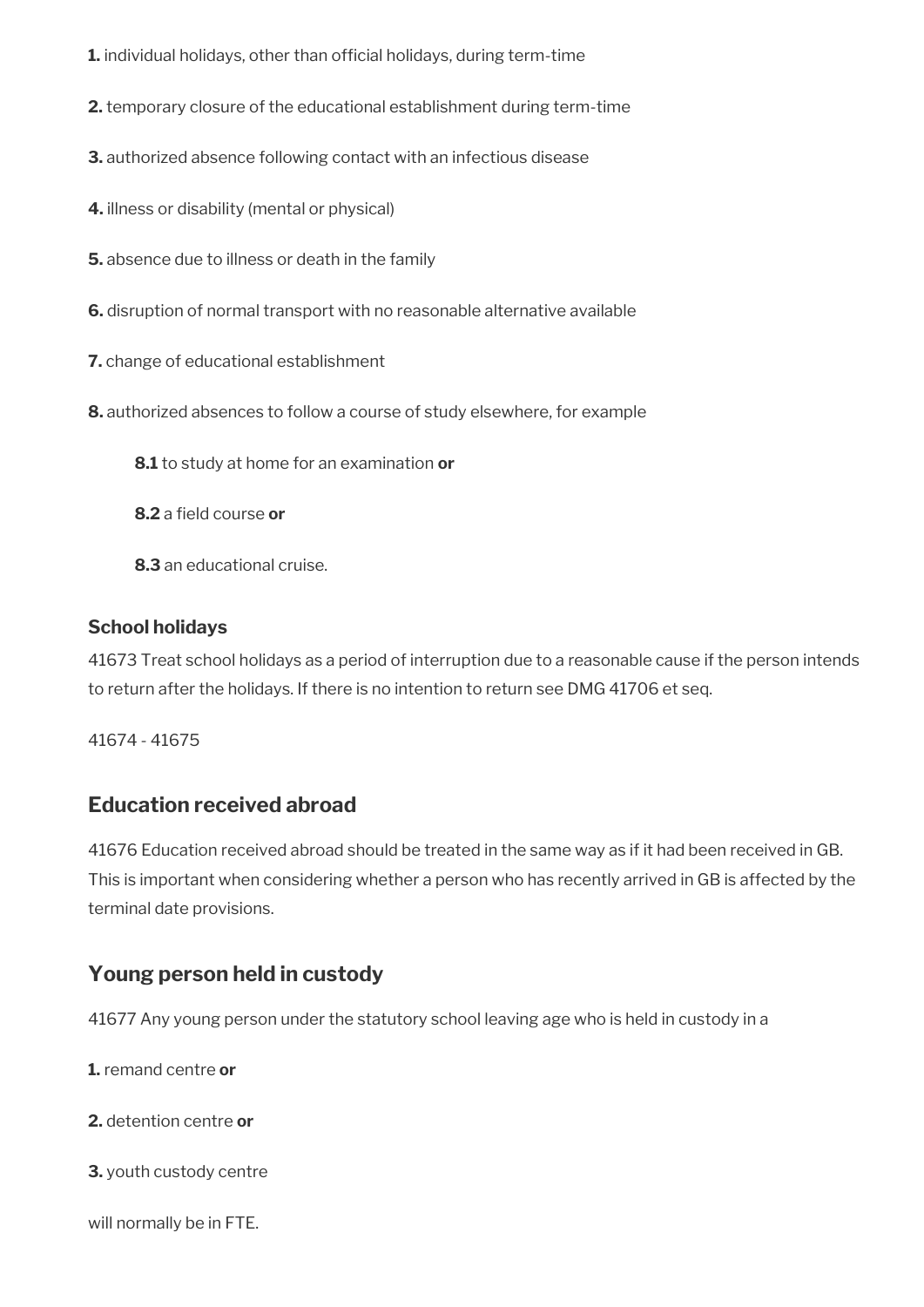- **1.** individual holidays, other than official holidays, during term-time
- **2.** temporary closure of the educational establishment during term-time
- **3.** authorized absence following contact with an infectious disease
- **4.** illness or disability (mental or physical)
- **5.** absence due to illness or death in the family
- **6.** disruption of normal transport with no reasonable alternative available
- **7.** change of educational establishment
- **8.** authorized absences to follow a course of study elsewhere, for example
	- **8.1** to study at home for an examination **or**
	- **8.2** a field course or
	- **8.3** an educational cruise.

#### **School holidays**

41673 Treat school holidays as a period of interruption due to a reasonable cause if the person intends to return after the holidays. If there is no intention to return see DMG 41706 et seq.

41674 - 41675

### <span id="page-112-1"></span>**Education received abroad**

41676 Education received abroad should be treated in the same way as if it had been received in GB. This is important when considering whether a person who has recently arrived in GB is affected by the terminal date provisions.

### <span id="page-112-0"></span>**Young person held in custody**

41677 Any young person under the statutory school leaving age who is held in custody in a

- **1.** remand centre **or**
- **2.** detention centre **or**
- **3.** youth custody centre

#### will normally be in FTE.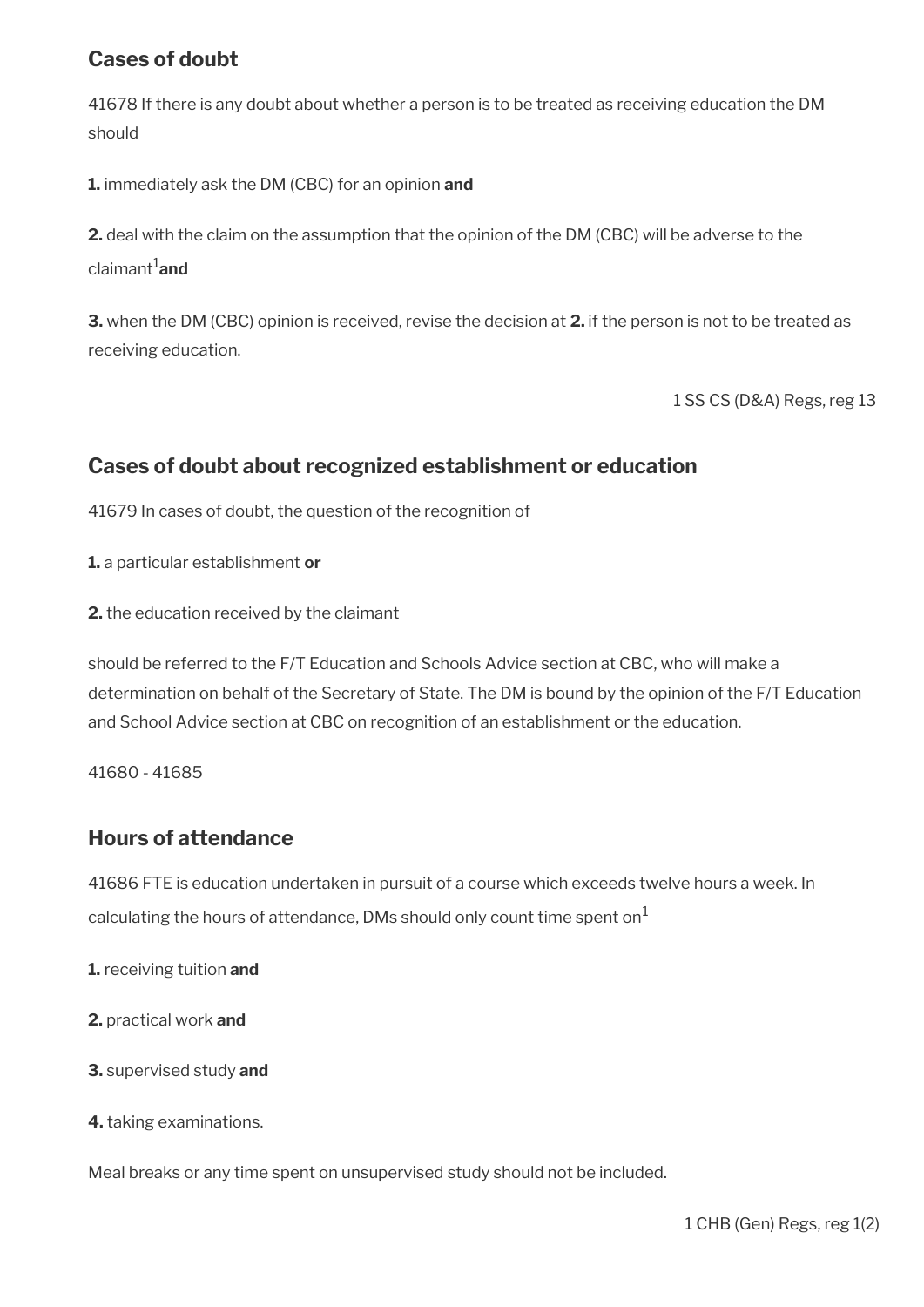## <span id="page-113-2"></span>**Cases of doubt**

41678 If there is any doubt about whether a person is to be treated as receiving education the DM should

**1.** immediately ask the DM (CBC) for an opinion **and** 

**2.** deal with the claim on the assumption that the opinion of the DM (CBC) will be adverse to the claimant<sup>1</sup>and

**3.** when the DM (CBC) opinion is received, revise the decision at **2.** if the person is not to be treated as receiving education.

1 SS CS (D&A) Regs, reg 13

### <span id="page-113-1"></span>**Cases of doubt about recognized establishment or education**

41679 In cases of doubt, the question of the recognition of

**1.** a particular establishment **or** 

**2.** the education received by the claimant

should be referred to the F/T Education and Schools Advice section at CBC, who will make a determination on behalf of the Secretary of State. The DM is bound by the opinion of the F/T Education and School Advice section at CBC on recognition of an establishment or the education.

41680 - 41685

### <span id="page-113-0"></span>**Hours of attendance**

41686 FTE is education undertaken in pursuit of a course which exceeds twelve hours a week. In calculating the hours of attendance, DMs should only count time spent on $<sup>1</sup>$ </sup>

- **1.** receiving tuition **and**
- **2.** practical work **and**
- **3.** supervised study **and**
- **4.** taking examinations.

Meal breaks or any time spent on unsupervised study should not be included.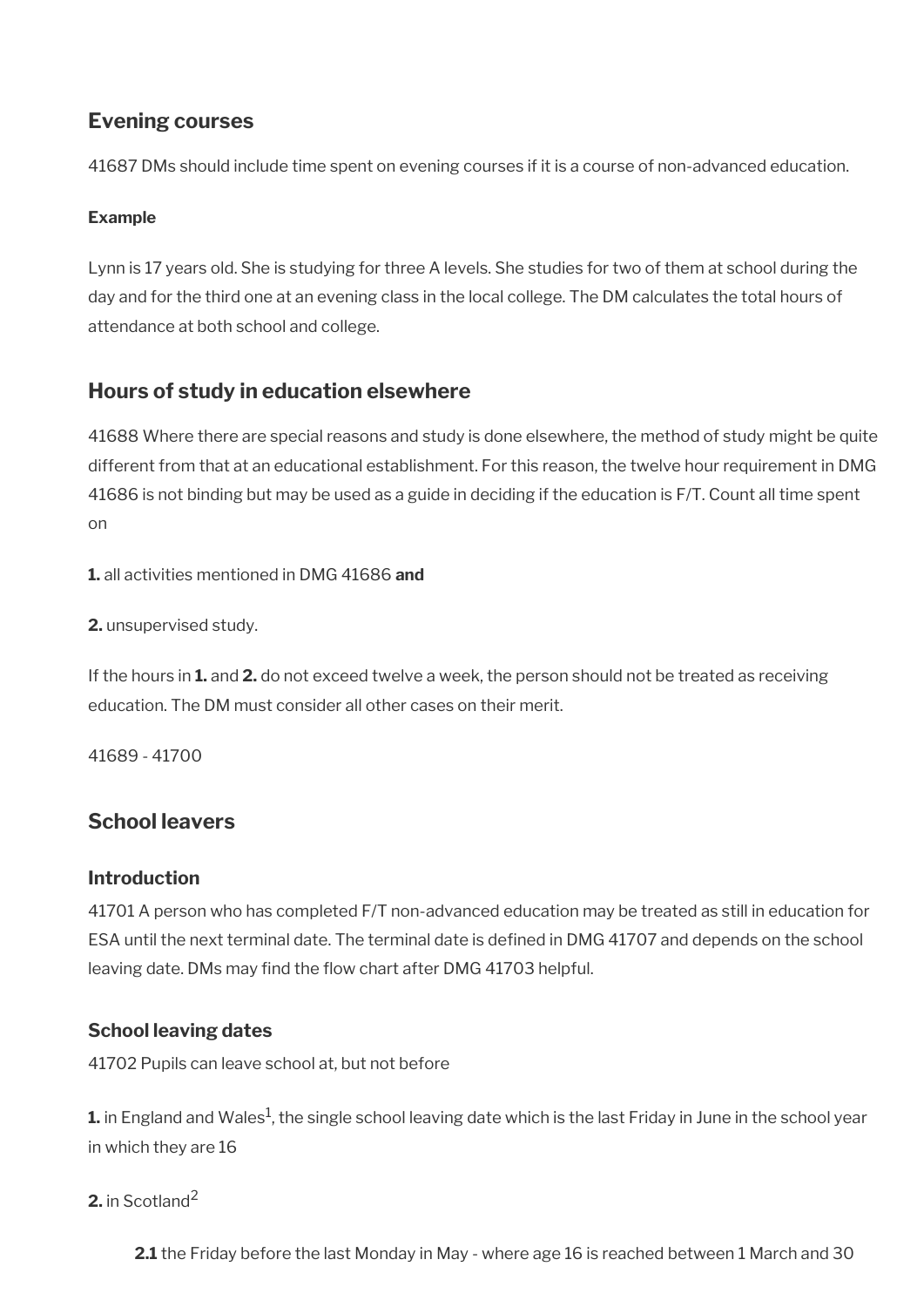## <span id="page-114-2"></span>**Evening courses**

41687 DMs should include time spent on evening courses if it is a course of non-advanced education.

### **Example**

Lynn is 17 years old. She is studying for three A levels. She studies for two of them at school during the day and for the third one at an evening class in the local college. The DM calculates the total hours of attendance at both school and college.

## <span id="page-114-1"></span>**Hours of study in education elsewhere**

41688 Where there are special reasons and study is done elsewhere, the method of study might be quite different from that at an educational establishment. For this reason, the twelve hour requirement in DMG 41686 is not binding but may be used as a guide in deciding if the education is F/T. Count all time spent on

**1.** all activities mentioned in DMG 41686 **and** 

**2.** unsupervised study.

If the hours in **1.** and **2.** do not exceed twelve a week, the person should not be treated as receiving education. The DM must consider all other cases on their merit.

41689 - 41700

## <span id="page-114-0"></span>**School leavers**

### **Introduction**

41701 A person who has completed F/T non-advanced education may be treated as still in education for ESA until the next terminal date. The terminal date is defned in DMG 41707 and depends on the school leaving date. DMs may find the flow chart after DMG 41703 helpful.

### **School leaving dates**

41702 Pupils can leave school at, but not before

 ${\bf 1.}$  in England and Wales $^1$ , the single school leaving date which is the last Friday in June in the school year in which they are 16

### **2.** in Scotland<sup>2</sup>

**2.1** the Friday before the last Monday in May - where age 16 is reached between 1 March and 30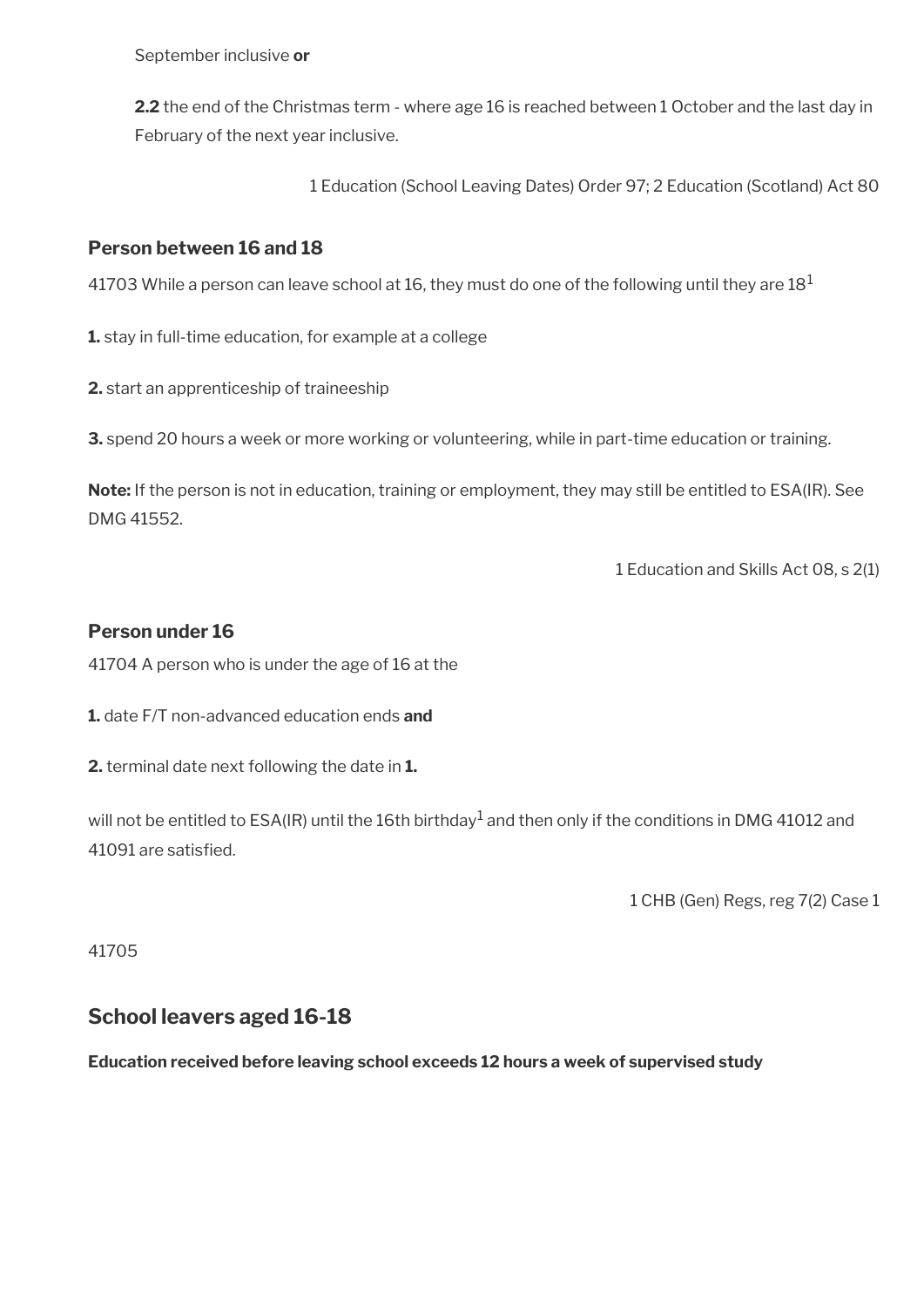September inclusive **or** 

**2.2** the end of the Christmas term - where age 16 is reached between 1 October and the last day in February of the next year inclusive.

1 Education (School Leaving Dates) Order 97; 2 Education (Scotland) Act 80

### **Person between 16 and 18**

41703 While a person can leave school at 16, they must do one of the following until they are  $18<sup>1</sup>$ 

**1.** stay in full-time education, for example at a college

**2.** start an apprenticeship of traineeship

**3.** spend 20 hours a week or more working or volunteering, while in part-time education or training.

**Note:** If the person is not in education, training or employment, they may still be entitled to ESA(IR). See DMG 41552.

1 Education and Skills Act 08, s 2(1)

### **Person under 16**

41704 A person who is under the age of 16 at the

**1.** date F/T non-advanced education ends **and** 

**2.** terminal date next following the date in **1.**

will not be entitled to ESA(IR) until the 16th birthday $^{\rm 1}$  and then only if the conditions in DMG 41012 and 41091 are satisfed.

1 CHB (Gen) Regs, reg 7(2) Case 1

41705

### <span id="page-115-0"></span>**School leavers aged 16-18**

**Education received before leaving school exceeds 12 hours a week of supervised study**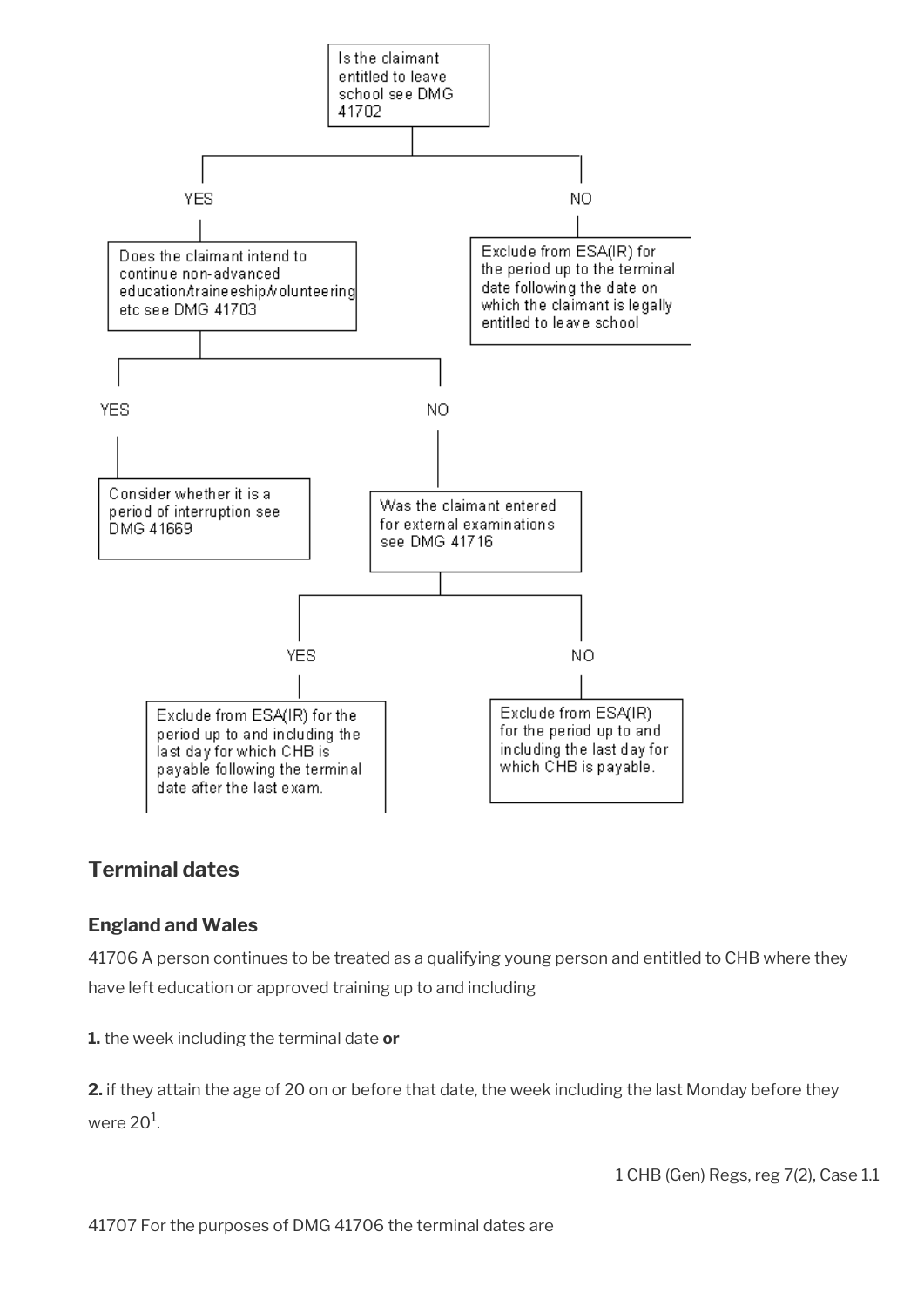

## <span id="page-116-0"></span>**Terminal dates**

### **England and Wales**

41706 A person continues to be treated as a qualifying young person and entitled to CHB where they have left education or approved training up to and including

**1.** the week including the terminal date **or**

**2.** if they attain the age of 20 on or before that date, the week including the last Monday before they were 20 $^{\rm 1}$ .

1 CHB (Gen) Regs, reg 7(2), Case 1.1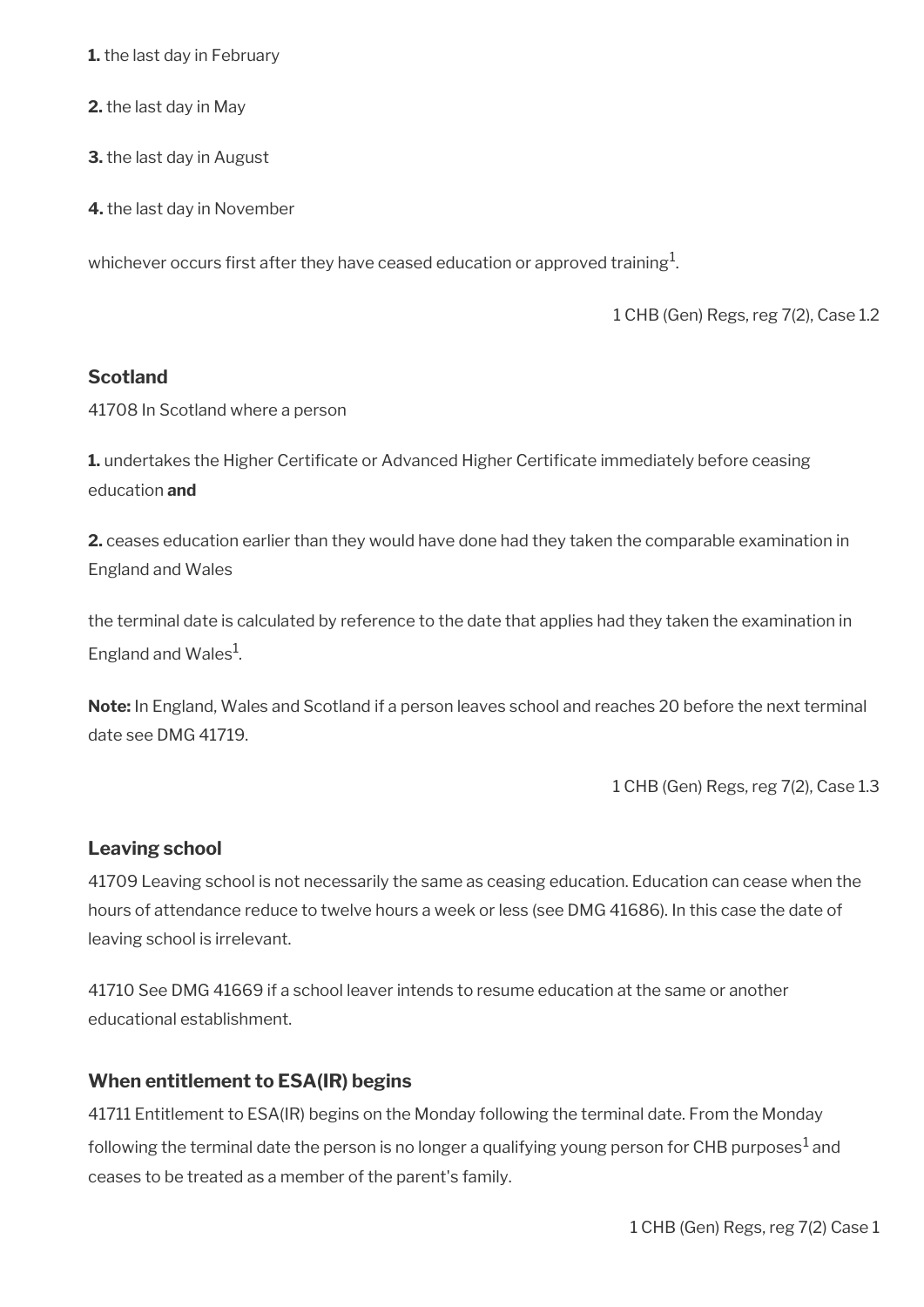**1.** the last day in February

**2.** the last day in May

**3.** the last day in August

**4.** the last day in November

whichever occurs first after they have ceased education or approved training $^1\!\!$  .

1 CHB (Gen) Regs, reg 7(2), Case 1.2

#### **Scotland**

41708 In Scotland where a person

**1.** undertakes the Higher Certificate or Advanced Higher Certificate immediately before ceasing education **and**

**2.** ceases education earlier than they would have done had they taken the comparable examination in England and Wales

the terminal date is calculated by reference to the date that applies had they taken the examination in England and Wales<sup>1</sup>.

**Note:** In England, Wales and Scotland if a person leaves school and reaches 20 before the next terminal date see DMG 41719.

1 CHB (Gen) Regs, reg 7(2), Case 1.3

#### **Leaving school**

41709 Leaving school is not necessarily the same as ceasing education. Education can cease when the hours of attendance reduce to twelve hours a week or less (see DMG 41686). In this case the date of leaving school is irrelevant.

41710 See DMG 41669 if a school leaver intends to resume education at the same or another educational establishment.

#### **When entitlement to ESA(IR) begins**

41711 Entitlement to ESA(IR) begins on the Monday following the terminal date. From the Monday following the terminal date the person is no longer a qualifying young person for CHB purposes $^1$  and ceases to be treated as a member of the parent's family.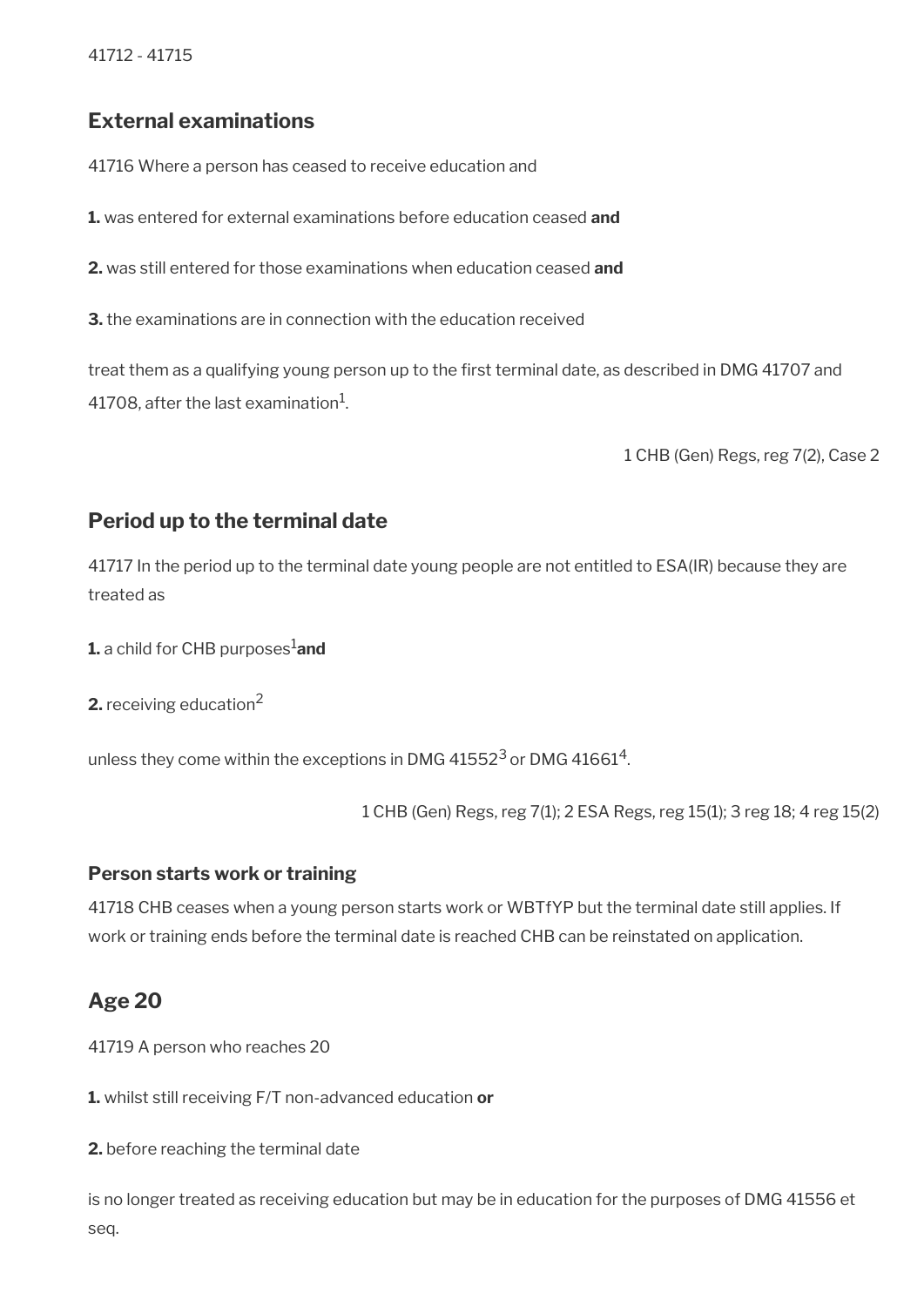### <span id="page-118-2"></span>**External examinations**

41716 Where a person has ceased to receive education and

**1.** was entered for external examinations before education ceased **and**

**2.** was still entered for those examinations when education ceased **and**

**3.** the examinations are in connection with the education received

treat them as a qualifying young person up to the frst terminal date, as described in DMG 41707 and 41708, after the last examination $^{\rm 1}$ .

1 CHB (Gen) Regs, reg 7(2), Case 2

## <span id="page-118-1"></span>**Period up to the terminal date**

41717 In the period up to the terminal date young people are not entitled to ESA(IR) because they are treated as

**1.** a child for CHB purposes<sup>1</sup>and

**2.** receiving education<sup>2</sup>

unless they come within the exceptions in DMG 41552 $^3$  or DMG 41661 $^4$ .

1 CHB (Gen) Regs, reg 7(1); 2 ESA Regs, reg 15(1); 3 reg 18; 4 reg 15(2)

### **Person starts work or training**

41718 CHB ceases when a young person starts work or WBTfYP but the terminal date still applies. If work or training ends before the terminal date is reached CHB can be reinstated on application.

## <span id="page-118-0"></span>**Age 20**

41719 A person who reaches 20

**1.** whilst still receiving F/T non-advanced education **or** 

**2.** before reaching the terminal date

is no longer treated as receiving education but may be in education for the purposes of DMG 41556 et seq.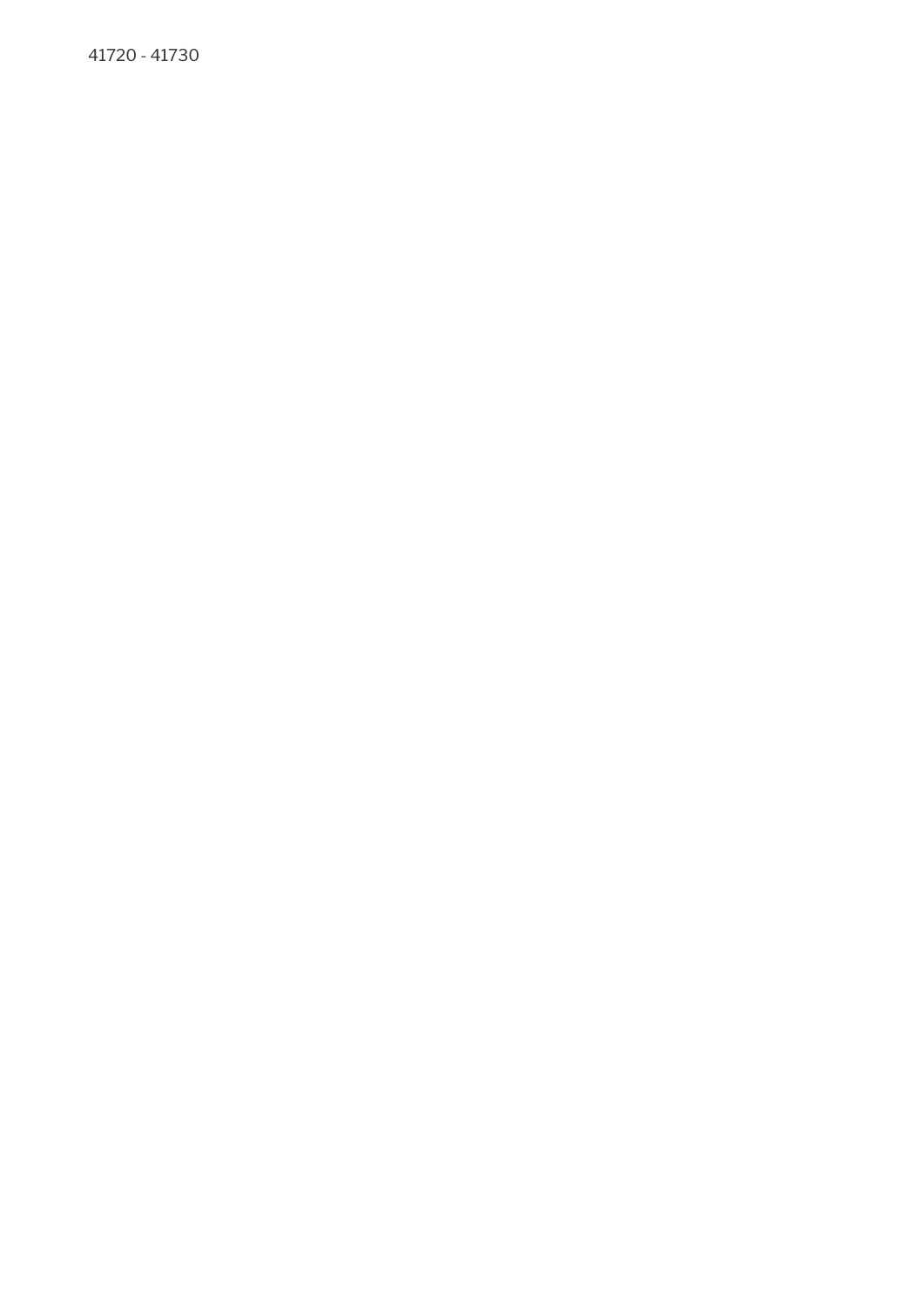41720 - 41730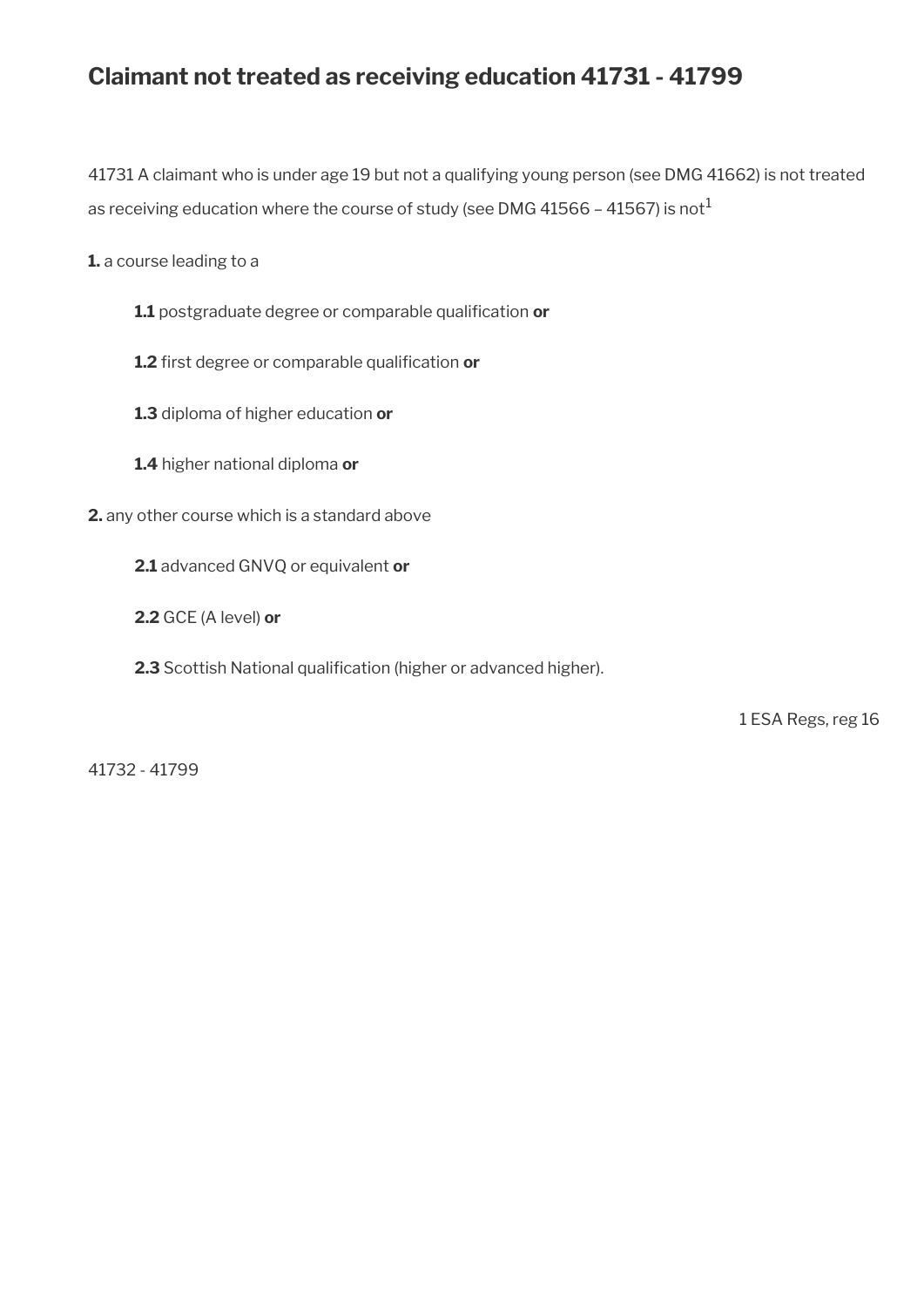## **Claimant not treated as receiving education 41731 - 41799**

41731 A claimant who is under age 19 but not a qualifying young person (see DMG 41662) is not treated as receiving education where the course of study (see DMG 41566 - 41567) is not<sup>1</sup>

**1.** a course leading to a

- 1.1 postgraduate degree or comparable qualification or
- 1.2 first degree or comparable qualification or
- **1.3** diploma of higher education **or**
- **1.4** higher national diploma **or**
- **2.** any other course which is a standard above
	- **2.1** advanced GNVQ or equivalent **or**
	- **2.2** GCE (A level) **or**
	- 2.3 Scottish National qualification (higher or advanced higher).

1 ESA Regs, reg 16

41732 - 41799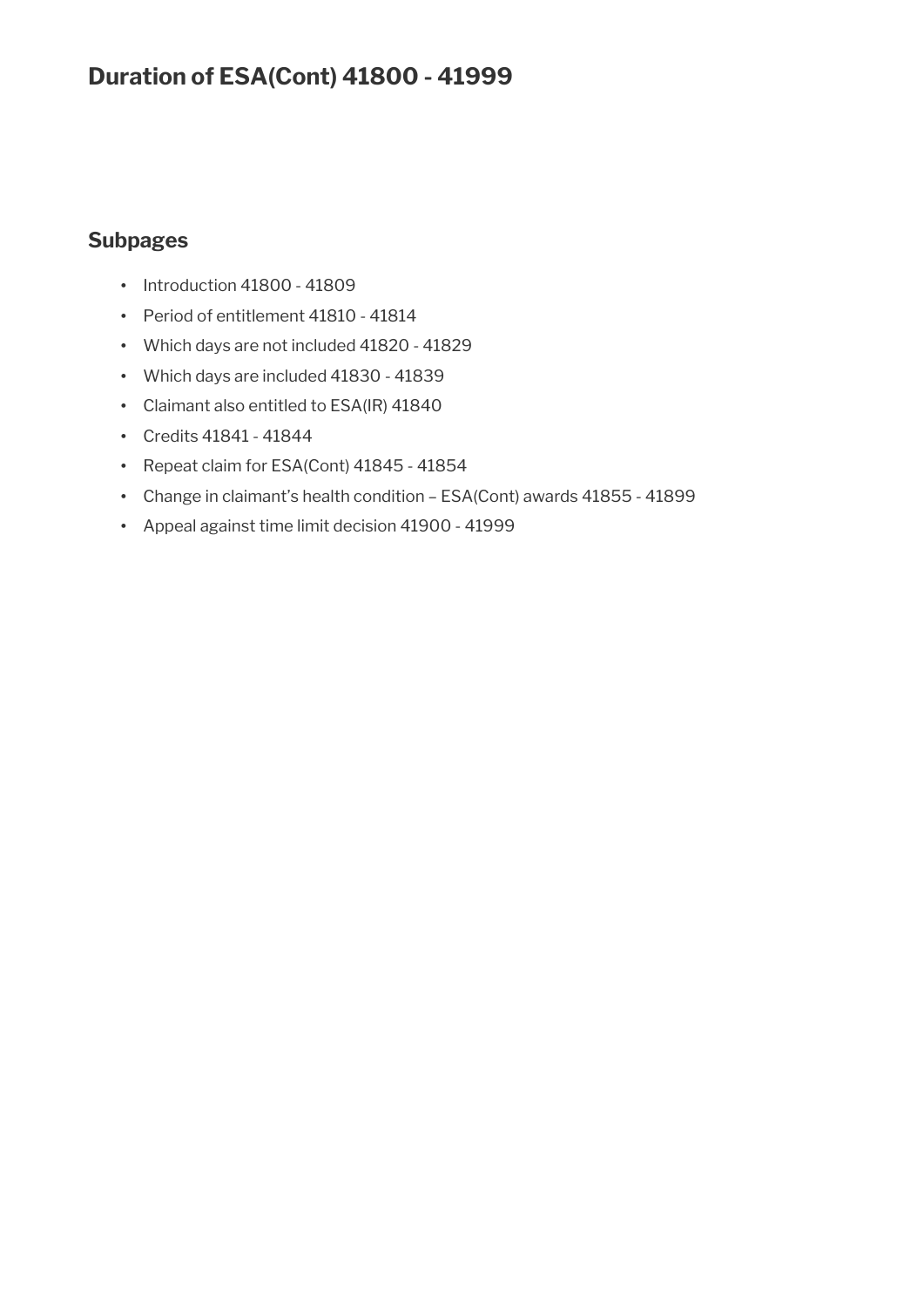## **Duration of ESA(Cont) 41800 - 41999**

## **Subpages**

- Introduction 41800 41809
- Period of entitlement 41810 41814
- Which days are not included 41820 41829
- Which days are included 41830 41839
- Claimant also entitled to ESA(IR) 41840
- Credits 41841 41844
- Repeat claim for ESA(Cont) 41845 41854
- Change in claimant's health condition ESA(Cont) awards 41855 41899
- Appeal against time limit decision 41900 41999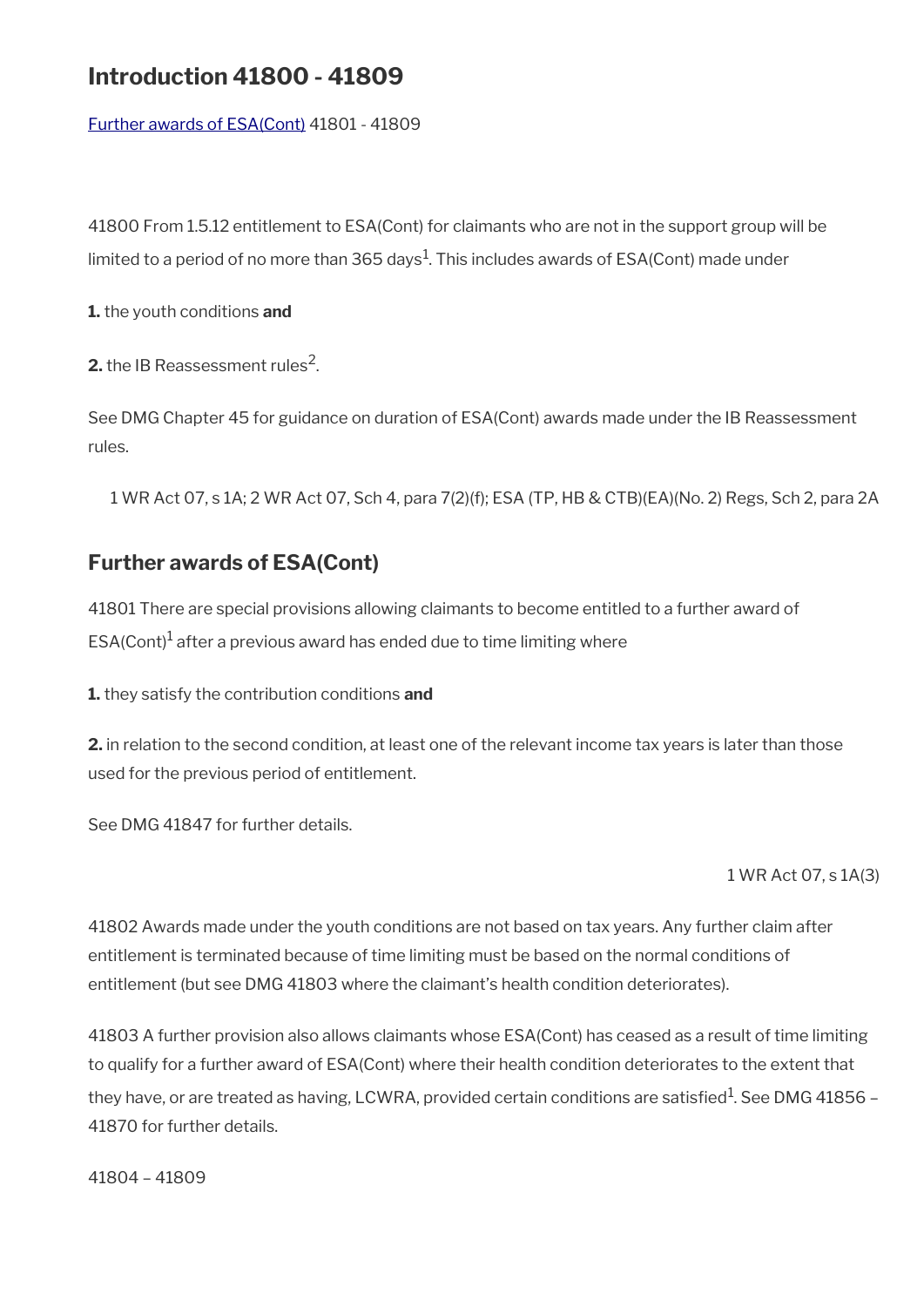## **Introduction 41800 - 41809**

[Further awards of ESA\(Cont\)](#page-122-0) 41801 - 41809

41800 From 1.5.12 entitlement to ESA(Cont) for claimants who are not in the support group will be limited to a period of no more than 365 days $^1\!.$  This includes awards of ESA(Cont) made under

**1.** the youth conditions **and**

**2.** the IB Reassessment rules<sup>2</sup>.

See DMG Chapter 45 for guidance on duration of ESA(Cont) awards made under the IB Reassessment rules.

1 WR Act 07, s 1A; 2 WR Act 07, Sch 4, para 7(2)(f); ESA (TP, HB & CTB)(EA)(No. 2) Regs, Sch 2, para 2A

## <span id="page-122-0"></span>**Further awards of ESA(Cont)**

41801 There are special provisions allowing claimants to become entitled to a further award of ESA(Cont) $^1$  after a previous award has ended due to time limiting where

**1.** they satisfy the contribution conditions **and**

**2.** in relation to the second condition, at least one of the relevant income tax years is later than those used for the previous period of entitlement.

See DMG 41847 for further details.

1 WR Act 07, s 1A(3)

41802 Awards made under the youth conditions are not based on tax years. Any further claim after entitlement is terminated because of time limiting must be based on the normal conditions of entitlement (but see DMG 41803 where the claimant's health condition deteriorates).

41803 A further provision also allows claimants whose ESA(Cont) has ceased as a result of time limiting to qualify for a further award of ESA(Cont) where their health condition deteriorates to the extent that they have, or are treated as having, LCWRA, provided certain conditions are satisfied $^{\rm 1}$ . See DMG 41856 – 41870 for further details.

41804 – 41809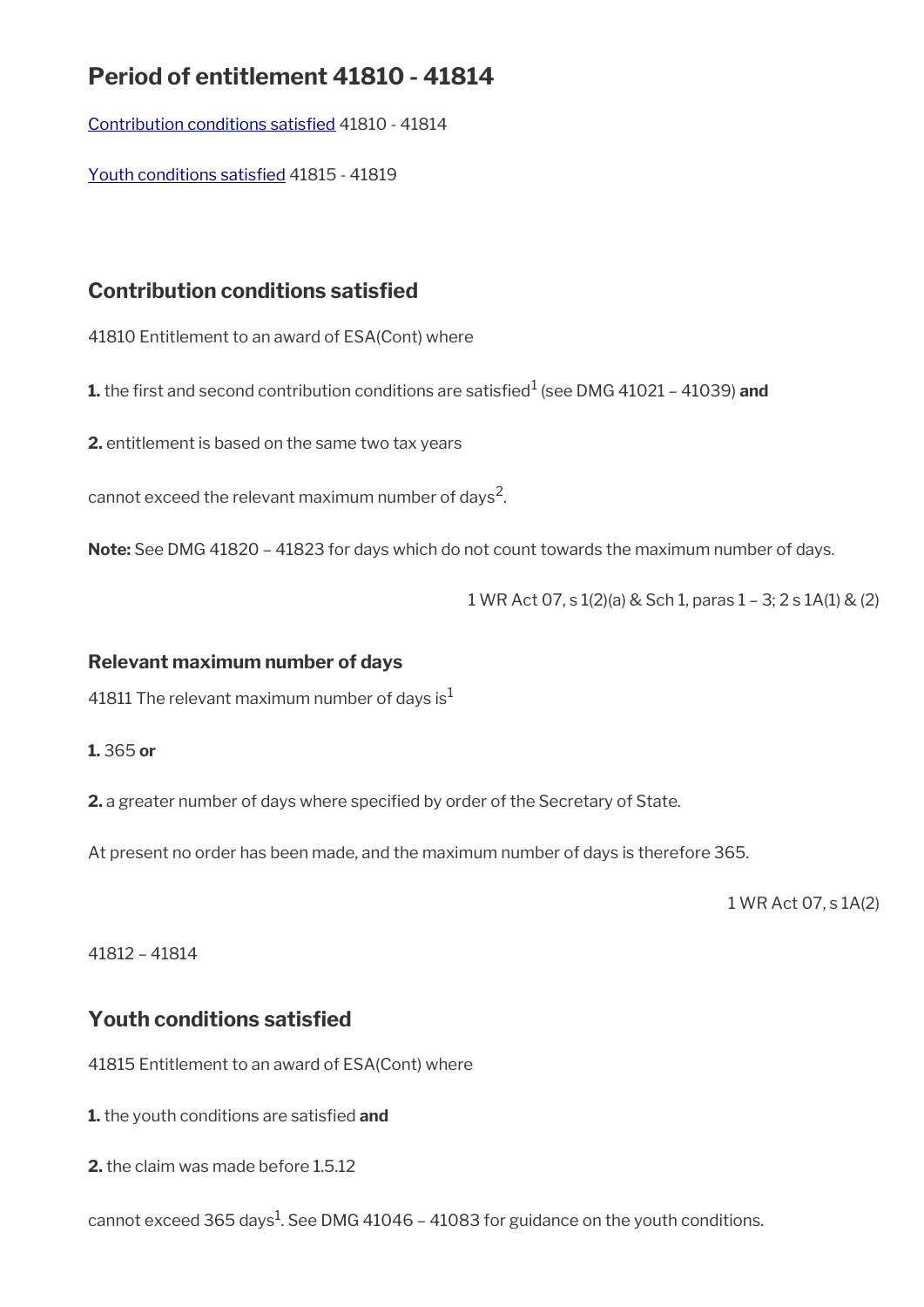## **Period of entitlement 41810 - 41814**

[Contribution conditions satisfed](#page-123-1) 41810 - 41814

[Youth conditions satisfed](#page-123-0) 41815 - 41819

## <span id="page-123-1"></span>**Contribution conditions satisfed**

41810 Entitlement to an award of ESA(Cont) where

**1.** the first and second contribution conditions are satisfied<sup>1</sup> (see DMG 41021 – 41039) **and** 

**2.** entitlement is based on the same two tax years

cannot exceed the relevant maximum number of days<sup>2</sup>.

**Note:** See DMG 41820 – 41823 for days which do not count towards the maximum number of days.

1 WR Act 07, s 1(2)(a) & Sch 1, paras 1 – 3; 2 s 1A(1) & (2)

### **Relevant maximum number of days**

41811 The relevant maximum number of days is $<sup>1</sup>$ </sup>

**1.** 365 **or**

**2.** a greater number of days where specifed by order of the Secretary of State.

At present no order has been made, and the maximum number of days is therefore 365.

1 WR Act 07, s 1A(2)

41812 – 41814

## <span id="page-123-0"></span>**Youth conditions satisfed**

41815 Entitlement to an award of ESA(Cont) where

**1.** the youth conditions are satisfed **and**

**2.** the claim was made before 1.5.12

cannot exceed 365 days $^{\rm 1}$ . See DMG 41046 – 41083 for guidance on the youth conditions.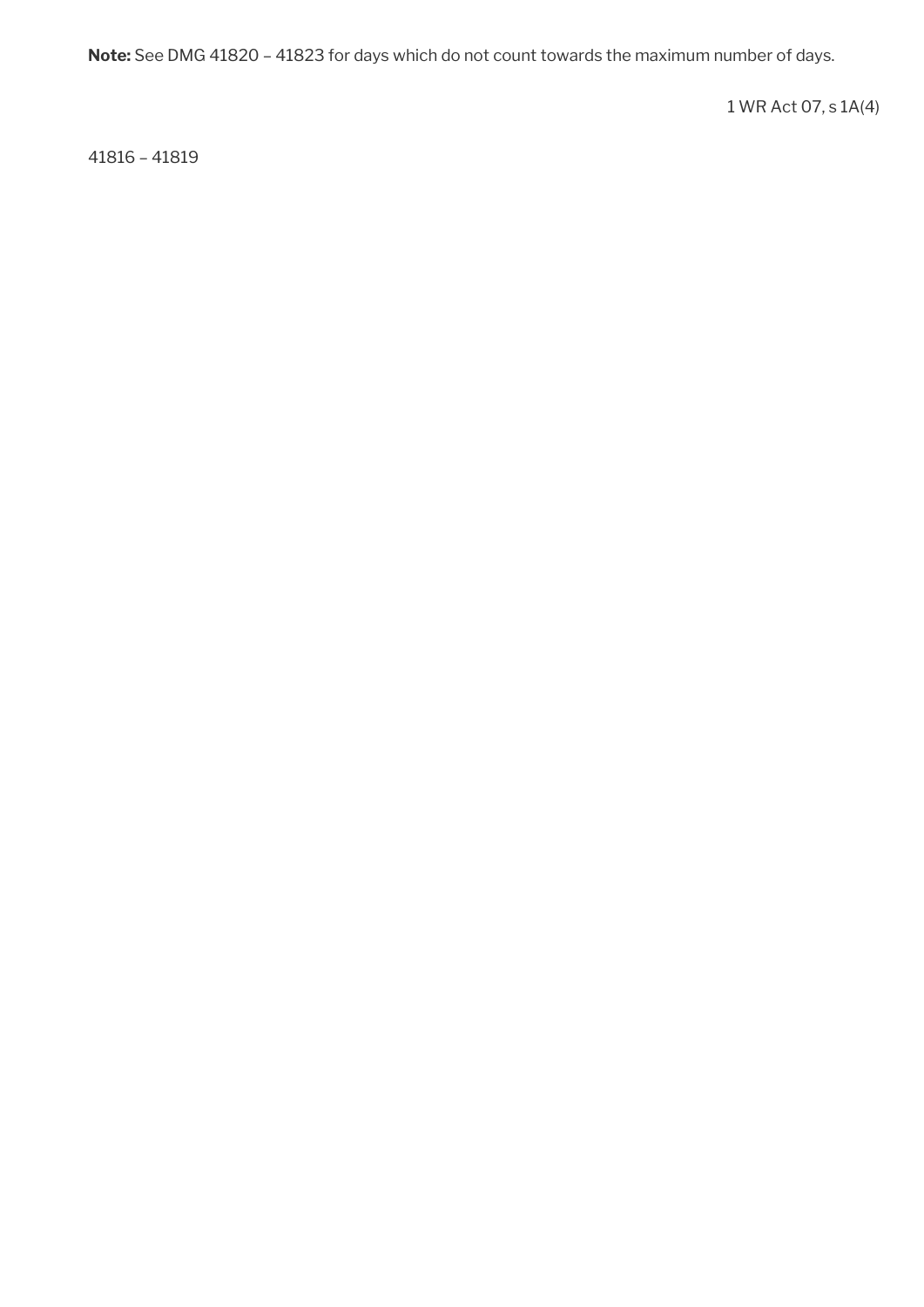**Note:** See DMG 41820 – 41823 for days which do not count towards the maximum number of days.

1 WR Act 07, s 1A(4)

41816 – 41819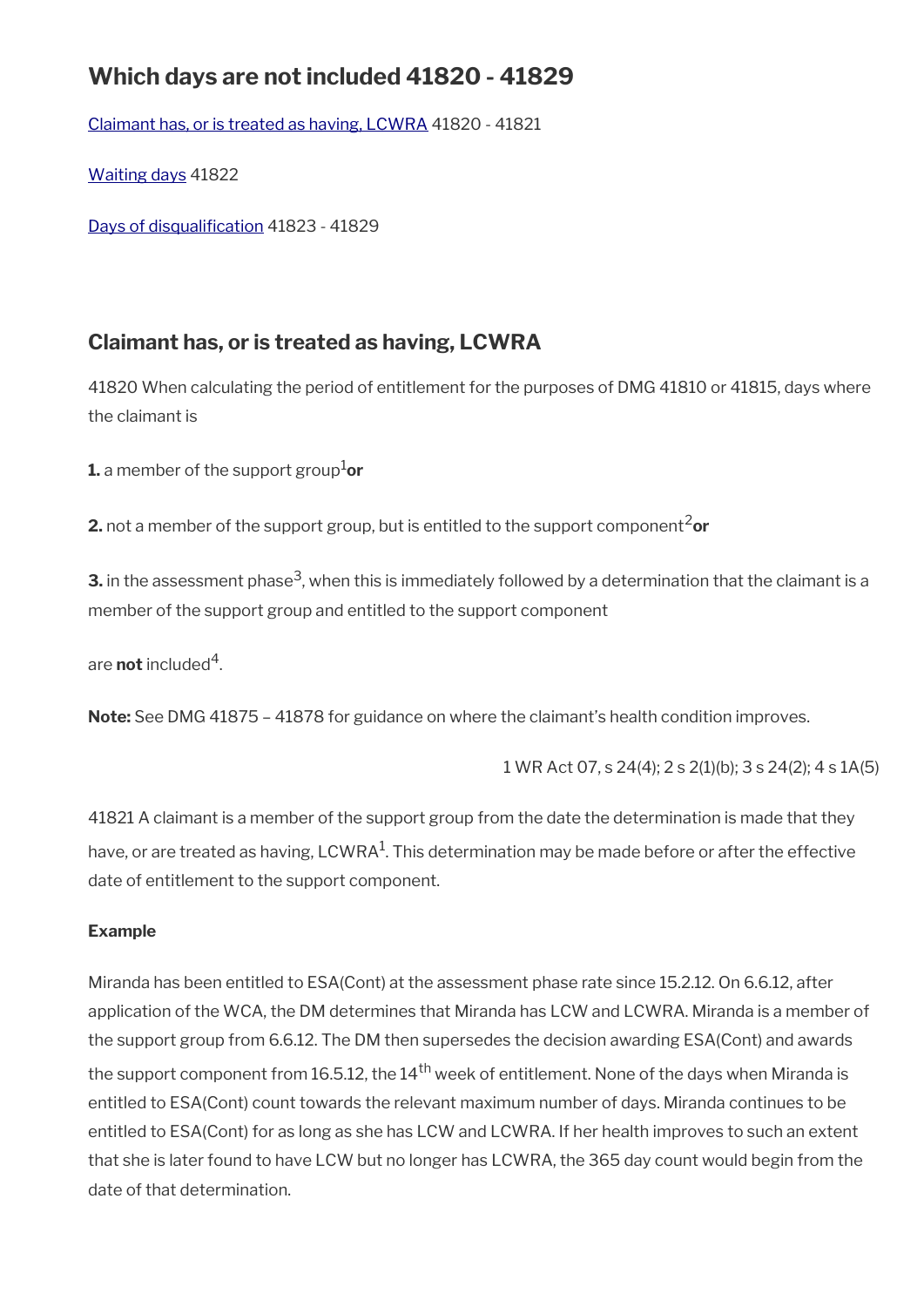## **Which days are not included 41820 - 41829**

[Claimant has, or is treated as having, LCWRA](#page-125-0) 41820 - 41821

[Waiting days](#page-126-1) 41822

Days of disqualification 41823 - 41829

## <span id="page-125-0"></span>**Claimant has, or is treated as having, LCWRA**

41820 When calculating the period of entitlement for the purposes of DMG 41810 or 41815, days where the claimant is

**1.** a member of the support group<sup>1</sup>or

**2.** not a member of the support group, but is entitled to the support component<sup>2</sup>or

**3.** in the assessment phase<sup>3</sup>, when this is immediately followed by a determination that the claimant is a member of the support group and entitled to the support component

are **not** included<sup>4</sup>.

**Note:** See DMG 41875 – 41878 for guidance on where the claimant's health condition improves.

1 WR Act 07, s 24(4); 2 s 2(1)(b); 3 s 24(2); 4 s 1A(5)

41821 A claimant is a member of the support group from the date the determination is made that they have, or are treated as having, LCWRA $^{\rm 1}$ . This determination may be made before or after the effective date of entitlement to the support component.

### **Example**

Miranda has been entitled to ESA(Cont) at the assessment phase rate since 15.2.12. On 6.6.12, after application of the WCA, the DM determines that Miranda has LCW and LCWRA. Miranda is a member of the support group from 6.6.12. The DM then supersedes the decision awarding ESA(Cont) and awards the support component from 16.5.12, the  $14<sup>th</sup>$  week of entitlement. None of the days when Miranda is entitled to ESA(Cont) count towards the relevant maximum number of days. Miranda continues to be entitled to ESA(Cont) for as long as she has LCW and LCWRA. If her health improves to such an extent that she is later found to have LCW but no longer has LCWRA, the 365 day count would begin from the date of that determination.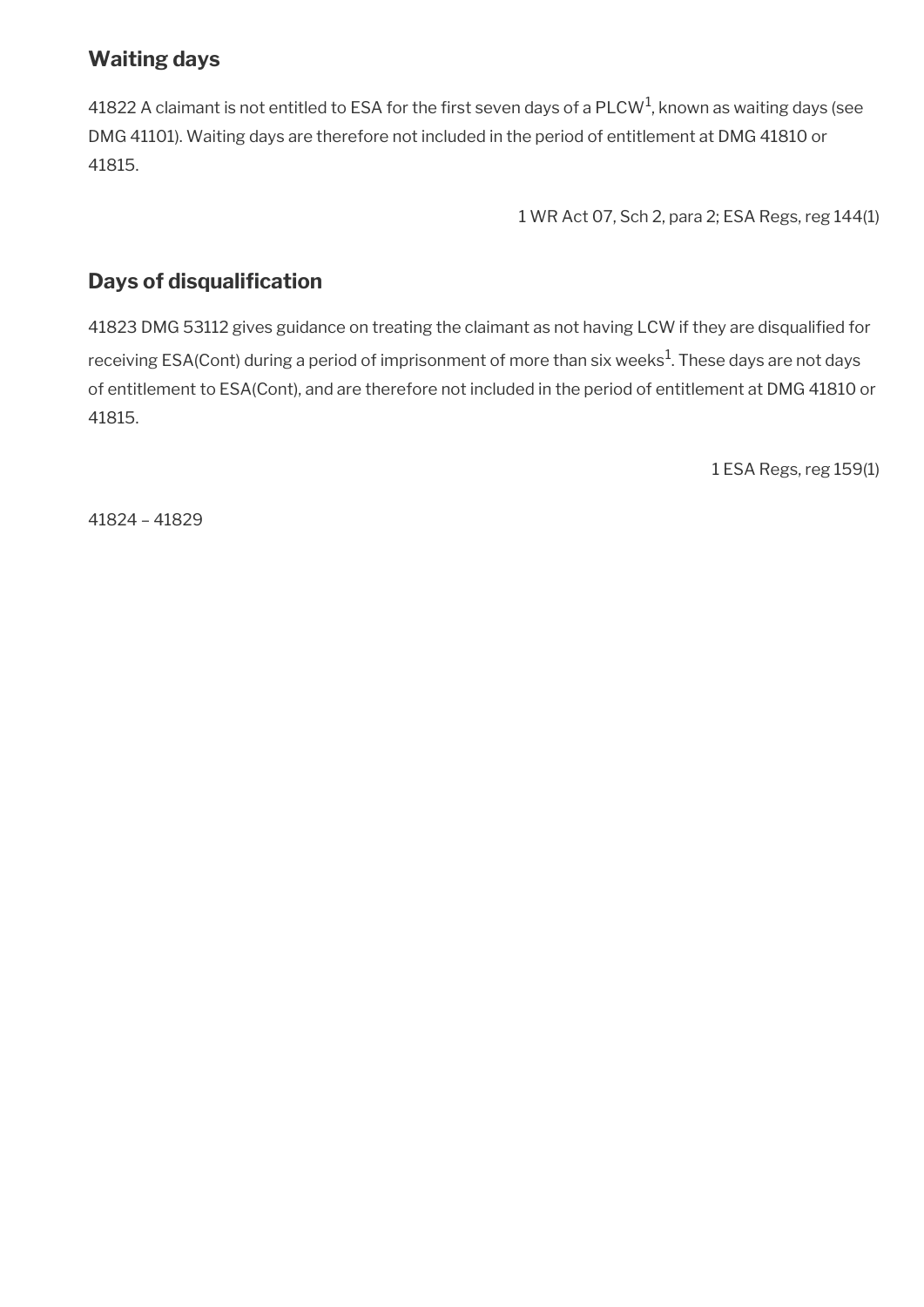## <span id="page-126-1"></span>**Waiting days**

41822 A claimant is not entitled to ESA for the first seven days of a PLCW<sup>1</sup>, known as waiting days (see DMG 41101). Waiting days are therefore not included in the period of entitlement at DMG 41810 or 41815.

1 WR Act 07, Sch 2, para 2; ESA Regs, reg 144(1)

## <span id="page-126-0"></span>**Days of disqualification**

41823 DMG 53112 gives guidance on treating the claimant as not having LCW if they are disqualifed for receiving ESA(Cont) during a period of imprisonment of more than six weeks $^1\!$ . These days are not days of entitlement to ESA(Cont), and are therefore not included in the period of entitlement at DMG 41810 or 41815.

1 ESA Regs, reg 159(1)

41824 – 41829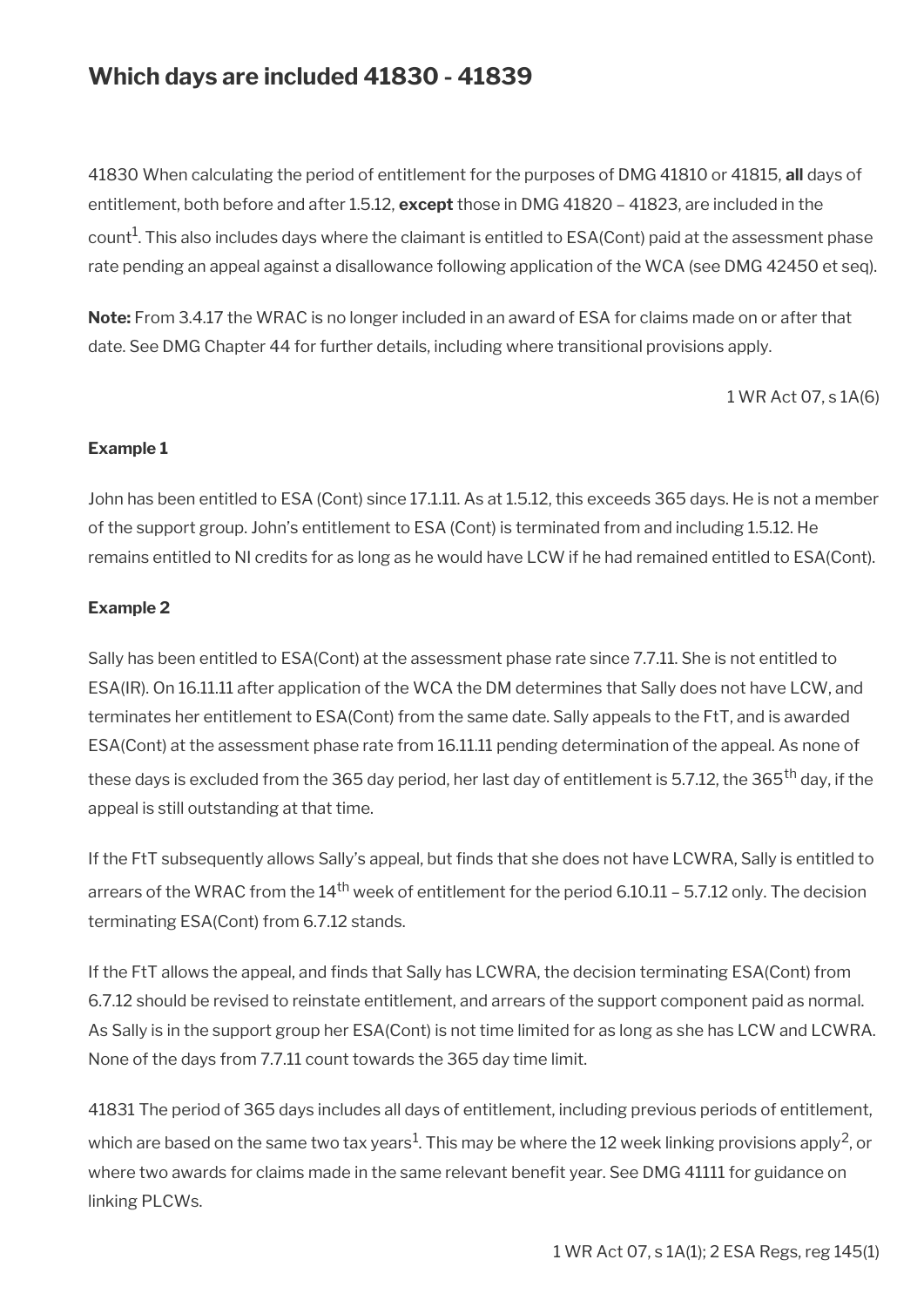## **Which days are included 41830 - 41839**

41830 When calculating the period of entitlement for the purposes of DMG 41810 or 41815, **all** days of entitlement, both before and after 1.5.12, **except** those in DMG 41820 – 41823, are included in the count $^1$ . This also includes days where the claimant is entitled to ESA(Cont) paid at the assessment phase rate pending an appeal against a disallowance following application of the WCA (see DMG 42450 et seq).

**Note:** From 3.4.17 the WRAC is no longer included in an award of ESA for claims made on or after that date. See DMG Chapter 44 for further details, including where transitional provisions apply.

1 WR Act 07, s 1A(6)

#### **Example 1**

John has been entitled to ESA (Cont) since 17.1.11. As at 1.5.12, this exceeds 365 days. He is not a member of the support group. John's entitlement to ESA (Cont) is terminated from and including 1.5.12. He remains entitled to NI credits for as long as he would have LCW if he had remained entitled to ESA(Cont).

#### **Example 2**

Sally has been entitled to ESA(Cont) at the assessment phase rate since 7.7.11. She is not entitled to ESA(IR). On 16.11.11 after application of the WCA the DM determines that Sally does not have LCW, and terminates her entitlement to ESA(Cont) from the same date. Sally appeals to the FtT, and is awarded ESA(Cont) at the assessment phase rate from 16.11.11 pending determination of the appeal. As none of these days is excluded from the 365 day period, her last day of entitlement is 5.7.12, the 365<sup>th</sup> day, if the appeal is still outstanding at that time.

If the FtT subsequently allows Sally's appeal, but finds that she does not have LCWRA, Sally is entitled to arrears of the WRAC from the  $14<sup>th</sup>$  week of entitlement for the period 6.10.11 – 5.7.12 only. The decision terminating ESA(Cont) from 6.7.12 stands.

If the FtT allows the appeal, and fnds that Sally has LCWRA, the decision terminating ESA(Cont) from 6.7.12 should be revised to reinstate entitlement, and arrears of the support component paid as normal. As Sally is in the support group her ESA(Cont) is not time limited for as long as she has LCW and LCWRA. None of the days from 7.7.11 count towards the 365 day time limit.

41831 The period of 365 days includes all days of entitlement, including previous periods of entitlement, which are based on the same two tax years $^1$ . This may be where the 12 week linking provisions apply<sup>2</sup>, or where two awards for claims made in the same relevant benefit year. See DMG 41111 for guidance on linking PLCWs.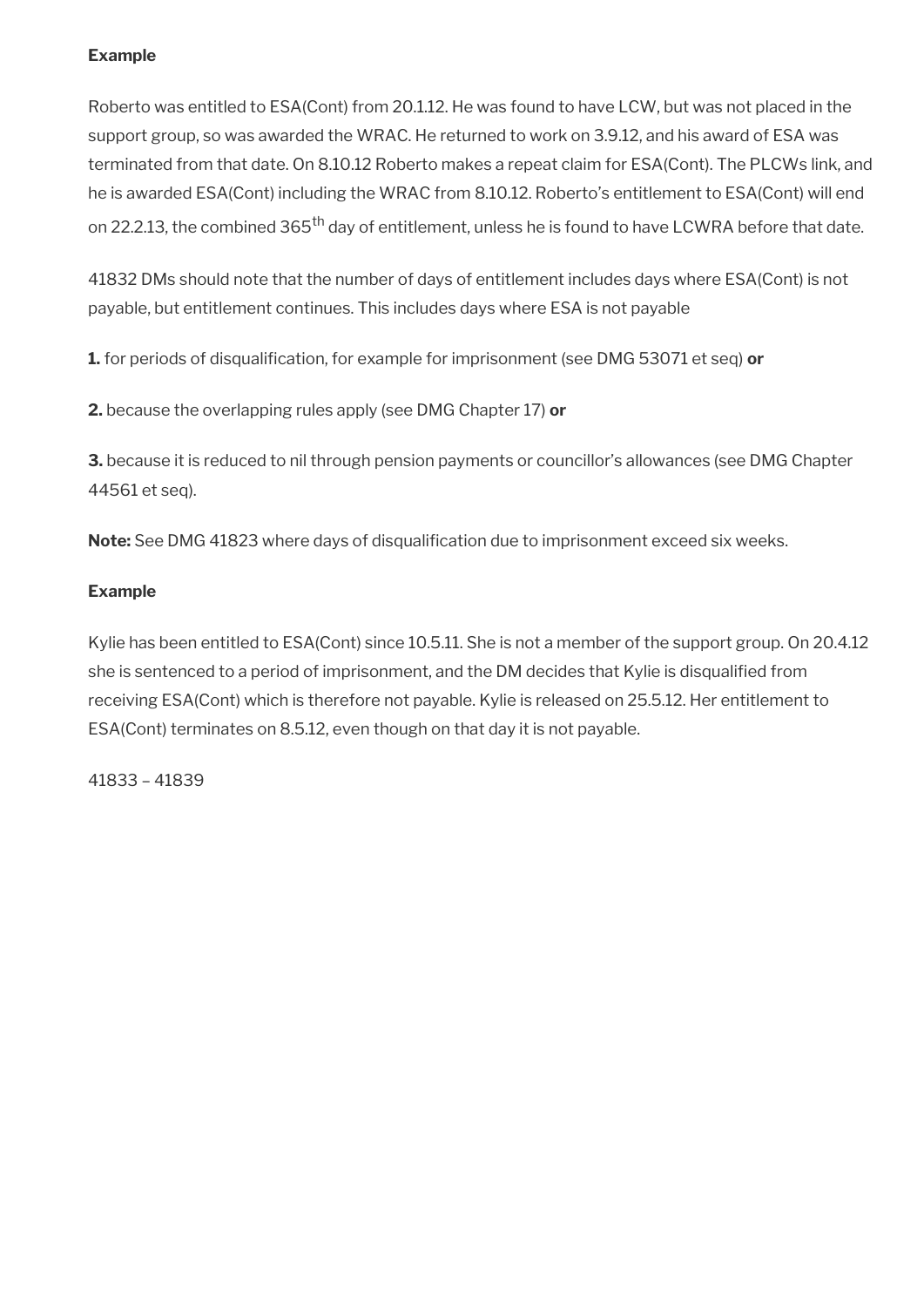### **Example**

Roberto was entitled to ESA(Cont) from 20.1.12. He was found to have LCW, but was not placed in the support group, so was awarded the WRAC. He returned to work on 3.9.12, and his award of ESA was terminated from that date. On 8.10.12 Roberto makes a repeat claim for ESA(Cont). The PLCWs link, and he is awarded ESA(Cont) including the WRAC from 8.10.12. Roberto's entitlement to ESA(Cont) will end on 22.2.13, the combined 365<sup>th</sup> day of entitlement, unless he is found to have LCWRA before that date.

41832 DMs should note that the number of days of entitlement includes days where ESA(Cont) is not payable, but entitlement continues. This includes days where ESA is not payable

**1.** for periods of disqualifcation, for example for imprisonment (see DMG 53071 et seq) **or**

**2.** because the overlapping rules apply (see DMG Chapter 17) **or**

**3.** because it is reduced to nil through pension payments or councillor's allowances (see DMG Chapter 44561 et seq).

Note: See DMG 41823 where days of disqualification due to imprisonment exceed six weeks.

### **Example**

Kylie has been entitled to ESA(Cont) since 10.5.11. She is not a member of the support group. On 20.4.12 she is sentenced to a period of imprisonment, and the DM decides that Kylie is disqualifed from receiving ESA(Cont) which is therefore not payable. Kylie is released on 25.5.12. Her entitlement to ESA(Cont) terminates on 8.5.12, even though on that day it is not payable.

41833 – 41839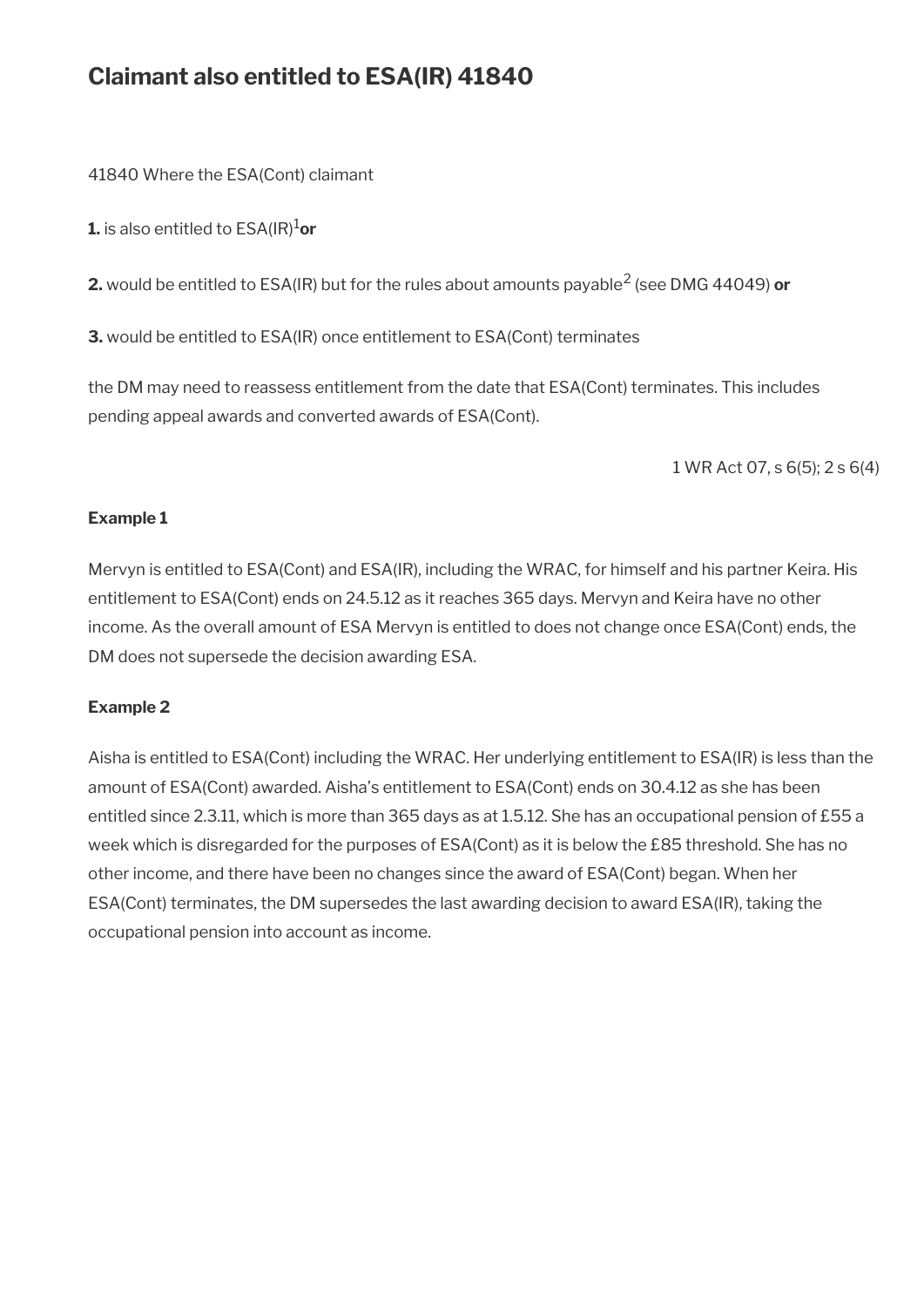## **Claimant also entitled to ESA(IR) 41840**

41840 Where the ESA(Cont) claimant

**1.** is also entitled to  $ESA(\mathsf{IR})^1$ or

**2.** would be entitled to ESA(IR) but for the rules about amounts payable<sup>2</sup> (see DMG 44049) **or**

**3.** would be entitled to ESA(IR) once entitlement to ESA(Cont) terminates

the DM may need to reassess entitlement from the date that ESA(Cont) terminates. This includes pending appeal awards and converted awards of ESA(Cont).

1 WR Act 07, s 6(5); 2 s 6(4)

### **Example 1**

Mervyn is entitled to ESA(Cont) and ESA(IR), including the WRAC, for himself and his partner Keira. His entitlement to ESA(Cont) ends on 24.5.12 as it reaches 365 days. Mervyn and Keira have no other income. As the overall amount of ESA Mervyn is entitled to does not change once ESA(Cont) ends, the DM does not supersede the decision awarding ESA.

### **Example 2**

Aisha is entitled to ESA(Cont) including the WRAC. Her underlying entitlement to ESA(IR) is less than the amount of ESA(Cont) awarded. Aisha's entitlement to ESA(Cont) ends on 30.4.12 as she has been entitled since 2.3.11, which is more than 365 days as at 1.5.12. She has an occupational pension of £55 a week which is disregarded for the purposes of ESA(Cont) as it is below the £85 threshold. She has no other income, and there have been no changes since the award of ESA(Cont) began. When her ESA(Cont) terminates, the DM supersedes the last awarding decision to award ESA(IR), taking the occupational pension into account as income.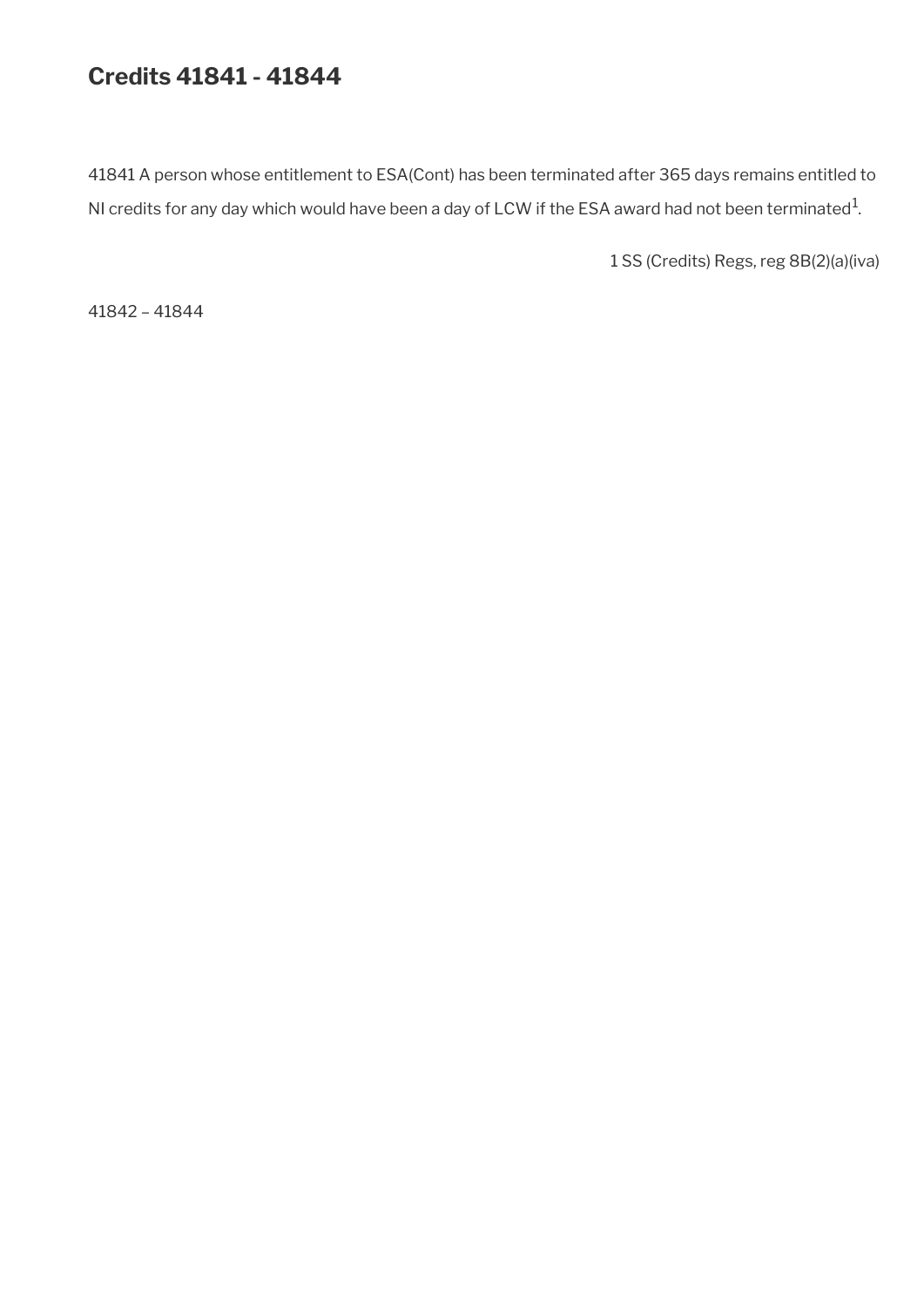## **Credits 41841 - 41844**

41841 A person whose entitlement to ESA(Cont) has been terminated after 365 days remains entitled to NI credits for any day which would have been a day of LCW if the ESA award had not been terminated $^1$ .

1 SS (Credits) Regs, reg 8B(2)(a)(iva)

41842 – 41844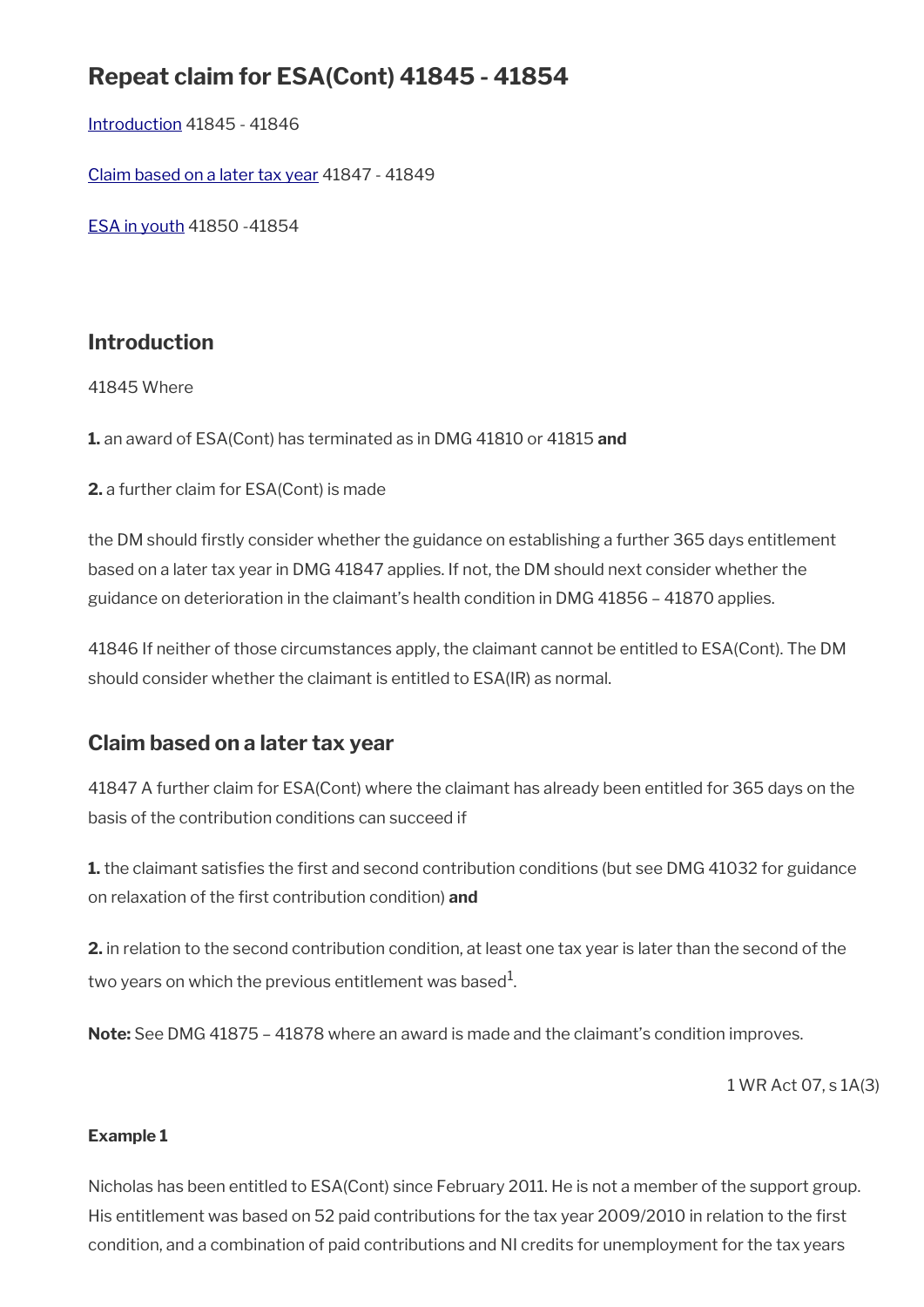## **Repeat claim for ESA(Cont) 41845 - 41854**

[Introduction](#page-7-0) 41845 - 41846

[Claim based on a later tax year](#page-131-0) 41847 - 41849

[ESA in youth](#page-132-0) 41850 -41854

## **Introduction**

41845 Where

**1.** an award of ESA(Cont) has terminated as in DMG 41810 or 41815 **and**

**2.** a further claim for ESA(Cont) is made

the DM should frstly consider whether the guidance on establishing a further 365 days entitlement based on a later tax year in DMG 41847 applies. If not, the DM should next consider whether the guidance on deterioration in the claimant's health condition in DMG 41856 – 41870 applies.

41846 If neither of those circumstances apply, the claimant cannot be entitled to ESA(Cont). The DM should consider whether the claimant is entitled to ESA(IR) as normal.

## <span id="page-131-0"></span>**Claim based on a later tax year**

41847 A further claim for ESA(Cont) where the claimant has already been entitled for 365 days on the basis of the contribution conditions can succeed if

**1.** the claimant satisfies the first and second contribution conditions (but see DMG 41032 for guidance on relaxation of the frst contribution condition) **and**

**2.** in relation to the second contribution condition, at least one tax year is later than the second of the two years on which the previous entitlement was based $^{\rm 1}$ .

**Note:** See DMG 41875 – 41878 where an award is made and the claimant's condition improves.

1 WR Act 07, s 1A(3)

### **Example 1**

Nicholas has been entitled to ESA(Cont) since February 2011. He is not a member of the support group. His entitlement was based on 52 paid contributions for the tax year 2009/2010 in relation to the frst condition, and a combination of paid contributions and NI credits for unemployment for the tax years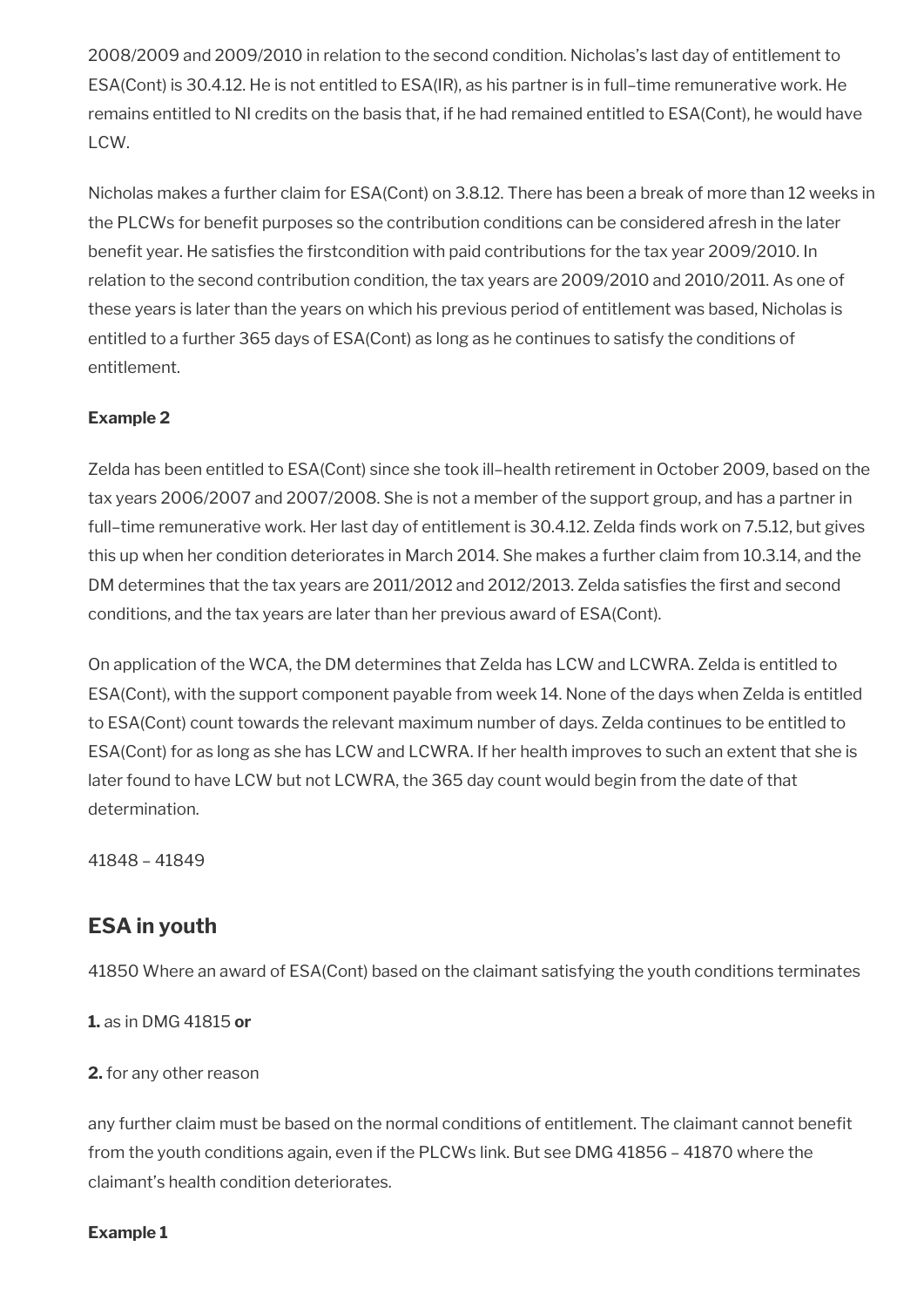2008/2009 and 2009/2010 in relation to the second condition. Nicholas's last day of entitlement to ESA(Cont) is 30.4.12. He is not entitled to ESA(IR), as his partner is in full–time remunerative work. He remains entitled to NI credits on the basis that, if he had remained entitled to ESA(Cont), he would have LCW.

Nicholas makes a further claim for ESA(Cont) on 3.8.12. There has been a break of more than 12 weeks in the PLCWs for benefit purposes so the contribution conditions can be considered afresh in the later benefit year. He satisfies the firstcondition with paid contributions for the tax year 2009/2010. In relation to the second contribution condition, the tax years are 2009/2010 and 2010/2011. As one of these years is later than the years on which his previous period of entitlement was based, Nicholas is entitled to a further 365 days of ESA(Cont) as long as he continues to satisfy the conditions of entitlement.

### **Example 2**

Zelda has been entitled to ESA(Cont) since she took ill–health retirement in October 2009, based on the tax years 2006/2007 and 2007/2008. She is not a member of the support group, and has a partner in full-time remunerative work. Her last day of entitlement is 30.4.12. Zelda finds work on 7.5.12, but gives this up when her condition deteriorates in March 2014. She makes a further claim from 10.3.14, and the DM determines that the tax years are 2011/2012 and 2012/2013. Zelda satisfies the first and second conditions, and the tax years are later than her previous award of ESA(Cont).

On application of the WCA, the DM determines that Zelda has LCW and LCWRA. Zelda is entitled to ESA(Cont), with the support component payable from week 14. None of the days when Zelda is entitled to ESA(Cont) count towards the relevant maximum number of days. Zelda continues to be entitled to ESA(Cont) for as long as she has LCW and LCWRA. If her health improves to such an extent that she is later found to have LCW but not LCWRA, the 365 day count would begin from the date of that determination.

41848 – 41849

## <span id="page-132-0"></span>**ESA in youth**

41850 Where an award of ESA(Cont) based on the claimant satisfying the youth conditions terminates

**1.** as in DMG 41815 **or**

**2.** for any other reason

any further claim must be based on the normal conditions of entitlement. The claimant cannot beneft from the youth conditions again, even if the PLCWs link. But see DMG 41856 – 41870 where the claimant's health condition deteriorates.

### **Example 1**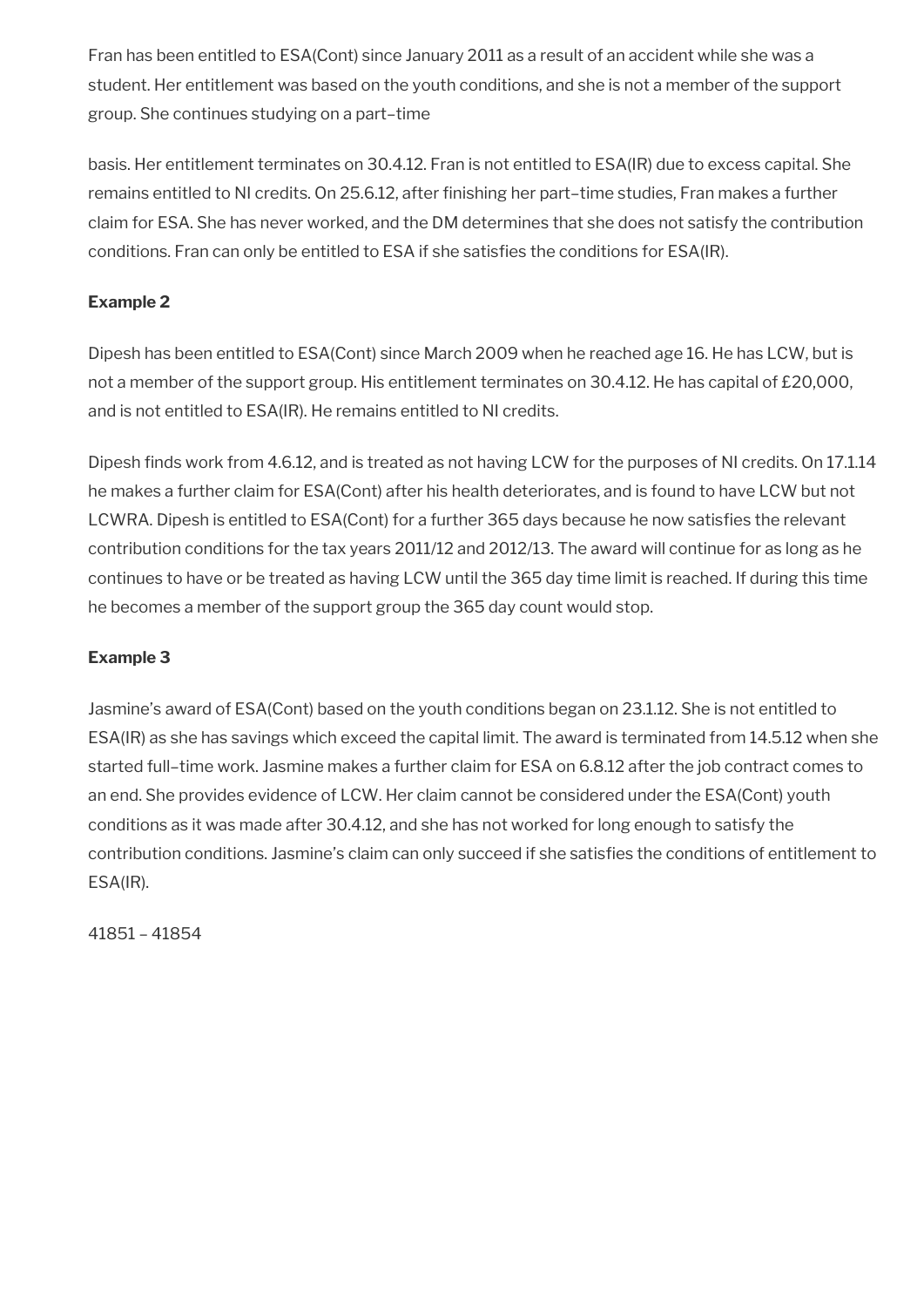Fran has been entitled to ESA(Cont) since January 2011 as a result of an accident while she was a student. Her entitlement was based on the youth conditions, and she is not a member of the support group. She continues studying on a part–time

basis. Her entitlement terminates on 30.4.12. Fran is not entitled to ESA(IR) due to excess capital. She remains entitled to NI credits. On 25.6.12, after fnishing her part–time studies, Fran makes a further claim for ESA. She has never worked, and the DM determines that she does not satisfy the contribution conditions. Fran can only be entitled to ESA if she satisfes the conditions for ESA(IR).

### **Example 2**

Dipesh has been entitled to ESA(Cont) since March 2009 when he reached age 16. He has LCW, but is not a member of the support group. His entitlement terminates on 30.4.12. He has capital of £20,000, and is not entitled to ESA(IR). He remains entitled to NI credits.

Dipesh finds work from 4.6.12, and is treated as not having LCW for the purposes of NI credits. On 17.1.14 he makes a further claim for ESA(Cont) after his health deteriorates, and is found to have LCW but not LCWRA. Dipesh is entitled to ESA(Cont) for a further 365 days because he now satisfies the relevant contribution conditions for the tax years 2011/12 and 2012/13. The award will continue for as long as he continues to have or be treated as having LCW until the 365 day time limit is reached. If during this time he becomes a member of the support group the 365 day count would stop.

### **Example 3**

Jasmine's award of ESA(Cont) based on the youth conditions began on 23.1.12. She is not entitled to ESA(IR) as she has savings which exceed the capital limit. The award is terminated from 14.5.12 when she started full–time work. Jasmine makes a further claim for ESA on 6.8.12 after the job contract comes to an end. She provides evidence of LCW. Her claim cannot be considered under the ESA(Cont) youth conditions as it was made after 30.4.12, and she has not worked for long enough to satisfy the contribution conditions. Jasmine's claim can only succeed if she satisfes the conditions of entitlement to ESA(IR).

41851 – 41854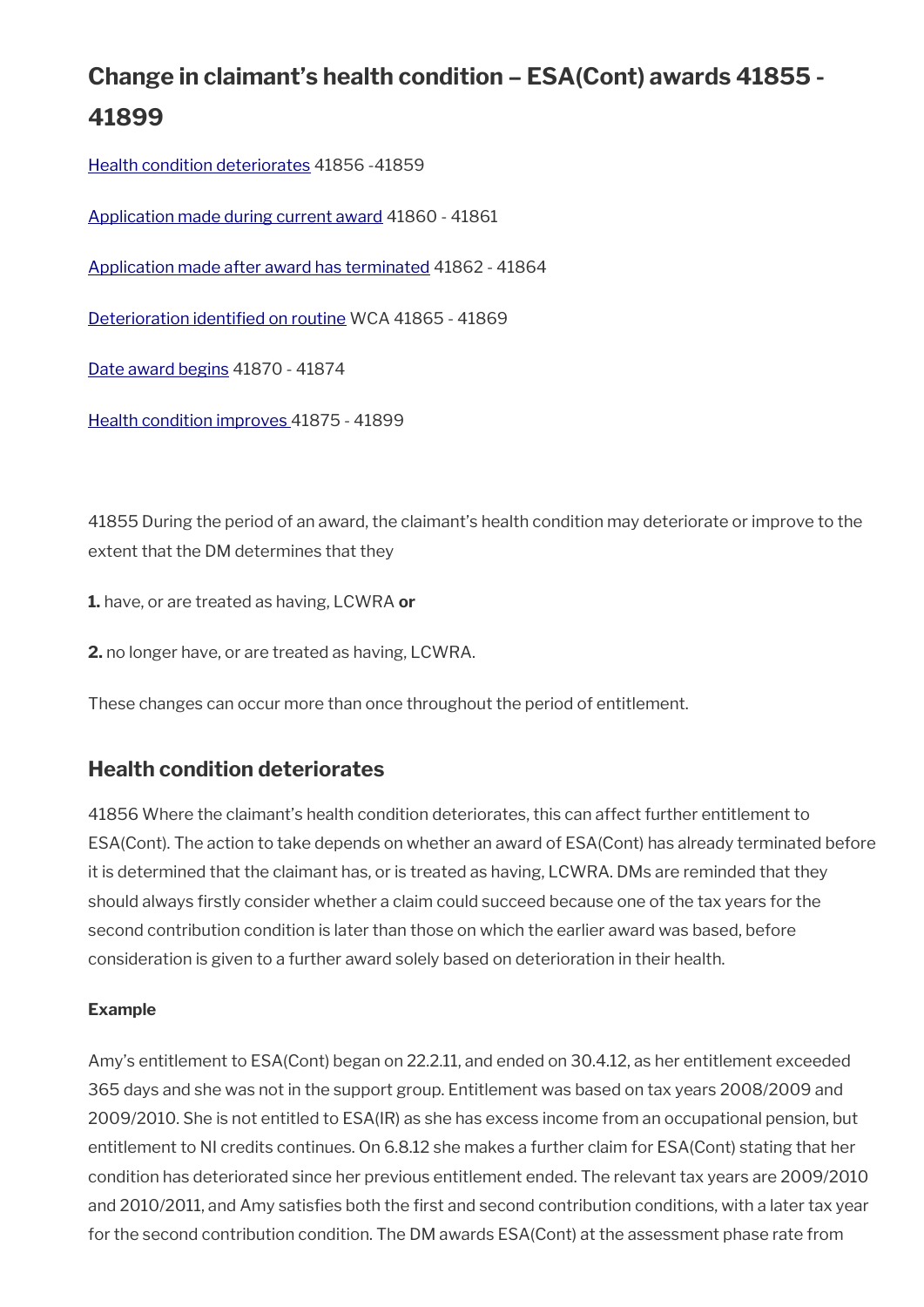# **Change in claimant's health condition – ESA(Cont) awards 41855 - 41899**

[Health condition deteriorates](#page-134-0) 41856 -41859

[Application made during current award](#page-135-1) 41860 - 41861

[Application made after award has terminated](#page-135-0) 41862 - 41864

[Deterioration identifed on routine](#page-136-0) WCA 41865 - 41869

[Date award begins](#page-137-1) 41870 - 41874

[Health condition improves 4](#page-137-0)1875 - 41899

41855 During the period of an award, the claimant's health condition may deteriorate or improve to the extent that the DM determines that they

**1.** have, or are treated as having, LCWRA **or**

**2.** no longer have, or are treated as having, LCWRA.

These changes can occur more than once throughout the period of entitlement.

### <span id="page-134-0"></span>**Health condition deteriorates**

41856 Where the claimant's health condition deteriorates, this can affect further entitlement to ESA(Cont). The action to take depends on whether an award of ESA(Cont) has already terminated before it is determined that the claimant has, or is treated as having, LCWRA. DMs are reminded that they should always frstly consider whether a claim could succeed because one of the tax years for the second contribution condition is later than those on which the earlier award was based, before consideration is given to a further award solely based on deterioration in their health.

### **Example**

Amy's entitlement to ESA(Cont) began on 22.2.11, and ended on 30.4.12, as her entitlement exceeded 365 days and she was not in the support group. Entitlement was based on tax years 2008/2009 and 2009/2010. She is not entitled to ESA(IR) as she has excess income from an occupational pension, but entitlement to NI credits continues. On 6.8.12 she makes a further claim for ESA(Cont) stating that her condition has deteriorated since her previous entitlement ended. The relevant tax years are 2009/2010 and 2010/2011, and Amy satisfes both the frst and second contribution conditions, with a later tax year for the second contribution condition. The DM awards ESA(Cont) at the assessment phase rate from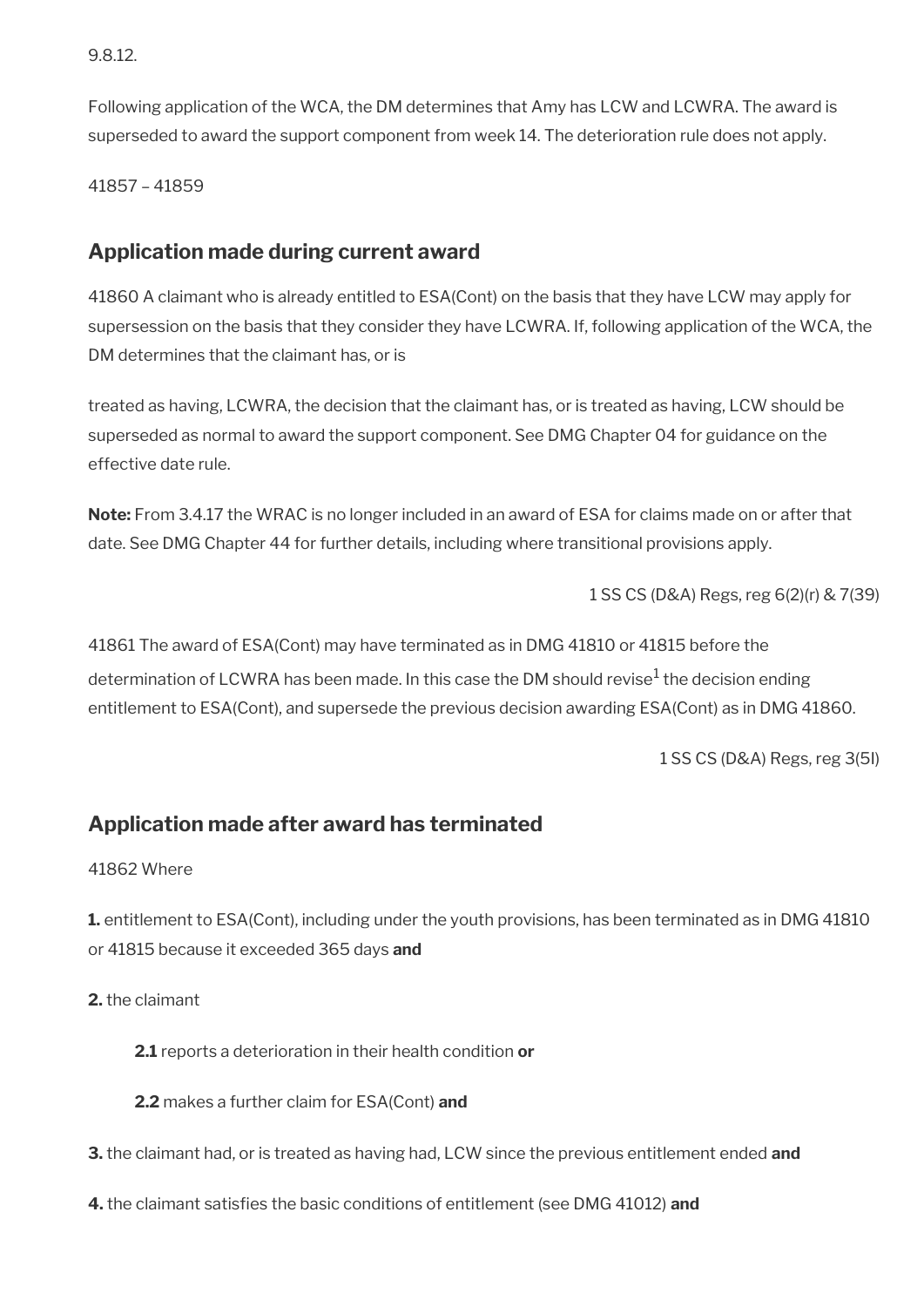9.8.12.

Following application of the WCA, the DM determines that Amy has LCW and LCWRA. The award is superseded to award the support component from week 14. The deterioration rule does not apply.

41857 – 41859

## <span id="page-135-1"></span>**Application made during current award**

41860 A claimant who is already entitled to ESA(Cont) on the basis that they have LCW may apply for supersession on the basis that they consider they have LCWRA. If, following application of the WCA, the DM determines that the claimant has, or is

treated as having, LCWRA, the decision that the claimant has, or is treated as having, LCW should be superseded as normal to award the support component. See DMG Chapter 04 for guidance on the effective date rule.

**Note:** From 3.4.17 the WRAC is no longer included in an award of ESA for claims made on or after that date. See DMG Chapter 44 for further details, including where transitional provisions apply.

1 SS CS (D&A) Regs, reg 6(2)(r) & 7(39)

41861 The award of ESA(Cont) may have terminated as in DMG 41810 or 41815 before the determination of LCWRA has been made. In this case the DM should revise $^{\rm 1}$  the decision ending entitlement to ESA(Cont), and supersede the previous decision awarding ESA(Cont) as in DMG 41860.

1 SS CS (D&A) Regs, reg 3(5I)

## <span id="page-135-0"></span>**Application made after award has terminated**

41862 Where

**1.** entitlement to ESA(Cont), including under the youth provisions, has been terminated as in DMG 41810 or 41815 because it exceeded 365 days **and**

**2.** the claimant

**2.1** reports a deterioration in their health condition **or**

**2.2** makes a further claim for ESA(Cont) **and**

- **3.** the claimant had, or is treated as having had, LCW since the previous entitlement ended **and**
- **4.** the claimant satisfes the basic conditions of entitlement (see DMG 41012) **and**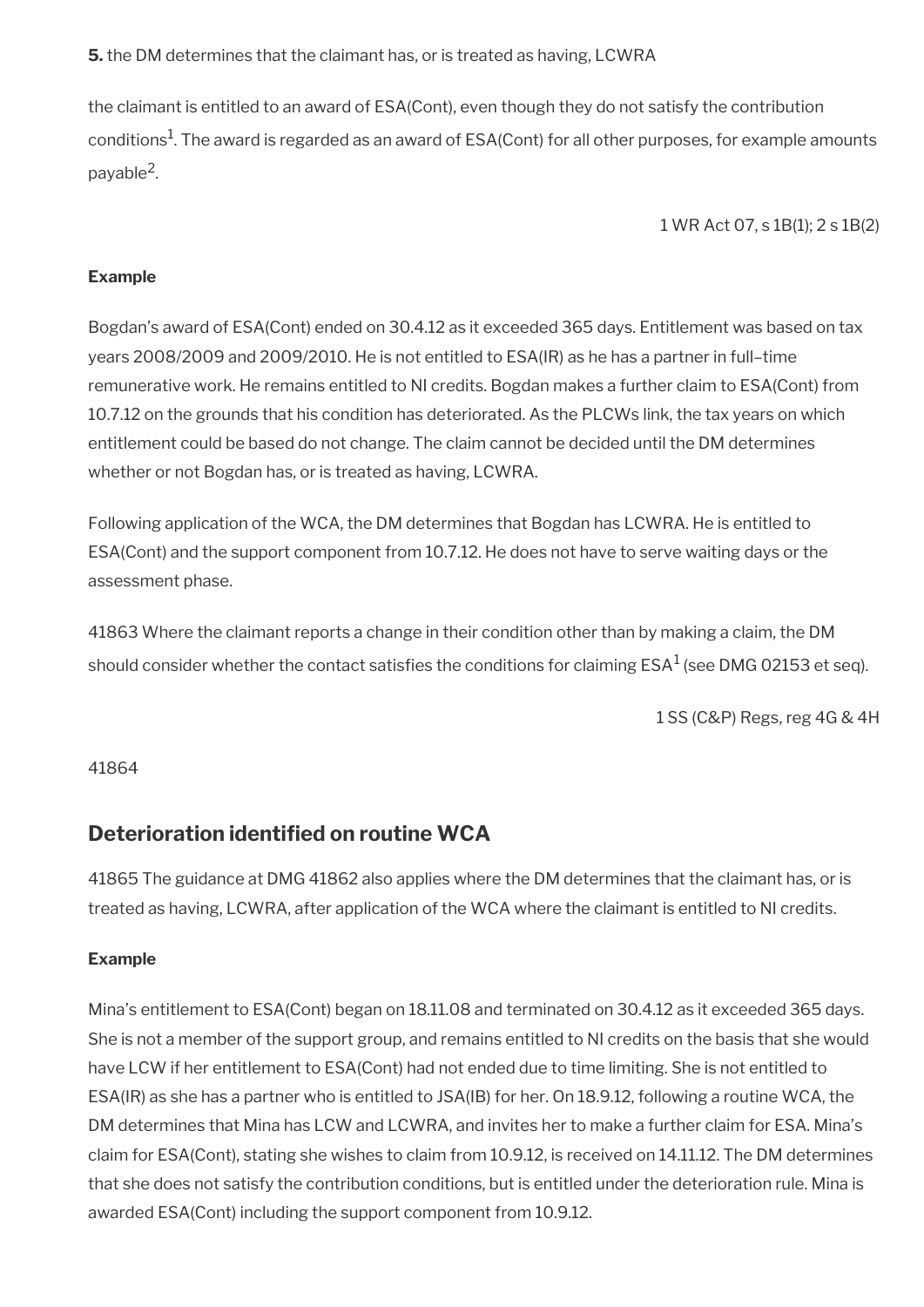**5.** the DM determines that the claimant has, or is treated as having, LCWRA

the claimant is entitled to an award of ESA(Cont), even though they do not satisfy the contribution conditions $^1$ . The award is regarded as an award of ESA(Cont) for all other purposes, for example amounts payable<sup>2</sup>.

1 WR Act 07, s 1B(1); 2 s 1B(2)

### **Example**

Bogdan's award of ESA(Cont) ended on 30.4.12 as it exceeded 365 days. Entitlement was based on tax years 2008/2009 and 2009/2010. He is not entitled to ESA(IR) as he has a partner in full–time remunerative work. He remains entitled to NI credits. Bogdan makes a further claim to ESA(Cont) from 10.7.12 on the grounds that his condition has deteriorated. As the PLCWs link, the tax years on which entitlement could be based do not change. The claim cannot be decided until the DM determines whether or not Bogdan has, or is treated as having, LCWRA.

Following application of the WCA, the DM determines that Bogdan has LCWRA. He is entitled to ESA(Cont) and the support component from 10.7.12. He does not have to serve waiting days or the assessment phase.

41863 Where the claimant reports a change in their condition other than by making a claim, the DM should consider whether the contact satisfies the conditions for claiming ESA $^{\rm 1}$  (see DMG 02153 et seq).

1 SS (C&P) Regs, reg 4G & 4H

#### 41864

### <span id="page-136-0"></span>**Deterioration identifed on routine WCA**

41865 The guidance at DMG 41862 also applies where the DM determines that the claimant has, or is treated as having, LCWRA, after application of the WCA where the claimant is entitled to NI credits.

#### **Example**

Mina's entitlement to ESA(Cont) began on 18.11.08 and terminated on 30.4.12 as it exceeded 365 days. She is not a member of the support group, and remains entitled to NI credits on the basis that she would have LCW if her entitlement to ESA(Cont) had not ended due to time limiting. She is not entitled to ESA(IR) as she has a partner who is entitled to JSA(IB) for her. On 18.9.12, following a routine WCA, the DM determines that Mina has LCW and LCWRA, and invites her to make a further claim for ESA. Mina's claim for ESA(Cont), stating she wishes to claim from 10.9.12, is received on 14.11.12. The DM determines that she does not satisfy the contribution conditions, but is entitled under the deterioration rule. Mina is awarded ESA(Cont) including the support component from 10.9.12.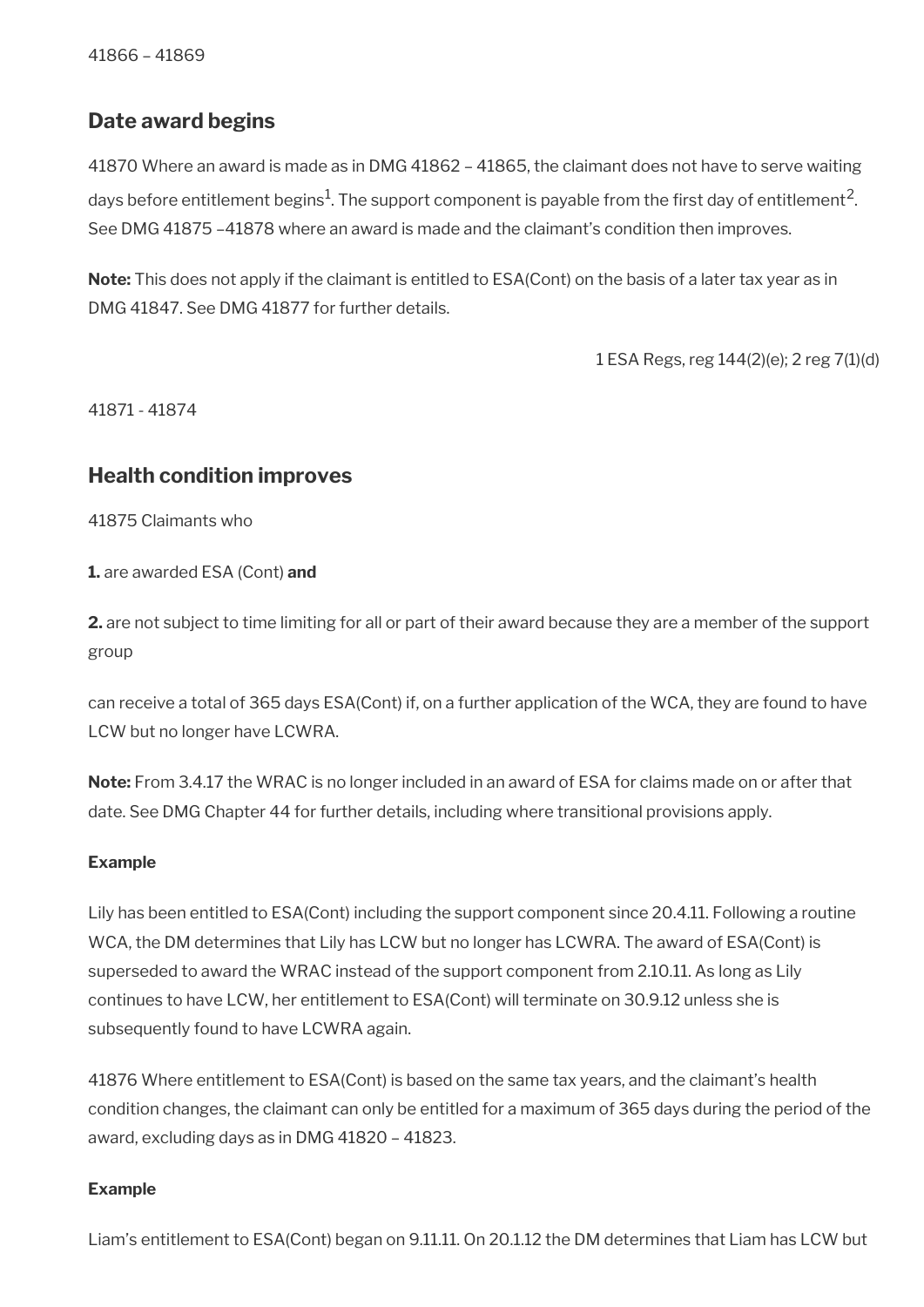## <span id="page-137-1"></span>**Date award begins**

41870 Where an award is made as in DMG 41862 – 41865, the claimant does not have to serve waiting days before entitlement begins $^1$ . The support component is payable from the first day of entitlement<sup>2</sup>. See DMG 41875 –41878 where an award is made and the claimant's condition then improves.

**Note:** This does not apply if the claimant is entitled to ESA(Cont) on the basis of a later tax year as in DMG 41847. See DMG 41877 for further details.

1 ESA Regs, reg 144(2)(e); 2 reg 7(1)(d)

41871 - 41874

### <span id="page-137-0"></span>**Health condition improves**

41875 Claimants who

**1.** are awarded ESA (Cont) **and**

**2.** are not subject to time limiting for all or part of their award because they are a member of the support group

can receive a total of 365 days ESA(Cont) if, on a further application of the WCA, they are found to have LCW but no longer have LCWRA.

**Note:** From 3.4.17 the WRAC is no longer included in an award of ESA for claims made on or after that date. See DMG Chapter 44 for further details, including where transitional provisions apply.

#### **Example**

Lily has been entitled to ESA(Cont) including the support component since 20.4.11. Following a routine WCA, the DM determines that Lily has LCW but no longer has LCWRA. The award of ESA(Cont) is superseded to award the WRAC instead of the support component from 2.10.11. As long as Lily continues to have LCW, her entitlement to ESA(Cont) will terminate on 30.9.12 unless she is subsequently found to have LCWRA again.

41876 Where entitlement to ESA(Cont) is based on the same tax years, and the claimant's health condition changes, the claimant can only be entitled for a maximum of 365 days during the period of the award, excluding days as in DMG 41820 – 41823.

#### **Example**

Liam's entitlement to ESA(Cont) began on 9.11.11. On 20.1.12 the DM determines that Liam has LCW but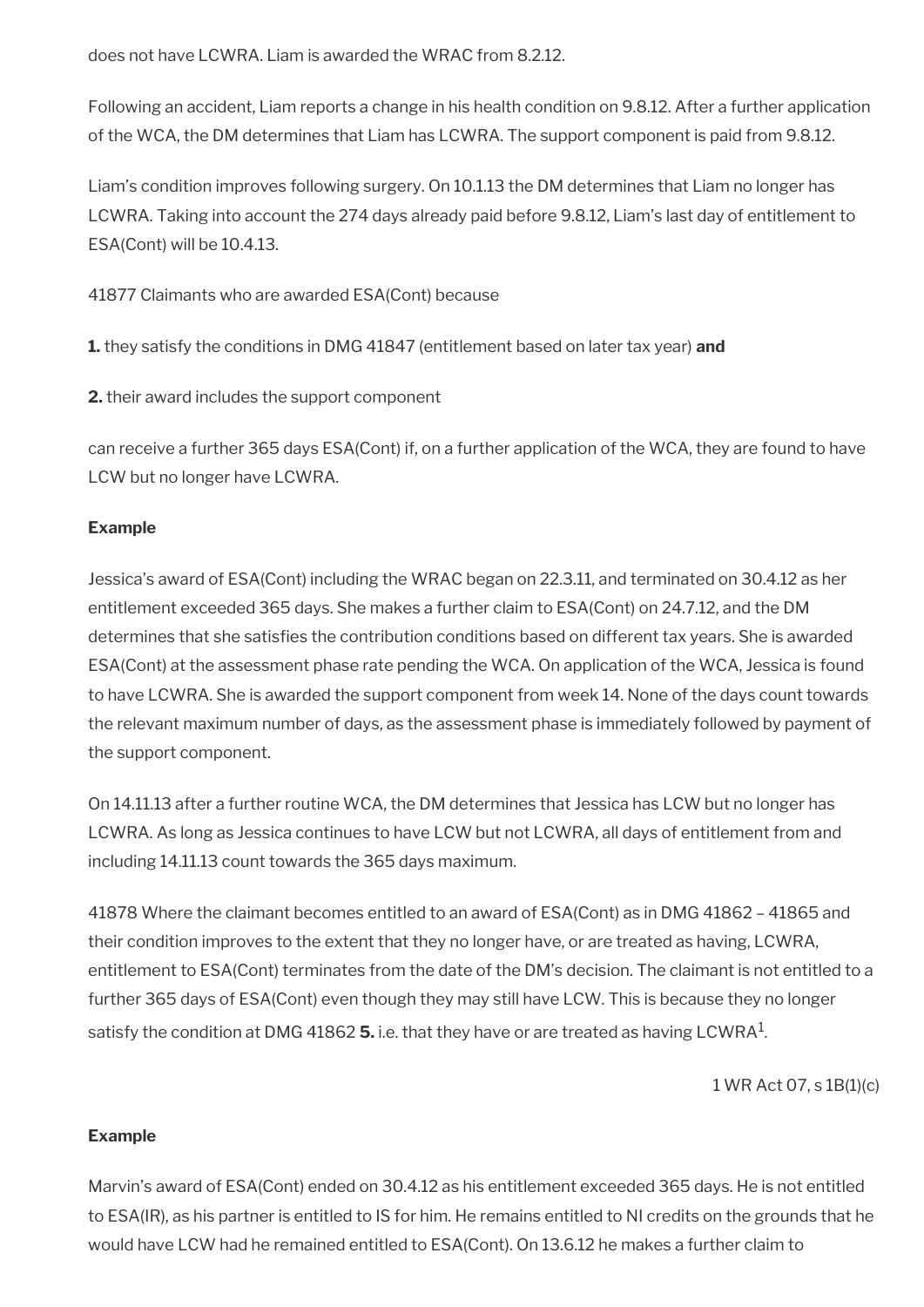does not have LCWRA. Liam is awarded the WRAC from 8.2.12.

Following an accident, Liam reports a change in his health condition on 9.8.12. After a further application of the WCA, the DM determines that Liam has LCWRA. The support component is paid from 9.8.12.

Liam's condition improves following surgery. On 10.1.13 the DM determines that Liam no longer has LCWRA. Taking into account the 274 days already paid before 9.8.12, Liam's last day of entitlement to ESA(Cont) will be 10.4.13.

41877 Claimants who are awarded ESA(Cont) because

**1.** they satisfy the conditions in DMG 41847 (entitlement based on later tax year) **and**

**2.** their award includes the support component

can receive a further 365 days ESA(Cont) if, on a further application of the WCA, they are found to have LCW but no longer have LCWRA.

### **Example**

Jessica's award of ESA(Cont) including the WRAC began on 22.3.11, and terminated on 30.4.12 as her entitlement exceeded 365 days. She makes a further claim to ESA(Cont) on 24.7.12, and the DM determines that she satisfies the contribution conditions based on different tax years. She is awarded ESA(Cont) at the assessment phase rate pending the WCA. On application of the WCA, Jessica is found to have LCWRA. She is awarded the support component from week 14. None of the days count towards the relevant maximum number of days, as the assessment phase is immediately followed by payment of the support component.

On 14.11.13 after a further routine WCA, the DM determines that Jessica has LCW but no longer has LCWRA. As long as Jessica continues to have LCW but not LCWRA, all days of entitlement from and including 14.11.13 count towards the 365 days maximum.

41878 Where the claimant becomes entitled to an award of ESA(Cont) as in DMG 41862 – 41865 and their condition improves to the extent that they no longer have, or are treated as having, LCWRA, entitlement to ESA(Cont) terminates from the date of the DM's decision. The claimant is not entitled to a further 365 days of ESA(Cont) even though they may still have LCW. This is because they no longer satisfy the condition at DMG 41862  ${\bf 5}.$  i.e. that they have or are treated as having LCWRA $^1$ .

1 WR Act 07, s 1B(1)(c)

### **Example**

Marvin's award of ESA(Cont) ended on 30.4.12 as his entitlement exceeded 365 days. He is not entitled to ESA(IR), as his partner is entitled to IS for him. He remains entitled to NI credits on the grounds that he would have LCW had he remained entitled to ESA(Cont). On 13.6.12 he makes a further claim to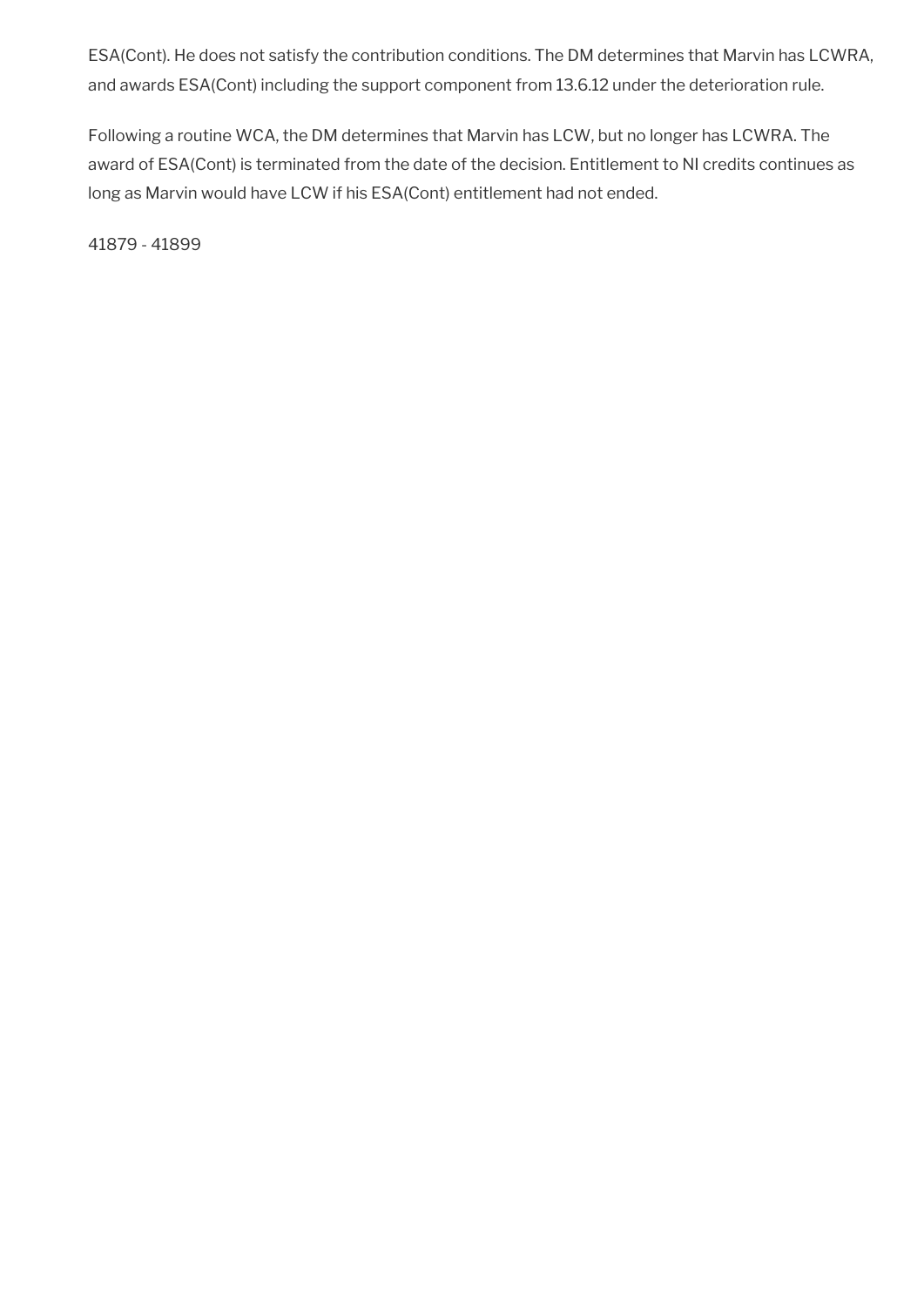ESA(Cont). He does not satisfy the contribution conditions. The DM determines that Marvin has LCWRA, and awards ESA(Cont) including the support component from 13.6.12 under the deterioration rule.

Following a routine WCA, the DM determines that Marvin has LCW, but no longer has LCWRA. The award of ESA(Cont) is terminated from the date of the decision. Entitlement to NI credits continues as long as Marvin would have LCW if his ESA(Cont) entitlement had not ended.

41879 - 41899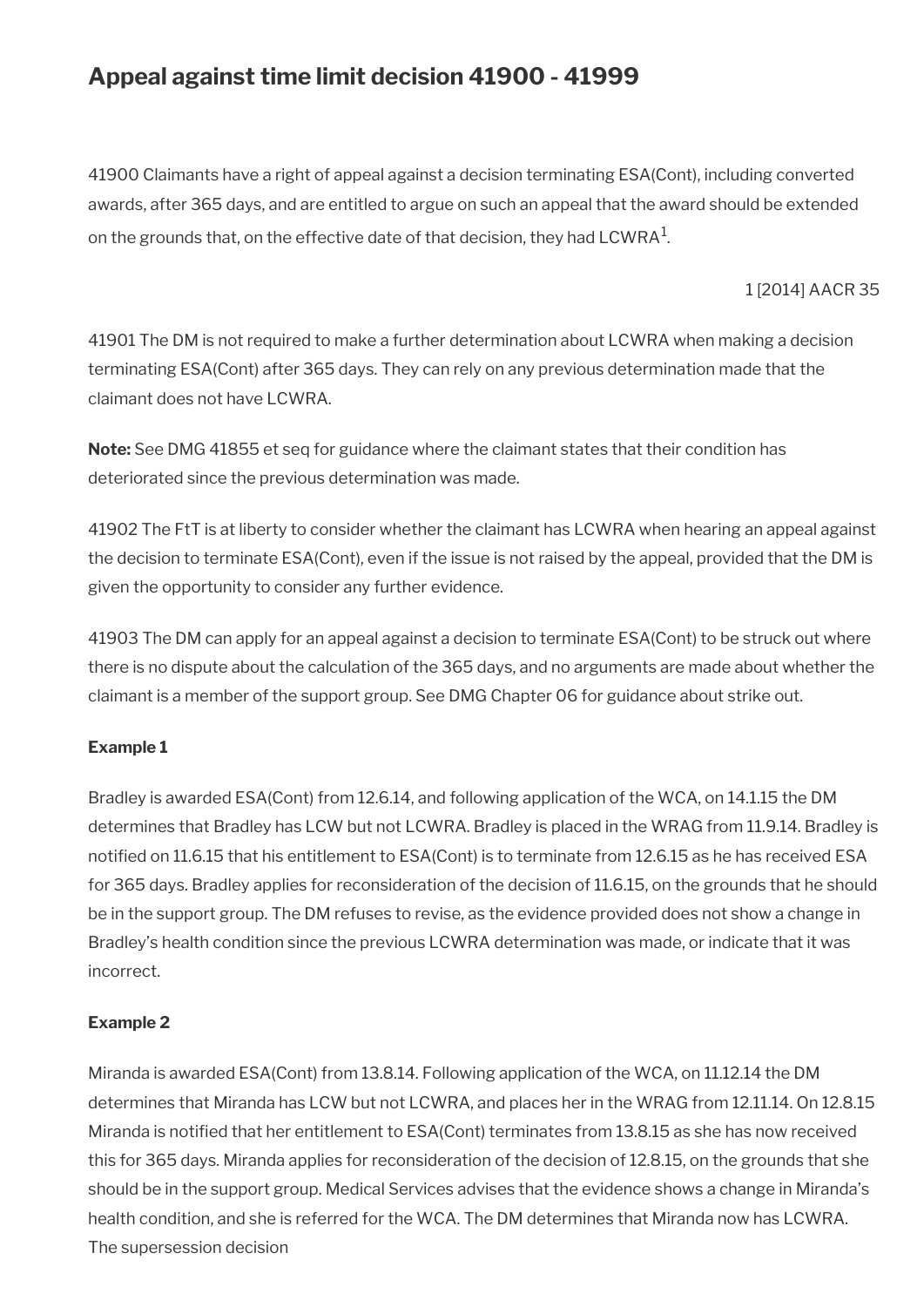## **Appeal against time limit decision 41900 - 41999**

41900 Claimants have a right of appeal against a decision terminating ESA(Cont), including converted awards, after 365 days, and are entitled to argue on such an appeal that the award should be extended on the grounds that, on the effective date of that decision, they had  ${\sf LCWRA}^1$ .

1 [2014] AACR 35

41901 The DM is not required to make a further determination about LCWRA when making a decision terminating ESA(Cont) after 365 days. They can rely on any previous determination made that the claimant does not have LCWRA.

**Note:** See DMG 41855 et seq for guidance where the claimant states that their condition has deteriorated since the previous determination was made.

41902 The FtT is at liberty to consider whether the claimant has LCWRA when hearing an appeal against the decision to terminate ESA(Cont), even if the issue is not raised by the appeal, provided that the DM is given the opportunity to consider any further evidence.

41903 The DM can apply for an appeal against a decision to terminate ESA(Cont) to be struck out where there is no dispute about the calculation of the 365 days, and no arguments are made about whether the claimant is a member of the support group. See DMG Chapter 06 for guidance about strike out.

### **Example 1**

Bradley is awarded ESA(Cont) from 12.6.14, and following application of the WCA, on 14.1.15 the DM determines that Bradley has LCW but not LCWRA. Bradley is placed in the WRAG from 11.9.14. Bradley is notifed on 11.6.15 that his entitlement to ESA(Cont) is to terminate from 12.6.15 as he has received ESA for 365 days. Bradley applies for reconsideration of the decision of 11.6.15, on the grounds that he should be in the support group. The DM refuses to revise, as the evidence provided does not show a change in Bradley's health condition since the previous LCWRA determination was made, or indicate that it was incorrect.

### **Example 2**

Miranda is awarded ESA(Cont) from 13.8.14. Following application of the WCA, on 11.12.14 the DM determines that Miranda has LCW but not LCWRA, and places her in the WRAG from 12.11.14. On 12.8.15 Miranda is notifed that her entitlement to ESA(Cont) terminates from 13.8.15 as she has now received this for 365 days. Miranda applies for reconsideration of the decision of 12.8.15, on the grounds that she should be in the support group. Medical Services advises that the evidence shows a change in Miranda's health condition, and she is referred for the WCA. The DM determines that Miranda now has LCWRA. The supersession decision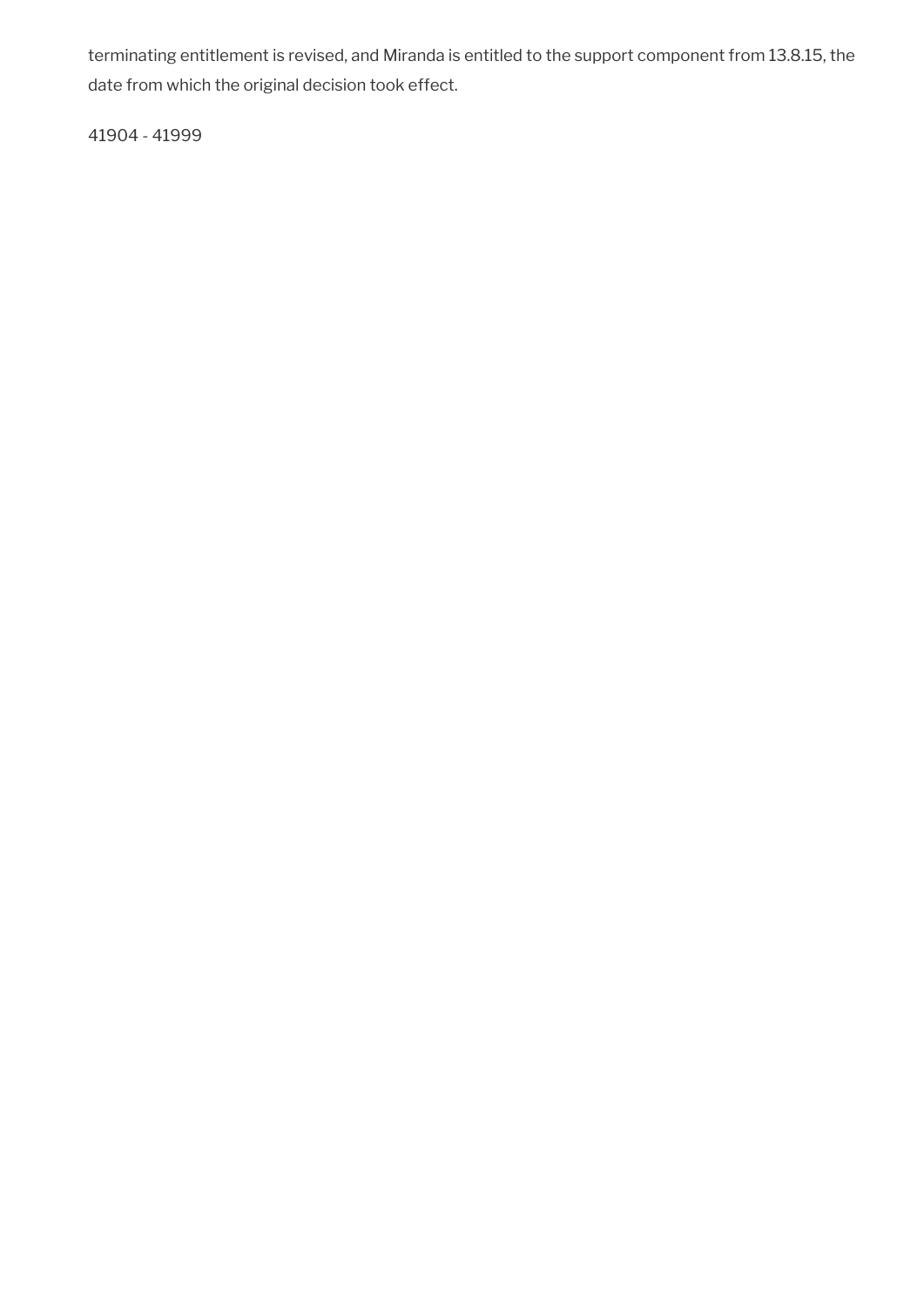terminating entitlement is revised, and Miranda is entitled to the support component from 13.8.15, the date from which the original decision took effect.

41904 - 41999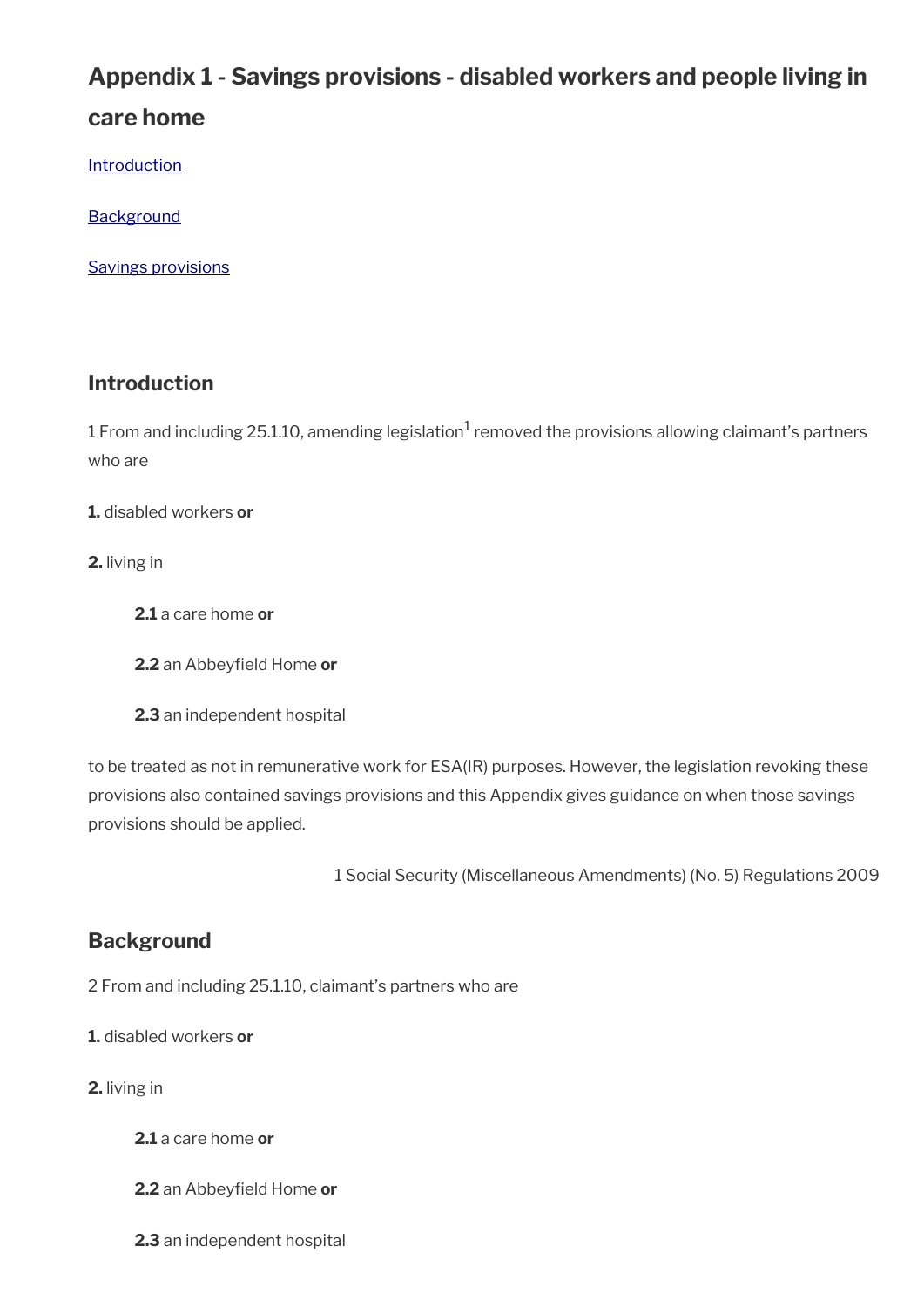# **Appendix 1 - Savings provisions - disabled workers and people living in care home**

**[Introduction](#page-7-0)** 

**[Background](#page-142-0)** 

[Savings provisions](#page-143-0)

## **Introduction**

 $1$  From and including 25.1.10, amending legislation $^1$  removed the provisions allowing claimant's partners who are

**1.** disabled workers **or**

**2.** living in

- **2.1** a care home **or**
- **2.2** an Abbeyfield Home or
- **2.3** an independent hospital

to be treated as not in remunerative work for ESA(IR) purposes. However, the legislation revoking these provisions also contained savings provisions and this Appendix gives guidance on when those savings provisions should be applied.

1 Social Security (Miscellaneous Amendments) (No. 5) Regulations 2009

## <span id="page-142-0"></span>**Background**

2 From and including 25.1.10, claimant's partners who are

**1.** disabled workers **or**

**2.** living in

- **2.1** a care home **or**
- **2.2** an Abbeyfield Home or
- **2.3** an independent hospital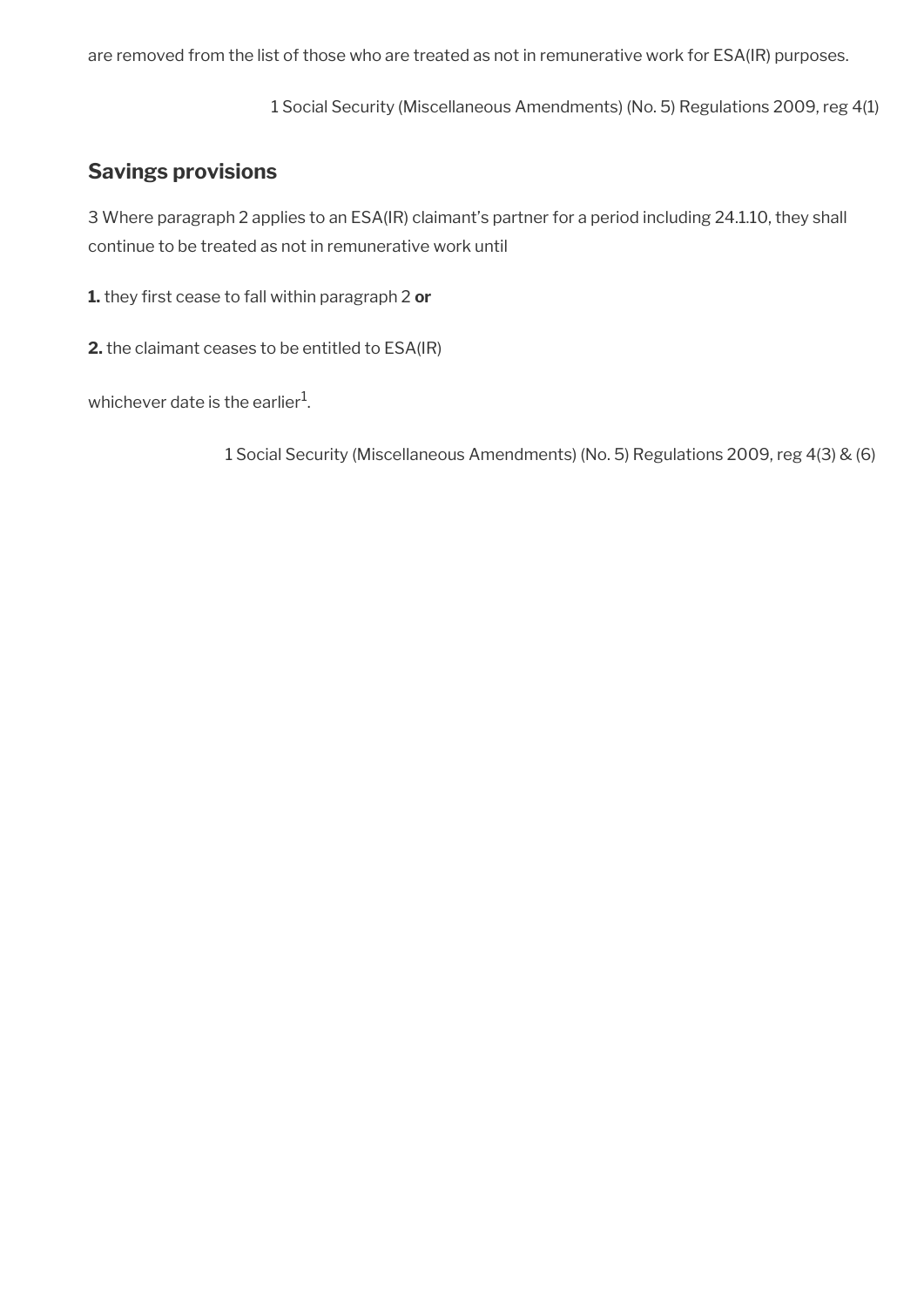are removed from the list of those who are treated as not in remunerative work for ESA(IR) purposes.

1 Social Security (Miscellaneous Amendments) (No. 5) Regulations 2009, reg 4(1)

## <span id="page-143-0"></span>**Savings provisions**

3 Where paragraph 2 applies to an ESA(IR) claimant's partner for a period including 24.1.10, they shall continue to be treated as not in remunerative work until

**1.** they frst cease to fall within paragraph 2 **or**

**2.** the claimant ceases to be entitled to ESA(IR)

whichever date is the earlier $^{\rm 1}$ .

1 Social Security (Miscellaneous Amendments) (No. 5) Regulations 2009, reg 4(3) & (6)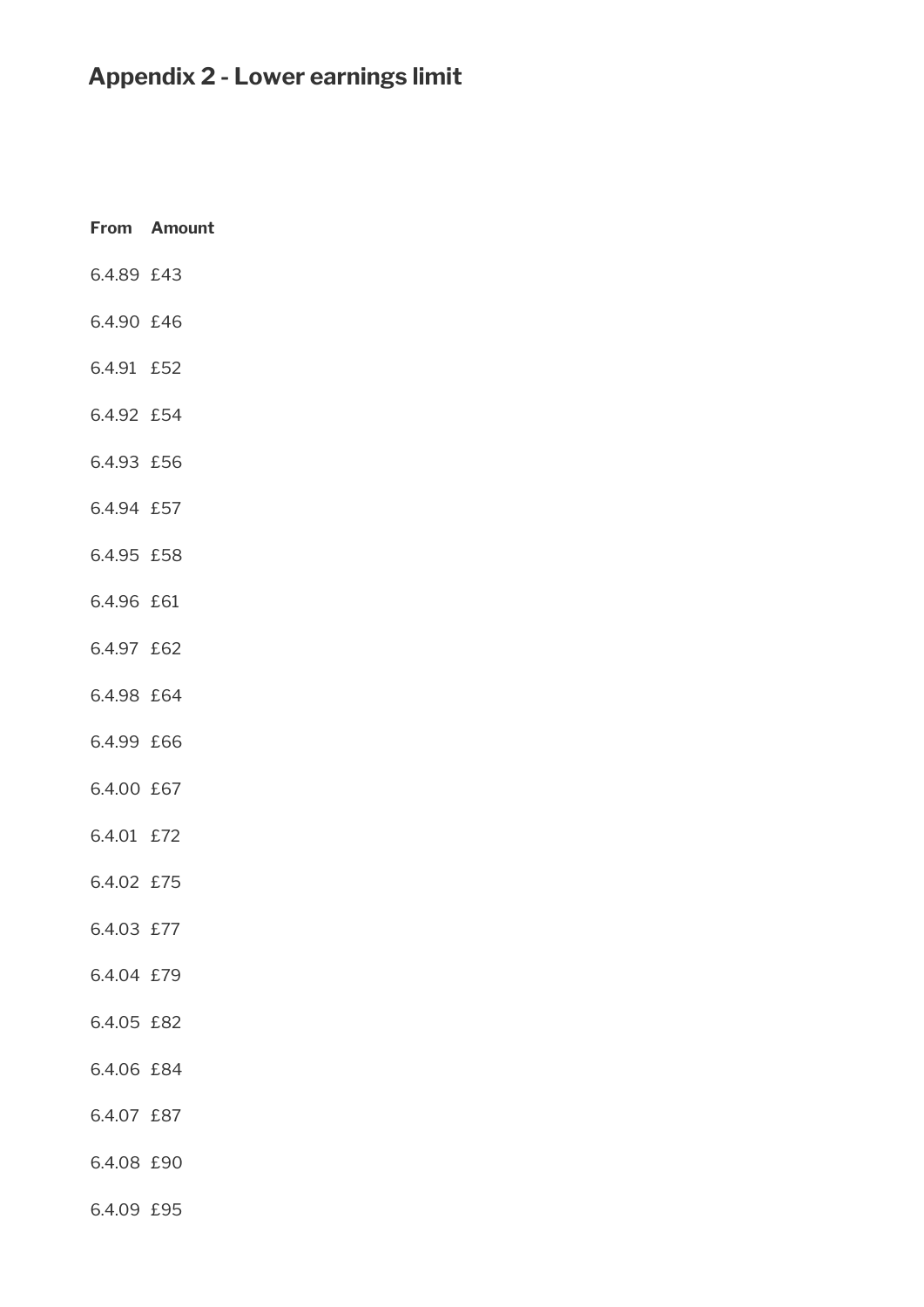# **Appendix 2 - Lower earnings limit**

|            | From Amount |
|------------|-------------|
| 6.4.89 £43 |             |
| 6.4.90 £46 |             |
| 6.4.91 £52 |             |
| 6.4.92 £54 |             |
| 6.4.93 £56 |             |
| 6.4.94 £57 |             |
| 6.4.95 £58 |             |
| 6.4.96 £61 |             |
| 6.4.97 £62 |             |
| 6.4.98 £64 |             |
| 6.4.99 £66 |             |
| 6.4.00 £67 |             |
| 6.4.01 £72 |             |
| 6.4.02 £75 |             |
| 6.4.03 £77 |             |
| 6.4.04 £79 |             |
| 6.4.05 £82 |             |
| 6.4.06 £84 |             |
| 6.4.07 £87 |             |
| 6.4.08 £90 |             |
| 6.4.09 £95 |             |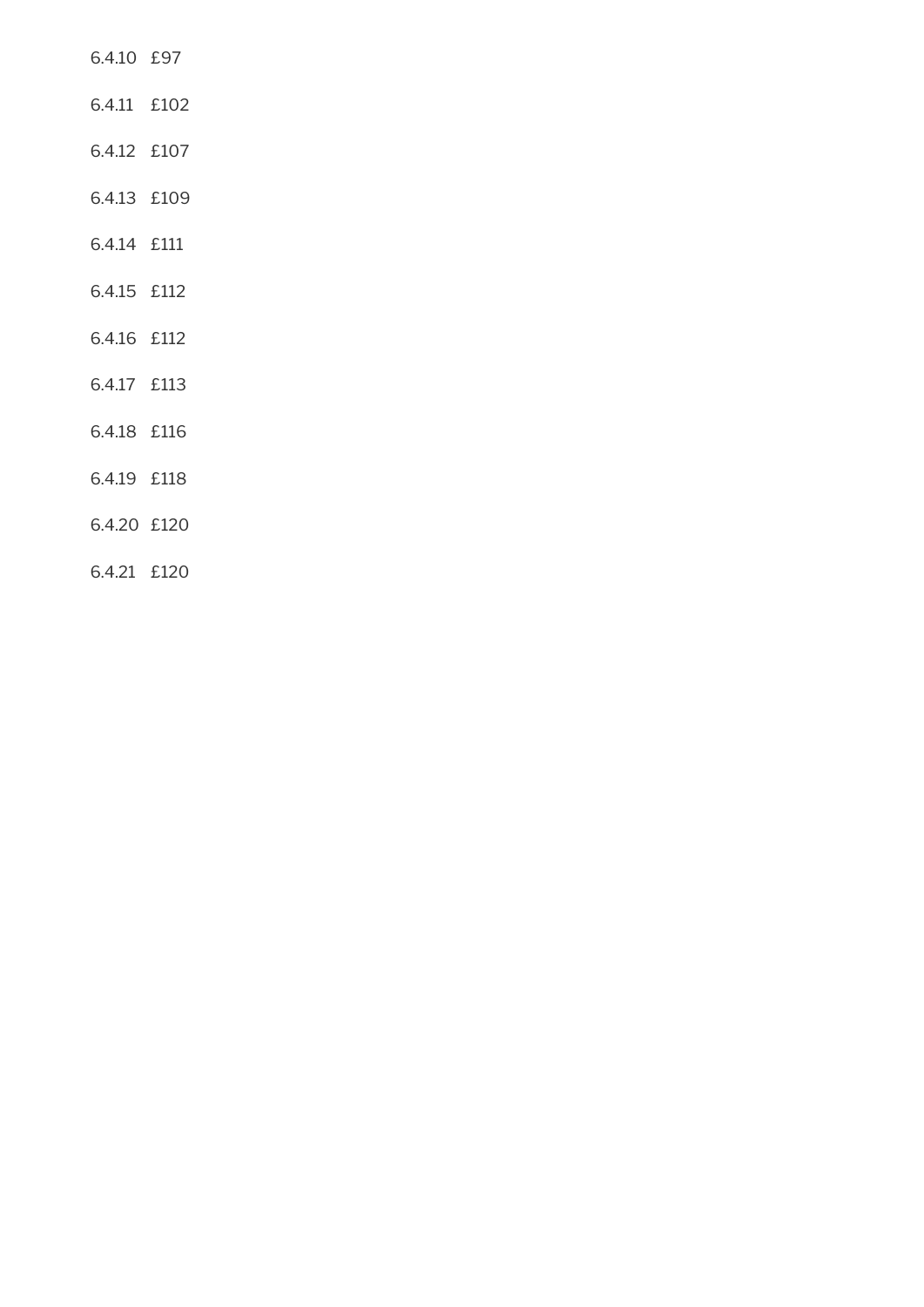- 6.4.10 £97
- 6.4.11 £102
- 6.4.12 £107
- 6.4.13 £109
- 6.4.14 £111
- 6.4.15 £112
- 6.4.16 £112
- 6.4.17 £113
- 6.4.18 £116
- 6.4.19 £118
- 6.4.20 £120
- 6.4.21 £120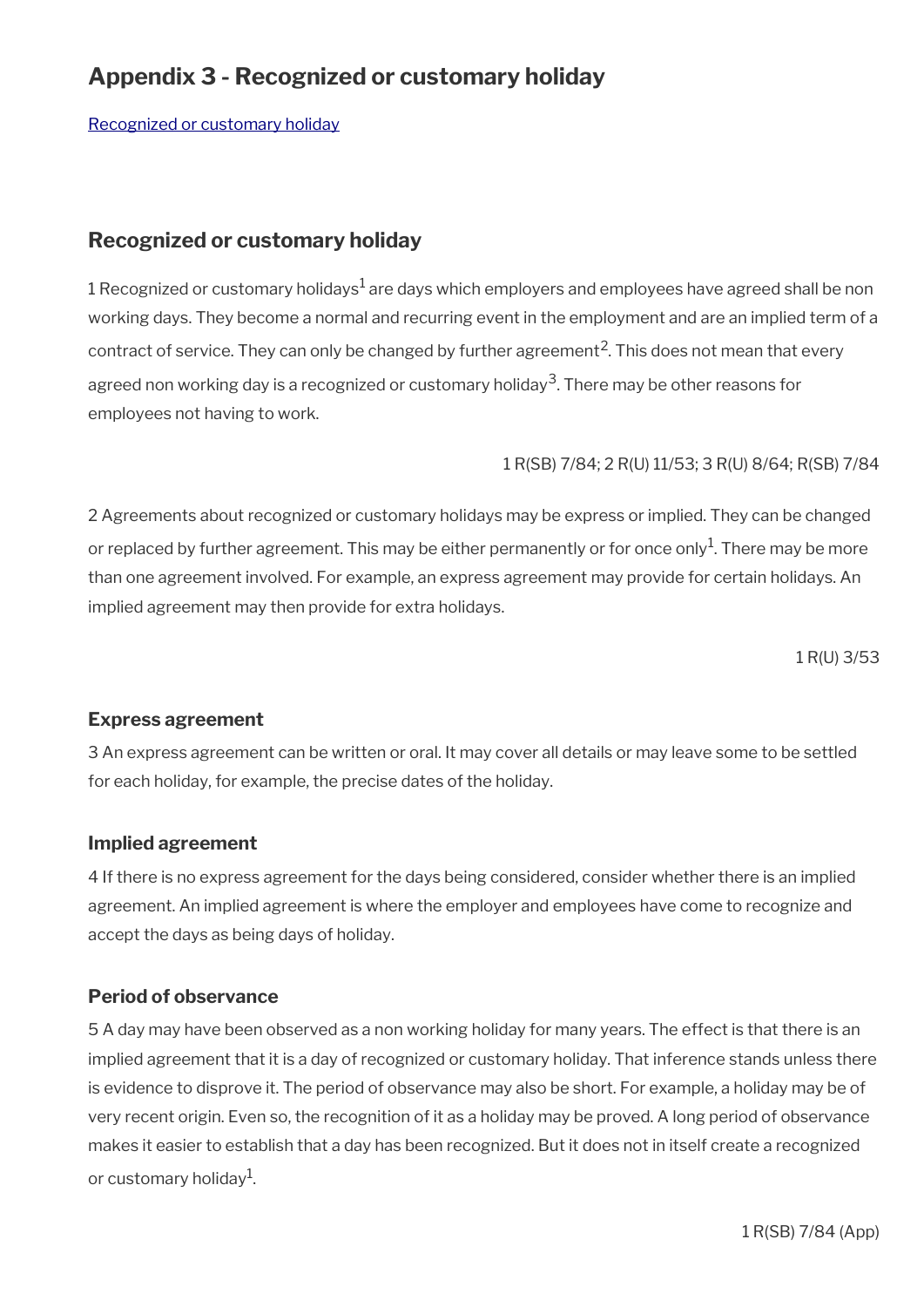# **Appendix 3 - Recognized or customary holiday**

[Recognized or customary holiday](#page-146-0)

## <span id="page-146-0"></span>**Recognized or customary holiday**

1 Recognized or customary holidays $^1$  are days which employers and employees have agreed shall be non working days. They become a normal and recurring event in the employment and are an implied term of a contract of service. They can only be changed by further agreement<sup>2</sup>. This does not mean that every agreed non working day is a recognized or customary holiday $^3$ . There may be other reasons for employees not having to work.

1 R(SB) 7/84; 2 R(U) 11/53; 3 R(U) 8/64; R(SB) 7/84

2 Agreements about recognized or customary holidays may be express or implied. They can be changed or replaced by further agreement. This may be either permanently or for once only $^1$ . There may be more than one agreement involved. For example, an express agreement may provide for certain holidays. An implied agreement may then provide for extra holidays.

1 R(U) 3/53

## **Express agreement**

3 An express agreement can be written or oral. It may cover all details or may leave some to be settled for each holiday, for example, the precise dates of the holiday.

## **Implied agreement**

4 If there is no express agreement for the days being considered, consider whether there is an implied agreement. An implied agreement is where the employer and employees have come to recognize and accept the days as being days of holiday.

## **Period of observance**

5 A day may have been observed as a non working holiday for many years. The effect is that there is an implied agreement that it is a day of recognized or customary holiday. That inference stands unless there is evidence to disprove it. The period of observance may also be short. For example, a holiday may be of very recent origin. Even so, the recognition of it as a holiday may be proved. A long period of observance makes it easier to establish that a day has been recognized. But it does not in itself create a recognized or customary holiday $^1$ .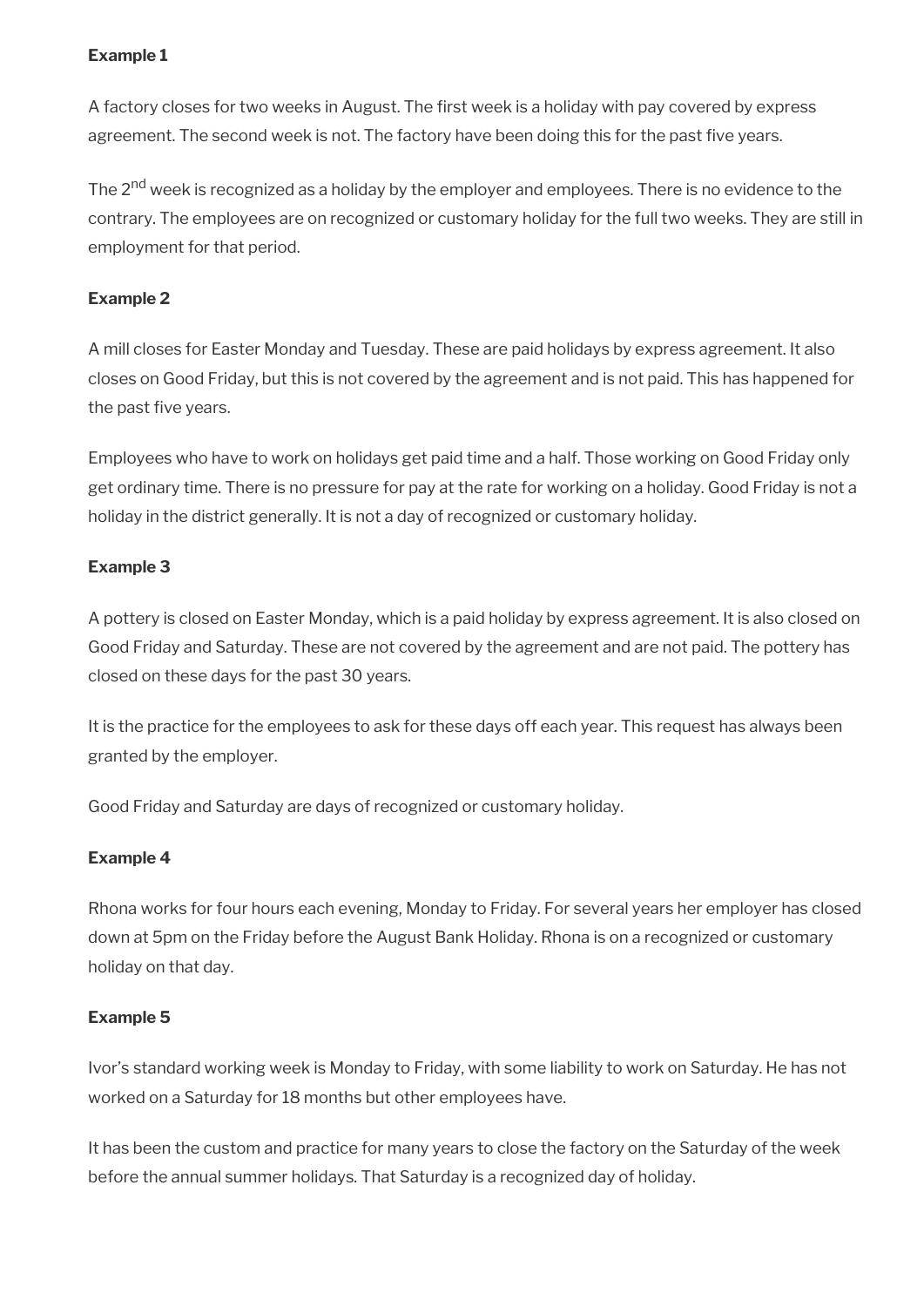#### **Example 1**

A factory closes for two weeks in August. The frst week is a holiday with pay covered by express agreement. The second week is not. The factory have been doing this for the past five years.

The 2<sup>nd</sup> week is recognized as a holiday by the employer and employees. There is no evidence to the contrary. The employees are on recognized or customary holiday for the full two weeks. They are still in employment for that period.

### **Example 2**

A mill closes for Easter Monday and Tuesday. These are paid holidays by express agreement. It also closes on Good Friday, but this is not covered by the agreement and is not paid. This has happened for the past five years.

Employees who have to work on holidays get paid time and a half. Those working on Good Friday only get ordinary time. There is no pressure for pay at the rate for working on a holiday. Good Friday is not a holiday in the district generally. It is not a day of recognized or customary holiday.

#### **Example 3**

A pottery is closed on Easter Monday, which is a paid holiday by express agreement. It is also closed on Good Friday and Saturday. These are not covered by the agreement and are not paid. The pottery has closed on these days for the past 30 years.

It is the practice for the employees to ask for these days off each year. This request has always been granted by the employer.

Good Friday and Saturday are days of recognized or customary holiday.

#### **Example 4**

Rhona works for four hours each evening, Monday to Friday. For several years her employer has closed down at 5pm on the Friday before the August Bank Holiday. Rhona is on a recognized or customary holiday on that day.

#### **Example 5**

Ivor's standard working week is Monday to Friday, with some liability to work on Saturday. He has not worked on a Saturday for 18 months but other employees have.

It has been the custom and practice for many years to close the factory on the Saturday of the week before the annual summer holidays. That Saturday is a recognized day of holiday.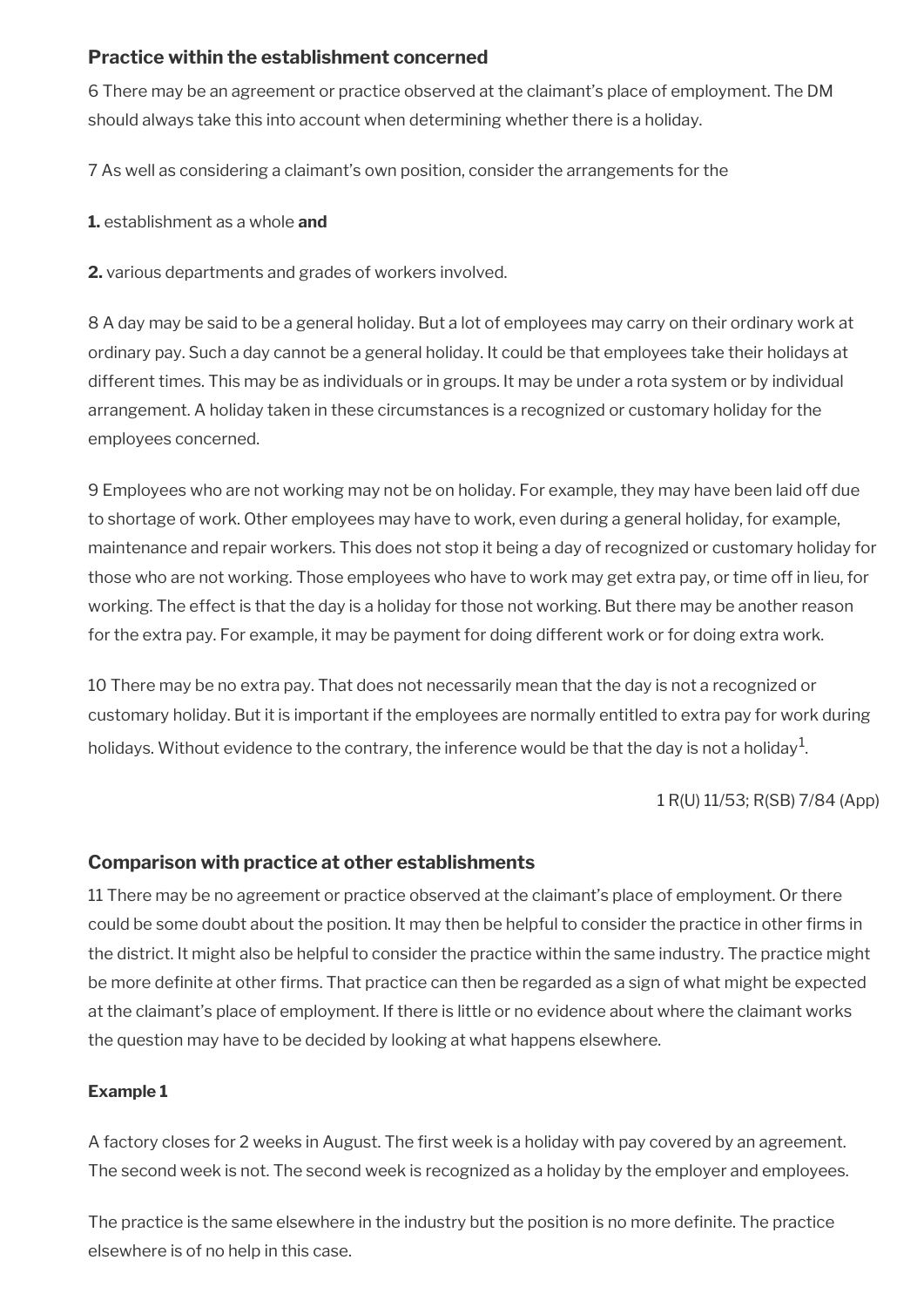## **Practice within the establishment concerned**

6 There may be an agreement or practice observed at the claimant's place of employment. The DM should always take this into account when determining whether there is a holiday.

7 As well as considering a claimant's own position, consider the arrangements for the

**1.** establishment as a whole **and**

**2.** various departments and grades of workers involved.

8 A day may be said to be a general holiday. But a lot of employees may carry on their ordinary work at ordinary pay. Such a day cannot be a general holiday. It could be that employees take their holidays at different times. This may be as individuals or in groups. It may be under a rota system or by individual arrangement. A holiday taken in these circumstances is a recognized or customary holiday for the employees concerned.

9 Employees who are not working may not be on holiday. For example, they may have been laid off due to shortage of work. Other employees may have to work, even during a general holiday, for example, maintenance and repair workers. This does not stop it being a day of recognized or customary holiday for those who are not working. Those employees who have to work may get extra pay, or time off in lieu, for working. The effect is that the day is a holiday for those not working. But there may be another reason for the extra pay. For example, it may be payment for doing different work or for doing extra work.

10 There may be no extra pay. That does not necessarily mean that the day is not a recognized or customary holiday. But it is important if the employees are normally entitled to extra pay for work during holidays. Without evidence to the contrary, the inference would be that the day is not a holiday $^1$ .

1 R(U) 11/53; R(SB) 7/84 (App)

## **Comparison with practice at other establishments**

11 There may be no agreement or practice observed at the claimant's place of employment. Or there could be some doubt about the position. It may then be helpful to consider the practice in other frms in the district. It might also be helpful to consider the practice within the same industry. The practice might be more definite at other firms. That practice can then be regarded as a sign of what might be expected at the claimant's place of employment. If there is little or no evidence about where the claimant works the question may have to be decided by looking at what happens elsewhere.

#### **Example 1**

A factory closes for 2 weeks in August. The frst week is a holiday with pay covered by an agreement. The second week is not. The second week is recognized as a holiday by the employer and employees.

The practice is the same elsewhere in the industry but the position is no more definite. The practice elsewhere is of no help in this case.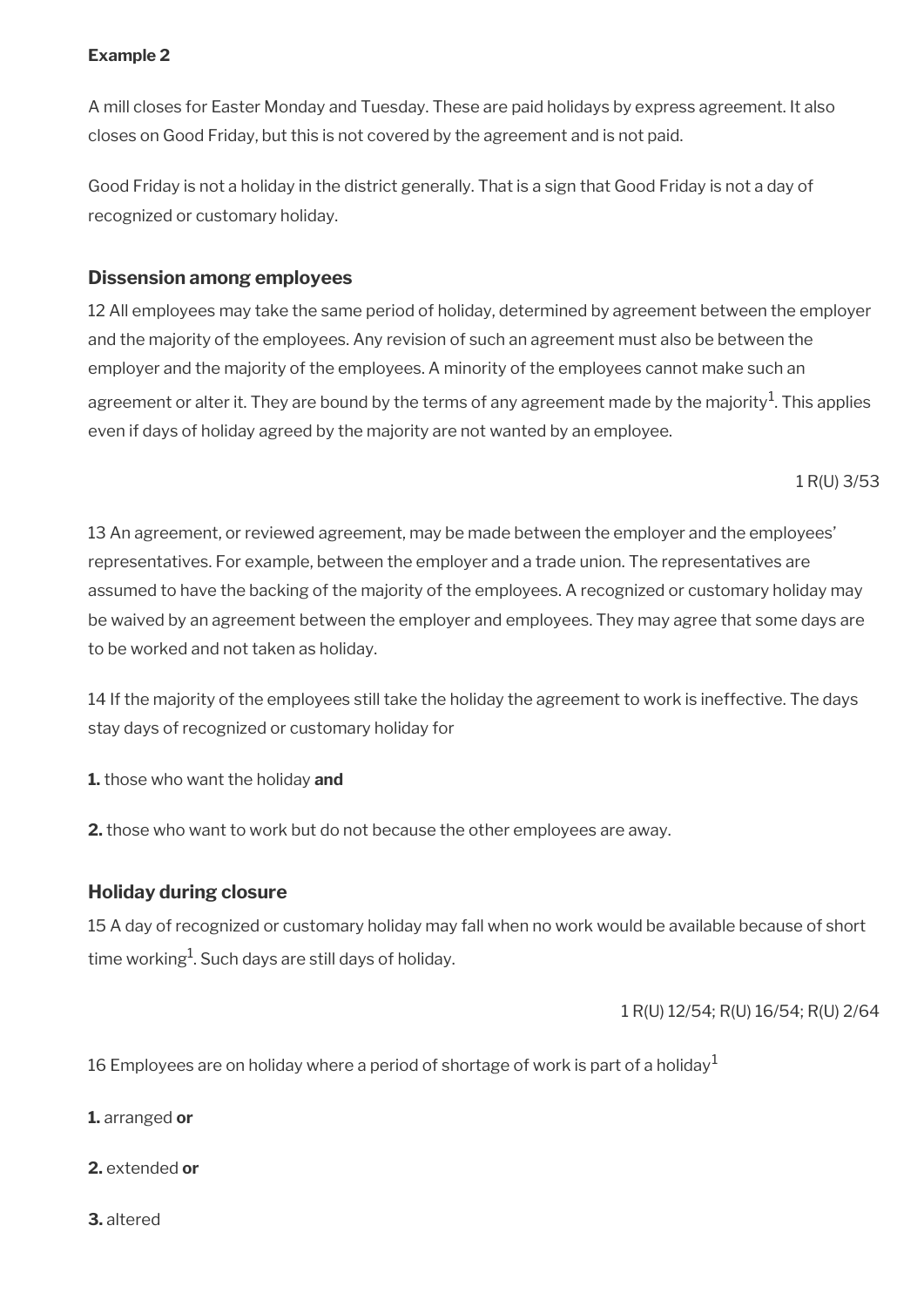#### **Example 2**

A mill closes for Easter Monday and Tuesday. These are paid holidays by express agreement. It also closes on Good Friday, but this is not covered by the agreement and is not paid.

Good Friday is not a holiday in the district generally. That is a sign that Good Friday is not a day of recognized or customary holiday.

## **Dissension among employees**

12 All employees may take the same period of holiday, determined by agreement between the employer and the majority of the employees. Any revision of such an agreement must also be between the employer and the majority of the employees. A minority of the employees cannot make such an agreement or alter it. They are bound by the terms of any agreement made by the majority $^{\rm 1}$ . This applies even if days of holiday agreed by the majority are not wanted by an employee.

1 R(U) 3/53

13 An agreement, or reviewed agreement, may be made between the employer and the employees' representatives. For example, between the employer and a trade union. The representatives are assumed to have the backing of the majority of the employees. A recognized or customary holiday may be waived by an agreement between the employer and employees. They may agree that some days are to be worked and not taken as holiday.

14 If the majority of the employees still take the holiday the agreement to work is ineffective. The days stay days of recognized or customary holiday for

**1.** those who want the holiday **and**

**2.** those who want to work but do not because the other employees are away.

## **Holiday during closure**

15 A day of recognized or customary holiday may fall when no work would be available because of short time working $^{\rm 1}$ . Such days are still days of holiday.

## 1 R(U) 12/54; R(U) 16/54; R(U) 2/64

16 Employees are on holiday where a period of shortage of work is part of a holiday<sup>1</sup>

**1.** arranged **or**

- **2.** extended **or**
- **3.** altered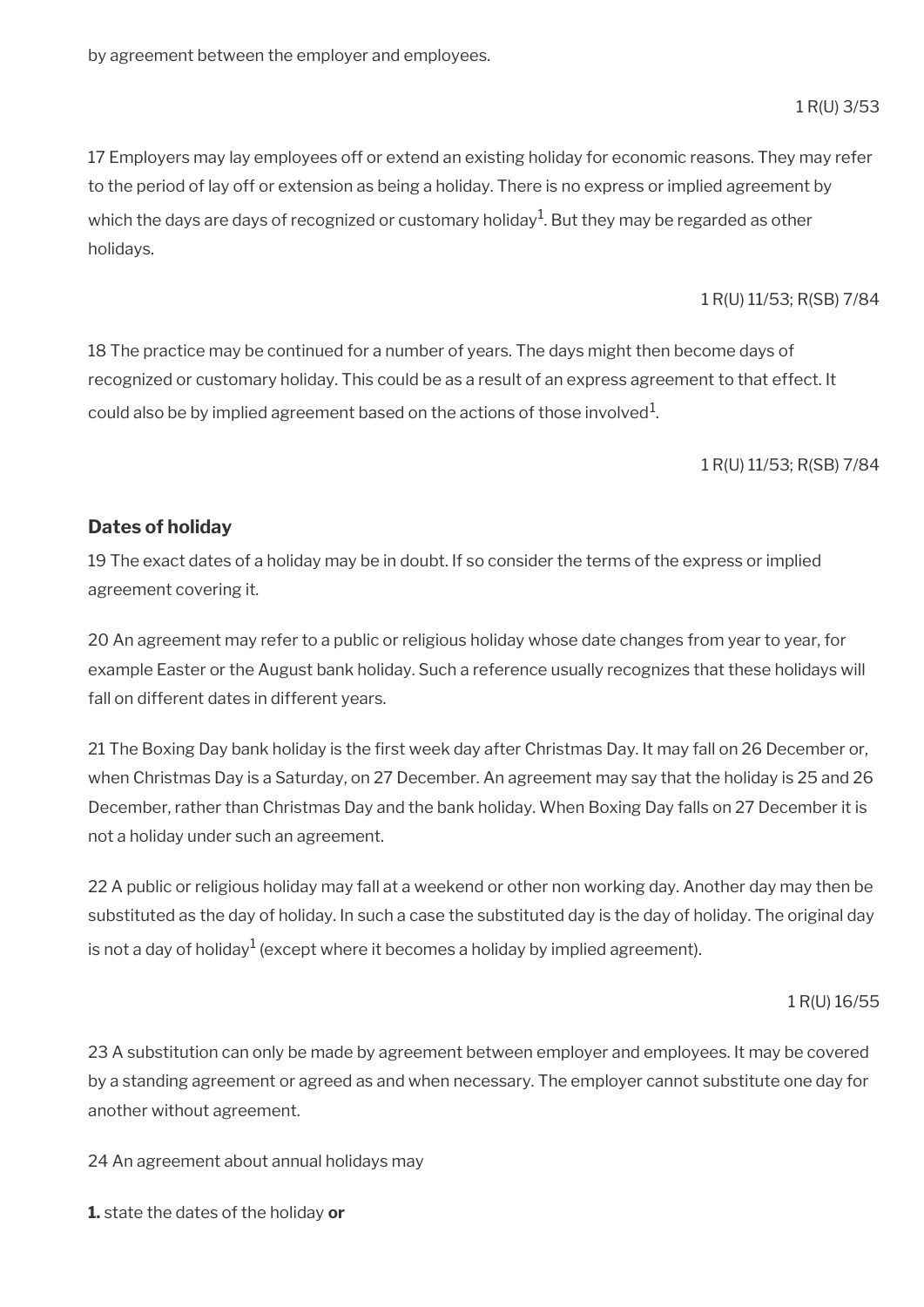by agreement between the employer and employees.

1 R(U) 3/53

17 Employers may lay employees off or extend an existing holiday for economic reasons. They may refer to the period of lay off or extension as being a holiday. There is no express or implied agreement by which the days are days of recognized or customary holiday $^1$ . But they may be regarded as other holidays.

1 R(U) 11/53; R(SB) 7/84

18 The practice may be continued for a number of years. The days might then become days of recognized or customary holiday. This could be as a result of an express agreement to that effect. It could also be by implied agreement based on the actions of those involved $^{\rm 1}$ .

1 R(U) 11/53; R(SB) 7/84

#### **Dates of holiday**

19 The exact dates of a holiday may be in doubt. If so consider the terms of the express or implied agreement covering it.

20 An agreement may refer to a public or religious holiday whose date changes from year to year, for example Easter or the August bank holiday. Such a reference usually recognizes that these holidays will fall on different dates in different years.

21 The Boxing Day bank holiday is the first week day after Christmas Day. It may fall on 26 December or, when Christmas Day is a Saturday, on 27 December. An agreement may say that the holiday is 25 and 26 December, rather than Christmas Day and the bank holiday. When Boxing Day falls on 27 December it is not a holiday under such an agreement.

22 A public or religious holiday may fall at a weekend or other non working day. Another day may then be substituted as the day of holiday. In such a case the substituted day is the day of holiday. The original day is not a day of holiday $^1$  (except where it becomes a holiday by implied agreement).

1 R(U) 16/55

23 A substitution can only be made by agreement between employer and employees. It may be covered by a standing agreement or agreed as and when necessary. The employer cannot substitute one day for another without agreement.

24 An agreement about annual holidays may

**1.** state the dates of the holiday **or**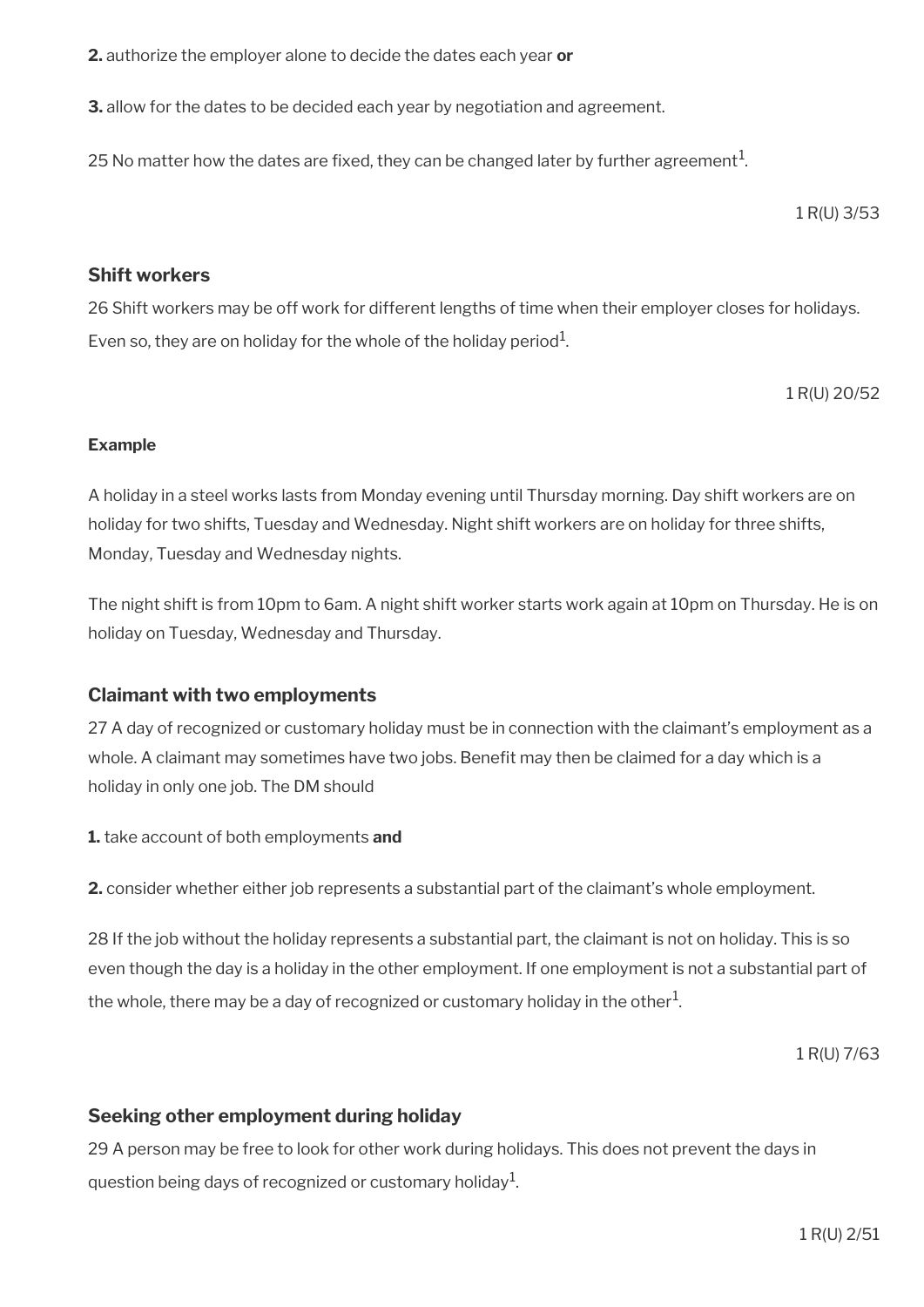**2.** authorize the employer alone to decide the dates each year **or**

**3.** allow for the dates to be decided each year by negotiation and agreement.

25 No matter how the dates are fixed, they can be changed later by further agreement $^1$ .

1 R(U) 3/53

#### **Shift workers**

26 Shift workers may be off work for different lengths of time when their employer closes for holidays. Even so, they are on holiday for the whole of the holiday period $^1$ .

1 R(U) 20/52

#### **Example**

A holiday in a steel works lasts from Monday evening until Thursday morning. Day shift workers are on holiday for two shifts, Tuesday and Wednesday. Night shift workers are on holiday for three shifts, Monday, Tuesday and Wednesday nights.

The night shift is from 10pm to 6am. A night shift worker starts work again at 10pm on Thursday. He is on holiday on Tuesday, Wednesday and Thursday.

#### **Claimant with two employments**

27 A day of recognized or customary holiday must be in connection with the claimant's employment as a whole. A claimant may sometimes have two jobs. Benefit may then be claimed for a day which is a holiday in only one job. The DM should

**1.** take account of both employments **and**

**2.** consider whether either job represents a substantial part of the claimant's whole employment.

28 If the job without the holiday represents a substantial part, the claimant is not on holiday. This is so even though the day is a holiday in the other employment. If one employment is not a substantial part of the whole, there may be a day of recognized or customary holiday in the other $^1\!$ 

1 R(U) 7/63

#### **Seeking other employment during holiday**

29 A person may be free to look for other work during holidays. This does not prevent the days in question being days of recognized or customary holiday $^{\mathrm{1}}$ .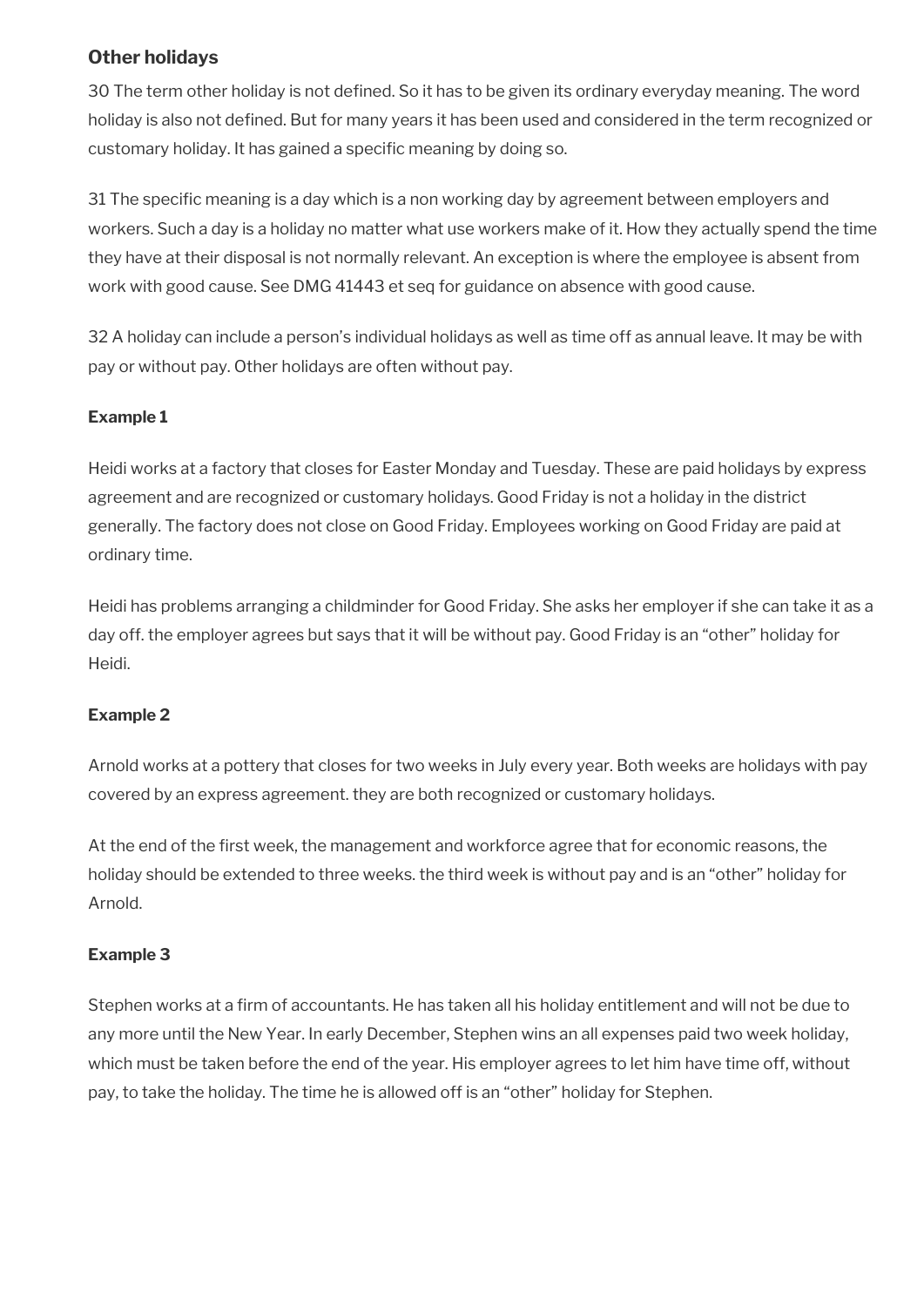## **Other holidays**

30 The term other holiday is not defned. So it has to be given its ordinary everyday meaning. The word holiday is also not defined. But for many years it has been used and considered in the term recognized or customary holiday. It has gained a specific meaning by doing so.

31 The specific meaning is a day which is a non working day by agreement between employers and workers. Such a day is a holiday no matter what use workers make of it. How they actually spend the time they have at their disposal is not normally relevant. An exception is where the employee is absent from work with good cause. See DMG 41443 et seq for guidance on absence with good cause.

32 A holiday can include a person's individual holidays as well as time off as annual leave. It may be with pay or without pay. Other holidays are often without pay.

### **Example 1**

Heidi works at a factory that closes for Easter Monday and Tuesday. These are paid holidays by express agreement and are recognized or customary holidays. Good Friday is not a holiday in the district generally. The factory does not close on Good Friday. Employees working on Good Friday are paid at ordinary time.

Heidi has problems arranging a childminder for Good Friday. She asks her employer if she can take it as a day off. the employer agrees but says that it will be without pay. Good Friday is an "other" holiday for Heidi.

#### **Example 2**

Arnold works at a pottery that closes for two weeks in July every year. Both weeks are holidays with pay covered by an express agreement. they are both recognized or customary holidays.

At the end of the first week, the management and workforce agree that for economic reasons, the holiday should be extended to three weeks. the third week is without pay and is an "other" holiday for Arnold.

#### **Example 3**

Stephen works at a frm of accountants. He has taken all his holiday entitlement and will not be due to any more until the New Year. In early December, Stephen wins an all expenses paid two week holiday, which must be taken before the end of the year. His employer agrees to let him have time off, without pay, to take the holiday. The time he is allowed off is an "other" holiday for Stephen.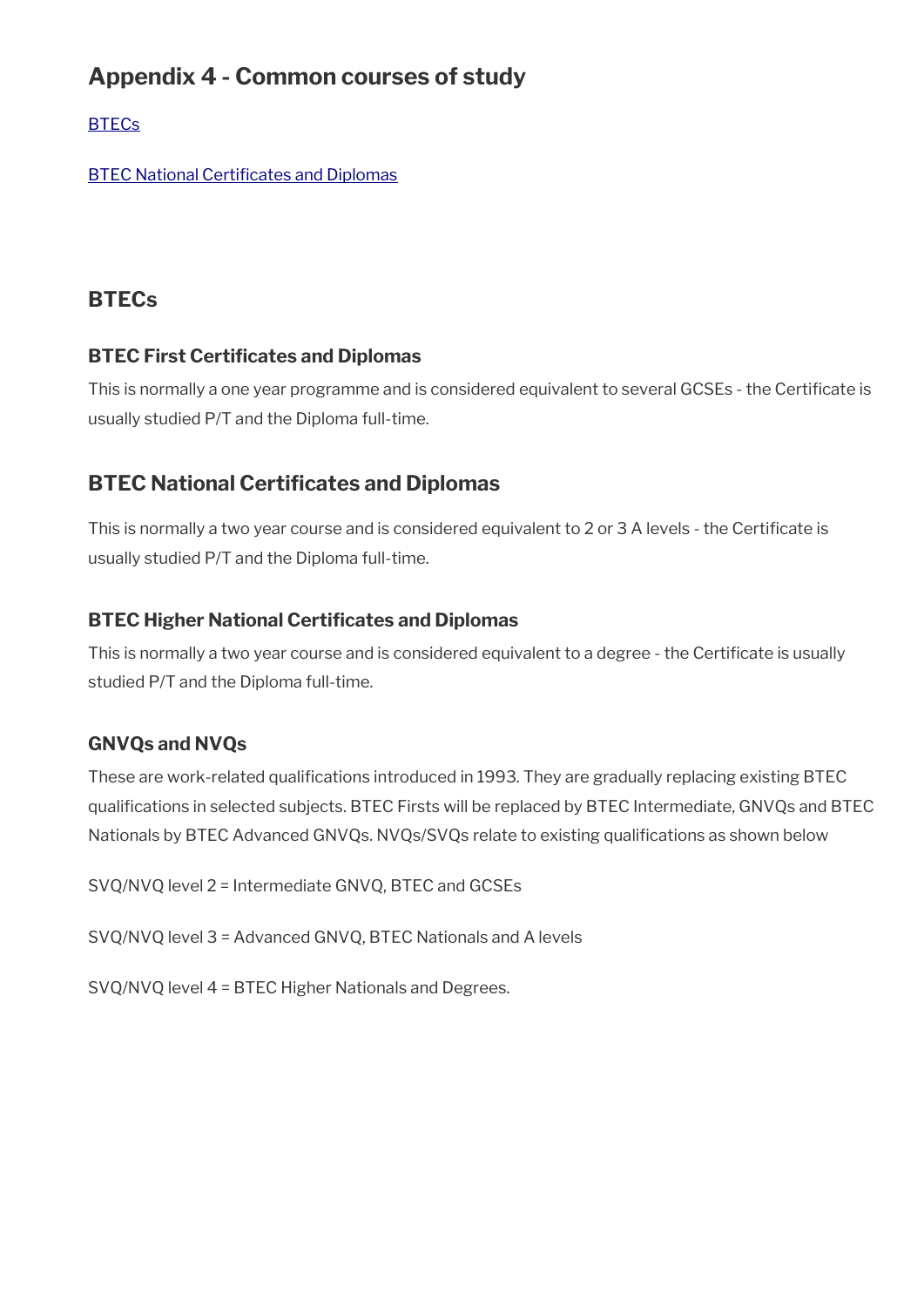# **Appendix 4 - Common courses of study**

**[BTECs](#page-153-1)** 

**BTEC National Certificates and Diplomas** 

## <span id="page-153-1"></span>**BTECs**

## **BTEC First Certificates and Diplomas**

This is normally a one year programme and is considered equivalent to several GCSEs - the Certifcate is usually studied P/T and the Diploma full-time.

# <span id="page-153-0"></span>**BTEC National Certifcates and Diplomas**

This is normally a two year course and is considered equivalent to 2 or 3 A levels - the Certifcate is usually studied P/T and the Diploma full-time.

## **BTEC Higher National Certifcates and Diplomas**

This is normally a two year course and is considered equivalent to a degree - the Certificate is usually studied P/T and the Diploma full-time.

## **GNVQs and NVQs**

These are work-related qualifications introduced in 1993. They are gradually replacing existing BTEC qualifcations in selected subjects. BTEC Firsts will be replaced by BTEC Intermediate, GNVQs and BTEC Nationals by BTEC Advanced GNVQs. NVQs/SVQs relate to existing qualifcations as shown below

SVQ/NVQ level 2 = Intermediate GNVQ, BTEC and GCSEs

SVQ/NVQ level 3 = Advanced GNVQ, BTEC Nationals and A levels

SVQ/NVQ level 4 = BTEC Higher Nationals and Degrees.